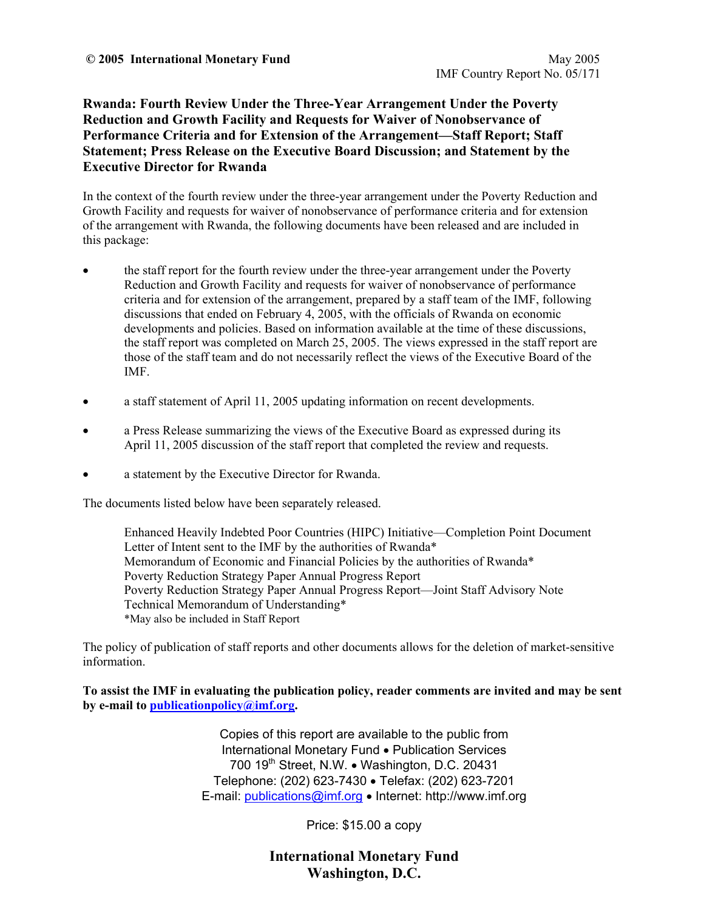**Rwanda: Fourth Review Under the Three-Year Arrangement Under the Poverty Reduction and Growth Facility and Requests for Waiver of Nonobservance of Performance Criteria and for Extension of the Arrangement—Staff Report; Staff Statement; Press Release on the Executive Board Discussion; and Statement by the Executive Director for Rwanda** 

In the context of the fourth review under the three-year arrangement under the Poverty Reduction and Growth Facility and requests for waiver of nonobservance of performance criteria and for extension of the arrangement with Rwanda, the following documents have been released and are included in this package:

- the staff report for the fourth review under the three-year arrangement under the Poverty Reduction and Growth Facility and requests for waiver of nonobservance of performance criteria and for extension of the arrangement, prepared by a staff team of the IMF, following discussions that ended on February 4, 2005, with the officials of Rwanda on economic developments and policies. Based on information available at the time of these discussions, the staff report was completed on March 25, 2005. The views expressed in the staff report are those of the staff team and do not necessarily reflect the views of the Executive Board of the IMF.
- a staff statement of April 11, 2005 updating information on recent developments.
- a Press Release summarizing the views of the Executive Board as expressed during its April 11, 2005 discussion of the staff report that completed the review and requests.
- a statement by the Executive Director for Rwanda.

The documents listed below have been separately released.

 Enhanced Heavily Indebted Poor Countries (HIPC) Initiative—Completion Point Document Letter of Intent sent to the IMF by the authorities of Rwanda\* Memorandum of Economic and Financial Policies by the authorities of Rwanda\* Poverty Reduction Strategy Paper Annual Progress Report Poverty Reduction Strategy Paper Annual Progress Report—Joint Staff Advisory Note Technical Memorandum of Understanding\* \*May also be included in Staff Report

The policy of publication of staff reports and other documents allows for the deletion of market-sensitive information.

**To assist the IMF in evaluating the publication policy, reader comments are invited and may be sent by e-mail to publicationpolicy@imf.org.**

> Copies of this report are available to the public from International Monetary Fund • Publication Services 700 19<sup>th</sup> Street, N.W. • Washington, D.C. 20431 Telephone: (202) 623-7430 • Telefax: (202) 623-7201 E-mail: publications@imf.org • Internet: http://www.imf.org

> > Price: \$15.00 a copy

**International Monetary Fund Washington, D.C.**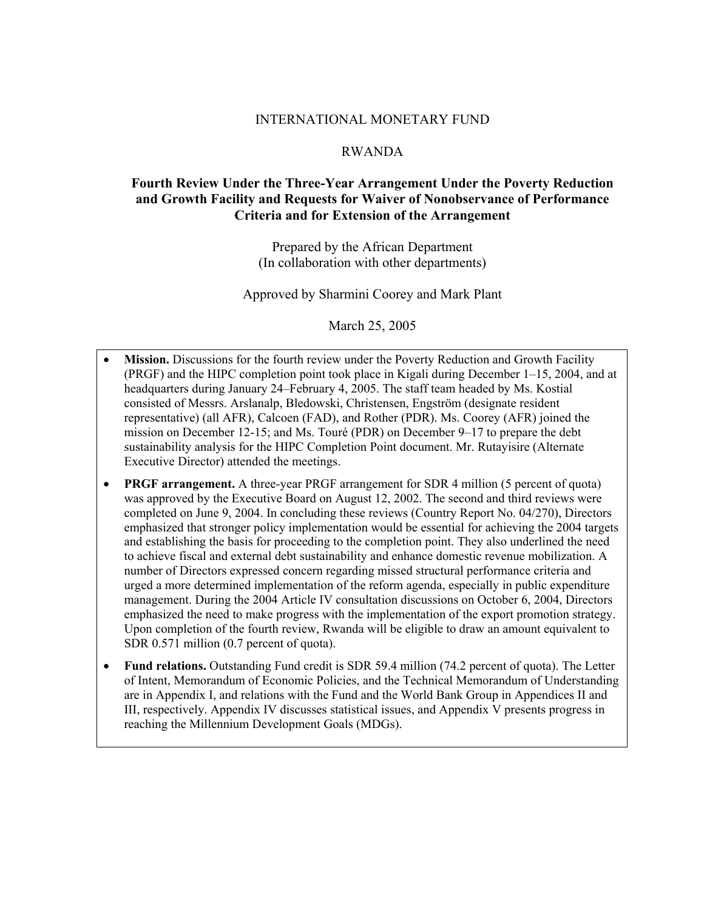### INTERNATIONAL MONETARY FUND

#### RWANDA

## **Fourth Review Under the Three-Year Arrangement Under the Poverty Reduction and Growth Facility and Requests for Waiver of Nonobservance of Performance Criteria and for Extension of the Arrangement**

Prepared by the African Department (In collaboration with other departments)

Approved by Sharmini Coorey and Mark Plant

March 25, 2005

- **Mission.** Discussions for the fourth review under the Poverty Reduction and Growth Facility (PRGF) and the HIPC completion point took place in Kigali during December 1–15, 2004, and at headquarters during January 24–February 4, 2005. The staff team headed by Ms. Kostial consisted of Messrs. Arslanalp, Bledowski, Christensen, Engström (designate resident representative) (all AFR), Calcoen (FAD), and Rother (PDR). Ms. Coorey (AFR) joined the mission on December 12-15; and Ms. Touré (PDR) on December 9–17 to prepare the debt sustainability analysis for the HIPC Completion Point document. Mr. Rutayisire (Alternate Executive Director) attended the meetings.
- **PRGF arrangement.** A three-year PRGF arrangement for SDR 4 million (5 percent of quota) was approved by the Executive Board on August 12, 2002. The second and third reviews were completed on June 9, 2004. In concluding these reviews (Country Report No. 04/270), Directors emphasized that stronger policy implementation would be essential for achieving the 2004 targets and establishing the basis for proceeding to the completion point. They also underlined the need to achieve fiscal and external debt sustainability and enhance domestic revenue mobilization. A number of Directors expressed concern regarding missed structural performance criteria and urged a more determined implementation of the reform agenda, especially in public expenditure management. During the 2004 Article IV consultation discussions on October 6, 2004, Directors emphasized the need to make progress with the implementation of the export promotion strategy. Upon completion of the fourth review, Rwanda will be eligible to draw an amount equivalent to SDR 0.571 million (0.7 percent of quota).
- **Fund relations.** Outstanding Fund credit is SDR 59.4 million (74.2 percent of quota). The Letter of Intent, Memorandum of Economic Policies, and the Technical Memorandum of Understanding are in Appendix I, and relations with the Fund and the World Bank Group in Appendices II and III, respectively. Appendix IV discusses statistical issues, and Appendix V presents progress in reaching the Millennium Development Goals (MDGs).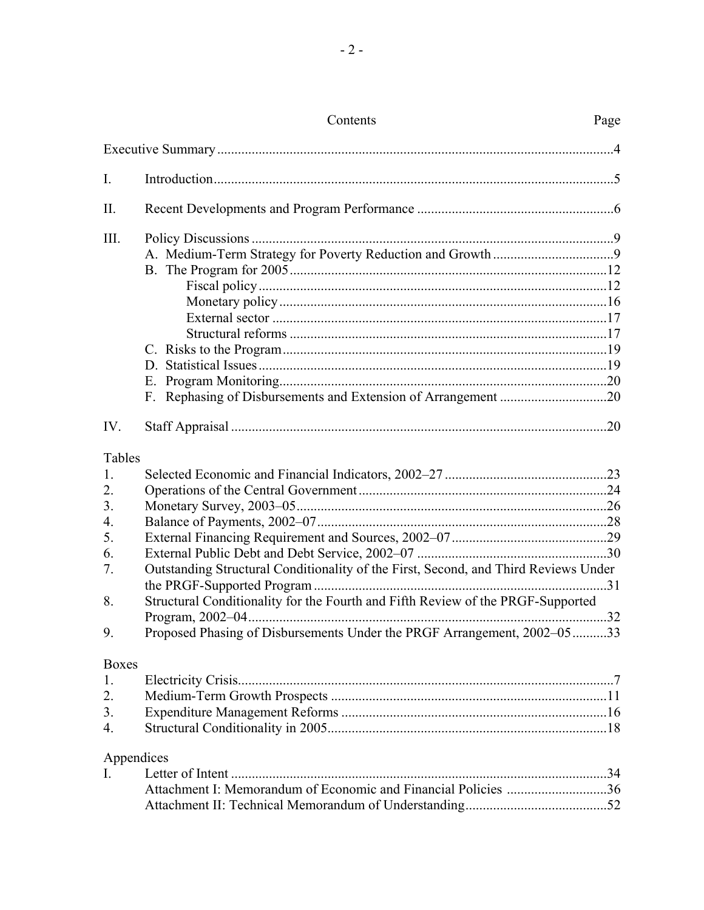|                | Contents                                                                            | Page |
|----------------|-------------------------------------------------------------------------------------|------|
|                |                                                                                     |      |
| $\mathbf{I}$ . |                                                                                     |      |
| Π.             |                                                                                     |      |
| III.           |                                                                                     |      |
|                |                                                                                     |      |
|                |                                                                                     |      |
|                |                                                                                     |      |
|                |                                                                                     |      |
|                |                                                                                     |      |
|                |                                                                                     |      |
|                |                                                                                     |      |
|                |                                                                                     |      |
|                |                                                                                     |      |
| IV.            |                                                                                     |      |
| Tables         |                                                                                     |      |
| 1.             |                                                                                     |      |
| 2.             |                                                                                     |      |
| 3.             |                                                                                     |      |
| 4.             |                                                                                     |      |
| 5.             |                                                                                     |      |
| 6.             |                                                                                     |      |
| 7.             | Outstanding Structural Conditionality of the First, Second, and Third Reviews Under |      |
| 8.             | Structural Conditionality for the Fourth and Fifth Review of the PRGF-Supported     |      |
|                |                                                                                     |      |
| 9.             | Proposed Phasing of Disbursements Under the PRGF Arrangement, 2002-0533             |      |
| <b>Boxes</b>   |                                                                                     |      |
| 1.             |                                                                                     |      |
| 2.             |                                                                                     |      |
| 3.             |                                                                                     |      |
| 4.             |                                                                                     |      |
| Appendices     |                                                                                     |      |
| I.             |                                                                                     |      |
|                | Attachment I: Memorandum of Economic and Financial Policies 36                      |      |
|                |                                                                                     |      |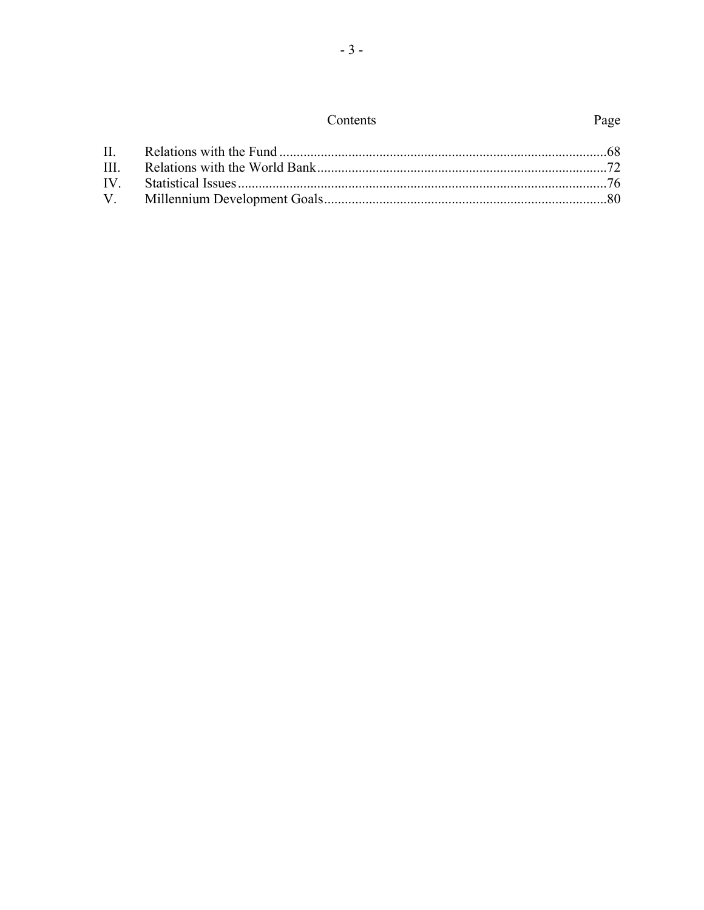| Contents |
|----------|
|----------|

 $-3-$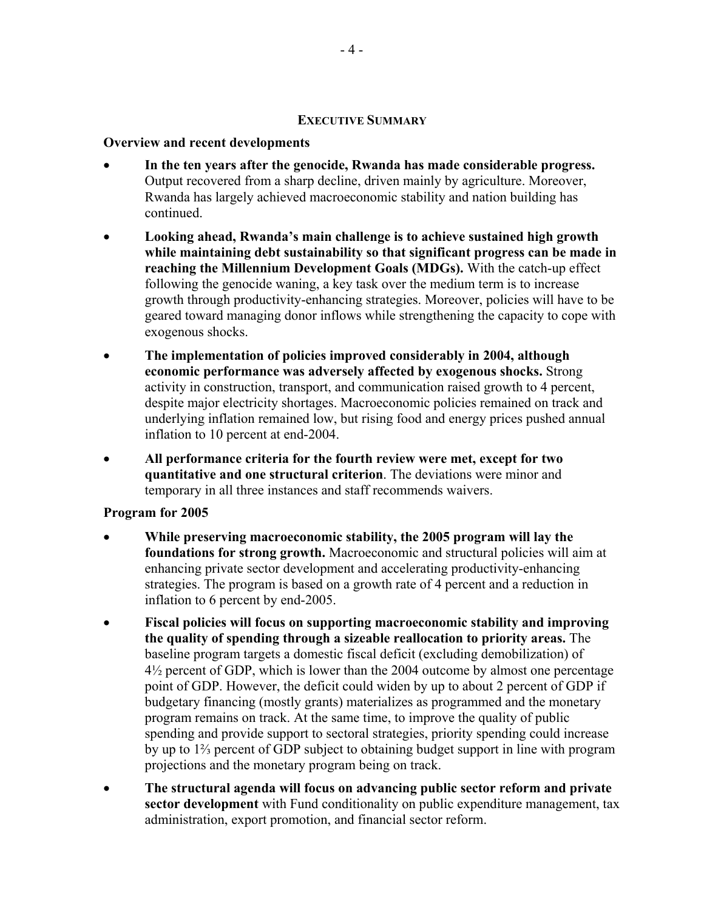### **EXECUTIVE SUMMARY**

## **Overview and recent developments**

- **In the ten years after the genocide, Rwanda has made considerable progress.** Output recovered from a sharp decline, driven mainly by agriculture. Moreover, Rwanda has largely achieved macroeconomic stability and nation building has continued.
- **Looking ahead, Rwanda's main challenge is to achieve sustained high growth while maintaining debt sustainability so that significant progress can be made in reaching the Millennium Development Goals (MDGs).** With the catch-up effect following the genocide waning, a key task over the medium term is to increase growth through productivity-enhancing strategies. Moreover, policies will have to be geared toward managing donor inflows while strengthening the capacity to cope with exogenous shocks.
- **The implementation of policies improved considerably in 2004, although economic performance was adversely affected by exogenous shocks.** Strong activity in construction, transport, and communication raised growth to 4 percent, despite major electricity shortages. Macroeconomic policies remained on track and underlying inflation remained low, but rising food and energy prices pushed annual inflation to 10 percent at end-2004.
- **All performance criteria for the fourth review were met, except for two quantitative and one structural criterion**. The deviations were minor and temporary in all three instances and staff recommends waivers.

## **Program for 2005**

- **While preserving macroeconomic stability, the 2005 program will lay the foundations for strong growth.** Macroeconomic and structural policies will aim at enhancing private sector development and accelerating productivity-enhancing strategies. The program is based on a growth rate of 4 percent and a reduction in inflation to 6 percent by end-2005.
- **Fiscal policies will focus on supporting macroeconomic stability and improving the quality of spending through a sizeable reallocation to priority areas.** The baseline program targets a domestic fiscal deficit (excluding demobilization) of 4½ percent of GDP, which is lower than the 2004 outcome by almost one percentage point of GDP. However, the deficit could widen by up to about 2 percent of GDP if budgetary financing (mostly grants) materializes as programmed and the monetary program remains on track. At the same time, to improve the quality of public spending and provide support to sectoral strategies, priority spending could increase by up to 1⅔ percent of GDP subject to obtaining budget support in line with program projections and the monetary program being on track.
- **The structural agenda will focus on advancing public sector reform and private sector development** with Fund conditionality on public expenditure management, tax administration, export promotion, and financial sector reform.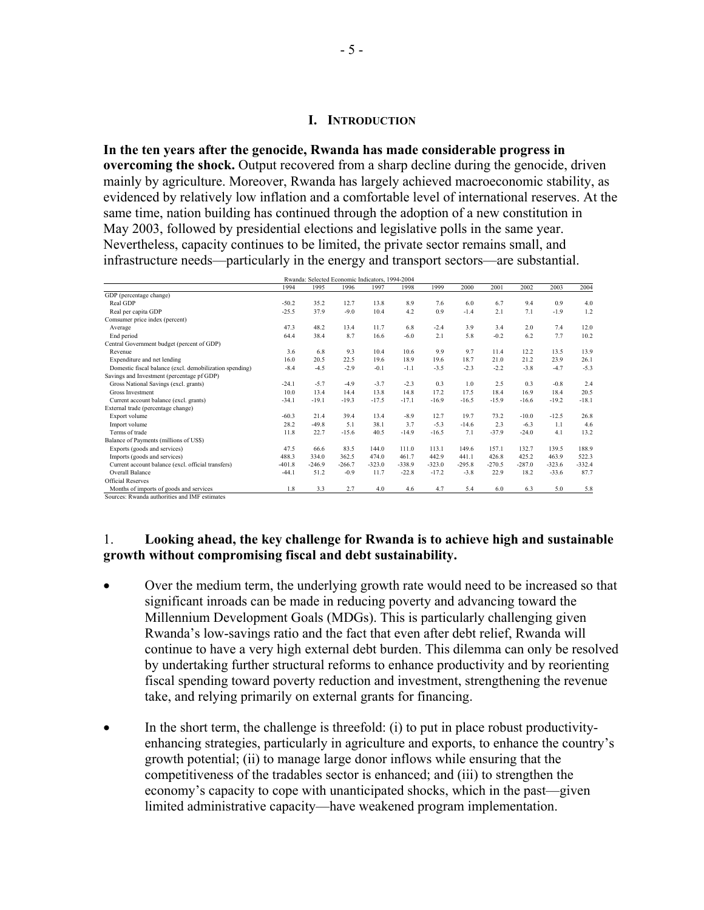### **I. INTRODUCTION**

**In the ten years after the genocide, Rwanda has made considerable progress in overcoming the shock.** Output recovered from a sharp decline during the genocide, driven mainly by agriculture. Moreover, Rwanda has largely achieved macroeconomic stability, as evidenced by relatively low inflation and a comfortable level of international reserves. At the same time, nation building has continued through the adoption of a new constitution in May 2003, followed by presidential elections and legislative polls in the same year. Nevertheless, capacity continues to be limited, the private sector remains small, and infrastructure needs—particularly in the energy and transport sectors—are substantial.

|                                                         |          | Rwanda: Selected Economic Indicators, 1994-2004 |          |          |          |          |          |          |          |          |          |
|---------------------------------------------------------|----------|-------------------------------------------------|----------|----------|----------|----------|----------|----------|----------|----------|----------|
|                                                         | 1994     | 1995                                            | 1996     | 1997     | 1998     | 1999     | 2000     | 2001     | 2002     | 2003     | 2004     |
| GDP (percentage change)                                 |          |                                                 |          |          |          |          |          |          |          |          |          |
| Real GDP                                                | $-50.2$  | 35.2                                            | 12.7     | 13.8     | 8.9      | 7.6      | 6.0      | 6.7      | 9.4      | 09       | 4.0      |
| Real per capita GDP                                     | $-25.5$  | 37.9                                            | $-9.0$   | 10.4     | 4.2      | 0.9      | $-1.4$   | 2.1      | 7.1      | $-1.9$   | 1.2      |
| Comsumer price index (percent)                          |          |                                                 |          |          |          |          |          |          |          |          |          |
| Average                                                 | 47.3     | 48.2                                            | 13.4     | 11.7     | 6.8      | $-2.4$   | 3.9      | 3.4      | 2.0      | 7.4      | 12.0     |
| End period                                              | 64.4     | 38.4                                            | 8.7      | 16.6     | $-6.0$   | 2.1      | 5.8      | $-0.2$   | 6.2      | 7.7      | 10.2     |
| Central Government budget (percent of GDP)              |          |                                                 |          |          |          |          |          |          |          |          |          |
| Revenue                                                 | 3.6      | 6.8                                             | 9.3      | 10.4     | 10.6     | 9.9      | 9.7      | 11.4     | 12.2     | 13.5     | 13.9     |
| Expenditure and net lending                             | 16.0     | 20.5                                            | 22.5     | 19.6     | 18.9     | 19.6     | 18.7     | 21.0     | 21.2     | 23.9     | 26.1     |
| Domestic fiscal balance (excl. demobilization spending) | $-8.4$   | $-4.5$                                          | $-2.9$   | $-0.1$   | $-1.1$   | $-3.5$   | $-2.3$   | $-2.2$   | $-3.8$   | $-4.7$   | $-5.3$   |
| Savings and Investment (percentage pf GDP)              |          |                                                 |          |          |          |          |          |          |          |          |          |
| Gross National Savings (excl. grants)                   | $-24.1$  | $-5.7$                                          | $-4.9$   | $-3.7$   | $-2.3$   | 0.3      | 1.0      | 2.5      | 0.3      | $-0.8$   | 2.4      |
| Gross Investment                                        | 10.0     | 13.4                                            | 14.4     | 13.8     | 14.8     | 172      | 17.5     | 18.4     | 16.9     | 18.4     | 20.5     |
| Current account balance (excl. grants)                  | $-34.1$  | $-19.1$                                         | $-19.3$  | $-17.5$  | $-17.1$  | $-16.9$  | $-16.5$  | $-15.9$  | $-16.6$  | $-19.2$  | $-18.1$  |
| External trade (percentage change)                      |          |                                                 |          |          |          |          |          |          |          |          |          |
| Export volume                                           | $-60.3$  | 214                                             | 39.4     | 13.4     | $-8.9$   | 12.7     | 19.7     | 73.2     | $-10.0$  | $-12.5$  | 26.8     |
| Import volume                                           | 28.2     | $-49.8$                                         | 5.1      | 38.1     | 3.7      | $-5.3$   | $-14.6$  | 2.3      | $-6.3$   | 1.1      | 4.6      |
| Terms of trade                                          | 11.8     | 22.7                                            | $-15.6$  | 40.5     | $-14.9$  | $-16.5$  | 7.1      | $-37.9$  | $-24.0$  | 4.1      | 13.2     |
| Balance of Payments (millions of US\$)                  |          |                                                 |          |          |          |          |          |          |          |          |          |
| Exports (goods and services)                            | 47.5     | 66.6                                            | 83.5     | 144.0    | 111.0    | 113.1    | 149.6    | 157.1    | 132.7    | 139.5    | 188.9    |
| Imports (goods and services)                            | 488.3    | 334.0                                           | 362.5    | 474.0    | 461.7    | 442.9    | 441.1    | 426.8    | 425.2    | 463.9    | 522.3    |
| Current account balance (excl. official transfers)      | $-401.8$ | $-246.9$                                        | $-266.7$ | $-323.0$ | $-338.9$ | $-323.0$ | $-295.8$ | $-270.5$ | $-287.0$ | $-323.6$ | $-332.4$ |
| Overall Balance                                         | $-44.1$  | 51.2                                            | $-0.9$   | 11.7     | $-22.8$  | $-17.2$  | $-3.8$   | 22.9     | 18.2     | $-33.6$  | 87.7     |
| <b>Official Reserves</b>                                |          |                                                 |          |          |          |          |          |          |          |          |          |
| Months of imports of goods and services                 | 1.8      | 3.3                                             | 2.7      | 4.0      | 4.6      | 4.7      | 5.4      | 6.0      | 6.3      | 5.0      | 5.8      |
| Sources: Rwanda authorities and IMF estimates           |          |                                                 |          |          |          |          |          |          |          |          |          |

# 1. **Looking ahead, the key challenge for Rwanda is to achieve high and sustainable growth without compromising fiscal and debt sustainability.**

- Over the medium term, the underlying growth rate would need to be increased so that significant inroads can be made in reducing poverty and advancing toward the Millennium Development Goals (MDGs). This is particularly challenging given Rwanda's low-savings ratio and the fact that even after debt relief, Rwanda will continue to have a very high external debt burden. This dilemma can only be resolved by undertaking further structural reforms to enhance productivity and by reorienting fiscal spending toward poverty reduction and investment, strengthening the revenue take, and relying primarily on external grants for financing.
- In the short term, the challenge is threefold: (i) to put in place robust productivityenhancing strategies, particularly in agriculture and exports, to enhance the country's growth potential; (ii) to manage large donor inflows while ensuring that the competitiveness of the tradables sector is enhanced; and (iii) to strengthen the economy's capacity to cope with unanticipated shocks, which in the past—given limited administrative capacity—have weakened program implementation.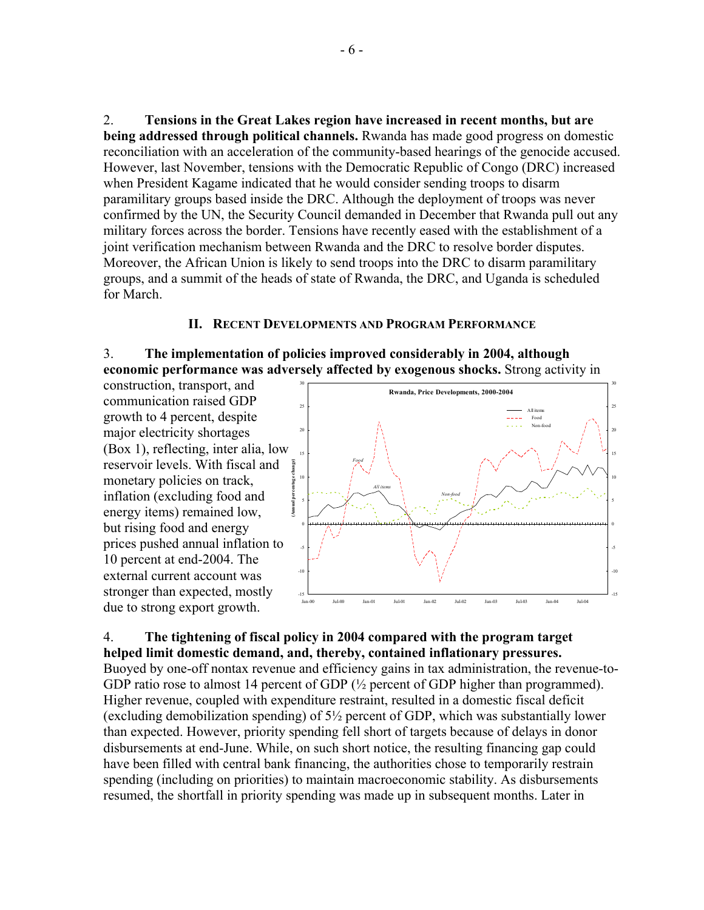2. **Tensions in the Great Lakes region have increased in recent months, but are being addressed through political channels.** Rwanda has made good progress on domestic reconciliation with an acceleration of the community-based hearings of the genocide accused. However, last November, tensions with the Democratic Republic of Congo (DRC) increased when President Kagame indicated that he would consider sending troops to disarm paramilitary groups based inside the DRC. Although the deployment of troops was never confirmed by the UN, the Security Council demanded in December that Rwanda pull out any military forces across the border. Tensions have recently eased with the establishment of a joint verification mechanism between Rwanda and the DRC to resolve border disputes. Moreover, the African Union is likely to send troops into the DRC to disarm paramilitary groups, and a summit of the heads of state of Rwanda, the DRC, and Uganda is scheduled for March.

### **II. RECENT DEVELOPMENTS AND PROGRAM PERFORMANCE**

### 3. **The implementation of policies improved considerably in 2004, although economic performance was adversely affected by exogenous shocks.** Strong activity in

construction, transport, and communication raised GDP growth to 4 percent, despite major electricity shortages (Box 1), reflecting, inter alia, low reservoir levels. With fiscal and monetary policies on track, inflation (excluding food and energy items) remained low, but rising food and energy prices pushed annual inflation to 10 percent at end-2004. The external current account was stronger than expected, mostly due to strong export growth.



### 4. **The tightening of fiscal policy in 2004 compared with the program target helped limit domestic demand, and, thereby, contained inflationary pressures.**

Buoyed by one-off nontax revenue and efficiency gains in tax administration, the revenue-to-GDP ratio rose to almost 14 percent of GDP  $\frac{1}{2}$  percent of GDP higher than programmed). Higher revenue, coupled with expenditure restraint, resulted in a domestic fiscal deficit (excluding demobilization spending) of 5½ percent of GDP, which was substantially lower than expected. However, priority spending fell short of targets because of delays in donor disbursements at end-June. While, on such short notice, the resulting financing gap could have been filled with central bank financing, the authorities chose to temporarily restrain spending (including on priorities) to maintain macroeconomic stability. As disbursements resumed, the shortfall in priority spending was made up in subsequent months. Later in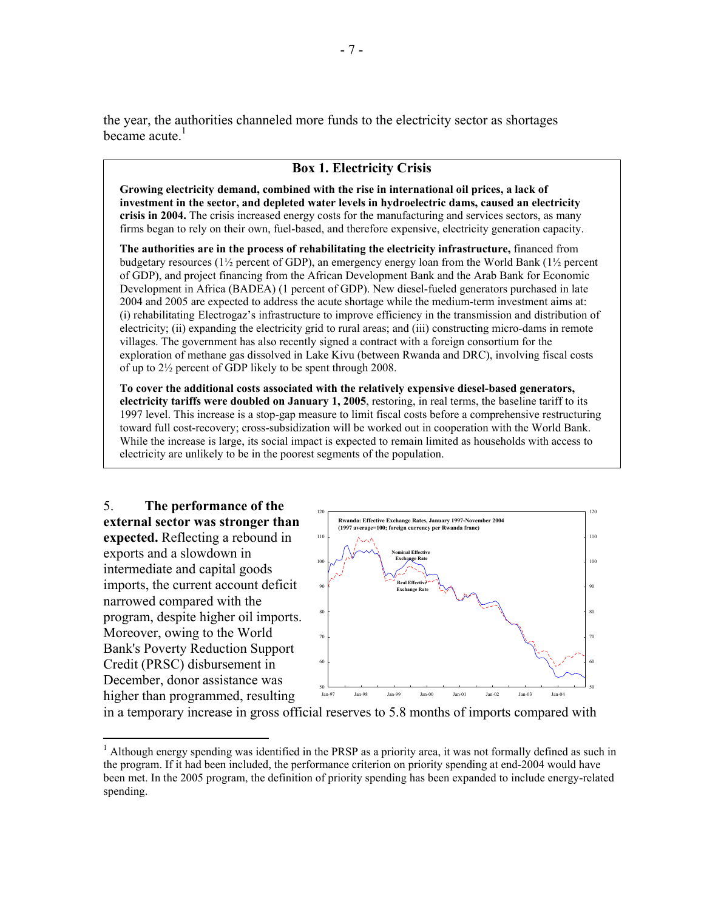the year, the authorities channeled more funds to the electricity sector as shortages became acute. $<sup>1</sup>$ </sup>

### **Box 1. Electricity Crisis**

**Growing electricity demand, combined with the rise in international oil prices, a lack of investment in the sector, and depleted water levels in hydroelectric dams, caused an electricity crisis in 2004.** The crisis increased energy costs for the manufacturing and services sectors, as many firms began to rely on their own, fuel-based, and therefore expensive, electricity generation capacity.

**The authorities are in the process of rehabilitating the electricity infrastructure,** financed from budgetary resources (1½ percent of GDP), an emergency energy loan from the World Bank (1½ percent of GDP), and project financing from the African Development Bank and the Arab Bank for Economic Development in Africa (BADEA) (1 percent of GDP). New diesel-fueled generators purchased in late 2004 and 2005 are expected to address the acute shortage while the medium-term investment aims at: (i) rehabilitating Electrogaz's infrastructure to improve efficiency in the transmission and distribution of electricity; (ii) expanding the electricity grid to rural areas; and (iii) constructing micro-dams in remote villages. The government has also recently signed a contract with a foreign consortium for the exploration of methane gas dissolved in Lake Kivu (between Rwanda and DRC), involving fiscal costs of up to 2½ percent of GDP likely to be spent through 2008.

**To cover the additional costs associated with the relatively expensive diesel-based generators, electricity tariffs were doubled on January 1, 2005**, restoring, in real terms, the baseline tariff to its 1997 level. This increase is a stop-gap measure to limit fiscal costs before a comprehensive restructuring toward full cost-recovery; cross-subsidization will be worked out in cooperation with the World Bank. While the increase is large, its social impact is expected to remain limited as households with access to electricity are unlikely to be in the poorest segments of the population.

5. **The performance of the external sector was stronger than expected.** Reflecting a rebound in exports and a slowdown in intermediate and capital goods imports, the current account deficit narrowed compared with the program, despite higher oil imports. Moreover, owing to the World Bank's Poverty Reduction Support Credit (PRSC) disbursement in December, donor assistance was higher than programmed, resulting

 $\overline{a}$ 



in a temporary increase in gross official reserves to 5.8 months of imports compared with

<sup>&</sup>lt;sup>1</sup> Although energy spending was identified in the PRSP as a priority area, it was not formally defined as such in the program. If it had been included, the performance criterion on priority spending at end-2004 would have been met. In the 2005 program, the definition of priority spending has been expanded to include energy-related spending.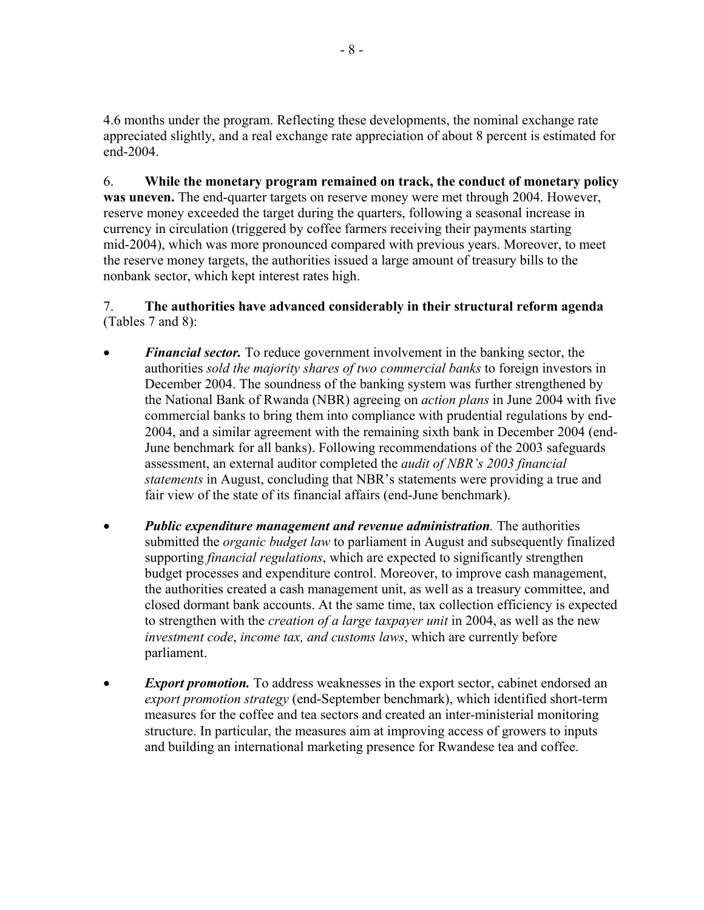4.6 months under the program. Reflecting these developments, the nominal exchange rate appreciated slightly, and a real exchange rate appreciation of about 8 percent is estimated for end-2004.

6. **While the monetary program remained on track, the conduct of monetary policy was uneven.** The end-quarter targets on reserve money were met through 2004. However, reserve money exceeded the target during the quarters, following a seasonal increase in currency in circulation (triggered by coffee farmers receiving their payments starting mid-2004), which was more pronounced compared with previous years. Moreover, to meet the reserve money targets, the authorities issued a large amount of treasury bills to the nonbank sector, which kept interest rates high.

7. **The authorities have advanced considerably in their structural reform agenda** (Tables 7 and 8):

- *Financial sector.* To reduce government involvement in the banking sector, the authorities *sold the majority shares of two commercial banks* to foreign investors in December 2004. The soundness of the banking system was further strengthened by the National Bank of Rwanda (NBR) agreeing on *action plans* in June 2004 with five commercial banks to bring them into compliance with prudential regulations by end-2004, and a similar agreement with the remaining sixth bank in December 2004 (end-June benchmark for all banks). Following recommendations of the 2003 safeguards assessment, an external auditor completed the *audit of NBR's 2003 financial statements* in August, concluding that NBR's statements were providing a true and fair view of the state of its financial affairs (end-June benchmark).
- *Public expenditure management and revenue administration.* The authorities submitted the *organic budget law* to parliament in August and subsequently finalized supporting *financial regulations*, which are expected to significantly strengthen budget processes and expenditure control. Moreover, to improve cash management, the authorities created a cash management unit, as well as a treasury committee, and closed dormant bank accounts. At the same time, tax collection efficiency is expected to strengthen with the *creation of a large taxpayer unit* in 2004, as well as the new *investment code*, *income tax, and customs laws*, which are currently before parliament.
- **Export promotion.** To address weaknesses in the export sector, cabinet endorsed an *export promotion strategy* (end-September benchmark), which identified short-term measures for the coffee and tea sectors and created an inter-ministerial monitoring structure. In particular, the measures aim at improving access of growers to inputs and building an international marketing presence for Rwandese tea and coffee.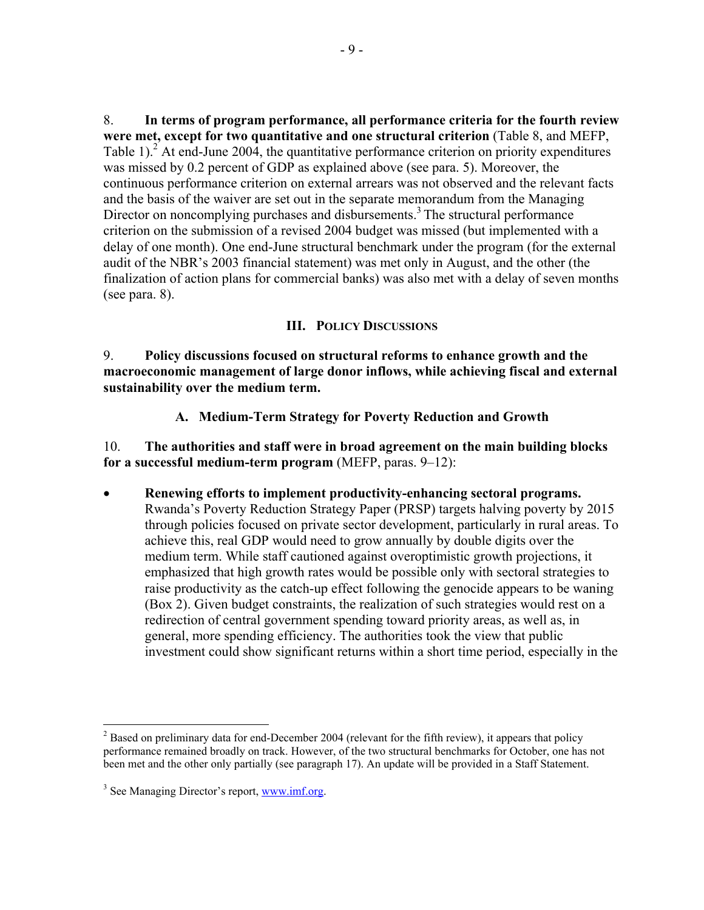8. **In terms of program performance, all performance criteria for the fourth review were met, except for two quantitative and one structural criterion** (Table 8, and MEFP, Table 1).<sup>2</sup> At end-June 2004, the quantitative performance criterion on priority expenditures was missed by 0.2 percent of GDP as explained above (see para. 5). Moreover, the continuous performance criterion on external arrears was not observed and the relevant facts and the basis of the waiver are set out in the separate memorandum from the Managing Director on noncomplying purchases and disbursements.<sup>3</sup> The structural performance criterion on the submission of a revised 2004 budget was missed (but implemented with a delay of one month). One end-June structural benchmark under the program (for the external audit of the NBR's 2003 financial statement) was met only in August, and the other (the finalization of action plans for commercial banks) was also met with a delay of seven months (see para. 8).

## **III. POLICY DISCUSSIONS**

9. **Policy discussions focused on structural reforms to enhance growth and the macroeconomic management of large donor inflows, while achieving fiscal and external sustainability over the medium term.**

**A. Medium-Term Strategy for Poverty Reduction and Growth** 

10. **The authorities and staff were in broad agreement on the main building blocks for a successful medium-term program** (MEFP, paras. 9–12):

• **Renewing efforts to implement productivity-enhancing sectoral programs.** Rwanda's Poverty Reduction Strategy Paper (PRSP) targets halving poverty by 2015 through policies focused on private sector development, particularly in rural areas. To achieve this, real GDP would need to grow annually by double digits over the medium term. While staff cautioned against overoptimistic growth projections, it emphasized that high growth rates would be possible only with sectoral strategies to raise productivity as the catch-up effect following the genocide appears to be waning (Box 2). Given budget constraints, the realization of such strategies would rest on a redirection of central government spending toward priority areas, as well as, in general, more spending efficiency. The authorities took the view that public investment could show significant returns within a short time period, especially in the

<sup>&</sup>lt;sup>2</sup> Based on preliminary data for end-December 2004 (relevant for the fifth review), it appears that policy performance remained broadly on track. However, of the two structural benchmarks for October, one has not been met and the other only partially (see paragraph 17). An update will be provided in a Staff Statement.

<sup>&</sup>lt;sup>3</sup> See Managing Director's report, www.imf.org.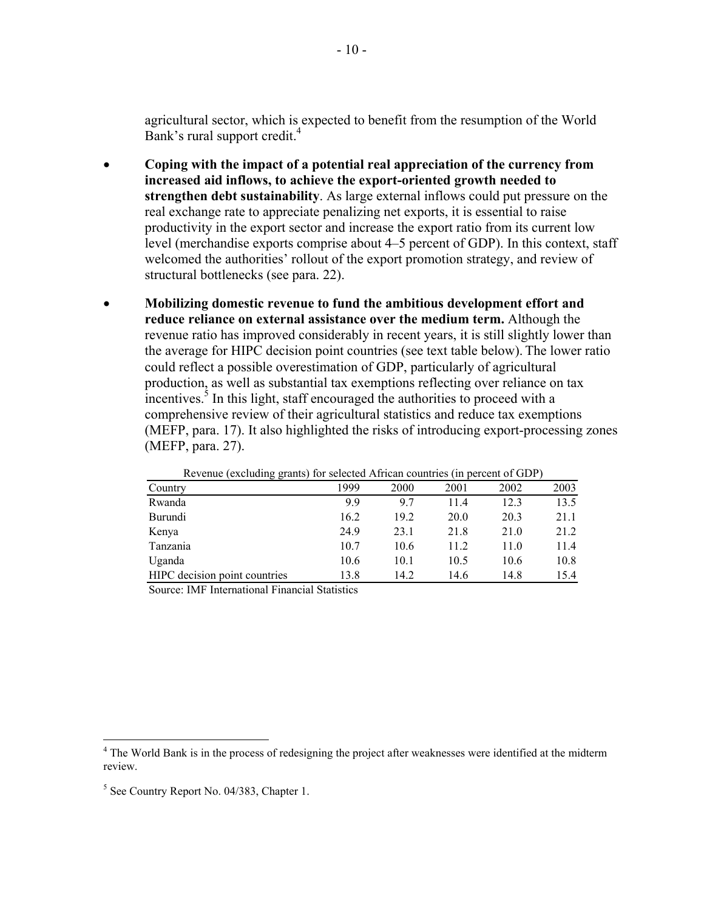agricultural sector, which is expected to benefit from the resumption of the World Bank's rural support credit.<sup>4</sup>

- **Coping with the impact of a potential real appreciation of the currency from increased aid inflows, to achieve the export-oriented growth needed to strengthen debt sustainability**. As large external inflows could put pressure on the real exchange rate to appreciate penalizing net exports, it is essential to raise productivity in the export sector and increase the export ratio from its current low level (merchandise exports comprise about 4–5 percent of GDP). In this context, staff welcomed the authorities' rollout of the export promotion strategy, and review of structural bottlenecks (see para. 22).
- **Mobilizing domestic revenue to fund the ambitious development effort and reduce reliance on external assistance over the medium term.** Although the revenue ratio has improved considerably in recent years, it is still slightly lower than the average for HIPC decision point countries (see text table below). The lower ratio could reflect a possible overestimation of GDP, particularly of agricultural production, as well as substantial tax exemptions reflecting over reliance on tax  $\frac{1}{2}$  incentives.<sup>5</sup> In this light, staff encouraged the authorities to proceed with a comprehensive review of their agricultural statistics and reduce tax exemptions (MEFP, para. 17). It also highlighted the risks of introducing export-processing zones (MEFP, para. 27).

|          | Revenue (excluding grants) for selected Affican countries (in percent of ODF) |      |      |      |      |      |
|----------|-------------------------------------------------------------------------------|------|------|------|------|------|
| Country  |                                                                               | 1999 | 2000 | 2001 | 2002 | 2003 |
| Rwanda   |                                                                               | 9.9  | 97   | 11.4 | 12.3 | 13.5 |
| Burundi  |                                                                               | 16.2 | 19.2 | 20.0 | 20.3 | 21.1 |
| Kenya    |                                                                               | 24.9 | 23.1 | 21.8 | 21.0 | 21.2 |
| Tanzania |                                                                               | 10.7 | 10.6 | 11.2 | 11.0 | 11.4 |
| Uganda   |                                                                               | 10.6 | 10.1 | 10.5 | 10.6 | 10.8 |
|          | HIPC decision point countries                                                 | 13.8 | 14.2 | 14.6 | 14.8 | 15.4 |

Revenue (excluding grants) for selected African countries (in percent of GDP)

Source: IMF International Financial Statistics

<sup>&</sup>lt;sup>4</sup> The World Bank is in the process of redesigning the project after weaknesses were identified at the midterm review.

<sup>&</sup>lt;sup>5</sup> See Country Report No. 04/383, Chapter 1.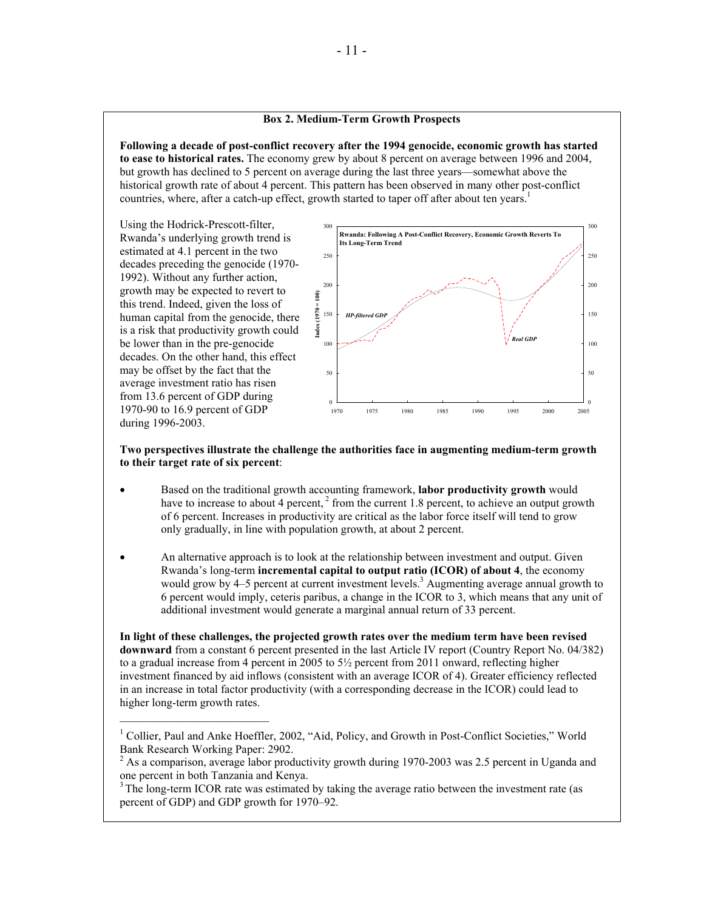#### **Box 2. Medium-Term Growth Prospects**

**Following a decade of post-conflict recovery after the 1994 genocide, economic growth has started to ease to historical rates.** The economy grew by about 8 percent on average between 1996 and 2004, but growth has declined to 5 percent on average during the last three years—somewhat above the historical growth rate of about 4 percent. This pattern has been observed in many other post-conflict countries, where, after a catch-up effect, growth started to taper off after about ten years.<sup>1</sup>

Using the Hodrick-Prescott-filter, Rwanda's underlying growth trend is estimated at 4.1 percent in the two decades preceding the genocide (1970- 1992). Without any further action, growth may be expected to revert to this trend. Indeed, given the loss of human capital from the genocide, there is a risk that productivity growth could be lower than in the pre-genocide decades. On the other hand, this effect may be offset by the fact that the average investment ratio has risen from 13.6 percent of GDP during 1970-90 to 16.9 percent of GDP during 1996-2003.

 $\mathcal{L}=\mathcal{L}=\mathcal{L}=\mathcal{L}=\mathcal{L}=\mathcal{L}=\mathcal{L}=\mathcal{L}=\mathcal{L}=\mathcal{L}=\mathcal{L}=\mathcal{L}=\mathcal{L}=\mathcal{L}=\mathcal{L}=\mathcal{L}=\mathcal{L}=\mathcal{L}=\mathcal{L}=\mathcal{L}=\mathcal{L}=\mathcal{L}=\mathcal{L}=\mathcal{L}=\mathcal{L}=\mathcal{L}=\mathcal{L}=\mathcal{L}=\mathcal{L}=\mathcal{L}=\mathcal{L}=\mathcal{L}=\mathcal{L}=\mathcal{L}=\mathcal{L}=\mathcal{L}=\mathcal{$ 



#### **Two perspectives illustrate the challenge the authorities face in augmenting medium-term growth to their target rate of six percent**:

- Based on the traditional growth accounting framework, **labor productivity growth** would have to increase to about 4 percent,  $2$  from the current 1.8 percent, to achieve an output growth of 6 percent. Increases in productivity are critical as the labor force itself will tend to grow only gradually, in line with population growth, at about 2 percent.
- An alternative approach is to look at the relationship between investment and output. Given Rwanda's long-term **incremental capital to output ratio (ICOR) of about 4**, the economy would grow by 4–5 percent at current investment levels.<sup>3</sup> Augmenting average annual growth to 6 percent would imply, ceteris paribus, a change in the ICOR to 3, which means that any unit of additional investment would generate a marginal annual return of 33 percent.

**In light of these challenges, the projected growth rates over the medium term have been revised downward** from a constant 6 percent presented in the last Article IV report (Country Report No. 04/382) to a gradual increase from 4 percent in 2005 to  $5\frac{1}{2}$  percent from 2011 onward, reflecting higher investment financed by aid inflows (consistent with an average ICOR of 4). Greater efficiency reflected in an increase in total factor productivity (with a corresponding decrease in the ICOR) could lead to higher long-term growth rates.

<sup>&</sup>lt;sup>1</sup> Collier, Paul and Anke Hoeffler, 2002, "Aid, Policy, and Growth in Post-Conflict Societies," World Bank Research Working Paper: 2902.

 $2^{2}$  As a comparison, average labor productivity growth during 1970-2003 was 2.5 percent in Uganda and one percent in both Tanzania and Kenya.

<sup>&</sup>lt;sup>3</sup> The long-term ICOR rate was estimated by taking the average ratio between the investment rate (as percent of GDP) and GDP growth for 1970–92.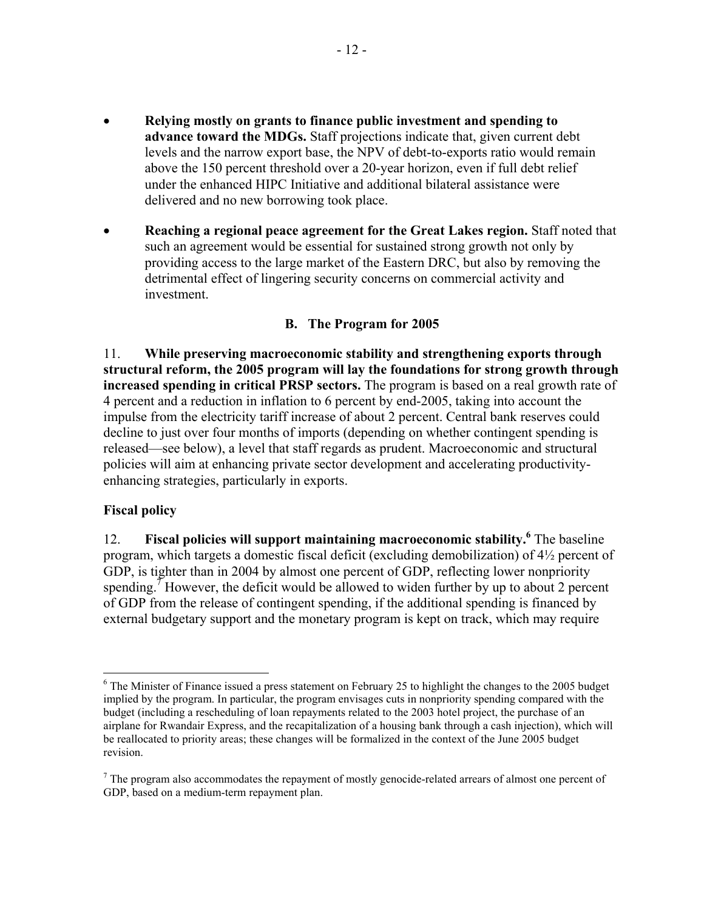- **Relying mostly on grants to finance public investment and spending to advance toward the MDGs.** Staff projections indicate that, given current debt levels and the narrow export base, the NPV of debt-to-exports ratio would remain above the 150 percent threshold over a 20-year horizon, even if full debt relief under the enhanced HIPC Initiative and additional bilateral assistance were delivered and no new borrowing took place.
- **Reaching a regional peace agreement for the Great Lakes region.** Staff noted that such an agreement would be essential for sustained strong growth not only by providing access to the large market of the Eastern DRC, but also by removing the detrimental effect of lingering security concerns on commercial activity and investment.

# **B. The Program for 2005**

11. **While preserving macroeconomic stability and strengthening exports through structural reform, the 2005 program will lay the foundations for strong growth through increased spending in critical PRSP sectors.** The program is based on a real growth rate of 4 percent and a reduction in inflation to 6 percent by end-2005, taking into account the impulse from the electricity tariff increase of about 2 percent. Central bank reserves could decline to just over four months of imports (depending on whether contingent spending is released—see below), a level that staff regards as prudent. Macroeconomic and structural policies will aim at enhancing private sector development and accelerating productivityenhancing strategies, particularly in exports.

## **Fiscal policy**

 $\overline{a}$ 

12. **Fiscal policies will support maintaining macroeconomic stability.** <sup>6</sup> The baseline program, which targets a domestic fiscal deficit (excluding demobilization) of 4½ percent of GDP, is tighter than in 2004 by almost one percent of GDP, reflecting lower nonpriority spending.<sup>7</sup> However, the deficit would be allowed to widen further by up to about 2 percent of GDP from the release of contingent spending, if the additional spending is financed by external budgetary support and the monetary program is kept on track, which may require

<sup>&</sup>lt;sup>6</sup> The Minister of Finance issued a press statement on February 25 to highlight the changes to the 2005 budget implied by the program. In particular, the program envisages cuts in nonpriority spending compared with the budget (including a rescheduling of loan repayments related to the 2003 hotel project, the purchase of an airplane for Rwandair Express, and the recapitalization of a housing bank through a cash injection), which will be reallocated to priority areas; these changes will be formalized in the context of the June 2005 budget revision.

 $<sup>7</sup>$  The program also accommodates the repayment of mostly genocide-related arrears of almost one percent of</sup> GDP, based on a medium-term repayment plan.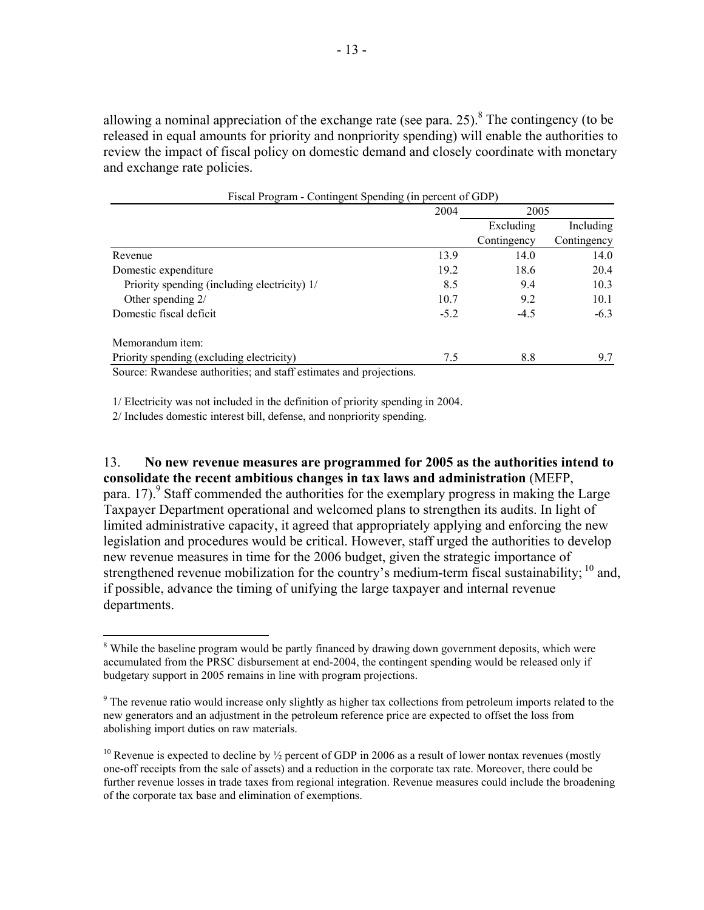allowing a nominal appreciation of the exchange rate (see para. 25). <sup>8</sup> The contingency (to be released in equal amounts for priority and nonpriority spending) will enable the authorities to review the impact of fiscal policy on domestic demand and closely coordinate with monetary and exchange rate policies.

| Fiscal Program - Contingent Spending (in percent of GDP)          |      |                                                                                                                                 |             |
|-------------------------------------------------------------------|------|---------------------------------------------------------------------------------------------------------------------------------|-------------|
|                                                                   | 2004 |                                                                                                                                 |             |
|                                                                   |      | 2005<br>Excluding<br>Contingency<br>13.9<br>14.0<br>19.2<br>18.6<br>9.4<br>8.5<br>10.7<br>9.2<br>$-4.5$<br>$-5.2$<br>8.8<br>7.5 | Including   |
|                                                                   |      |                                                                                                                                 | Contingency |
| Revenue                                                           |      |                                                                                                                                 | 14.0        |
| Domestic expenditure                                              |      |                                                                                                                                 | 20.4        |
| Priority spending (including electricity) 1/                      |      |                                                                                                                                 | 10.3        |
| Other spending $2/$                                               |      |                                                                                                                                 | 10.1        |
| Domestic fiscal deficit                                           |      |                                                                                                                                 | $-6.3$      |
| Memorandum item:                                                  |      |                                                                                                                                 |             |
| Priority spending (excluding electricity)                         |      |                                                                                                                                 | 9.7         |
| Source: Rwandese authorities: and staff estimates and projections |      |                                                                                                                                 |             |

Rwandese authorities; and staff estimates and projections.

1/ Electricity was not included in the definition of priority spending in 2004.

2/ Includes domestic interest bill, defense, and nonpriority spending.

 $\overline{a}$ 

13. **No new revenue measures are programmed for 2005 as the authorities intend to consolidate the recent ambitious changes in tax laws and administration** (MEFP, para. 17).<sup>9</sup> Staff commended the authorities for the exemplary progress in making the Large Taxpayer Department operational and welcomed plans to strengthen its audits. In light of limited administrative capacity, it agreed that appropriately applying and enforcing the new legislation and procedures would be critical. However, staff urged the authorities to develop new revenue measures in time for the 2006 budget, given the strategic importance of strengthened revenue mobilization for the country's medium-term fiscal sustainability;  $^{10}$  and, if possible, advance the timing of unifying the large taxpayer and internal revenue departments.

<sup>&</sup>lt;sup>8</sup> While the baseline program would be partly financed by drawing down government deposits, which were accumulated from the PRSC disbursement at end-2004, the contingent spending would be released only if budgetary support in 2005 remains in line with program projections.

<sup>&</sup>lt;sup>9</sup> The revenue ratio would increase only slightly as higher tax collections from petroleum imports related to the new generators and an adjustment in the petroleum reference price are expected to offset the loss from abolishing import duties on raw materials.

<sup>&</sup>lt;sup>10</sup> Revenue is expected to decline by  $\frac{1}{2}$  percent of GDP in 2006 as a result of lower nontax revenues (mostly one-off receipts from the sale of assets) and a reduction in the corporate tax rate. Moreover, there could be further revenue losses in trade taxes from regional integration. Revenue measures could include the broadening of the corporate tax base and elimination of exemptions.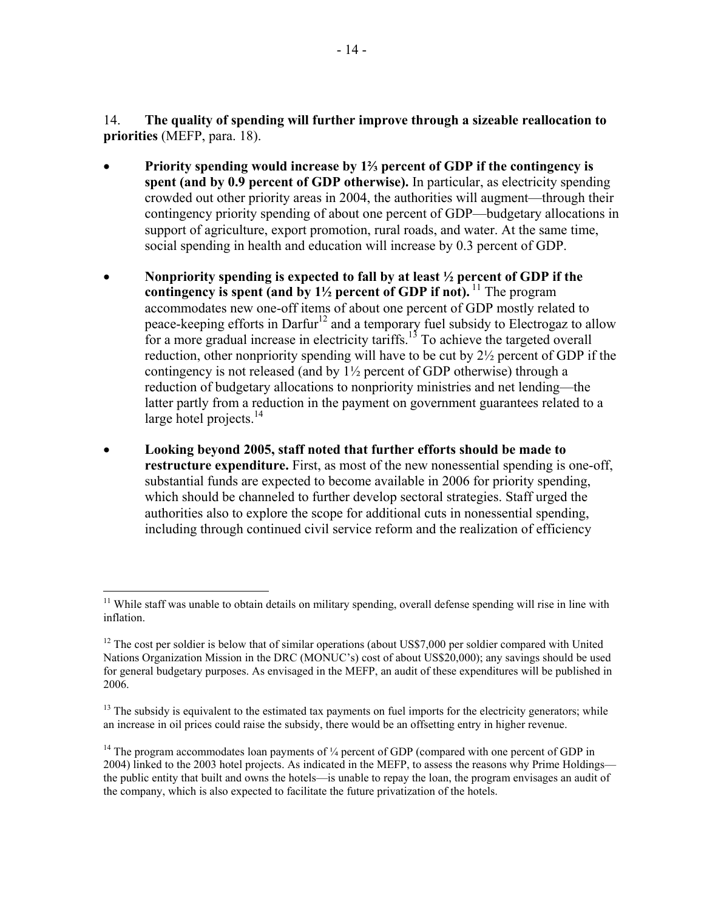14. **The quality of spending will further improve through a sizeable reallocation to priorities** (MEFP, para. 18).

- **Priority spending would increase by 1⅔ percent of GDP if the contingency is spent (and by 0.9 percent of GDP otherwise).** In particular, as electricity spending crowded out other priority areas in 2004, the authorities will augment—through their contingency priority spending of about one percent of GDP—budgetary allocations in support of agriculture, export promotion, rural roads, and water. At the same time, social spending in health and education will increase by 0.3 percent of GDP.
- **Nonpriority spending is expected to fall by at least ½ percent of GDP if the contingency is spent (and by**  $1\frac{1}{2}$  **percent of GDP if not).**<sup>11</sup> The program accommodates new one-off items of about one percent of GDP mostly related to peace-keeping efforts in Darfur<sup>12</sup> and a temporary fuel subsidy to Electrogaz to allow for a more gradual increase in electricity tariffs.<sup>13</sup> To achieve the targeted overall reduction, other nonpriority spending will have to be cut by 2½ percent of GDP if the contingency is not released (and by 1½ percent of GDP otherwise) through a reduction of budgetary allocations to nonpriority ministries and net lending—the latter partly from a reduction in the payment on government guarantees related to a large hotel projects.<sup>14</sup>
- **Looking beyond 2005, staff noted that further efforts should be made to restructure expenditure.** First, as most of the new nonessential spending is one-off, substantial funds are expected to become available in 2006 for priority spending, which should be channeled to further develop sectoral strategies. Staff urged the authorities also to explore the scope for additional cuts in nonessential spending, including through continued civil service reform and the realization of efficiency

<sup>&</sup>lt;u>.</u>  $11$  While staff was unable to obtain details on military spending, overall defense spending will rise in line with inflation.

<sup>&</sup>lt;sup>12</sup> The cost per soldier is below that of similar operations (about US\$7,000 per soldier compared with United Nations Organization Mission in the DRC (MONUC's) cost of about US\$20,000); any savings should be used for general budgetary purposes. As envisaged in the MEFP, an audit of these expenditures will be published in 2006.

 $<sup>13</sup>$  The subsidy is equivalent to the estimated tax payments on fuel imports for the electricity generators; while</sup> an increase in oil prices could raise the subsidy, there would be an offsetting entry in higher revenue.

<sup>&</sup>lt;sup>14</sup> The program accommodates loan payments of  $\frac{1}{4}$  percent of GDP (compared with one percent of GDP in 2004) linked to the 2003 hotel projects. As indicated in the MEFP, to assess the reasons why Prime Holdings the public entity that built and owns the hotels—is unable to repay the loan, the program envisages an audit of the company, which is also expected to facilitate the future privatization of the hotels.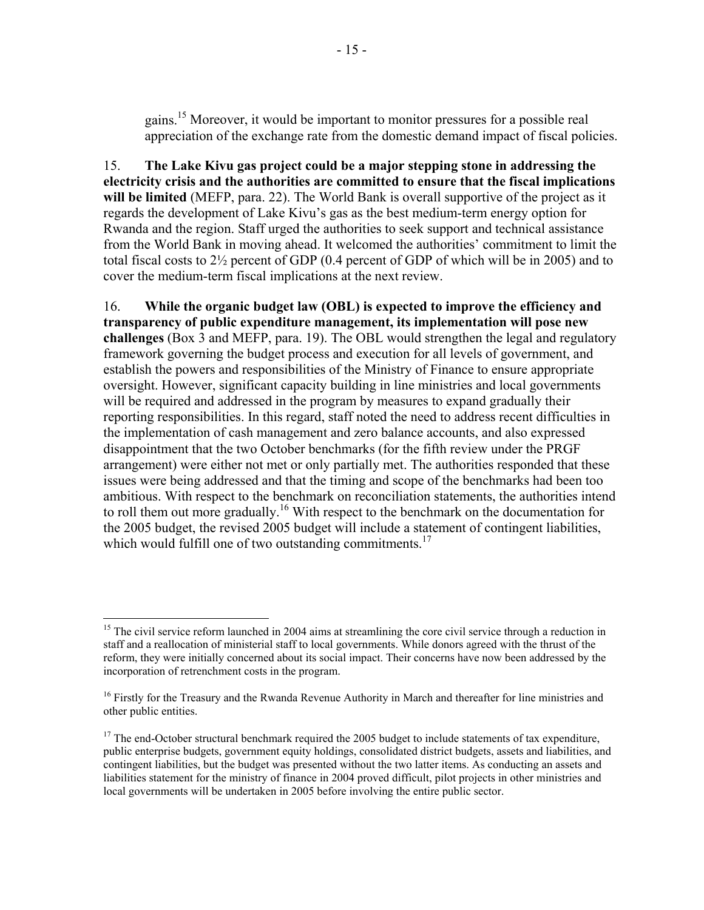gains.15 Moreover, it would be important to monitor pressures for a possible real appreciation of the exchange rate from the domestic demand impact of fiscal policies.

15. **The Lake Kivu gas project could be a major stepping stone in addressing the electricity crisis and the authorities are committed to ensure that the fiscal implications will be limited** (MEFP, para. 22). The World Bank is overall supportive of the project as it regards the development of Lake Kivu's gas as the best medium-term energy option for Rwanda and the region. Staff urged the authorities to seek support and technical assistance from the World Bank in moving ahead. It welcomed the authorities' commitment to limit the total fiscal costs to 2½ percent of GDP (0.4 percent of GDP of which will be in 2005) and to cover the medium-term fiscal implications at the next review.

16. **While the organic budget law (OBL) is expected to improve the efficiency and transparency of public expenditure management, its implementation will pose new challenges** (Box 3 and MEFP, para. 19). The OBL would strengthen the legal and regulatory framework governing the budget process and execution for all levels of government, and establish the powers and responsibilities of the Ministry of Finance to ensure appropriate oversight. However, significant capacity building in line ministries and local governments will be required and addressed in the program by measures to expand gradually their reporting responsibilities. In this regard, staff noted the need to address recent difficulties in the implementation of cash management and zero balance accounts, and also expressed disappointment that the two October benchmarks (for the fifth review under the PRGF arrangement) were either not met or only partially met. The authorities responded that these issues were being addressed and that the timing and scope of the benchmarks had been too ambitious. With respect to the benchmark on reconciliation statements, the authorities intend to roll them out more gradually.<sup>16</sup> With respect to the benchmark on the documentation for the 2005 budget, the revised 2005 budget will include a statement of contingent liabilities, which would fulfill one of two outstanding commitments.<sup>17</sup>

1

<sup>&</sup>lt;sup>15</sup> The civil service reform launched in 2004 aims at streamlining the core civil service through a reduction in staff and a reallocation of ministerial staff to local governments. While donors agreed with the thrust of the reform, they were initially concerned about its social impact. Their concerns have now been addressed by the incorporation of retrenchment costs in the program.

<sup>&</sup>lt;sup>16</sup> Firstly for the Treasury and the Rwanda Revenue Authority in March and thereafter for line ministries and other public entities.

<sup>&</sup>lt;sup>17</sup> The end-October structural benchmark required the 2005 budget to include statements of tax expenditure, public enterprise budgets, government equity holdings, consolidated district budgets, assets and liabilities, and contingent liabilities, but the budget was presented without the two latter items. As conducting an assets and liabilities statement for the ministry of finance in 2004 proved difficult, pilot projects in other ministries and local governments will be undertaken in 2005 before involving the entire public sector.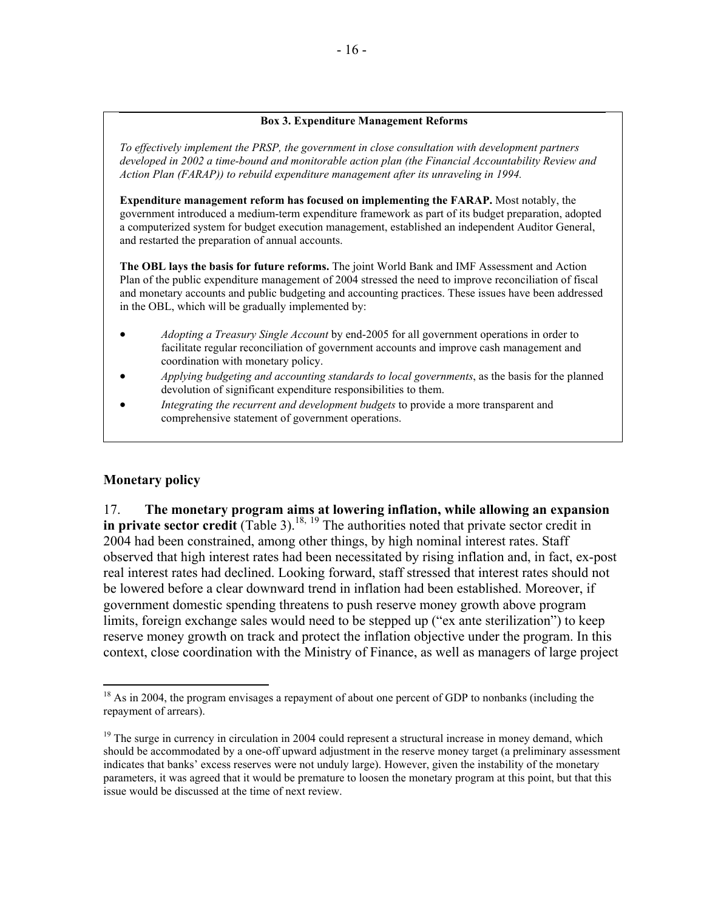#### **Box 3. Expenditure Management Reforms**

*To effectively implement the PRSP, the government in close consultation with development partners developed in 2002 a time-bound and monitorable action plan (the Financial Accountability Review and Action Plan (FARAP)) to rebuild expenditure management after its unraveling in 1994.* 

**Expenditure management reform has focused on implementing the FARAP.** Most notably, the government introduced a medium-term expenditure framework as part of its budget preparation, adopted a computerized system for budget execution management, established an independent Auditor General, and restarted the preparation of annual accounts.

**The OBL lays the basis for future reforms.** The joint World Bank and IMF Assessment and Action Plan of the public expenditure management of 2004 stressed the need to improve reconciliation of fiscal and monetary accounts and public budgeting and accounting practices. These issues have been addressed in the OBL, which will be gradually implemented by:

- *Adopting a Treasury Single Account* by end-2005 for all government operations in order to facilitate regular reconciliation of government accounts and improve cash management and coordination with monetary policy.
- *Applying budgeting and accounting standards to local governments*, as the basis for the planned devolution of significant expenditure responsibilities to them.
- *Integrating the recurrent and development budgets* to provide a more transparent and comprehensive statement of government operations.

### **Monetary policy**

 $\overline{a}$ 

17. **The monetary program aims at lowering inflation, while allowing an expansion in private sector credit** (Table 3).<sup>18, 19</sup> The authorities noted that private sector credit in 2004 had been constrained, among other things, by high nominal interest rates. Staff observed that high interest rates had been necessitated by rising inflation and, in fact, ex-post real interest rates had declined. Looking forward, staff stressed that interest rates should not be lowered before a clear downward trend in inflation had been established. Moreover, if government domestic spending threatens to push reserve money growth above program limits, foreign exchange sales would need to be stepped up ("ex ante sterilization") to keep reserve money growth on track and protect the inflation objective under the program. In this context, close coordination with the Ministry of Finance, as well as managers of large project

 $18$  As in 2004, the program envisages a repayment of about one percent of GDP to nonbanks (including the repayment of arrears).

<sup>&</sup>lt;sup>19</sup> The surge in currency in circulation in 2004 could represent a structural increase in money demand, which should be accommodated by a one-off upward adjustment in the reserve money target (a preliminary assessment indicates that banks' excess reserves were not unduly large). However, given the instability of the monetary parameters, it was agreed that it would be premature to loosen the monetary program at this point, but that this issue would be discussed at the time of next review.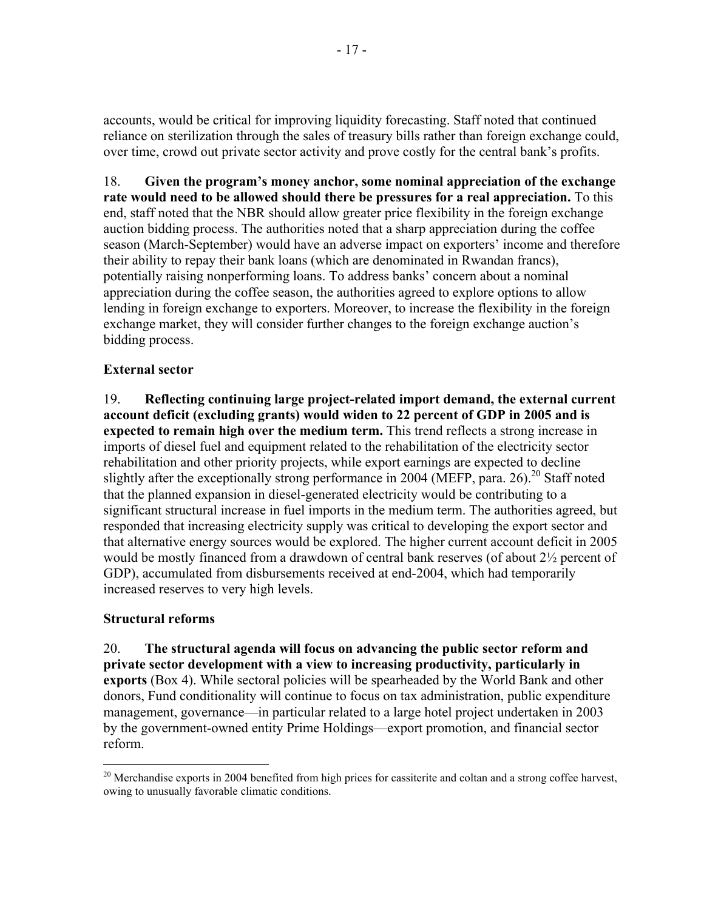accounts, would be critical for improving liquidity forecasting. Staff noted that continued reliance on sterilization through the sales of treasury bills rather than foreign exchange could, over time, crowd out private sector activity and prove costly for the central bank's profits.

18. **Given the program's money anchor, some nominal appreciation of the exchange rate would need to be allowed should there be pressures for a real appreciation.** To this end, staff noted that the NBR should allow greater price flexibility in the foreign exchange auction bidding process. The authorities noted that a sharp appreciation during the coffee season (March-September) would have an adverse impact on exporters' income and therefore their ability to repay their bank loans (which are denominated in Rwandan francs), potentially raising nonperforming loans. To address banks' concern about a nominal appreciation during the coffee season, the authorities agreed to explore options to allow lending in foreign exchange to exporters. Moreover, to increase the flexibility in the foreign exchange market, they will consider further changes to the foreign exchange auction's bidding process.

# **External sector**

19. **Reflecting continuing large project-related import demand, the external current account deficit (excluding grants) would widen to 22 percent of GDP in 2005 and is expected to remain high over the medium term.** This trend reflects a strong increase in imports of diesel fuel and equipment related to the rehabilitation of the electricity sector rehabilitation and other priority projects, while export earnings are expected to decline slightly after the exceptionally strong performance in 2004 (MEFP, para. 26).<sup>20</sup> Staff noted that the planned expansion in diesel-generated electricity would be contributing to a significant structural increase in fuel imports in the medium term. The authorities agreed, but responded that increasing electricity supply was critical to developing the export sector and that alternative energy sources would be explored. The higher current account deficit in 2005 would be mostly financed from a drawdown of central bank reserves (of about 2½ percent of GDP), accumulated from disbursements received at end-2004, which had temporarily increased reserves to very high levels.

# **Structural reforms**

20. **The structural agenda will focus on advancing the public sector reform and private sector development with a view to increasing productivity, particularly in exports** (Box 4). While sectoral policies will be spearheaded by the World Bank and other donors, Fund conditionality will continue to focus on tax administration, public expenditure management, governance—in particular related to a large hotel project undertaken in 2003 by the government-owned entity Prime Holdings—export promotion, and financial sector reform.

 $\overline{a}$ <sup>20</sup> Merchandise exports in 2004 benefited from high prices for cassiterite and coltan and a strong coffee harvest, owing to unusually favorable climatic conditions.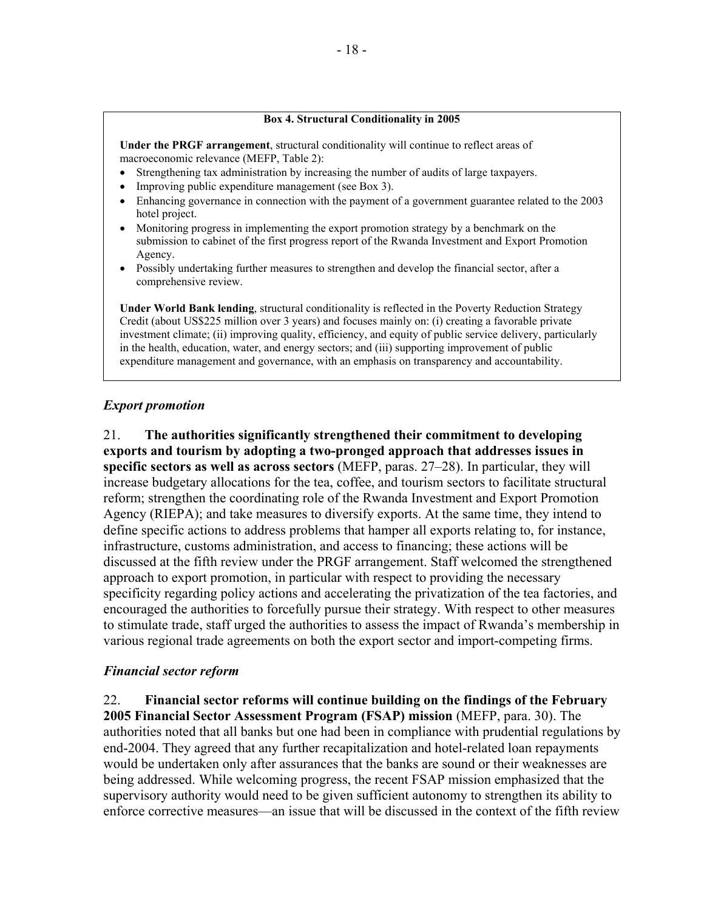#### **Box 4. Structural Conditionality in 2005**

**Under the PRGF arrangement**, structural conditionality will continue to reflect areas of macroeconomic relevance (MEFP, Table 2):

- Strengthening tax administration by increasing the number of audits of large taxpayers.
- Improving public expenditure management (see Box 3).
- Enhancing governance in connection with the payment of a government guarantee related to the 2003 hotel project.
- Monitoring progress in implementing the export promotion strategy by a benchmark on the submission to cabinet of the first progress report of the Rwanda Investment and Export Promotion Agency.
- Possibly undertaking further measures to strengthen and develop the financial sector, after a comprehensive review.

**Under World Bank lending**, structural conditionality is reflected in the Poverty Reduction Strategy Credit (about US\$225 million over 3 years) and focuses mainly on: (i) creating a favorable private investment climate; (ii) improving quality, efficiency, and equity of public service delivery, particularly in the health, education, water, and energy sectors; and (iii) supporting improvement of public expenditure management and governance, with an emphasis on transparency and accountability.

#### *Export promotion*

21. **The authorities significantly strengthened their commitment to developing exports and tourism by adopting a two-pronged approach that addresses issues in specific sectors as well as across sectors** (MEFP, paras. 27–28). In particular, they will increase budgetary allocations for the tea, coffee, and tourism sectors to facilitate structural reform; strengthen the coordinating role of the Rwanda Investment and Export Promotion Agency (RIEPA); and take measures to diversify exports. At the same time, they intend to define specific actions to address problems that hamper all exports relating to, for instance, infrastructure, customs administration, and access to financing; these actions will be discussed at the fifth review under the PRGF arrangement. Staff welcomed the strengthened approach to export promotion, in particular with respect to providing the necessary specificity regarding policy actions and accelerating the privatization of the tea factories, and encouraged the authorities to forcefully pursue their strategy. With respect to other measures to stimulate trade, staff urged the authorities to assess the impact of Rwanda's membership in various regional trade agreements on both the export sector and import-competing firms.

#### *Financial sector reform*

22. **Financial sector reforms will continue building on the findings of the February 2005 Financial Sector Assessment Program (FSAP) mission** (MEFP, para. 30). The authorities noted that all banks but one had been in compliance with prudential regulations by end-2004. They agreed that any further recapitalization and hotel-related loan repayments would be undertaken only after assurances that the banks are sound or their weaknesses are being addressed. While welcoming progress, the recent FSAP mission emphasized that the supervisory authority would need to be given sufficient autonomy to strengthen its ability to enforce corrective measures—an issue that will be discussed in the context of the fifth review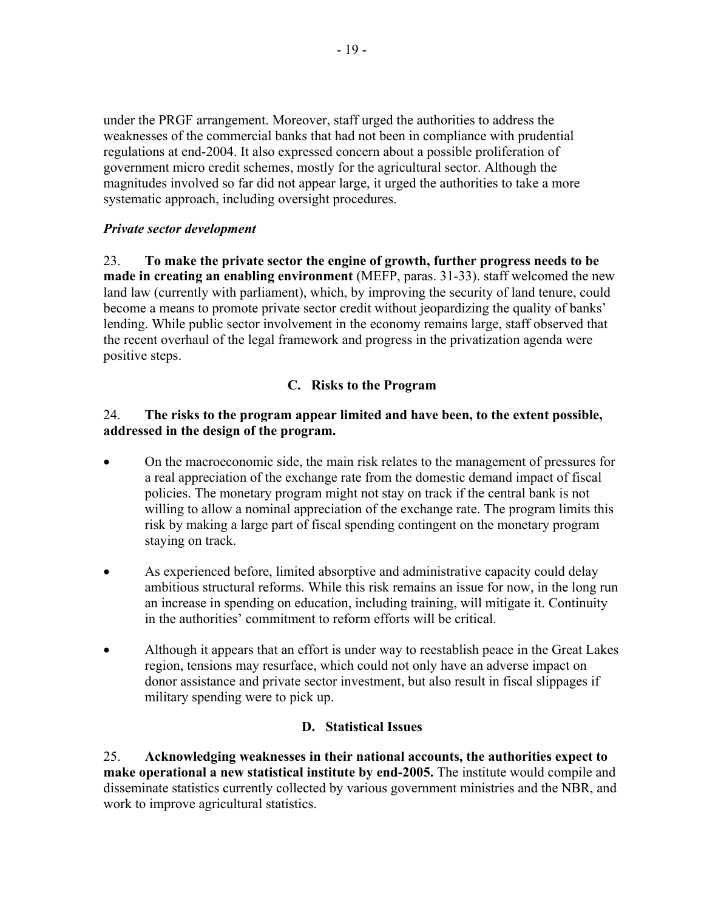under the PRGF arrangement. Moreover, staff urged the authorities to address the weaknesses of the commercial banks that had not been in compliance with prudential regulations at end-2004. It also expressed concern about a possible proliferation of government micro credit schemes, mostly for the agricultural sector. Although the magnitudes involved so far did not appear large, it urged the authorities to take a more systematic approach, including oversight procedures.

# *Private sector development*

23. **To make the private sector the engine of growth, further progress needs to be made in creating an enabling environment** (MEFP, paras. 31-33). staff welcomed the new land law (currently with parliament), which, by improving the security of land tenure, could become a means to promote private sector credit without jeopardizing the quality of banks' lending. While public sector involvement in the economy remains large, staff observed that the recent overhaul of the legal framework and progress in the privatization agenda were positive steps.

# **C. Risks to the Program**

## 24. **The risks to the program appear limited and have been, to the extent possible, addressed in the design of the program.**

- On the macroeconomic side, the main risk relates to the management of pressures for a real appreciation of the exchange rate from the domestic demand impact of fiscal policies. The monetary program might not stay on track if the central bank is not willing to allow a nominal appreciation of the exchange rate. The program limits this risk by making a large part of fiscal spending contingent on the monetary program staying on track.
- As experienced before, limited absorptive and administrative capacity could delay ambitious structural reforms. While this risk remains an issue for now, in the long run an increase in spending on education, including training, will mitigate it. Continuity in the authorities' commitment to reform efforts will be critical.
- Although it appears that an effort is under way to reestablish peace in the Great Lakes region, tensions may resurface, which could not only have an adverse impact on donor assistance and private sector investment, but also result in fiscal slippages if military spending were to pick up.

# **D. Statistical Issues**

25. **Acknowledging weaknesses in their national accounts, the authorities expect to make operational a new statistical institute by end-2005.** The institute would compile and disseminate statistics currently collected by various government ministries and the NBR, and work to improve agricultural statistics.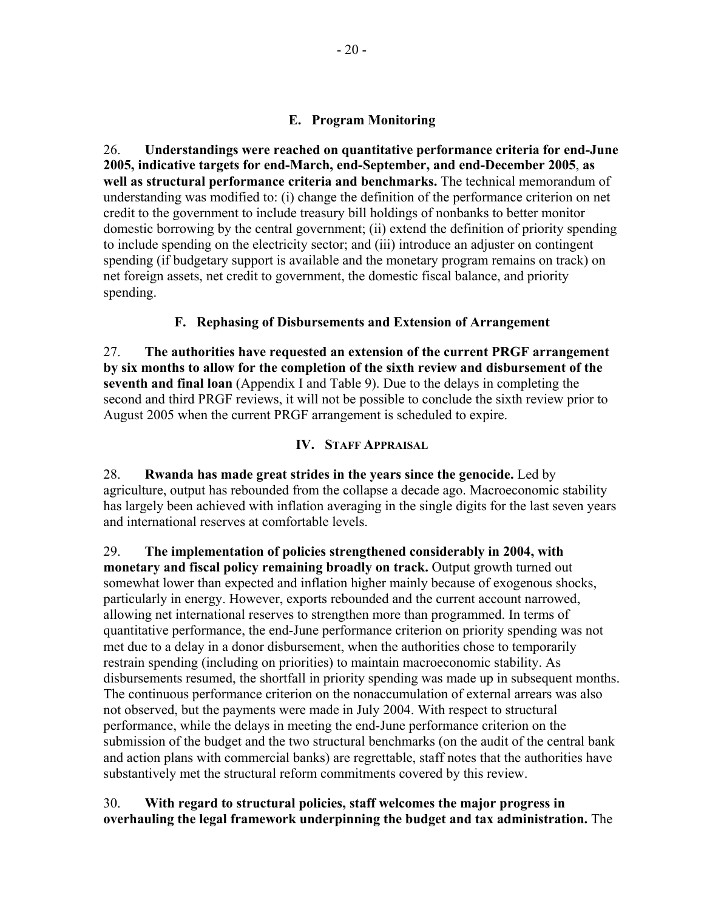# **E. Program Monitoring**

26. **Understandings were reached on quantitative performance criteria for end-June 2005, indicative targets for end-March, end-September, and end-December 2005**, **as well as structural performance criteria and benchmarks.** The technical memorandum of understanding was modified to: (i) change the definition of the performance criterion on net credit to the government to include treasury bill holdings of nonbanks to better monitor domestic borrowing by the central government; (ii) extend the definition of priority spending to include spending on the electricity sector; and (iii) introduce an adjuster on contingent spending (if budgetary support is available and the monetary program remains on track) on net foreign assets, net credit to government, the domestic fiscal balance, and priority spending.

# **F. Rephasing of Disbursements and Extension of Arrangement**

27. **The authorities have requested an extension of the current PRGF arrangement by six months to allow for the completion of the sixth review and disbursement of the seventh and final loan** (Appendix I and Table 9). Due to the delays in completing the second and third PRGF reviews, it will not be possible to conclude the sixth review prior to August 2005 when the current PRGF arrangement is scheduled to expire.

# **IV. STAFF APPRAISAL**

28. **Rwanda has made great strides in the years since the genocide.** Led by agriculture, output has rebounded from the collapse a decade ago. Macroeconomic stability has largely been achieved with inflation averaging in the single digits for the last seven years and international reserves at comfortable levels.

29. **The implementation of policies strengthened considerably in 2004, with monetary and fiscal policy remaining broadly on track.** Output growth turned out somewhat lower than expected and inflation higher mainly because of exogenous shocks, particularly in energy. However, exports rebounded and the current account narrowed, allowing net international reserves to strengthen more than programmed. In terms of quantitative performance, the end-June performance criterion on priority spending was not met due to a delay in a donor disbursement, when the authorities chose to temporarily restrain spending (including on priorities) to maintain macroeconomic stability. As disbursements resumed, the shortfall in priority spending was made up in subsequent months. The continuous performance criterion on the nonaccumulation of external arrears was also not observed, but the payments were made in July 2004. With respect to structural performance, while the delays in meeting the end-June performance criterion on the submission of the budget and the two structural benchmarks (on the audit of the central bank and action plans with commercial banks) are regrettable, staff notes that the authorities have substantively met the structural reform commitments covered by this review.

# 30. **With regard to structural policies, staff welcomes the major progress in overhauling the legal framework underpinning the budget and tax administration.** The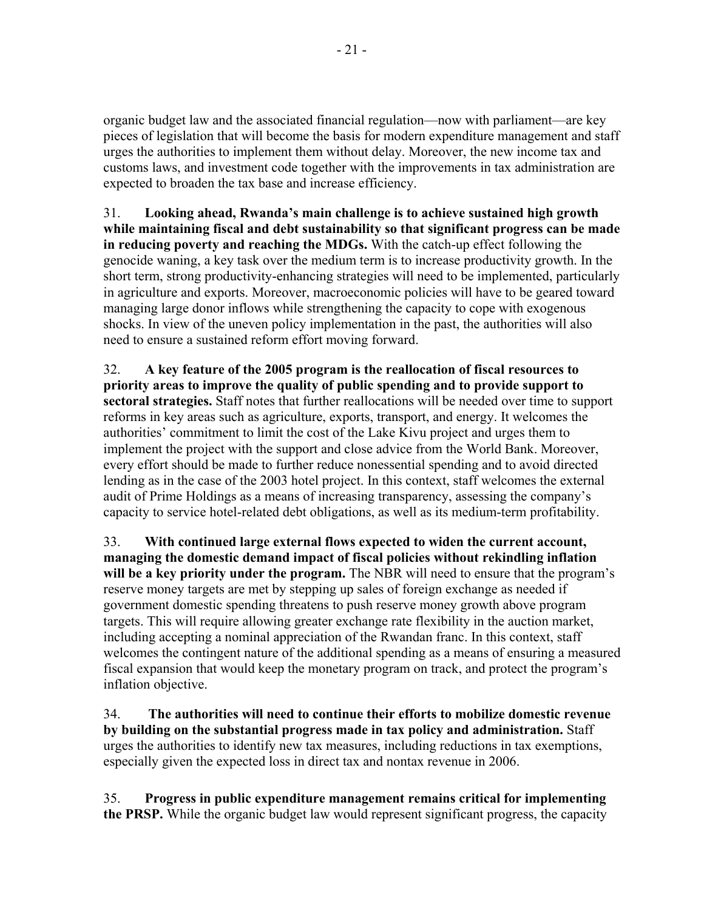organic budget law and the associated financial regulation—now with parliament—are key pieces of legislation that will become the basis for modern expenditure management and staff urges the authorities to implement them without delay. Moreover, the new income tax and customs laws, and investment code together with the improvements in tax administration are expected to broaden the tax base and increase efficiency.

31. **Looking ahead, Rwanda's main challenge is to achieve sustained high growth while maintaining fiscal and debt sustainability so that significant progress can be made in reducing poverty and reaching the MDGs.** With the catch-up effect following the genocide waning, a key task over the medium term is to increase productivity growth. In the short term, strong productivity-enhancing strategies will need to be implemented, particularly in agriculture and exports. Moreover, macroeconomic policies will have to be geared toward managing large donor inflows while strengthening the capacity to cope with exogenous shocks. In view of the uneven policy implementation in the past, the authorities will also need to ensure a sustained reform effort moving forward.

32. **A key feature of the 2005 program is the reallocation of fiscal resources to priority areas to improve the quality of public spending and to provide support to sectoral strategies.** Staff notes that further reallocations will be needed over time to support reforms in key areas such as agriculture, exports, transport, and energy. It welcomes the authorities' commitment to limit the cost of the Lake Kivu project and urges them to implement the project with the support and close advice from the World Bank. Moreover, every effort should be made to further reduce nonessential spending and to avoid directed lending as in the case of the 2003 hotel project. In this context, staff welcomes the external audit of Prime Holdings as a means of increasing transparency, assessing the company's capacity to service hotel-related debt obligations, as well as its medium-term profitability.

33. **With continued large external flows expected to widen the current account, managing the domestic demand impact of fiscal policies without rekindling inflation**  will be a key priority under the program. The NBR will need to ensure that the program's reserve money targets are met by stepping up sales of foreign exchange as needed if government domestic spending threatens to push reserve money growth above program targets. This will require allowing greater exchange rate flexibility in the auction market, including accepting a nominal appreciation of the Rwandan franc. In this context, staff welcomes the contingent nature of the additional spending as a means of ensuring a measured fiscal expansion that would keep the monetary program on track, and protect the program's inflation objective.

34. **The authorities will need to continue their efforts to mobilize domestic revenue by building on the substantial progress made in tax policy and administration.** Staff urges the authorities to identify new tax measures, including reductions in tax exemptions, especially given the expected loss in direct tax and nontax revenue in 2006.

35. **Progress in public expenditure management remains critical for implementing the PRSP.** While the organic budget law would represent significant progress, the capacity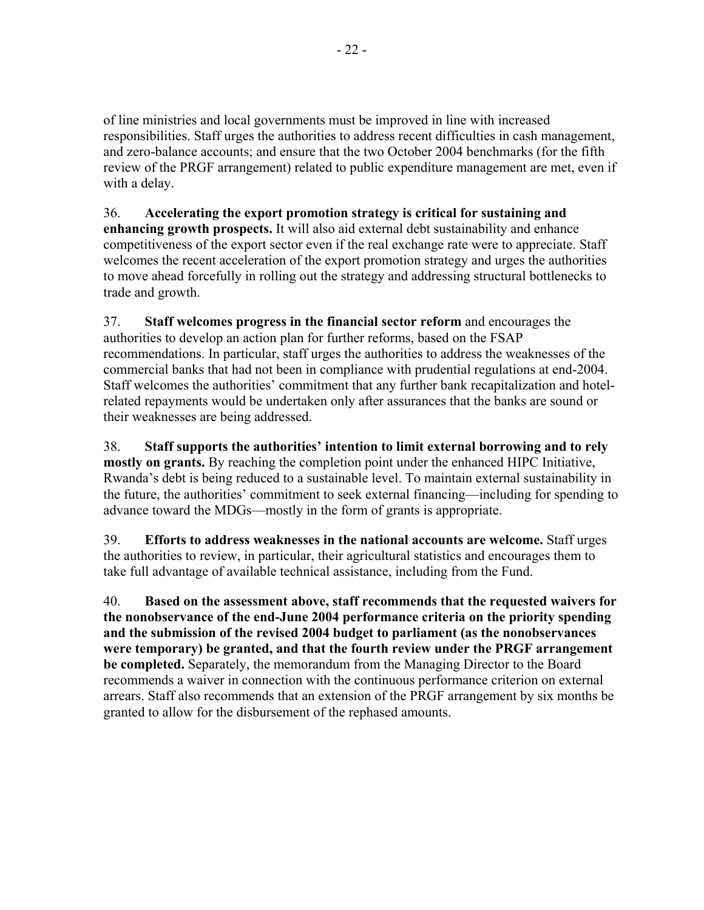of line ministries and local governments must be improved in line with increased responsibilities. Staff urges the authorities to address recent difficulties in cash management, and zero-balance accounts; and ensure that the two October 2004 benchmarks (for the fifth review of the PRGF arrangement) related to public expenditure management are met, even if with a delay.

36. **Accelerating the export promotion strategy is critical for sustaining and enhancing growth prospects.** It will also aid external debt sustainability and enhance competitiveness of the export sector even if the real exchange rate were to appreciate. Staff welcomes the recent acceleration of the export promotion strategy and urges the authorities to move ahead forcefully in rolling out the strategy and addressing structural bottlenecks to trade and growth.

37. **Staff welcomes progress in the financial sector reform** and encourages the authorities to develop an action plan for further reforms, based on the FSAP recommendations. In particular, staff urges the authorities to address the weaknesses of the commercial banks that had not been in compliance with prudential regulations at end-2004. Staff welcomes the authorities' commitment that any further bank recapitalization and hotelrelated repayments would be undertaken only after assurances that the banks are sound or their weaknesses are being addressed.

38. **Staff supports the authorities' intention to limit external borrowing and to rely mostly on grants.** By reaching the completion point under the enhanced HIPC Initiative, Rwanda's debt is being reduced to a sustainable level. To maintain external sustainability in the future, the authorities' commitment to seek external financing—including for spending to advance toward the MDGs—mostly in the form of grants is appropriate.

39. **Efforts to address weaknesses in the national accounts are welcome.** Staff urges the authorities to review, in particular, their agricultural statistics and encourages them to take full advantage of available technical assistance, including from the Fund.

40. **Based on the assessment above, staff recommends that the requested waivers for the nonobservance of the end-June 2004 performance criteria on the priority spending and the submission of the revised 2004 budget to parliament (as the nonobservances were temporary) be granted, and that the fourth review under the PRGF arrangement be completed.** Separately, the memorandum from the Managing Director to the Board recommends a waiver in connection with the continuous performance criterion on external arrears. Staff also recommends that an extension of the PRGF arrangement by six months be granted to allow for the disbursement of the rephased amounts.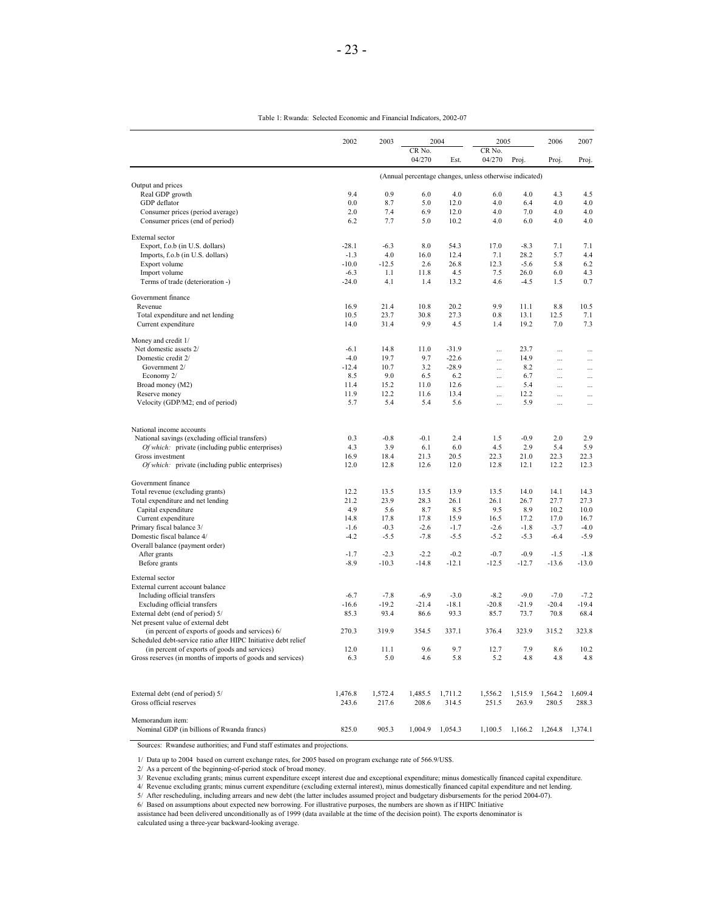|                                                                | 2002    | 2003    |                  | 2004    | 2005                                                    |         | 2006      | 2007      |
|----------------------------------------------------------------|---------|---------|------------------|---------|---------------------------------------------------------|---------|-----------|-----------|
|                                                                |         |         | CR No.<br>04/270 | Est.    | CR No.<br>04/270                                        | Proj.   | Proj.     | Proj.     |
|                                                                |         |         |                  |         | (Annual percentage changes, unless otherwise indicated) |         |           |           |
| Output and prices                                              |         |         |                  |         |                                                         |         |           |           |
| Real GDP growth                                                | 9.4     | 0.9     | 6.0              | 4.0     | 6.0                                                     | 4.0     | 4.3       | 4.5       |
| GDP deflator                                                   | 0.0     | 8.7     | 5.0              | 12.0    | 4.0                                                     | 6.4     | 4.0       | 4.0       |
| Consumer prices (period average)                               | 2.0     | 7.4     | 6.9              | 12.0    | 4.0                                                     | 7.0     | 4.0       | 4.0       |
| Consumer prices (end of period)                                | 6.2     | 7.7     | 5.0              | 10.2    | 4.0                                                     | 6.0     | 4.0       | 4.0       |
| External sector                                                |         |         |                  |         |                                                         |         |           |           |
| Export, f.o.b (in U.S. dollars)                                | $-28.1$ | $-6.3$  | 8.0              | 54.3    | 17.0                                                    | $-8.3$  | 7.1       | 7.1       |
| Imports, f.o.b (in U.S. dollars)                               | $-1.3$  | 4.0     | 16.0             | 12.4    | 7.1                                                     | 28.2    | 5.7       | 4.4       |
| Export volume                                                  | $-10.0$ | $-12.5$ | 2.6              | 26.8    | 12.3                                                    | $-5.6$  | 5.8       | 6.2       |
| Import volume                                                  | $-6.3$  | 1.1     | 11.8             | 4.5     | 7.5                                                     | 26.0    | 6.0       | 4.3       |
| Terms of trade (deterioration -)                               | $-24.0$ | 4.1     | 1.4              | 13.2    | 4.6                                                     | $-4.5$  | 1.5       | 0.7       |
| Government finance                                             |         |         |                  |         |                                                         |         |           |           |
| Revenue                                                        | 16.9    | 21.4    | 10.8             | 20.2    | 9.9                                                     | 11.1    | 8.8       | 10.5      |
| Total expenditure and net lending                              | 10.5    | 23.7    | 30.8             | 27.3    | 0.8                                                     | 13.1    | 12.5      | 7.1       |
| Current expenditure                                            | 14.0    | 31.4    | 9.9              | 4.5     | 1.4                                                     | 19.2    | 7.0       | 7.3       |
| Money and credit 1/                                            |         |         |                  |         |                                                         |         |           |           |
| Net domestic assets 2/                                         | $-6.1$  | 14.8    | 11.0             | $-31.9$ | $\ddotsc$                                               | 23.7    | $\ddotsc$ | $\ddotsc$ |
| Domestic credit 2/                                             | $-4.0$  | 19.7    | 9.7              | $-22.6$ |                                                         | 14.9    |           | $\cdots$  |
| Government 2/                                                  | $-12.4$ | 10.7    | 3.2              | $-28.9$ |                                                         | 8.2     |           |           |
| Economy 2/                                                     | 8.5     | 9.0     | 6.5              | 6.2     | $\cdots$                                                | 6.7     | $\cdots$  | $\cdots$  |
| Broad money (M2)                                               | 11.4    | 15.2    | 11.0             | 12.6    |                                                         | 5.4     |           | .         |
| Reserve money                                                  | 11.9    | 12.2    | 11.6             | 13.4    |                                                         | 12.2    |           | .         |
| Velocity (GDP/M2; end of period)                               | 5.7     | 5.4     | 5.4              | 5.6     | $\ddotsc$                                               | 5.9     | .         |           |
| National income accounts                                       |         |         |                  |         |                                                         |         |           |           |
| National savings (excluding official transfers)                | 0.3     | $-0.8$  | $-0.1$           | 2.4     | 1.5                                                     | $-0.9$  | 2.0       | 2.9       |
| Of which: private (including public enterprises)               | 4.3     | 3.9     | 6.1              | 6.0     | 4.5                                                     | 2.9     | 5.4       | 5.9       |
| Gross investment                                               | 16.9    | 18.4    | 21.3             | 20.5    | 22.3                                                    | 21.0    | 22.3      | 22.3      |
| Of which: private (including public enterprises)               | 12.0    | 12.8    | 12.6             | 12.0    | 12.8                                                    | 12.1    | 12.2      | 12.3      |
| Government finance                                             |         |         |                  |         |                                                         |         |           |           |
| Total revenue (excluding grants)                               | 12.2    | 13.5    | 13.5             | 13.9    | 13.5                                                    | 14.0    | 14.1      | 14.3      |
| Total expenditure and net lending                              | 21.2    | 23.9    | 28.3             | 26.1    | 26.1                                                    | 26.7    | 27.7      | 27.3      |
| Capital expenditure                                            | 4.9     | 5.6     | 8.7              | 8.5     | 9.5                                                     | 8.9     | 10.2      | 10.0      |
| Current expenditure                                            | 14.8    | 17.8    | 17.8             | 15.9    | 16.5                                                    | 17.2    | 17.0      | 16.7      |
| Primary fiscal balance 3/                                      | $-1.6$  | $-0.3$  | $-2.6$           | $-1.7$  | $-2.6$                                                  | $-1.8$  | $-3.7$    | $-4.0$    |
| Domestic fiscal balance 4/                                     | $-4.2$  | $-5.5$  | $-7.8$           | $-5.5$  | $-5.2$                                                  | $-5.3$  | $-6.4$    | $-5.9$    |
| Overall balance (payment order)                                |         |         |                  |         |                                                         |         |           |           |
| After grants                                                   | $-1.7$  | $-2.3$  | $-2.2$           | $-0.2$  | $-0.7$                                                  | $-0.9$  | $-1.5$    | $-1.8$    |
| Before grants                                                  | $-8.9$  | $-10.3$ | $-14.8$          | $-12.1$ | $-12.5$                                                 | $-12.7$ | $-13.6$   | $-13.0$   |
| External sector                                                |         |         |                  |         |                                                         |         |           |           |
| External current account balance                               |         |         |                  |         |                                                         |         |           |           |
| Including official transfers                                   | $-6.7$  | $-7.8$  | $-6.9$           | $-3.0$  | $-8.2$                                                  | $-9.0$  | $-7.0$    | $-7.2$    |
| Excluding official transfers                                   | $-16.6$ | $-19.2$ | $-21.4$          | $-18.1$ | $-20.8$                                                 | $-21.9$ | $-20.4$   | $-19.4$   |
| External debt (end of period) 5/                               | 85.3    | 93.4    | 86.6             | 93.3    | 85.7                                                    | 73.7    | 70.8      | 68.4      |
| Net present value of external debt                             |         |         |                  |         |                                                         |         |           |           |
| (in percent of exports of goods and services) 6/               | 270.3   | 319.9   | 354.5            | 337.1   | 376.4                                                   | 323.9   | 315.2     | 323.8     |
| Scheduled debt-service ratio after HIPC Initiative debt relief |         |         |                  |         |                                                         |         |           |           |
| (in percent of exports of goods and services)                  | 12.0    | 11.1    | 9.6              | 9.7     | 12.7                                                    | 7.9     | 8.6       | 10.2      |
| Gross reserves (in months of imports of goods and services)    | 6.3     | 5.0     | 4.6              | 5.8     | 5.2                                                     | 4.8     | 4.8       | 4.8       |
| External debt (end of period) 5/                               | 1,476.8 | 1,572.4 | 1,485.5          | 1,711.2 | 1,556.2                                                 | 1,515.9 | 1,564.2   | 1.609.4   |
| Gross official reserves                                        | 243.6   | 217.6   | 208.6            | 314.5   | 251.5                                                   | 263.9   | 280.5     | 288.3     |

Table 1: Rwanda: Selected Economic and Financial Indicators, 2002-07

Sources: Rwandese authorities; and Fund staff estimates and projections.

1/ Data up to 2004 based on current exchange rates, for 2005 based on program exchange rate of 566.9/US\$.

Memorandum item:

2/ As a percent of the beginning-of-period stock of broad money. 3/ Revenue excluding grants; minus current expenditure except interest due and exceptional expenditure; minus domestically financed capital expenditure.

Nominal GDP (in billions of Rwanda francs) 825.0 905.3 1,004.9 1,054.3 1,100.5 1,166.2 1,264.8 1,374.1

4/ Revenue excluding grants; minus current expenditure (excluding external interest), minus domestically financed capital expenditure and net lending.<br>5/ After rescheduling, including arrears and new debt (the latter inclu

assistance had been delivered unconditionally as of 1999 (data available at the time of the decision point). The exports denominator is

calculated using a three-year backward-looking average.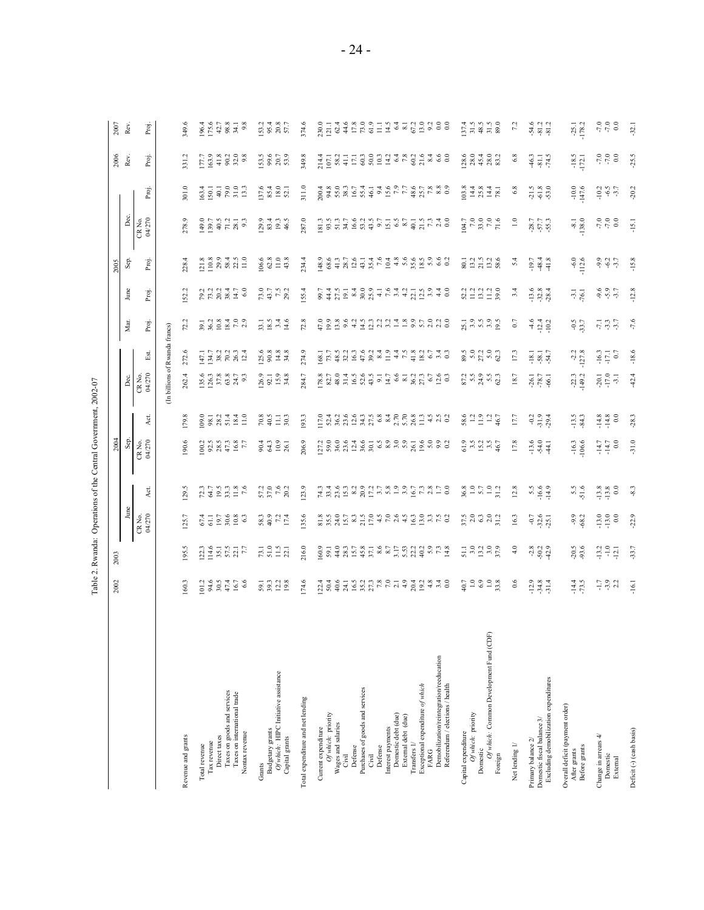| Ì<br>ï<br>š<br>ı<br>i |
|-----------------------|
| i<br>ı<br>١           |
|                       |

|                                                                     | 2002                            | 2003                                                                                |                                                                                   |                                      | 2004                                    |                         |                               |                                                         |                                                             |                                                                                 | 2005                                                                                                                      |                                                                                                               |                                  | 2006                                                                  | 2007                       |
|---------------------------------------------------------------------|---------------------------------|-------------------------------------------------------------------------------------|-----------------------------------------------------------------------------------|--------------------------------------|-----------------------------------------|-------------------------|-------------------------------|---------------------------------------------------------|-------------------------------------------------------------|---------------------------------------------------------------------------------|---------------------------------------------------------------------------------------------------------------------------|---------------------------------------------------------------------------------------------------------------|----------------------------------|-----------------------------------------------------------------------|----------------------------|
|                                                                     |                                 |                                                                                     | June                                                                              |                                      | Sep.                                    |                         | Dec.                          |                                                         | Mar.                                                        | June                                                                            | Sep.                                                                                                                      | Dec.                                                                                                          |                                  | Rev.                                                                  | Rev.                       |
|                                                                     |                                 |                                                                                     | CR No.<br>04/270                                                                  | Αct                                  | CR No.<br>04/270                        | Act                     | CR No.<br>04/270              | 띺                                                       | Proj.                                                       | Proj.                                                                           | Proj.                                                                                                                     | CR No.<br>04/270                                                                                              | Proj.                            | Proj.                                                                 | Proj.                      |
|                                                                     |                                 |                                                                                     |                                                                                   |                                      |                                         |                         | (In billions of Rwanda        |                                                         | francs)                                                     |                                                                                 |                                                                                                                           |                                                                                                               |                                  |                                                                       |                            |
| Revenue and grants                                                  | 160.3                           | 95.5                                                                                | 125.7                                                                             | 129.5                                | 190.6                                   | 179.8                   | 262.4                         | 272.6                                                   | Ч,                                                          | 52.2                                                                            | 228.4                                                                                                                     | 278.9                                                                                                         | 301.0                            | 331.2                                                                 | 349.6                      |
| Total revenue                                                       |                                 |                                                                                     |                                                                                   |                                      |                                         |                         |                               |                                                         |                                                             |                                                                                 |                                                                                                                           |                                                                                                               |                                  |                                                                       |                            |
| Direct taxes<br>Tax revenue                                         | $101.2$<br>94.6<br>95.4<br>47.4 |                                                                                     |                                                                                   |                                      | $\frac{100}{92.5}$<br>$\frac{25}{47.3}$ |                         |                               |                                                         |                                                             |                                                                                 |                                                                                                                           |                                                                                                               |                                  |                                                                       |                            |
| Taxes on goods and services                                         |                                 |                                                                                     |                                                                                   |                                      |                                         |                         |                               |                                                         |                                                             |                                                                                 |                                                                                                                           |                                                                                                               |                                  |                                                                       |                            |
| Taxes on international trade<br>Nontax revenue                      | $16.7$<br>6.6                   | $\begin{array}{c} 12.3 \\ 114.6 \\ 35.1 \\ 57.1 \\ 7.7 \end{array}$                 | $61776880$<br>$61776880$                                                          |                                      | 16.8                                    |                         | 1963<br>1963<br>1963<br>1963  |                                                         | $3,828$<br>$3,828$<br>$7,82$<br>$7,8$                       |                                                                                 | $\begin{array}{cccc}\n 2 & 8 & 9 & 4 & 5 \\  1 & 2 & 3 & 3 & 3 \\  1 & 2 & 3 & 3 & 1 \\  1 & 0 & 0 & 1 & 1\n \end{array}$ |                                                                                                               |                                  | $\begin{array}{l} 177 \\ 163.9 \\ 41.3 \\ 90.2 \\ 9.8 \\ \end{array}$ | 96483483                   |
|                                                                     |                                 |                                                                                     |                                                                                   |                                      |                                         |                         |                               |                                                         |                                                             |                                                                                 |                                                                                                                           |                                                                                                               |                                  |                                                                       |                            |
| Budgetary grants<br>Grants                                          |                                 |                                                                                     |                                                                                   |                                      |                                         | $70.8$<br>40.5          |                               |                                                         |                                                             |                                                                                 | $\frac{106.6}{62.8}$                                                                                                      |                                                                                                               |                                  |                                                                       |                            |
| Of which: HIPC Initiative assistance                                | $59.1$<br>$39.2$<br>$19.8$      | $73.1$<br>$51.5$<br>$22.1$                                                          | 58.3<br>40.21<br>17.4                                                             | $57.0$<br>$57.6$<br>$76.2$           | $0.43$<br>$0.361$<br>$0.43$<br>$0.561$  | $\frac{11.1}{30.3}$     | $\frac{126.9}{52.1}$          | $\begin{array}{c} 125.6 \\ 90.8 \\ 14.8 \\ \end{array}$ | $33.1$<br>$18.5$<br>$-3.4$<br>$-14.6$                       | $73.7$<br>$73.7$<br>$73.2$                                                      | $11.0$<br>43.8                                                                                                            | $29.34$<br>$29.34$<br>$46.5$                                                                                  | 137.6<br>85.4<br>82.1            | $153.6$<br>$20.7$<br>$53.3$                                           | $\frac{153.3}{95.3}$       |
| Capital grants                                                      |                                 |                                                                                     |                                                                                   |                                      |                                         |                         |                               |                                                         |                                                             |                                                                                 |                                                                                                                           |                                                                                                               |                                  |                                                                       |                            |
| Total expenditure and net lending                                   | 174.6                           | 216.0                                                                               | 135.6                                                                             | 23.9                                 | 206.9                                   | 193.3                   | 284.7                         | 274.9                                                   | 72.8                                                        | 55.4                                                                            | 234.4                                                                                                                     | 287.0                                                                                                         | 311.0                            | 349.8                                                                 | 374.6                      |
| Current expenditure                                                 |                                 |                                                                                     |                                                                                   |                                      |                                         |                         |                               |                                                         |                                                             |                                                                                 |                                                                                                                           |                                                                                                               |                                  |                                                                       |                            |
| Of which: priority                                                  |                                 |                                                                                     |                                                                                   |                                      |                                         |                         |                               |                                                         |                                                             |                                                                                 |                                                                                                                           |                                                                                                               |                                  |                                                                       |                            |
| Wages and salaries<br>Civil                                         |                                 |                                                                                     |                                                                                   |                                      |                                         |                         |                               |                                                         |                                                             |                                                                                 |                                                                                                                           |                                                                                                               |                                  |                                                                       |                            |
| Defense                                                             |                                 |                                                                                     |                                                                                   |                                      |                                         |                         |                               |                                                         |                                                             |                                                                                 |                                                                                                                           |                                                                                                               |                                  |                                                                       |                            |
| Purchases of goods and services<br>Civil                            |                                 |                                                                                     |                                                                                   |                                      |                                         |                         |                               |                                                         |                                                             |                                                                                 |                                                                                                                           |                                                                                                               |                                  |                                                                       |                            |
| Defense                                                             |                                 |                                                                                     |                                                                                   |                                      |                                         |                         |                               | $8.5533334334345474332$                                 |                                                             |                                                                                 |                                                                                                                           |                                                                                                               |                                  |                                                                       |                            |
| Interest payments                                                   |                                 |                                                                                     |                                                                                   |                                      |                                         |                         |                               |                                                         |                                                             |                                                                                 |                                                                                                                           |                                                                                                               |                                  |                                                                       |                            |
| Domestic debt (due)<br>External debt (due)                          |                                 |                                                                                     |                                                                                   |                                      |                                         |                         |                               |                                                         |                                                             |                                                                                 |                                                                                                                           |                                                                                                               |                                  |                                                                       |                            |
| Transfers 1/                                                        |                                 |                                                                                     |                                                                                   |                                      |                                         |                         |                               |                                                         |                                                             |                                                                                 |                                                                                                                           |                                                                                                               |                                  |                                                                       |                            |
| Exceptional expenditure of which<br>FARG                            |                                 |                                                                                     |                                                                                   | $7.77872822778957787708770$          |                                         |                         |                               |                                                         | consequente de desencencia<br>Conseguente de de desencencia |                                                                                 |                                                                                                                           | E SUR E SUR E SUR E SUR E SUR E SUR E SUR E SUR E SUR E SUR E SUR E SUR E SUR E SUR E SUR E SUR E SUR E SUR E |                                  |                                                                       |                            |
| Demobilization/reintegration/reeducation                            |                                 |                                                                                     |                                                                                   |                                      |                                         |                         |                               | $6.7$<br>$6.4$<br>$0.3$                                 |                                                             |                                                                                 | 5.802                                                                                                                     |                                                                                                               |                                  |                                                                       |                            |
| Referendum / elections / health                                     |                                 |                                                                                     |                                                                                   |                                      |                                         |                         |                               |                                                         |                                                             |                                                                                 |                                                                                                                           |                                                                                                               |                                  |                                                                       |                            |
| Capital expenditure                                                 |                                 |                                                                                     |                                                                                   |                                      |                                         |                         |                               |                                                         |                                                             |                                                                                 |                                                                                                                           |                                                                                                               |                                  |                                                                       |                            |
| Of which: priority<br>Domestic                                      |                                 |                                                                                     |                                                                                   |                                      |                                         |                         |                               |                                                         |                                                             |                                                                                 |                                                                                                                           |                                                                                                               |                                  |                                                                       |                            |
| Of which: Common Development Fund (CDF)                             | 22020                           | $\frac{1}{3}$ $\frac{3}{2}$ $\frac{3}{2}$ $\frac{3}{2}$ $\frac{3}{2}$ $\frac{3}{2}$ | $\frac{5}{2}$<br>$\frac{5}{2}$<br>$\frac{3}{2}$<br>$\frac{3}{2}$<br>$\frac{3}{2}$ | $36.3$<br>$-5.7$<br>$-1.2$<br>$-3.1$ | $3.3834$<br>$3.385$                     | $8.9924$<br>$-19.24$    |                               | $8.501300$<br>$8.501300$                                | 23.9992                                                     | $\begin{array}{l} 2.2 \\ 2.1 \\ 2.2 \\ 3.3 \\ 4.1 \\ 5.0 \\ 6.0 \\ \end{array}$ | $23.388$<br>$21.388$                                                                                                      | $\begin{array}{r} 104.7 \\ 7.0 \\ 7.0 \\ 7.0 \\ 1.6 \end{array}$                                              | $0.8484$ $0.484$ $0.484$ $0.484$ | $\begin{array}{c} 600000 \\ 800000 \\ 800000 \\ 90000 \\ \end{array}$ |                            |
| Foreign                                                             |                                 |                                                                                     |                                                                                   |                                      |                                         |                         |                               |                                                         |                                                             |                                                                                 |                                                                                                                           |                                                                                                               |                                  |                                                                       |                            |
| Net lending 1/                                                      | 0.6                             | 4.0                                                                                 | 16.3                                                                              | 12.8                                 | 17.8                                    | 17.7                    | 18.7                          | 17.3                                                    | 0.7                                                         | 3.4                                                                             | $\frac{2}{3}$                                                                                                             | $\frac{1}{2}$                                                                                                 | $6.8\,$                          | 6.8                                                                   | $\frac{72}{2}$             |
| Primary balance 2/                                                  |                                 |                                                                                     |                                                                                   |                                      |                                         | $-0.2$                  |                               |                                                         |                                                             |                                                                                 |                                                                                                                           |                                                                                                               |                                  |                                                                       |                            |
| Excluding demobilization expenditures<br>Domestic fiscal balance 3/ | $-12.8$<br>$-34.3$              | $-28$<br>$-502$<br>$-42.9$                                                          | $-0.7$<br>$-32.6$<br>$-25.1$                                                      | $5.5$<br>$-16.6$<br>$-14.9$          | $-13.6$<br>$-54.1$                      | $-31.9$                 | $-26.1$<br>$-78.7$<br>$-66.1$ | $-18.1$<br>$-58.1$<br>$-54.7$                           | $4.4$<br>$-10.2$                                            | $-13.8$<br>$-32.8$                                                              | $-19.3$<br>$-48.4$<br>$+1.8$                                                                                              | $-28.7$<br>$-57.7$<br>$-55.3$                                                                                 | $71.5$<br>$9.8$<br>$9.3$         | $46.3$<br>$74.5$                                                      | $54.2$<br>$91.2$<br>$91.2$ |
|                                                                     |                                 |                                                                                     |                                                                                   |                                      |                                         |                         |                               |                                                         |                                                             |                                                                                 |                                                                                                                           |                                                                                                               |                                  |                                                                       |                            |
| Overall deficit (payment order)<br>Before grants<br>After grants    | $-14.4$                         | $-20.5$                                                                             | $-9.9$<br>$-68.2$                                                                 | $5.5$<br>51.6                        | $-16.3$<br>106.6                        | $-13.5$<br>$-84.3$      | $-22.3$<br>149.2              | $-2.2$<br>$-127.8$                                      | $-0.5$                                                      | $-3.1$                                                                          | $-6.0$<br>112.6                                                                                                           | $-8.1$<br>138.0                                                                                               | $-10.0$<br>147.6                 | $-18.5$<br>172.1                                                      | $-25.1$<br>$178.2$         |
|                                                                     |                                 |                                                                                     |                                                                                   |                                      |                                         |                         |                               |                                                         |                                                             |                                                                                 |                                                                                                                           |                                                                                                               |                                  |                                                                       |                            |
| Change in arrears $4/$<br>Domestic<br>External                      | $-1.7$<br>$-3.2$                | $\frac{13.2}{1.0}$                                                                  | $-13.0$<br>$-13.0$<br>$0.0$                                                       | $-13.8$<br>$-13.8$<br>$0.0$          | $-14.7$<br>$-14.7$<br>$0.0$             | $-14.8$<br>$_{\rm 0.0}$ | $-20.1$<br>$-17.0$<br>$-3.1$  | $-16.3$<br>$-17.1$<br>$0.7$                             | 7.37                                                        | $9.6$<br>$9.9$<br>$7.7$                                                         | 9947                                                                                                                      | $-7.0$<br>0.0                                                                                                 | $-10.2$<br>$-6.5$<br>$-3.7$      | $7,0$<br>$0.0$                                                        | $7,00$<br>$0.7$            |
| Deficit (-) (cash basis)                                            | $-16.1$                         | $-33.7$                                                                             | $-22.9$                                                                           | $-8.3$                               | $-31.0$                                 | $-28.3$                 | 42.4                          | $-18.6$                                                 | $-7.6$                                                      | $-12.8$                                                                         | $-15.8$                                                                                                                   | $-15.1$                                                                                                       | $-20.2$                          | $-25.5$                                                               | $-32.1$                    |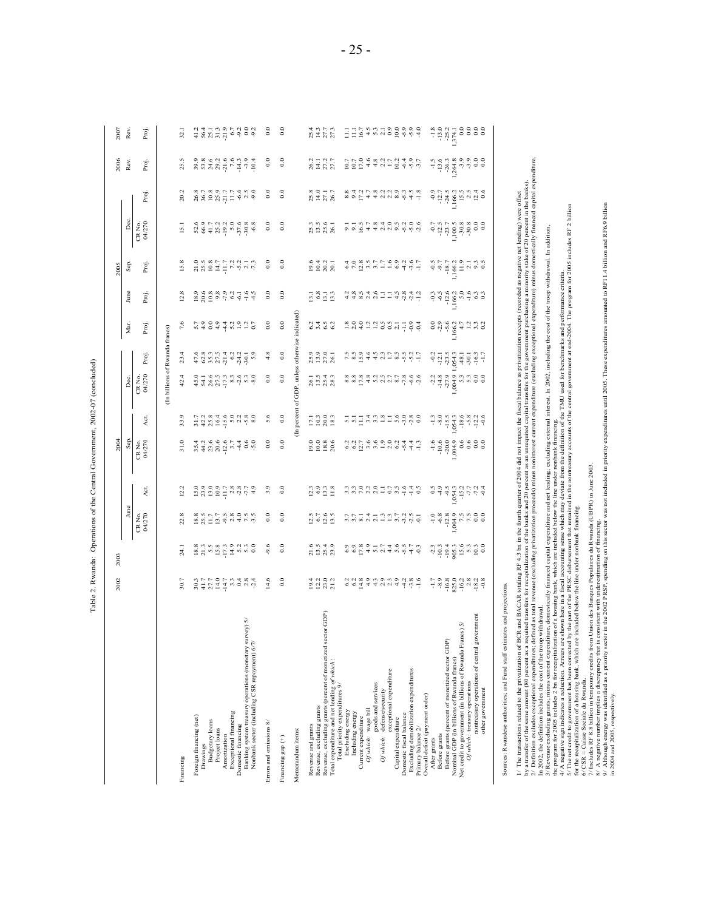| $\frac{1}{2}$<br>֧֖֧֧֚֚֚֚֚֚֚֚֚֚֚֚֚֚֚֚֚֚֚֚֝֝֓ <b>֓</b><br>֧֪֚֝ | ۱           |
|---------------------------------------------------------------|-------------|
| I                                                             | ı<br>í      |
|                                                               |             |
|                                                               | i           |
| I                                                             | J<br>i<br>J |

| न पुण्डल के देख रहे थे।<br>संप्रदेश में युवि के बाद<br>$\frac{1}{2}$ $\frac{1}{2}$ $\frac{1}{2}$ $\frac{1}{2}$ $\frac{1}{4}$ $\frac{1}{3}$ $\frac{3}{2}$ $\frac{3}{2}$ $\frac{3}{2}$ $\frac{3}{2}$ $\frac{3}{2}$ $\frac{3}{2}$ $\frac{3}{2}$ $\frac{3}{2}$ $\frac{3}{2}$ $\frac{3}{2}$ $\frac{3}{2}$ $\frac{3}{2}$ $\frac{3}{2}$ $\frac{3}{2}$ $\frac{3}{2}$ $\frac{3}{2}$<br>4.4.7.7<br>2012<br>2012<br>25.5<br>$_{0.0}$<br>$_{0.0}$<br>26.2<br>25.27<br>27.77<br>199339999<br>19939999<br>Proj.<br>Rev.<br>20.2<br>$\begin{array}{c} 8.789 \\ 8.9287 \\ 1.7194 \\ 1.7294 \\ 1.7394 \\ 1.7494 \\ 1.7394 \\ 1.7494 \\ 1.7394 \\ 1.7494 \\ 1.7394 \\ 1.7394 \\ 1.7394 \\ 1.7394 \\ 1.7394 \\ 1.7394 \\ 1.7394 \\ 1.7394 \\ 1.7394 \\ 1.7394 \\ 1.7394 \\ 1.7394 \\ 1.7394 \\ 1.7394 \\ 1.7394 \\ 1.7394 \\ 1.739$<br>$_{0.0}$<br>$_{0.0}$<br>25.8<br>27.1<br>26.7<br>Proj.<br>Dec.<br>CR No.<br>04/270<br>$_{0.0}$<br>$_{\rm 0.0}$<br>$8.8$<br>$8.7$ $3.2$<br>$5.8$<br>$7.9$<br>$7.9$<br>$7.8$<br>$7.8$<br>$7.8$<br>$7.8$<br>$7.8$<br>$7.8$<br>3 5 6 7<br>3 5 8 9<br>3 9 8 9<br>$-0.7$<br>$-1.2$<br>$-1.0$<br>$-1.0$<br>$-1.0$<br>$-1.0$<br>$-1.0$<br>$-1.0$<br>$-1.0$<br>$-1.0$<br>$-1.0$<br>$-1.0$<br>$-1.0$<br>$-1.0$<br>$-1.0$<br>$-1.0$<br>$-1.0$<br>$-1.0$<br>$-1.0$<br>$-1.0$<br>$-1.0$<br>$-1.0$<br>$-1.0$<br>$-1.0$<br>$-1.0$<br>$-1.0$<br>$-1.0$<br>$-1.0$<br>$15$ .<br>$_{0.0}$<br>15.8<br>$_{0.0}$<br>$\begin{array}{c} 0.9887700000 \\ 0.0000000 \\ \end{array}$<br>$\begin{array}{c} 0.4 \\ 0.2 \\ 0.2 \\ 2.0 \\ 1 \end{array}$<br>999927099<br>Sep.<br>Proj.<br>$_{0.0}$<br>$_{\rm 0.0}$<br>June<br>12.8<br>$\begin{array}{c} 23 & 63 & 63 & 63 & 64 & 64 & 64 \\ 25 & 25 & 25 & 65 & 66 & 66 & 66 \\ 25 & 25 & 25 & 65 & 66 & 66 \\ 25 & 25 & 25 & 66 & 66 & 66 \\ 25 & 25 & 25 & 66 & 66 & 66 \\ 25 & 25 & 25 & 66 & 66 & 66 \\ 25 & 25 & 25 & 66 & 66 & 66 \\ 25 & 25 & 25 & 66 & 66 & 66 \\ 25 & 25 & 25 & $<br>$\frac{1}{2}$ $\frac{8}{2}$ $\frac{1}{2}$ $\frac{3}{2}$<br>Proj.<br>(In percent of GDP, unless otherwise indicated)<br>$_{0.0}$<br>7.6<br>$\rm ^{\circ}$<br>coondonico<br>3.492<br>289229331193<br>0.9<br>0.9.9<br>$\frac{3}{6}$ $\frac{4}{3}$ $\frac{1}{3}$ $\frac{1}{3}$ $\frac{3}{3}$ $\frac{3}{5}$<br>Mar.<br>Proj.<br>(In billions of Rwanda francs)<br>4.8<br>$_{0.0}$<br>23.4<br>983343359<br>688559859<br>$\begin{array}{c} 25.9 \\ 25.0 \\ 27.0 \\ 26.1 \end{array}$<br>$\begin{array}{cccccc}\n9 & 7 & 7 & 8 & 7 & 7 & 7 & 7 & 7 \\ 9 & 7 & 7 & 8 & 8 & 9 & 9 & 7 & 7 \\ 1 & 9 & 8 & 8 & 9 & 9 & 7 & 7\n\end{array}$<br>Proj.<br>CR No.<br>04/270<br>$_{0.0}$<br>0.040<br>42.4<br>$\begin{array}{l} 0.16 \\ 0.47 \\ 0.07 \\ 0.07 \\ 0.07 \\ 0.07 \\ 0.07 \\ 0.07 \\ 0.07 \\ 0.07 \\ 0.07 \\ 0.07 \\ 0.07 \\ 0.07 \\ 0.07 \\ 0.07 \\ 0.07 \\ 0.07 \\ 0.07 \\ 0.07 \\ 0.07 \\ 0.07 \\ 0.07 \\ 0.07 \\ 0.07 \\ 0.07 \\ 0.07 \\ 0.07 \\ 0.07 \\ 0.07 \\ 0.07 \\ 0.07 \\ 0.07 \\ 0.07 \\ 0.07 \\ 0.$<br>$_{0.0}$<br>sa sa sa cintra sa sa<br>sa sa sa cintra sa sa<br>$-2.3$<br>$-1.4.8$<br>$-27.9$<br>$26.1$<br>$6.1$ $4.3$<br>$8.3$<br>5.3000<br>Dec.<br>$_{0.0}$<br>5.6<br>$\frac{73}{200}$<br>www.jazzaczach<br>$\frac{1}{1}$ $\frac{3}{8}$ $\frac{6}{1}$ $\frac{6}{8}$ $\frac{8}{1}$ $\frac{8}{1}$ $\frac{8}{1}$ $\frac{8}{1}$ $\frac{8}{1}$ $\frac{8}{1}$ $\frac{8}{1}$ $\frac{8}{1}$ $\frac{8}{1}$ $\frac{8}{1}$ $\frac{8}{1}$ $\frac{8}{1}$ $\frac{8}{1}$ $\frac{8}{1}$ $\frac{8}{1}$ $\frac{8}{1}$ $\frac{8}{1}$ $\frac{8}{1}$<br>ξ<br>$\overline{33}$ .<br>$_{0.0}$<br>Sep<br>CR No.<br>04/270<br>31.0<br>$_{0.0}$<br>$0.086$<br>$0.086$<br>$0.086$<br>$-289998999$<br>$\begin{array}{c} 4.466661460 \\ 4.40814404 \\ 4.40814404 \end{array}$<br>$_{0.0}$<br>12.2<br>$\begin{array}{c} 0.999011 \\ 2.010111 \\ 3.010111 \\ \end{array}$<br>3.9<br>$\frac{3}{2}$ $\frac{3}{2}$ $\frac{3}{2}$ $\frac{3}{2}$<br>nnede Ebneda<br>Santan Ebneda<br>ξ<br>Ľ<br>04/270<br>22.8<br>$_{0.0}$<br>$\begin{array}{c}\n 8.9517779899999 \\  8.91119994799\n \end{array}$<br>$_{0.0}$<br>$\frac{1350}{6700}$<br>CR <sub>No.</sub><br>ファーキーココフクシー<br>compand コーヒック<br>$_{0.0}$<br>$\begin{array}{c}\n 8.756 \\  8.757 \\  1.757 \\  1.757\n \end{array}$<br>$-9.6$<br>$\frac{6}{1}$ 5 5 4 9<br>$\frac{5}{1}$ 5 5 5 9<br>conduction de conduction de conduction de conduction de la conduction de la conduction de la conduction de la<br>Conduction de conduction de la conduction de la conduction de la conduction de la conduction de la conduction<br>24.1<br>$_{0.0}$<br>30.7<br>14.6<br>11101<br>111111<br>111111<br>$\begin{array}{l} \circ \circ \circ \circ \circ \circ \circ \circ \\ \circ \circ \circ \circ \circ \circ \circ \circ \\ \end{array}$<br>$\frac{1}{2}$ $\frac{3}{7}$ $\frac{8}{9}$ $\frac{6}{9}$ $\frac{3}{7}$ $\frac{1}{9}$ $\frac{8}{7}$ $\frac{3}{8}$ $\frac{1}{7}$ $\frac{8}{1}$ $\frac{3}{1}$ $\frac{3}{1}$ $\frac{3}{1}$ $\frac{3}{1}$ $\frac{3}{1}$ $\frac{3}{1}$ $\frac{3}{1}$<br>Revenue, excluding grants (percent of monetized sector GDP<br>nontreasury operations of central government<br>Banking system treasury operations (monetary survey) 5/<br>Net credit to government (in billions of Rwanda Francs) 5/<br>Before grants (percent of monetized sector GDP)<br>Nonbank sector (including CSR repayment) 6/7/<br>Nominal GDP (in billions of Rwanda francs)<br>Total expenditure and net lending of which:<br>Excluding demobilization expenditures<br>exceptional expenditure<br>Of which: treasury operations<br>goods and services<br>Total priority expenditures 9/<br>other government<br>Of which: defense/security<br>Overall deficit (payment order)<br>Revenue, excluding grants<br>Of which: wage bill<br>Excluding energy<br><b>Exceptional financing</b><br>Including energy<br>Domestic fiscal balance<br>Foreign financing (net)<br>Current expenditure<br>Capital expenditure<br>Budgetary loans<br>Errors and omissions 8/<br>Revenue and grants<br>Domestic financing<br>Primary balance 2/<br>Project loans<br>Memorandum items:<br>Before grants<br>Amortization<br>Financing gap (+)<br>After grants<br>Drawings<br>Financing | 2002 | 2003 |  | 2004 |  |  | 2005 |  | 2006 | 2007             |
|----------------------------------------------------------------------------------------------------------------------------------------------------------------------------------------------------------------------------------------------------------------------------------------------------------------------------------------------------------------------------------------------------------------------------------------------------------------------------------------------------------------------------------------------------------------------------------------------------------------------------------------------------------------------------------------------------------------------------------------------------------------------------------------------------------------------------------------------------------------------------------------------------------------------------------------------------------------------------------------------------------------------------------------------------------------------------------------------------------------------------------------------------------------------------------------------------------------------------------------------------------------------------------------------------------------------------------------------------------------------------------------------------------------------------------------------------------------------------------------------------------------------------------------------------------------------------------------------------------------------------------------------------------------------------------------------------------------------------------------------------------------------------------------------------------------------------------------------------------------------------------------------------------------------------------------------------------------------------------------------------------------------------------------------------------------------------------------------------------------------------------------------------------------------------------------------------------------------------------------------------------------------------------------------------------------------------------------------------------------------------------------------------------------------------------------------------------------------------------------------------------------------------------------------------------------------------------------------------------------------------------------------------------------------------------------------------------------------------------------------------------------------------------------------------------------------------------------------------------------------------------------------------------------------------------------------------------------------------------------------------------------------------------------------------------------------------------------------------------------------------------------------------------------------------------------------------------------------------------------------------------------------------------------------------------------------------------------------------------------------------------------------------------------------------------------------------------------------------------------------------------------------------------------------------------------------------------------------------------------------------------------------------------------------------------------------------------------------------------------------------------------------------------------------------------------------------------------------------------------------------------------------------------------------------------------------------------------------------------------------------------------------------------------------------------------------------------------------------------------------------------------------------------------------------------------------------------------------------------------------------------------------------------------------------------------------------------------------------------------------------------------------------------------------------------------------------------------------------------------------------------------------------------------------------------------------------------------------------------------------------------------------------------------------------------------------------------------------------------------------------------------------------------------------------------------------------------------------------------------------------------------------------------------------------------------------------------------------------------------------------------------------------------------------------------------------------------------------------------------------------------------------------------------------------------------------------------------------------------------------------------------------------------------------------------------------------------------------------------------------------------------------------------------------------------------------------------------------------------------------------------------------------------------------------------------------------------------------------------------------------------------------------------------------------------------------------------------------------------------------------------------------------------------------------------------------------------------------------------------------------------------------------------------------------------------------------------------------------------------------------------------------------------------------------------------------------------------------------------------------------------|------|------|--|------|--|--|------|--|------|------------------|
|                                                                                                                                                                                                                                                                                                                                                                                                                                                                                                                                                                                                                                                                                                                                                                                                                                                                                                                                                                                                                                                                                                                                                                                                                                                                                                                                                                                                                                                                                                                                                                                                                                                                                                                                                                                                                                                                                                                                                                                                                                                                                                                                                                                                                                                                                                                                                                                                                                                                                                                                                                                                                                                                                                                                                                                                                                                                                                                                                                                                                                                                                                                                                                                                                                                                                                                                                                                                                                                                                                                                                                                                                                                                                                                                                                                                                                                                                                                                                                                                                                                                                                                                                                                                                                                                                                                                                                                                                                                                                                                                                                                                                                                                                                                                                                                                                                                                                                                                                                                                                                                                                                                                                                                                                                                                                                                                                                                                                                                                                                                                                                                                                                                                                                                                                                                                                                                                                                                                                                                                                                                                                                                                  |      |      |  |      |  |  |      |  |      | Rev.             |
|                                                                                                                                                                                                                                                                                                                                                                                                                                                                                                                                                                                                                                                                                                                                                                                                                                                                                                                                                                                                                                                                                                                                                                                                                                                                                                                                                                                                                                                                                                                                                                                                                                                                                                                                                                                                                                                                                                                                                                                                                                                                                                                                                                                                                                                                                                                                                                                                                                                                                                                                                                                                                                                                                                                                                                                                                                                                                                                                                                                                                                                                                                                                                                                                                                                                                                                                                                                                                                                                                                                                                                                                                                                                                                                                                                                                                                                                                                                                                                                                                                                                                                                                                                                                                                                                                                                                                                                                                                                                                                                                                                                                                                                                                                                                                                                                                                                                                                                                                                                                                                                                                                                                                                                                                                                                                                                                                                                                                                                                                                                                                                                                                                                                                                                                                                                                                                                                                                                                                                                                                                                                                                                                  |      |      |  |      |  |  |      |  |      | Proj.            |
|                                                                                                                                                                                                                                                                                                                                                                                                                                                                                                                                                                                                                                                                                                                                                                                                                                                                                                                                                                                                                                                                                                                                                                                                                                                                                                                                                                                                                                                                                                                                                                                                                                                                                                                                                                                                                                                                                                                                                                                                                                                                                                                                                                                                                                                                                                                                                                                                                                                                                                                                                                                                                                                                                                                                                                                                                                                                                                                                                                                                                                                                                                                                                                                                                                                                                                                                                                                                                                                                                                                                                                                                                                                                                                                                                                                                                                                                                                                                                                                                                                                                                                                                                                                                                                                                                                                                                                                                                                                                                                                                                                                                                                                                                                                                                                                                                                                                                                                                                                                                                                                                                                                                                                                                                                                                                                                                                                                                                                                                                                                                                                                                                                                                                                                                                                                                                                                                                                                                                                                                                                                                                                                                  |      |      |  |      |  |  |      |  |      |                  |
|                                                                                                                                                                                                                                                                                                                                                                                                                                                                                                                                                                                                                                                                                                                                                                                                                                                                                                                                                                                                                                                                                                                                                                                                                                                                                                                                                                                                                                                                                                                                                                                                                                                                                                                                                                                                                                                                                                                                                                                                                                                                                                                                                                                                                                                                                                                                                                                                                                                                                                                                                                                                                                                                                                                                                                                                                                                                                                                                                                                                                                                                                                                                                                                                                                                                                                                                                                                                                                                                                                                                                                                                                                                                                                                                                                                                                                                                                                                                                                                                                                                                                                                                                                                                                                                                                                                                                                                                                                                                                                                                                                                                                                                                                                                                                                                                                                                                                                                                                                                                                                                                                                                                                                                                                                                                                                                                                                                                                                                                                                                                                                                                                                                                                                                                                                                                                                                                                                                                                                                                                                                                                                                                  |      |      |  |      |  |  |      |  |      | $\mathfrak{D}$ . |
|                                                                                                                                                                                                                                                                                                                                                                                                                                                                                                                                                                                                                                                                                                                                                                                                                                                                                                                                                                                                                                                                                                                                                                                                                                                                                                                                                                                                                                                                                                                                                                                                                                                                                                                                                                                                                                                                                                                                                                                                                                                                                                                                                                                                                                                                                                                                                                                                                                                                                                                                                                                                                                                                                                                                                                                                                                                                                                                                                                                                                                                                                                                                                                                                                                                                                                                                                                                                                                                                                                                                                                                                                                                                                                                                                                                                                                                                                                                                                                                                                                                                                                                                                                                                                                                                                                                                                                                                                                                                                                                                                                                                                                                                                                                                                                                                                                                                                                                                                                                                                                                                                                                                                                                                                                                                                                                                                                                                                                                                                                                                                                                                                                                                                                                                                                                                                                                                                                                                                                                                                                                                                                                                  |      |      |  |      |  |  |      |  |      |                  |
|                                                                                                                                                                                                                                                                                                                                                                                                                                                                                                                                                                                                                                                                                                                                                                                                                                                                                                                                                                                                                                                                                                                                                                                                                                                                                                                                                                                                                                                                                                                                                                                                                                                                                                                                                                                                                                                                                                                                                                                                                                                                                                                                                                                                                                                                                                                                                                                                                                                                                                                                                                                                                                                                                                                                                                                                                                                                                                                                                                                                                                                                                                                                                                                                                                                                                                                                                                                                                                                                                                                                                                                                                                                                                                                                                                                                                                                                                                                                                                                                                                                                                                                                                                                                                                                                                                                                                                                                                                                                                                                                                                                                                                                                                                                                                                                                                                                                                                                                                                                                                                                                                                                                                                                                                                                                                                                                                                                                                                                                                                                                                                                                                                                                                                                                                                                                                                                                                                                                                                                                                                                                                                                                  |      |      |  |      |  |  |      |  |      |                  |
|                                                                                                                                                                                                                                                                                                                                                                                                                                                                                                                                                                                                                                                                                                                                                                                                                                                                                                                                                                                                                                                                                                                                                                                                                                                                                                                                                                                                                                                                                                                                                                                                                                                                                                                                                                                                                                                                                                                                                                                                                                                                                                                                                                                                                                                                                                                                                                                                                                                                                                                                                                                                                                                                                                                                                                                                                                                                                                                                                                                                                                                                                                                                                                                                                                                                                                                                                                                                                                                                                                                                                                                                                                                                                                                                                                                                                                                                                                                                                                                                                                                                                                                                                                                                                                                                                                                                                                                                                                                                                                                                                                                                                                                                                                                                                                                                                                                                                                                                                                                                                                                                                                                                                                                                                                                                                                                                                                                                                                                                                                                                                                                                                                                                                                                                                                                                                                                                                                                                                                                                                                                                                                                                  |      |      |  |      |  |  |      |  |      |                  |
|                                                                                                                                                                                                                                                                                                                                                                                                                                                                                                                                                                                                                                                                                                                                                                                                                                                                                                                                                                                                                                                                                                                                                                                                                                                                                                                                                                                                                                                                                                                                                                                                                                                                                                                                                                                                                                                                                                                                                                                                                                                                                                                                                                                                                                                                                                                                                                                                                                                                                                                                                                                                                                                                                                                                                                                                                                                                                                                                                                                                                                                                                                                                                                                                                                                                                                                                                                                                                                                                                                                                                                                                                                                                                                                                                                                                                                                                                                                                                                                                                                                                                                                                                                                                                                                                                                                                                                                                                                                                                                                                                                                                                                                                                                                                                                                                                                                                                                                                                                                                                                                                                                                                                                                                                                                                                                                                                                                                                                                                                                                                                                                                                                                                                                                                                                                                                                                                                                                                                                                                                                                                                                                                  |      |      |  |      |  |  |      |  |      |                  |
|                                                                                                                                                                                                                                                                                                                                                                                                                                                                                                                                                                                                                                                                                                                                                                                                                                                                                                                                                                                                                                                                                                                                                                                                                                                                                                                                                                                                                                                                                                                                                                                                                                                                                                                                                                                                                                                                                                                                                                                                                                                                                                                                                                                                                                                                                                                                                                                                                                                                                                                                                                                                                                                                                                                                                                                                                                                                                                                                                                                                                                                                                                                                                                                                                                                                                                                                                                                                                                                                                                                                                                                                                                                                                                                                                                                                                                                                                                                                                                                                                                                                                                                                                                                                                                                                                                                                                                                                                                                                                                                                                                                                                                                                                                                                                                                                                                                                                                                                                                                                                                                                                                                                                                                                                                                                                                                                                                                                                                                                                                                                                                                                                                                                                                                                                                                                                                                                                                                                                                                                                                                                                                                                  |      |      |  |      |  |  |      |  |      |                  |
|                                                                                                                                                                                                                                                                                                                                                                                                                                                                                                                                                                                                                                                                                                                                                                                                                                                                                                                                                                                                                                                                                                                                                                                                                                                                                                                                                                                                                                                                                                                                                                                                                                                                                                                                                                                                                                                                                                                                                                                                                                                                                                                                                                                                                                                                                                                                                                                                                                                                                                                                                                                                                                                                                                                                                                                                                                                                                                                                                                                                                                                                                                                                                                                                                                                                                                                                                                                                                                                                                                                                                                                                                                                                                                                                                                                                                                                                                                                                                                                                                                                                                                                                                                                                                                                                                                                                                                                                                                                                                                                                                                                                                                                                                                                                                                                                                                                                                                                                                                                                                                                                                                                                                                                                                                                                                                                                                                                                                                                                                                                                                                                                                                                                                                                                                                                                                                                                                                                                                                                                                                                                                                                                  |      |      |  |      |  |  |      |  |      | $_{\rm 0.0}$     |
|                                                                                                                                                                                                                                                                                                                                                                                                                                                                                                                                                                                                                                                                                                                                                                                                                                                                                                                                                                                                                                                                                                                                                                                                                                                                                                                                                                                                                                                                                                                                                                                                                                                                                                                                                                                                                                                                                                                                                                                                                                                                                                                                                                                                                                                                                                                                                                                                                                                                                                                                                                                                                                                                                                                                                                                                                                                                                                                                                                                                                                                                                                                                                                                                                                                                                                                                                                                                                                                                                                                                                                                                                                                                                                                                                                                                                                                                                                                                                                                                                                                                                                                                                                                                                                                                                                                                                                                                                                                                                                                                                                                                                                                                                                                                                                                                                                                                                                                                                                                                                                                                                                                                                                                                                                                                                                                                                                                                                                                                                                                                                                                                                                                                                                                                                                                                                                                                                                                                                                                                                                                                                                                                  |      |      |  |      |  |  |      |  |      | $_{0.0}$         |
|                                                                                                                                                                                                                                                                                                                                                                                                                                                                                                                                                                                                                                                                                                                                                                                                                                                                                                                                                                                                                                                                                                                                                                                                                                                                                                                                                                                                                                                                                                                                                                                                                                                                                                                                                                                                                                                                                                                                                                                                                                                                                                                                                                                                                                                                                                                                                                                                                                                                                                                                                                                                                                                                                                                                                                                                                                                                                                                                                                                                                                                                                                                                                                                                                                                                                                                                                                                                                                                                                                                                                                                                                                                                                                                                                                                                                                                                                                                                                                                                                                                                                                                                                                                                                                                                                                                                                                                                                                                                                                                                                                                                                                                                                                                                                                                                                                                                                                                                                                                                                                                                                                                                                                                                                                                                                                                                                                                                                                                                                                                                                                                                                                                                                                                                                                                                                                                                                                                                                                                                                                                                                                                                  |      |      |  |      |  |  |      |  |      |                  |
|                                                                                                                                                                                                                                                                                                                                                                                                                                                                                                                                                                                                                                                                                                                                                                                                                                                                                                                                                                                                                                                                                                                                                                                                                                                                                                                                                                                                                                                                                                                                                                                                                                                                                                                                                                                                                                                                                                                                                                                                                                                                                                                                                                                                                                                                                                                                                                                                                                                                                                                                                                                                                                                                                                                                                                                                                                                                                                                                                                                                                                                                                                                                                                                                                                                                                                                                                                                                                                                                                                                                                                                                                                                                                                                                                                                                                                                                                                                                                                                                                                                                                                                                                                                                                                                                                                                                                                                                                                                                                                                                                                                                                                                                                                                                                                                                                                                                                                                                                                                                                                                                                                                                                                                                                                                                                                                                                                                                                                                                                                                                                                                                                                                                                                                                                                                                                                                                                                                                                                                                                                                                                                                                  |      |      |  |      |  |  |      |  |      |                  |
|                                                                                                                                                                                                                                                                                                                                                                                                                                                                                                                                                                                                                                                                                                                                                                                                                                                                                                                                                                                                                                                                                                                                                                                                                                                                                                                                                                                                                                                                                                                                                                                                                                                                                                                                                                                                                                                                                                                                                                                                                                                                                                                                                                                                                                                                                                                                                                                                                                                                                                                                                                                                                                                                                                                                                                                                                                                                                                                                                                                                                                                                                                                                                                                                                                                                                                                                                                                                                                                                                                                                                                                                                                                                                                                                                                                                                                                                                                                                                                                                                                                                                                                                                                                                                                                                                                                                                                                                                                                                                                                                                                                                                                                                                                                                                                                                                                                                                                                                                                                                                                                                                                                                                                                                                                                                                                                                                                                                                                                                                                                                                                                                                                                                                                                                                                                                                                                                                                                                                                                                                                                                                                                                  |      |      |  |      |  |  |      |  |      |                  |
|                                                                                                                                                                                                                                                                                                                                                                                                                                                                                                                                                                                                                                                                                                                                                                                                                                                                                                                                                                                                                                                                                                                                                                                                                                                                                                                                                                                                                                                                                                                                                                                                                                                                                                                                                                                                                                                                                                                                                                                                                                                                                                                                                                                                                                                                                                                                                                                                                                                                                                                                                                                                                                                                                                                                                                                                                                                                                                                                                                                                                                                                                                                                                                                                                                                                                                                                                                                                                                                                                                                                                                                                                                                                                                                                                                                                                                                                                                                                                                                                                                                                                                                                                                                                                                                                                                                                                                                                                                                                                                                                                                                                                                                                                                                                                                                                                                                                                                                                                                                                                                                                                                                                                                                                                                                                                                                                                                                                                                                                                                                                                                                                                                                                                                                                                                                                                                                                                                                                                                                                                                                                                                                                  |      |      |  |      |  |  |      |  |      |                  |
|                                                                                                                                                                                                                                                                                                                                                                                                                                                                                                                                                                                                                                                                                                                                                                                                                                                                                                                                                                                                                                                                                                                                                                                                                                                                                                                                                                                                                                                                                                                                                                                                                                                                                                                                                                                                                                                                                                                                                                                                                                                                                                                                                                                                                                                                                                                                                                                                                                                                                                                                                                                                                                                                                                                                                                                                                                                                                                                                                                                                                                                                                                                                                                                                                                                                                                                                                                                                                                                                                                                                                                                                                                                                                                                                                                                                                                                                                                                                                                                                                                                                                                                                                                                                                                                                                                                                                                                                                                                                                                                                                                                                                                                                                                                                                                                                                                                                                                                                                                                                                                                                                                                                                                                                                                                                                                                                                                                                                                                                                                                                                                                                                                                                                                                                                                                                                                                                                                                                                                                                                                                                                                                                  |      |      |  |      |  |  |      |  |      |                  |
|                                                                                                                                                                                                                                                                                                                                                                                                                                                                                                                                                                                                                                                                                                                                                                                                                                                                                                                                                                                                                                                                                                                                                                                                                                                                                                                                                                                                                                                                                                                                                                                                                                                                                                                                                                                                                                                                                                                                                                                                                                                                                                                                                                                                                                                                                                                                                                                                                                                                                                                                                                                                                                                                                                                                                                                                                                                                                                                                                                                                                                                                                                                                                                                                                                                                                                                                                                                                                                                                                                                                                                                                                                                                                                                                                                                                                                                                                                                                                                                                                                                                                                                                                                                                                                                                                                                                                                                                                                                                                                                                                                                                                                                                                                                                                                                                                                                                                                                                                                                                                                                                                                                                                                                                                                                                                                                                                                                                                                                                                                                                                                                                                                                                                                                                                                                                                                                                                                                                                                                                                                                                                                                                  |      |      |  |      |  |  |      |  |      |                  |
|                                                                                                                                                                                                                                                                                                                                                                                                                                                                                                                                                                                                                                                                                                                                                                                                                                                                                                                                                                                                                                                                                                                                                                                                                                                                                                                                                                                                                                                                                                                                                                                                                                                                                                                                                                                                                                                                                                                                                                                                                                                                                                                                                                                                                                                                                                                                                                                                                                                                                                                                                                                                                                                                                                                                                                                                                                                                                                                                                                                                                                                                                                                                                                                                                                                                                                                                                                                                                                                                                                                                                                                                                                                                                                                                                                                                                                                                                                                                                                                                                                                                                                                                                                                                                                                                                                                                                                                                                                                                                                                                                                                                                                                                                                                                                                                                                                                                                                                                                                                                                                                                                                                                                                                                                                                                                                                                                                                                                                                                                                                                                                                                                                                                                                                                                                                                                                                                                                                                                                                                                                                                                                                                  |      |      |  |      |  |  |      |  |      |                  |
|                                                                                                                                                                                                                                                                                                                                                                                                                                                                                                                                                                                                                                                                                                                                                                                                                                                                                                                                                                                                                                                                                                                                                                                                                                                                                                                                                                                                                                                                                                                                                                                                                                                                                                                                                                                                                                                                                                                                                                                                                                                                                                                                                                                                                                                                                                                                                                                                                                                                                                                                                                                                                                                                                                                                                                                                                                                                                                                                                                                                                                                                                                                                                                                                                                                                                                                                                                                                                                                                                                                                                                                                                                                                                                                                                                                                                                                                                                                                                                                                                                                                                                                                                                                                                                                                                                                                                                                                                                                                                                                                                                                                                                                                                                                                                                                                                                                                                                                                                                                                                                                                                                                                                                                                                                                                                                                                                                                                                                                                                                                                                                                                                                                                                                                                                                                                                                                                                                                                                                                                                                                                                                                                  |      |      |  |      |  |  |      |  |      |                  |
|                                                                                                                                                                                                                                                                                                                                                                                                                                                                                                                                                                                                                                                                                                                                                                                                                                                                                                                                                                                                                                                                                                                                                                                                                                                                                                                                                                                                                                                                                                                                                                                                                                                                                                                                                                                                                                                                                                                                                                                                                                                                                                                                                                                                                                                                                                                                                                                                                                                                                                                                                                                                                                                                                                                                                                                                                                                                                                                                                                                                                                                                                                                                                                                                                                                                                                                                                                                                                                                                                                                                                                                                                                                                                                                                                                                                                                                                                                                                                                                                                                                                                                                                                                                                                                                                                                                                                                                                                                                                                                                                                                                                                                                                                                                                                                                                                                                                                                                                                                                                                                                                                                                                                                                                                                                                                                                                                                                                                                                                                                                                                                                                                                                                                                                                                                                                                                                                                                                                                                                                                                                                                                                                  |      |      |  |      |  |  |      |  |      |                  |
|                                                                                                                                                                                                                                                                                                                                                                                                                                                                                                                                                                                                                                                                                                                                                                                                                                                                                                                                                                                                                                                                                                                                                                                                                                                                                                                                                                                                                                                                                                                                                                                                                                                                                                                                                                                                                                                                                                                                                                                                                                                                                                                                                                                                                                                                                                                                                                                                                                                                                                                                                                                                                                                                                                                                                                                                                                                                                                                                                                                                                                                                                                                                                                                                                                                                                                                                                                                                                                                                                                                                                                                                                                                                                                                                                                                                                                                                                                                                                                                                                                                                                                                                                                                                                                                                                                                                                                                                                                                                                                                                                                                                                                                                                                                                                                                                                                                                                                                                                                                                                                                                                                                                                                                                                                                                                                                                                                                                                                                                                                                                                                                                                                                                                                                                                                                                                                                                                                                                                                                                                                                                                                                                  |      |      |  |      |  |  |      |  |      |                  |
|                                                                                                                                                                                                                                                                                                                                                                                                                                                                                                                                                                                                                                                                                                                                                                                                                                                                                                                                                                                                                                                                                                                                                                                                                                                                                                                                                                                                                                                                                                                                                                                                                                                                                                                                                                                                                                                                                                                                                                                                                                                                                                                                                                                                                                                                                                                                                                                                                                                                                                                                                                                                                                                                                                                                                                                                                                                                                                                                                                                                                                                                                                                                                                                                                                                                                                                                                                                                                                                                                                                                                                                                                                                                                                                                                                                                                                                                                                                                                                                                                                                                                                                                                                                                                                                                                                                                                                                                                                                                                                                                                                                                                                                                                                                                                                                                                                                                                                                                                                                                                                                                                                                                                                                                                                                                                                                                                                                                                                                                                                                                                                                                                                                                                                                                                                                                                                                                                                                                                                                                                                                                                                                                  |      |      |  |      |  |  |      |  |      |                  |
|                                                                                                                                                                                                                                                                                                                                                                                                                                                                                                                                                                                                                                                                                                                                                                                                                                                                                                                                                                                                                                                                                                                                                                                                                                                                                                                                                                                                                                                                                                                                                                                                                                                                                                                                                                                                                                                                                                                                                                                                                                                                                                                                                                                                                                                                                                                                                                                                                                                                                                                                                                                                                                                                                                                                                                                                                                                                                                                                                                                                                                                                                                                                                                                                                                                                                                                                                                                                                                                                                                                                                                                                                                                                                                                                                                                                                                                                                                                                                                                                                                                                                                                                                                                                                                                                                                                                                                                                                                                                                                                                                                                                                                                                                                                                                                                                                                                                                                                                                                                                                                                                                                                                                                                                                                                                                                                                                                                                                                                                                                                                                                                                                                                                                                                                                                                                                                                                                                                                                                                                                                                                                                                                  |      |      |  |      |  |  |      |  |      |                  |
|                                                                                                                                                                                                                                                                                                                                                                                                                                                                                                                                                                                                                                                                                                                                                                                                                                                                                                                                                                                                                                                                                                                                                                                                                                                                                                                                                                                                                                                                                                                                                                                                                                                                                                                                                                                                                                                                                                                                                                                                                                                                                                                                                                                                                                                                                                                                                                                                                                                                                                                                                                                                                                                                                                                                                                                                                                                                                                                                                                                                                                                                                                                                                                                                                                                                                                                                                                                                                                                                                                                                                                                                                                                                                                                                                                                                                                                                                                                                                                                                                                                                                                                                                                                                                                                                                                                                                                                                                                                                                                                                                                                                                                                                                                                                                                                                                                                                                                                                                                                                                                                                                                                                                                                                                                                                                                                                                                                                                                                                                                                                                                                                                                                                                                                                                                                                                                                                                                                                                                                                                                                                                                                                  |      |      |  |      |  |  |      |  |      |                  |
|                                                                                                                                                                                                                                                                                                                                                                                                                                                                                                                                                                                                                                                                                                                                                                                                                                                                                                                                                                                                                                                                                                                                                                                                                                                                                                                                                                                                                                                                                                                                                                                                                                                                                                                                                                                                                                                                                                                                                                                                                                                                                                                                                                                                                                                                                                                                                                                                                                                                                                                                                                                                                                                                                                                                                                                                                                                                                                                                                                                                                                                                                                                                                                                                                                                                                                                                                                                                                                                                                                                                                                                                                                                                                                                                                                                                                                                                                                                                                                                                                                                                                                                                                                                                                                                                                                                                                                                                                                                                                                                                                                                                                                                                                                                                                                                                                                                                                                                                                                                                                                                                                                                                                                                                                                                                                                                                                                                                                                                                                                                                                                                                                                                                                                                                                                                                                                                                                                                                                                                                                                                                                                                                  |      |      |  |      |  |  |      |  |      |                  |
|                                                                                                                                                                                                                                                                                                                                                                                                                                                                                                                                                                                                                                                                                                                                                                                                                                                                                                                                                                                                                                                                                                                                                                                                                                                                                                                                                                                                                                                                                                                                                                                                                                                                                                                                                                                                                                                                                                                                                                                                                                                                                                                                                                                                                                                                                                                                                                                                                                                                                                                                                                                                                                                                                                                                                                                                                                                                                                                                                                                                                                                                                                                                                                                                                                                                                                                                                                                                                                                                                                                                                                                                                                                                                                                                                                                                                                                                                                                                                                                                                                                                                                                                                                                                                                                                                                                                                                                                                                                                                                                                                                                                                                                                                                                                                                                                                                                                                                                                                                                                                                                                                                                                                                                                                                                                                                                                                                                                                                                                                                                                                                                                                                                                                                                                                                                                                                                                                                                                                                                                                                                                                                                                  |      |      |  |      |  |  |      |  |      |                  |
|                                                                                                                                                                                                                                                                                                                                                                                                                                                                                                                                                                                                                                                                                                                                                                                                                                                                                                                                                                                                                                                                                                                                                                                                                                                                                                                                                                                                                                                                                                                                                                                                                                                                                                                                                                                                                                                                                                                                                                                                                                                                                                                                                                                                                                                                                                                                                                                                                                                                                                                                                                                                                                                                                                                                                                                                                                                                                                                                                                                                                                                                                                                                                                                                                                                                                                                                                                                                                                                                                                                                                                                                                                                                                                                                                                                                                                                                                                                                                                                                                                                                                                                                                                                                                                                                                                                                                                                                                                                                                                                                                                                                                                                                                                                                                                                                                                                                                                                                                                                                                                                                                                                                                                                                                                                                                                                                                                                                                                                                                                                                                                                                                                                                                                                                                                                                                                                                                                                                                                                                                                                                                                                                  |      |      |  |      |  |  |      |  |      |                  |
|                                                                                                                                                                                                                                                                                                                                                                                                                                                                                                                                                                                                                                                                                                                                                                                                                                                                                                                                                                                                                                                                                                                                                                                                                                                                                                                                                                                                                                                                                                                                                                                                                                                                                                                                                                                                                                                                                                                                                                                                                                                                                                                                                                                                                                                                                                                                                                                                                                                                                                                                                                                                                                                                                                                                                                                                                                                                                                                                                                                                                                                                                                                                                                                                                                                                                                                                                                                                                                                                                                                                                                                                                                                                                                                                                                                                                                                                                                                                                                                                                                                                                                                                                                                                                                                                                                                                                                                                                                                                                                                                                                                                                                                                                                                                                                                                                                                                                                                                                                                                                                                                                                                                                                                                                                                                                                                                                                                                                                                                                                                                                                                                                                                                                                                                                                                                                                                                                                                                                                                                                                                                                                                                  |      |      |  |      |  |  |      |  |      |                  |
|                                                                                                                                                                                                                                                                                                                                                                                                                                                                                                                                                                                                                                                                                                                                                                                                                                                                                                                                                                                                                                                                                                                                                                                                                                                                                                                                                                                                                                                                                                                                                                                                                                                                                                                                                                                                                                                                                                                                                                                                                                                                                                                                                                                                                                                                                                                                                                                                                                                                                                                                                                                                                                                                                                                                                                                                                                                                                                                                                                                                                                                                                                                                                                                                                                                                                                                                                                                                                                                                                                                                                                                                                                                                                                                                                                                                                                                                                                                                                                                                                                                                                                                                                                                                                                                                                                                                                                                                                                                                                                                                                                                                                                                                                                                                                                                                                                                                                                                                                                                                                                                                                                                                                                                                                                                                                                                                                                                                                                                                                                                                                                                                                                                                                                                                                                                                                                                                                                                                                                                                                                                                                                                                  |      |      |  |      |  |  |      |  |      |                  |
|                                                                                                                                                                                                                                                                                                                                                                                                                                                                                                                                                                                                                                                                                                                                                                                                                                                                                                                                                                                                                                                                                                                                                                                                                                                                                                                                                                                                                                                                                                                                                                                                                                                                                                                                                                                                                                                                                                                                                                                                                                                                                                                                                                                                                                                                                                                                                                                                                                                                                                                                                                                                                                                                                                                                                                                                                                                                                                                                                                                                                                                                                                                                                                                                                                                                                                                                                                                                                                                                                                                                                                                                                                                                                                                                                                                                                                                                                                                                                                                                                                                                                                                                                                                                                                                                                                                                                                                                                                                                                                                                                                                                                                                                                                                                                                                                                                                                                                                                                                                                                                                                                                                                                                                                                                                                                                                                                                                                                                                                                                                                                                                                                                                                                                                                                                                                                                                                                                                                                                                                                                                                                                                                  |      |      |  |      |  |  |      |  |      |                  |
|                                                                                                                                                                                                                                                                                                                                                                                                                                                                                                                                                                                                                                                                                                                                                                                                                                                                                                                                                                                                                                                                                                                                                                                                                                                                                                                                                                                                                                                                                                                                                                                                                                                                                                                                                                                                                                                                                                                                                                                                                                                                                                                                                                                                                                                                                                                                                                                                                                                                                                                                                                                                                                                                                                                                                                                                                                                                                                                                                                                                                                                                                                                                                                                                                                                                                                                                                                                                                                                                                                                                                                                                                                                                                                                                                                                                                                                                                                                                                                                                                                                                                                                                                                                                                                                                                                                                                                                                                                                                                                                                                                                                                                                                                                                                                                                                                                                                                                                                                                                                                                                                                                                                                                                                                                                                                                                                                                                                                                                                                                                                                                                                                                                                                                                                                                                                                                                                                                                                                                                                                                                                                                                                  |      |      |  |      |  |  |      |  |      |                  |
|                                                                                                                                                                                                                                                                                                                                                                                                                                                                                                                                                                                                                                                                                                                                                                                                                                                                                                                                                                                                                                                                                                                                                                                                                                                                                                                                                                                                                                                                                                                                                                                                                                                                                                                                                                                                                                                                                                                                                                                                                                                                                                                                                                                                                                                                                                                                                                                                                                                                                                                                                                                                                                                                                                                                                                                                                                                                                                                                                                                                                                                                                                                                                                                                                                                                                                                                                                                                                                                                                                                                                                                                                                                                                                                                                                                                                                                                                                                                                                                                                                                                                                                                                                                                                                                                                                                                                                                                                                                                                                                                                                                                                                                                                                                                                                                                                                                                                                                                                                                                                                                                                                                                                                                                                                                                                                                                                                                                                                                                                                                                                                                                                                                                                                                                                                                                                                                                                                                                                                                                                                                                                                                                  |      |      |  |      |  |  |      |  |      |                  |
|                                                                                                                                                                                                                                                                                                                                                                                                                                                                                                                                                                                                                                                                                                                                                                                                                                                                                                                                                                                                                                                                                                                                                                                                                                                                                                                                                                                                                                                                                                                                                                                                                                                                                                                                                                                                                                                                                                                                                                                                                                                                                                                                                                                                                                                                                                                                                                                                                                                                                                                                                                                                                                                                                                                                                                                                                                                                                                                                                                                                                                                                                                                                                                                                                                                                                                                                                                                                                                                                                                                                                                                                                                                                                                                                                                                                                                                                                                                                                                                                                                                                                                                                                                                                                                                                                                                                                                                                                                                                                                                                                                                                                                                                                                                                                                                                                                                                                                                                                                                                                                                                                                                                                                                                                                                                                                                                                                                                                                                                                                                                                                                                                                                                                                                                                                                                                                                                                                                                                                                                                                                                                                                                  |      |      |  |      |  |  |      |  |      |                  |

Sources: Roandes authories; and find and Testimuss and pojections.<br>
In The material find and Testimus and projections<br>
In The material consistent of the product of the data room (cochaing privation process) minimalized cap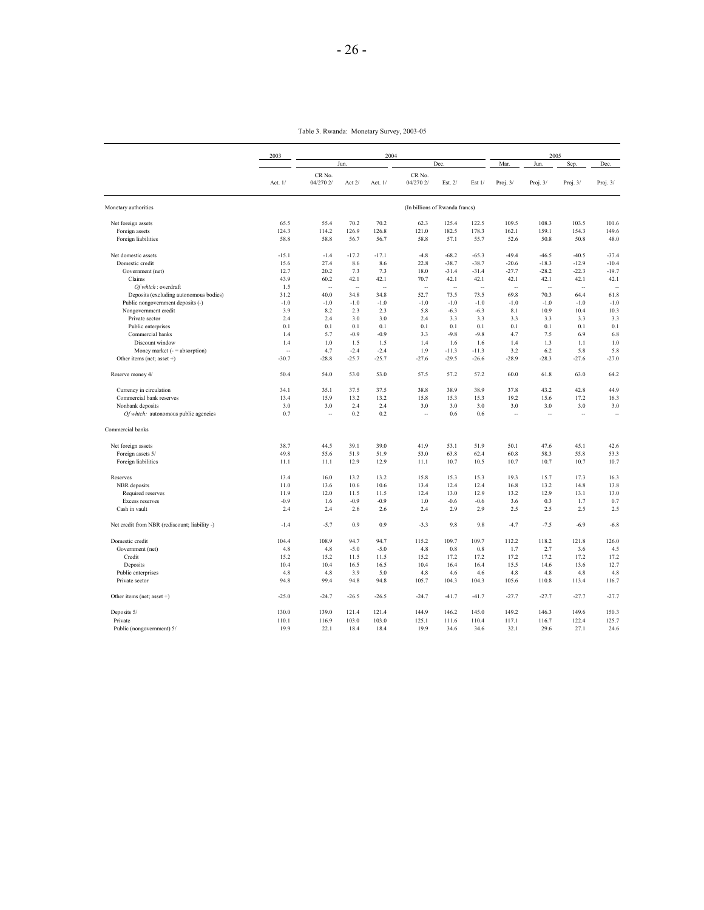Table 3. Rwanda: Monetary Survey, 2003-05

|                                               | 2003    |                     |         | 2004    |                                |         |         |            | 2005       |            |            |
|-----------------------------------------------|---------|---------------------|---------|---------|--------------------------------|---------|---------|------------|------------|------------|------------|
|                                               |         |                     | Jun.    |         |                                | Dec.    |         | Mar.       | Jun.       | Sep.       | Dec.       |
|                                               | Act. 1/ | CR No.<br>04/270 2/ | Act 2/  | Act. 1/ | CR No.<br>04/270 2/            | Est. 2/ | Est 1/  | Proj. $3/$ | Proj. $3/$ | Proj. $3/$ | Proj. $3/$ |
| Monetary authorities                          |         |                     |         |         | (In billions of Rwanda francs) |         |         |            |            |            |            |
| Net foreign assets                            | 65.5    | 55.4                | 70.2    | 70.2    | 62.3                           | 125.4   | 122.5   | 109.5      | 108.3      | 103.5      | 101.6      |
| Foreign assets                                | 124.3   | 114.2               | 126.9   | 126.8   | 121.0                          | 182.5   | 178.3   | 162.1      | 159.1      | 154.3      | 149.6      |
| Foreign liabilities                           | 58.8    | 58.8                | 56.7    | 56.7    | 58.8                           | 57.1    | 55.7    | 52.6       | 50.8       | 50.8       | 48.0       |
| Net domestic assets                           | $-15.1$ | $-1.4$              | $-17.2$ | $-17.1$ | $-4.8$                         | $-68.2$ | $-65.3$ | $-49.4$    | $-46.5$    | $-40.5$    | $-37.4$    |
| Domestic credit                               | 15.6    | 27.4                | 8.6     | 8.6     | 22.8                           | $-38.7$ | $-38.7$ | $-20.6$    | $-18.3$    | $-12.9$    | $-10.4$    |
| Government (net)                              | 12.7    | 20.2                | 7.3     | 7.3     | 18.0                           | $-31.4$ | $-31.4$ | $-27.7$    | $-28.2$    | $-22.3$    | $-19.7$    |
| Claims                                        | 43.9    | 60.2                | 42.1    | 42.1    | 70.7                           | 42.1    | 42.1    | 42.1       | 42.1       | 42.1       | 42.1       |
| Of which: overdraft                           | 1.5     | ä,                  | ä,      | ÷.      | Ξ.                             | ÷.      | ä,      | ÷.         | ä,         | ÷.         | à,         |
| Deposits (excluding autonomous bodies)        | 31.2    | 40.0                | 34.8    | 34.8    | 52.7                           | 73.5    | 73.5    | 69.8       | 70.3       | 64.4       | 61.8       |
| Public nongovernment deposits (-)             | $-1.0$  | $-1.0$              | $-1.0$  | $-1.0$  | $-1.0$                         | $-1.0$  | $-1.0$  | $-1.0$     | $-1.0$     | $-1.0$     | $-1.0$     |
| Nongovernment credit                          | 3.9     | 8.2                 | 2.3     | 2.3     | 5.8                            | $-6.3$  | $-6.3$  | 8.1        | 10.9       | 10.4       | 10.3       |
| Private sector                                | 2.4     | 2.4                 | 3.0     | 3.0     | 2.4                            | 3.3     | 3.3     | 3.3        | 3.3        | 3.3        | 3.3        |
| Public enterprises                            | 0.1     | 0.1                 | 0.1     | 0.1     | 0.1                            | 0.1     | 0.1     | 0.1        | 0.1        | 0.1        | 0.1        |
| Commercial banks                              | 1.4     | 5.7                 | $-0.9$  | $-0.9$  | 3.3                            | $-9.8$  | $-9.8$  | 4.7        | 7.5        | 6.9        | 6.8        |
| Discount window                               | 1.4     | 1.0                 | 1.5     | 1.5     | 1.4                            | 1.6     | 1.6     | 1.4        | 1.3        | 1.1        | 1.0        |
|                                               |         |                     |         |         | 1.9                            |         |         |            |            |            |            |
| Money market $($ = $=$ absorption $)$         | ä,      | 4.7                 | $-2.4$  | $-2.4$  |                                | $-11.3$ | $-11.3$ | 3.2        | 6.2        | 5.8        | 5.8        |
| Other items (net; asset $+)$                  | $-30.7$ | $-28.8$             | $-25.7$ | $-25.7$ | $-27.6$                        | $-29.5$ | $-26.6$ | $-28.9$    | $-28.3$    | $-27.6$    | $-27.0$    |
| Reserve money 4/                              | 50.4    | 54.0                | 53.0    | 53.0    | 57.5                           | 57.2    | 57.2    | 60.0       | 61.8       | 63.0       | 64.2       |
| Currency in circulation                       | 34.1    | 35.1                | 37.5    | 37.5    | 38.8                           | 38.9    | 38.9    | 37.8       | 43.2       | 42.8       | 44.9       |
| Commercial bank reserves                      | 13.4    | 15.9                | 13.2    | 13.2    | 15.8                           | 15.3    | 15.3    | 19.2       | 15.6       | 17.2       | 16.3       |
| Nonbank deposits                              | 3.0     | 3.0                 | 2.4     | 2.4     | 3.0                            | 3.0     | 3.0     | 3.0        | 3.0        | 3.0        | 3.0        |
| Of which: autonomous public agencies          | 0.7     | Ξ.                  | 0.2     | 0.2     | ä.                             | 0.6     | 0.6     | $\sim$     | ä,         | ÷.         | ÷.         |
| Commercial banks                              |         |                     |         |         |                                |         |         |            |            |            |            |
| Net foreign assets                            | 38.7    | 44.5                | 39.1    | 39.0    | 41.9                           | 53.1    | 51.9    | 50.1       | 47.6       | 45.1       | 42.6       |
| Foreign assets 5/                             | 49.8    | 55.6                | 51.9    | 51.9    | 53.0                           | 63.8    | 62.4    | 60.8       | 58.3       | 55.8       | 53.3       |
| Foreign liabilities                           | 11.1    | 11.1                | 12.9    | 12.9    | 11.1                           | 10.7    | 10.5    | 10.7       | 10.7       | 10.7       | 10.7       |
| Reserves                                      | 13.4    | 16.0                | 13.2    | 13.2    | 15.8                           | 15.3    | 15.3    | 19.3       | 15.7       | 17.3       | 16.3       |
| NBR deposits                                  | 11.0    | 13.6                | 10.6    | 10.6    | 13.4                           | 12.4    | 12.4    | 16.8       | 13.2       | 14.8       | 13.8       |
| Required reserves                             | 11.9    | 12.0                | 11.5    | 11.5    | 12.4                           | 13.0    | 12.9    | 13.2       | 12.9       | 13.1       | 13.0       |
| Excess reserves                               | $-0.9$  | 1.6                 | $-0.9$  | $-0.9$  | 1.0                            | $-0.6$  | $-0.6$  | 3.6        | 0.3        | 1.7        | 0.7        |
| Cash in vault                                 | 2.4     | 2.4                 | 2.6     | 2.6     | 2.4                            | 2.9     | 2.9     | 2.5        | 2.5        | 2.5        | 2.5        |
| Net credit from NBR (rediscount; liability -) | $-1.4$  | $-5.7$              | 0.9     | 0.9     | $-3.3$                         | 9.8     | 9.8     | $-4.7$     | $-7.5$     | $-6.9$     | $-6.8$     |
| Domestic credit                               | 104.4   | 108.9               | 94.7    | 94.7    | 115.2                          | 109.7   | 109.7   | 112.2      | 118.2      | 121.8      | 126.0      |
| Government (net)                              | 4.8     | 4.8                 | $-5.0$  | $-5.0$  | 4.8                            | 0.8     | 0.8     | 1.7        | 2.7        | 3.6        | 4.5        |
| Credit                                        | 15.2    | 15.2                | 11.5    | 11.5    | 15.2                           | 17.2    | 17.2    | 17.2       | 17.2       | 17.2       | 17.2       |
| Deposits                                      | 10.4    | 10.4                | 16.5    | 16.5    | 10.4                           | 16.4    | 16.4    | 15.5       | 14.6       | 13.6       | 12.7       |
| Public enterprises                            | 4.8     | 4.8                 | 3.9     | 5.0     | 4.8                            | 4.6     | 4.6     | 4.8        | 4.8        | 4.8        | 4.8        |
| Private sector                                | 94.8    | 99.4                | 94.8    | 94.8    | 105.7                          | 104.3   | 104.3   | 105.6      | 110.8      | 113.4      | 116.7      |
| Other items (net; asset +)                    | $-25.0$ | $-24.7$             | $-26.5$ | $-26.5$ | $-24.7$                        | $-41.7$ | $-41.7$ | $-27.7$    | $-27.7$    | $-27.7$    | $-27.7$    |
| Deposits 5/                                   | 130.0   | 139.0               | 121.4   | 121.4   | 144.9                          | 146.2   | 145.0   | 149.2      | 146.3      | 149.6      | 150.3      |
| Private                                       | 110.1   | 116.9               | 103.0   | 103.0   | 125.1                          | 111.6   | 110.4   | 117.1      | 116.7      | 122.4      | 125.7      |
| Public (nongovernment) 5/                     | 19.9    | 22.1                | 18.4    | 18.4    | 19.9                           | 34.6    | 34.6    | 32.1       | 29.6       | 27.1       | 24.6       |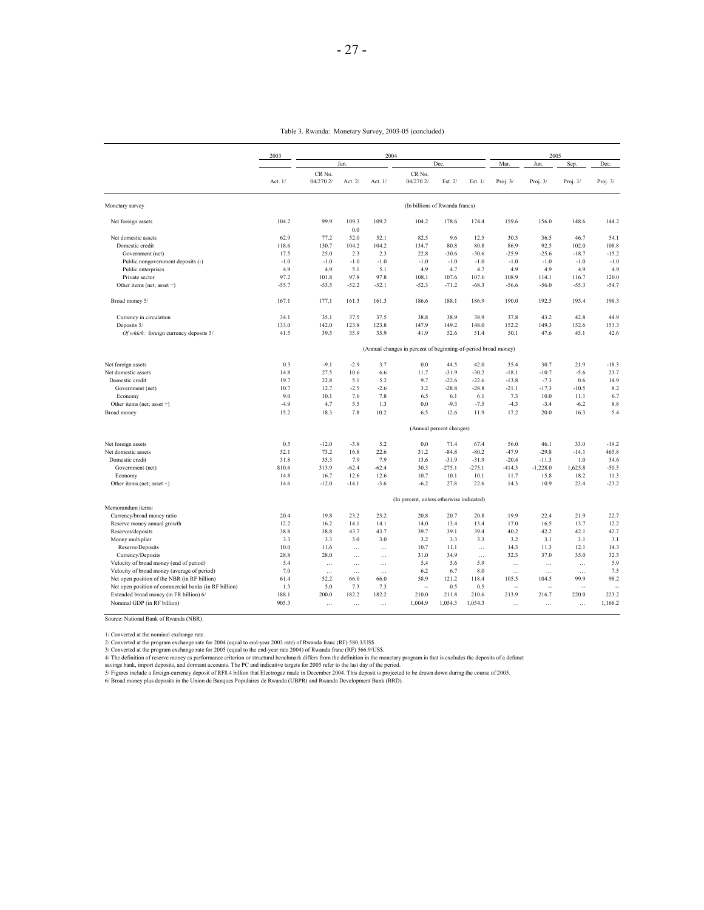| 2003<br>2004<br>2005<br>Dec.<br>Mar.<br>Jun.<br>Jun.<br>CR No.<br>CR No.<br>04/270 2/<br>04/270 2/<br>Act. $1/$<br>Act. 2/<br>Act. $1/$<br>Est. $2/$<br>Est. $1/$<br>Proj. $3/$<br>Proj. $3/$ | Sep.<br>Dec.<br>Proj. $3/$<br>Proj. $3/$<br>148.6<br>144.2 |
|-----------------------------------------------------------------------------------------------------------------------------------------------------------------------------------------------|------------------------------------------------------------|
|                                                                                                                                                                                               |                                                            |
|                                                                                                                                                                                               |                                                            |
| (In billions of Rwanda francs)<br>Monetary survey                                                                                                                                             |                                                            |
| 104.2<br>99.9<br>Net foreign assets<br>109.3<br>109.2<br>104.2<br>178.6<br>174.4<br>159.6<br>156.0<br>0.0                                                                                     |                                                            |
| 9.6<br>Net domestic assets<br>62.9<br>77.2<br>52.0<br>52.1<br>82.5<br>12.5<br>30.3<br>36.5                                                                                                    | 46.7<br>54.1                                               |
| 130.7<br>80.8<br>86.9<br>92.5<br>Domestic credit<br>118.6<br>104.2<br>104.2<br>134.7<br>80.8                                                                                                  | 108.8<br>102.0                                             |
| Government (net)<br>17.5<br>25.0<br>2.3<br>2.3<br>22.8<br>$-30.6$<br>$-30.6$<br>$-25.9$<br>$-25.6$                                                                                            | $-18.7$<br>$-15.2$                                         |
| $-1.0$<br>$-1.0$<br>$-1.0$<br>$-1.0$<br>$-1.0$<br>$-1.0$<br>$-1.0$<br>$-1.0$<br>Public nongovernment deposits (-)<br>$-1.0$                                                                   | $-1.0$<br>$-1.0$                                           |
| 4.9<br>4.9<br>5.1<br>4.9<br>4.7<br>4.7<br>4.9<br>4.9<br>Public enterprises<br>5.1                                                                                                             | 4.9<br>4.9                                                 |
| 97.2<br>101.8<br>97.8<br>97.8<br>108.1<br>107.6<br>107.6<br>108.9<br>114.1<br>Private sector                                                                                                  | 120.0<br>116.7                                             |
| Other items (net; asset +)<br>$-55.7$<br>$-53.5$<br>$-52.2$<br>$-52.1$<br>$-52.3$<br>$-71.2$<br>$-68.3$<br>$-56.6$<br>$-56.0$                                                                 | $-55.3$<br>$-54.7$                                         |
| 190.0<br>192.5<br>167.1<br>177.1<br>161.3<br>161.3<br>186.6<br>188.1<br>186.9<br>Broad money 5/                                                                                               | 195.4<br>198.3                                             |
| 34.1<br>35.1<br>38.8<br>38.9<br>38.9<br>43.2<br>Currency in circulation<br>37.5<br>37.5<br>37.8                                                                                               | 42.8<br>44.9                                               |
| Deposits 5/<br>133.0<br>142.0<br>123.8<br>123.8<br>147.9<br>149.2<br>148.0<br>152.2<br>149.3                                                                                                  | 152.6<br>153.3                                             |
| 41.5<br>39.5<br>35.9<br>35.9<br>41.9<br>52.6<br>51.4<br>50.1<br>47.6<br>Of which: foreign currency deposits 5/                                                                                | 45.1<br>42.6                                               |
| (Annual changes in percent of beginning-of-period broad money)                                                                                                                                |                                                            |
| 0.3<br>Net foreign assets<br>$-9.1$<br>$-2.9$<br>3.7<br>0.0<br>44.5<br>42.0<br>35.4<br>30.7                                                                                                   | 21.9<br>$-18.3$                                            |
| 14.8<br>27.5<br>$-31.9$<br>$-30.2$<br>$-18.1$<br>Net domestic assets<br>10.6<br>6.6<br>11.7<br>$-10.7$                                                                                        | $-5.6$<br>23.7                                             |
| 19.7<br>22.8<br>5.2<br>9.7<br>$-22.6$<br>$-22.6$<br>Domestic credit<br>5.1<br>$-13.8$<br>$-7.3$                                                                                               | 0.6<br>14.9                                                |
| 10.7<br>3.2<br>$-28.8$<br>Government (net)<br>12.7<br>$-2.5$<br>$-2.6$<br>$-28.8$<br>$-21.1$<br>$-17.3$                                                                                       | $-10.5$<br>8.2                                             |
| 9.0<br>10.1<br>7.6<br>7.8<br>6.5<br>6.1<br>7.3<br>10.0<br>Economy<br>6.1                                                                                                                      | 11.1<br>6.7                                                |
| Other items (net; asset +)<br>$-4.9$<br>4.7<br>5.5<br>1.3<br>0.0<br>$-9.3$<br>$-7.5$<br>$-4.3$<br>$-3.4$                                                                                      | $-6.2$<br>8.8                                              |
| <b>Broad money</b><br>15.2<br>18.3<br>7.8<br>10.2<br>6.5<br>12.6<br>11.9<br>17.2<br>20.0                                                                                                      | 16.3<br>5.4                                                |
| (Annual percent changes)                                                                                                                                                                      |                                                            |
| 0.5<br>Net foreign assets<br>$-12.0$<br>$-3.8$<br>5.2<br>0.0<br>71.4<br>67.4<br>56.0<br>46.1                                                                                                  | $-19.2$<br>33.0                                            |
| 73.2<br>31.2<br>$-84.8$<br>$-80.2$<br>$-47.9$<br>Net domestic assets<br>52.1<br>16.8<br>22.6<br>$-29.8$                                                                                       | 465.8<br>$-14.1$                                           |
| 31.8<br>35.3<br>7.9<br>7.9<br>$-31.9$<br>$-31.9$<br>$-20.4$<br>Domestic credit<br>13.6<br>$-11.3$                                                                                             | 1.0<br>34.6                                                |
| 810.6<br>313.9<br>$-62.4$<br>$-62.4$<br>30.3<br>$-275.1$<br>$-275.1$<br>$-414.3$<br>$-1,228.0$<br>Government (net)                                                                            | 1,625.8<br>$-50.5$                                         |
| 14.8<br>16.7<br>12.6<br>12.6<br>10.7<br>10.1<br>10.1<br>11.7<br>15.8<br>Economy                                                                                                               | 18.2<br>11.3                                               |
| Other items (net; asset +)<br>14.6<br>$-12.0$<br>$-14.1$<br>$-3.6$<br>$-6.2$<br>27.8<br>22.6<br>14.3<br>10.9                                                                                  | 23.4<br>$-23.2$                                            |
| (In percent, unless otherwise indicated)<br>Memorandum items:                                                                                                                                 |                                                            |
| 20.4<br>19.8<br>23.2<br>23.2<br>20.8<br>20.7<br>20.8<br>19.9<br>22.4<br>Currency/broad money ratio                                                                                            | 21.9<br>22.7                                               |
| 12.2<br>16.2<br>14.1<br>14.0<br>13.4<br>13.4<br>16.5<br>Reserve money annual growth<br>14.1<br>17.0                                                                                           | 13.7<br>12.2                                               |
| 38.8<br>38.8<br>43.7<br>43.7<br>39.7<br>39.1<br>39.4<br>40.2<br>42.2<br>Reserves/deposits                                                                                                     | 42.1<br>42.7                                               |
| Money multiplier<br>3.3<br>3.3<br>3.0<br>3.0<br>3.2<br>3.3<br>3.3<br>3.2<br>3.1                                                                                                               | 3.1<br>3.1                                                 |
| Reserve/Deposits<br>10.0<br>10.7<br>11.1<br>14.3<br>11.6<br>11.3<br>$\cdots$<br>$\ldots$<br>$\ldots$                                                                                          | 12.1<br>14.3                                               |
| 28.8<br>28.0<br>31.0<br>34.9<br>32.3<br>37.0<br>Currency/Deposits<br>$\cdots$<br>$\cdots$<br>$\ldots$                                                                                         | 35.0<br>32.3                                               |
| Velocity of broad money (end of period)<br>5.4<br>5.4<br>5.6<br>5.9<br>$\ddotsc$<br>$\ldots$<br>$\ldots$<br>$\cdots$<br>$\ddotsc$                                                             | 5.9<br>$\ldots$                                            |
| Velocity of broad money (average of period)<br>7.0<br>6.2<br>6.7<br>8.0<br>$\ddotsc$<br>$\ldots$<br>$\ldots$<br>$\ddotsc$<br>$\ddotsc$                                                        | 7.3<br>$\ddotsc$                                           |
| 52.2<br>58.9<br>121.2<br>Net open position of the NBR (in RF billion)<br>61.4<br>66.0<br>66.0<br>118.4<br>105.5<br>104.5                                                                      | 99.9<br>98.2                                               |
| 1.3<br>5.0<br>7.3<br>0.5<br>Net open position of commercial banks (in RF billion)<br>7.3<br>0.5<br>÷.<br>$\sim$<br>÷.                                                                         | $\sim$<br>÷.                                               |
| 188.1<br>200.0<br>182.2<br>182.2<br>210.0<br>211.8<br>210.6<br>213.9<br>Extended broad money (in FR billion) 6/<br>216.7                                                                      | 220.0<br>223.2                                             |
| Nominal GDP (in RF billion)<br>905.3<br>1,004.9<br>1,054.3<br>1,054.3<br>$\cdots$<br>$\cdots$<br>$\cdots$<br>$\cdots$<br>$\ddotsc$                                                            | 1,166.2<br>$\cdots$                                        |

Source: National Bank of Rwanda (NBR).

1/ Converted at the nominal exchange rate for 2004 (equal to end-year 2003 rate) of Rwanda franc (RF) 580.3/USS<br>2/ Converted at the program exchange rate for 2004 (equal to end-year 2003 rate) of Rwanda franc (RF) 566.9/US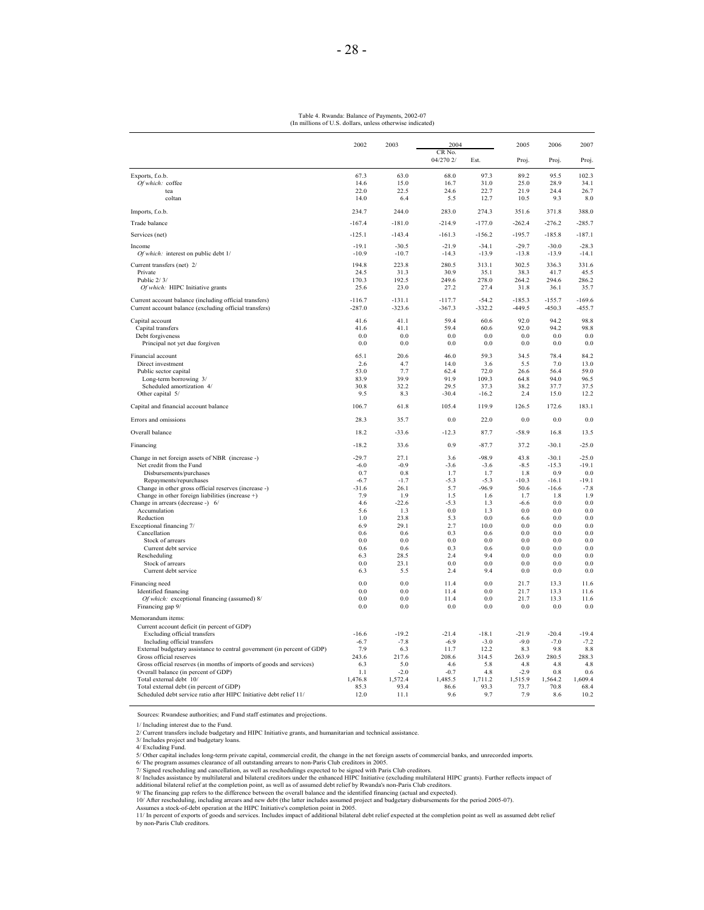#### (In millions of U.S. dollars, unless otherwise indicated) Table 4. Rwanda: Balance of Payments, 2002-07

|                                                                                                               | 2002          | 2003          | 2004                |               | 2005           | 2006           | 2007                  |
|---------------------------------------------------------------------------------------------------------------|---------------|---------------|---------------------|---------------|----------------|----------------|-----------------------|
|                                                                                                               |               |               | CR No.<br>04/270 2/ | Est.          | Proj.          | Proj.          | Proj.                 |
|                                                                                                               |               |               |                     |               |                |                |                       |
| Exports, f.o.b.<br>Of which: coffee                                                                           | 67.3<br>14.6  | 63.0<br>15.0  | 68.0<br>16.7        | 97.3<br>31.0  | 89.2<br>25.0   | 95.5<br>28.9   | 102.3<br>34.1         |
| tea                                                                                                           | 22.0          | 22.5          | 24.6                | 22.7          | 21.9           | 24.4           | 26.7                  |
| coltan                                                                                                        | 14.0          | 6.4           | 5.5                 | 12.7          | 10.5           | 9.3            | 8.0                   |
| Imports, f.o.b.                                                                                               | 234.7         | 244.0         | 283.0               | 274.3         | 351.6          | 371.8          | 388.0                 |
| Trade balance                                                                                                 | $-167.4$      | $-181.0$      | $-214.9$            | $-177.0$      | $-262.4$       | $-276.2$       | $-285.7$              |
| Services (net)                                                                                                | $-125.1$      | $-143.4$      | $-161.3$            | $-156.2$      | $-195.7$       | $-185.8$       | $-187.1$              |
| Income                                                                                                        | $-19.1$       | $-30.5$       | $-21.9$             | $-34.1$       | $-29.7$        | $-30.0$        | $-28.3$               |
| Of which: interest on public debt 1/                                                                          | $-10.9$       | $-10.7$       | $-14.3$             | $-13.9$       | $-13.8$        | $-13.9$        | $-14.1$               |
| Current transfers (net) 2/<br>Private                                                                         | 194.8<br>24.5 | 223.8<br>31.3 | 280.5<br>30.9       | 313.1<br>35.1 | 302.5<br>38.3  | 336.3<br>41.7  | 331.6<br>45.5         |
| Public 2/3/                                                                                                   | 170.3         | 192.5         | 249.6               | 278.0         | 264.2          | 294.6          | 286.2                 |
| Of which: HIPC Initiative grants                                                                              | 25.6          | 23.0          | 27.2                | 27.4          | 31.8           | 36.1           | 35.7                  |
| Current account balance (including official transfers)                                                        | $-116.7$      | $-131.1$      | $-117.7$            | $-54.2$       | $-185.3$       | $-155.7$       | $-169.6$              |
| Current account balance (excluding official transfers)                                                        | $-287.0$      | $-323.6$      | $-367.3$            | $-332.2$      | $-449.5$       | $-450.3$       | $-455.7$              |
| Capital account                                                                                               | 41.6          | 41.1          | 59.4                | 60.6          | 92.0           | 94.2           | 98.8                  |
| Capital transfers<br>Debt forgiveness                                                                         | 41.6<br>0.0   | 41.1<br>0.0   | 59.4<br>0.0         | 60.6<br>0.0   | 92.0<br>0.0    | 94.2<br>0.0    | 98.8<br>0.0           |
| Principal not yet due forgiven                                                                                | 0.0           | 0.0           | 0.0                 | $0.0\,$       | 0.0            | 0.0            | 0.0                   |
| Financial account                                                                                             | 65.1          | 20.6          | 46.0                | 59.3          | 34.5           | 78.4           | 84.2                  |
| Direct investment                                                                                             | 2.6           | 4.7           | 14.0                | 3.6           | 5.5            | 7.0            | 13.0                  |
| Public sector capital<br>Long-term borrowing 3/                                                               | 53.0<br>83.9  | 7.7<br>39.9   | 62.4<br>91.9        | 72.0<br>109.3 | 26.6<br>64.8   | 56.4<br>94.0   | 59.0<br>96.5          |
| Scheduled amortization 4/                                                                                     | 30.8          | 32.2          | 29.5                | 37.3          | 38.2           | 37.7           | 37.5                  |
| Other capital 5/                                                                                              | 9.5           | 8.3           | $-30.4$             | $-16.2$       | 2.4            | 15.0           | 12.2                  |
| Capital and financial account balance                                                                         | 106.7         | 61.8          | 105.4               | 119.9         | 126.5          | 172.6          | 183.1                 |
| Errors and omissions                                                                                          | 28.3          | 35.7          | 0.0                 | 22.0          | 0.0            | 0.0            | 0.0                   |
| Overall balance                                                                                               | 18.2          | $-33.6$       | $-12.3$             | 87.7          | $-58.9$        | 16.8           | 13.5                  |
| Financing                                                                                                     | $-18.2$       | 33.6          | 0.9                 | $-87.7$       | 37.2           | $-30.1$        | $-25.0$               |
| Change in net foreign assets of NBR (increase -)                                                              | $-29.7$       | 27.1          | 3.6                 | $-98.9$       | 43.8           | $-30.1$        | $-25.0$               |
| Net credit from the Fund                                                                                      | $-6.0$        | $-0.9$        | $-3.6$              | $-3.6$        | $-8.5$         | $-15.3$        | $-19.1$<br>0.0        |
| Disbursements/purchases<br>Repayments/repurchases                                                             | 0.7<br>$-6.7$ | 0.8<br>$-1.7$ | 1.7<br>$-5.3$       | 1.7<br>$-5.3$ | 1.8<br>$-10.3$ | 0.9<br>$-16.1$ | $-19.1$               |
| Change in other gross official reserves (increase -)                                                          | $-31.6$       | 26.1          | 5.7                 | $-96.9$       | 50.6           | $-16.6$        | $-7.8$                |
| Change in other foreign liabilities (increase +)                                                              | 7.9           | 1.9           | 1.5                 | 1.6           | 1.7            | 1.8            | 1.9                   |
| Change in arrears (decrease -) 6/                                                                             | 4.6           | $-22.6$       | $-5.3$              | 1.3           | $-6.6$         | 0.0            | 0.0                   |
| Accumulation<br>Reduction                                                                                     | 5.6<br>1.0    | 1.3<br>23.8   | 0.0<br>5.3          | 1.3<br>0.0    | 0.0<br>66      | 0.0<br>0.0     | 0.0<br>0 <sub>0</sub> |
| Exceptional financing 7/                                                                                      | 6.9           | 29.1          | 2.7                 | 10.0          | 0.0            | 0.0            | 0.0                   |
| Cancellation                                                                                                  | 0.6           | 0.6           | 0.3                 | 0.6           | 0.0            | 0.0            | 0.0                   |
| Stock of arrears                                                                                              | 0.0           | 0.0           | 0.0                 | 0.0           | 0.0            | 0.0            | 0.0                   |
| Current debt service                                                                                          | 0.6<br>6.3    | 0.6<br>28.5   | 0.3<br>2.4          | 0.6<br>9.4    | 0.0<br>0.0     | 0.0<br>0.0     | 0.0<br>0.0            |
| Rescheduling<br>Stock of arrears                                                                              | 0.0           | 23.1          | 0.0                 | 0.0           | 0.0            | 0.0            | 0.0                   |
| Current debt service                                                                                          | 6.3           | 5.5           | 2.4                 | 9.4           | 0.0            | 0.0            | 0.0                   |
| Financing need                                                                                                | 0.0           | 0.0           | 11.4                | 0.0           | 21.7           | 13.3           | 11.6                  |
| <b>Identified</b> financing                                                                                   | 0.0           | 0.0           | 114                 | 0.0<br>0.0    | 21.7           | 13.3<br>13.3   | 11.6                  |
| Of which: exceptional financing (assumed) 8/<br>Financing gap 9/                                              | 0.0<br>0.0    | 0.0<br>0.0    | 11.4<br>0.0         | 0.0           | 21.7<br>0.0    | 0.0            | 11.6<br>0.0           |
| Memorandum items:                                                                                             |               |               |                     |               |                |                |                       |
| Current account deficit (in percent of GDP)                                                                   |               |               |                     |               |                |                |                       |
| Excluding official transfers                                                                                  | $-16.6$       | $-19.2$       | $-21.4$             | $-18.1$       | $-21.9$        | $-20.4$        | $-19.4$               |
| Including official transfers                                                                                  | $-6.7$        | $-7.8$        | $-6.9$              | $-3.0$        | $-9.0$         | $-7.0$         | $-7.2$                |
| External budgetary assistance to central government (in percent of GDP)<br>Gross official reserves            | 7.9<br>243.6  | 6.3<br>217.6  | 11.7<br>208.6       | 12.2<br>314.5 | 8.3<br>263.9   | 9.8<br>280.5   | 8.8<br>288.3          |
| Gross official reserves (in months of imports of goods and services)                                          | 6.3           | 5.0           | 4.6                 | 5.8           | 4.8            | 4.8            | 4.8                   |
| Overall balance (in percent of GDP)                                                                           | 1.1           | $-2.0$        | $-0.7$              | 4.8           | $-2.9$         | 0.8            | 0.6                   |
| Total external debt 10/                                                                                       | 1,476.8       | 1,572.4       | 1,485.5             | 1,711.2       | 1,515.9        | 1,564.2        | 1,609.4               |
| Total external debt (in percent of GDP)<br>Scheduled debt service ratio after HIPC Initiative debt relief 11/ | 85.3<br>12.0  | 93.4<br>11.1  | 86.6<br>9.6         | 93.3<br>9.7   | 73.7<br>7.9    | 70.8<br>8.6    | 68.4<br>10.2          |
|                                                                                                               |               |               |                     |               |                |                |                       |

Sources: Rwandese authorities; and Fund staff estimates and projections.

1/ Including interest due to the Fund.

2/ Current transfers include budgetary and HIPC Initiative grants, and humanitarian and technical assistance. 3/ Includes project and budgetary loans.

4/ Excluding Fund.<br>
6/ The requisi includes long-term private capital, commercial credit, the change in the net foreign assets of commercial banks, and unrecorded imports.<br>
5/ Oher capital includes long-term private capita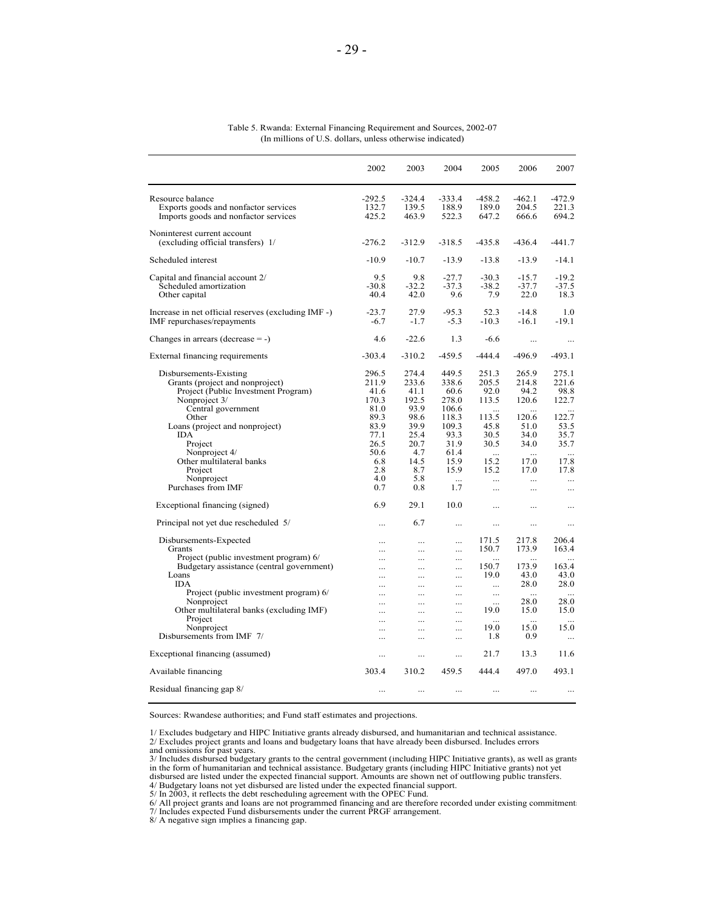|                                                                                                                                                                                           | 2002                                                            | 2003                                                            | 2004                                                               | 2005                                                          | 2006                                                                   | 2007                                                     |
|-------------------------------------------------------------------------------------------------------------------------------------------------------------------------------------------|-----------------------------------------------------------------|-----------------------------------------------------------------|--------------------------------------------------------------------|---------------------------------------------------------------|------------------------------------------------------------------------|----------------------------------------------------------|
| Resource balance<br>Exports goods and nonfactor services<br>Imports goods and nonfactor services                                                                                          | $-292.5$<br>132.7<br>425.2                                      | $-324.4$<br>139.5<br>463.9                                      | $-333.4$<br>188.9<br>522.3                                         | $-458.2$<br>189.0<br>647.2                                    | $-462.1$<br>204.5<br>666.6                                             | $-472.9$<br>221.3<br>694.2                               |
| Noninterest current account<br>(excluding official transfers) 1/                                                                                                                          | $-276.2$                                                        | $-312.9$                                                        | $-318.5$                                                           | $-435.8$                                                      | -436.4                                                                 | $-441.7$                                                 |
| Scheduled interest                                                                                                                                                                        | $-10.9$                                                         | $-10.7$                                                         | $-13.9$                                                            | $-13.8$                                                       | $-13.9$                                                                | $-14.1$                                                  |
| Capital and financial account 2/<br>Scheduled amortization<br>Other capital                                                                                                               | 9.5<br>$-30.8$<br>40.4                                          | 9.8<br>$-32.2$<br>42.0                                          | $-27.7$<br>$-37.3$<br>9.6                                          | $-30.3$<br>$-38.2$<br>7.9                                     | $-15.7$<br>$-37.7$<br>22.0                                             | $-19.2$<br>$-37.5$<br>18.3                               |
| Increase in net official reserves (excluding IMF -)<br>IMF repurchases/repayments                                                                                                         | $-23.7$<br>$-6.7$                                               | 27.9<br>$-1.7$                                                  | $-95.3$<br>$-5.3$                                                  | 52.3<br>$-10.3$                                               | $-14.8$<br>$-16.1$                                                     | 1.0<br>$-19.1$                                           |
| Changes in arrears (decrease $= -$ )                                                                                                                                                      | 4.6                                                             | $-22.6$                                                         | 1.3                                                                | $-6.6$                                                        | $\cdots$                                                               | $\cdots$                                                 |
| External financing requirements                                                                                                                                                           | $-303.4$                                                        | $-310.2$                                                        | $-459.5$                                                           | $-444.4$                                                      | -496.9                                                                 | $-493.1$                                                 |
| Disbursements-Existing<br>Grants (project and nonproject)<br>Project (Public Investment Program)<br>Nonproject 3/<br>Central government<br>Other<br>Loans (project and nonproject)<br>IDA | 296.5<br>211.9<br>41.6<br>170.3<br>81.0<br>89.3<br>83.9<br>77.1 | 274.4<br>233.6<br>41.1<br>192.5<br>93.9<br>98.6<br>39.9<br>25.4 | 449.5<br>338.6<br>60.6<br>278.0<br>106.6<br>118.3<br>109.3<br>93.3 | 251.3<br>205.5<br>92.0<br>113.5<br>.<br>113.5<br>45.8<br>30.5 | 265.9<br>214.8<br>94.2<br>120.6<br>$\dddotsc$<br>120.6<br>51.0<br>34.0 | 275.1<br>221.6<br>98.8<br>122.7<br>122.7<br>53.5<br>35.7 |
| Project<br>Nonproject 4/<br>Other multilateral banks<br>Project                                                                                                                           | 26.5<br>50.6<br>6.8<br>2.8                                      | 20.7<br>4.7<br>14.5<br>8.7                                      | 31.9<br>61.4<br>15.9<br>15.9                                       | 30.5<br>$\ddotsc$<br>15.2<br>15.2                             | 34.0<br>17.0<br>17.0                                                   | 35.7<br>17.8<br>17.8                                     |
| Nonproject<br>Purchases from IMF                                                                                                                                                          | 4.0<br>0.7                                                      | 5.8<br>0.8                                                      | 1.7                                                                | $\cdots$<br>$\ddotsc$                                         | $\cdots$<br>                                                           | $\dddotsc$<br>$\cdots$                                   |
| Exceptional financing (signed)                                                                                                                                                            | 6.9                                                             | 29.1                                                            | 10.0                                                               |                                                               | .                                                                      | $\cdots$                                                 |
| Principal not yet due rescheduled 5/                                                                                                                                                      | $\ddotsc$                                                       | 6.7                                                             | $\cdots$                                                           |                                                               |                                                                        | $\cdots$                                                 |
| Disbursements-Expected<br>Grants<br>Project (public investment program) 6/                                                                                                                | .<br>.                                                          | <br>$\cdots$<br>                                                | $\cdots$<br>$\cdots$<br>                                           | 171.5<br>150.7<br>.                                           | 217.8<br>173.9                                                         | 206.4<br>163.4                                           |
| Budgetary assistance (central government)<br>Loans<br><b>IDA</b>                                                                                                                          | $\ddots$<br>$\cdots$<br>.                                       | $\cdots$<br>$\cdots$<br>$\ddotsc$                               | $\cdots$<br>$\cdots$<br>$\cdots$                                   | 150.7<br>19.0<br>$\ddotsc$                                    | 173.9<br>43.0<br>28.0                                                  | 163.4<br>43.0<br>28.0                                    |
| Project (public investment program) 6/<br>Nonproject<br>Other multilateral banks (excluding IMF)<br>Project                                                                               | $\ddotsc$<br>$\ddotsc$<br>.                                     | $\ldots$<br>$\cdots$<br>$\cdots$                                | $\cdots$<br>$\cdots$<br>$\cdots$                                   | $\ldots$<br>$\ddotsc$<br>19.0                                 | 28.0<br>15.0                                                           | 28.0<br>15.0                                             |
| Nonproject<br>Disbursements from IMF 7/                                                                                                                                                   | $\cdots$<br>.<br>$\cdots$                                       | $\ddotsc$<br>$\cdots$<br>$\cdots$                               | <br><br>$\cdots$                                                   | $\ddotsc$<br>19.0<br>1.8                                      | $\ddotsc$<br>15.0<br>0.9                                               | 15.0<br>$\ddots$                                         |
| Exceptional financing (assumed)                                                                                                                                                           | .                                                               | $\cdots$                                                        | .                                                                  | 21.7                                                          | 13.3                                                                   | 11.6                                                     |
| Available financing                                                                                                                                                                       | 303.4                                                           | 310.2                                                           | 459.5                                                              | 444.4                                                         | 497.0                                                                  | 493.1                                                    |
| Residual financing gap 8/                                                                                                                                                                 |                                                                 | $\cdots$                                                        | .                                                                  | .                                                             |                                                                        |                                                          |

Table 5. Rwanda: External Financing Requirement and Sources, 2002-07 (In millions of U.S. dollars, unless otherwise indicated)

Sources: Rwandese authorities; and Fund staff estimates and projections.

<sup>1/</sup> Excludes budgetary and HIPC Initiative grants already disbursed, and humanitarian and technical assistance.

<sup>2/</sup> Excludes project grants and loans and budgetary loans that have already been disbursed. Includes errors<br>3/ Includes disbursed budgetary grants to the central government (including HIPC Initiative grants), as well as gra disbursed are listed under the expected financial support. Amounts are shown net of outflowing public transfers.

<sup>4/</sup> Budgetary loans not yet disbursed are listed under the expected financial support. 5/ In 2003, it reflects the debt rescheduling agreement with the OPEC Fund.

<sup>6/</sup> All project grants and loans are not programmed financing and are therefore recorded under existing commitment:<br>7/ Includes expected Fund disbursements under the current PRGF arrangement.<br>8/ A negative sign implies a fi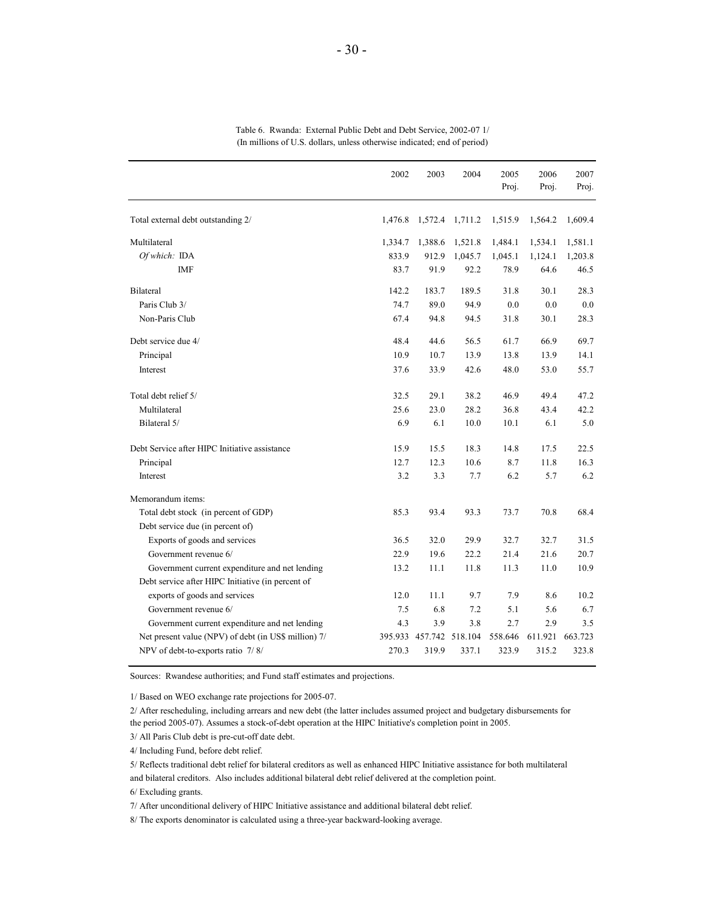|                                                      | 2002    | 2003            | 2004    | 2005<br>Proj. | 2006<br>Proj. | 2007<br>Proj. |
|------------------------------------------------------|---------|-----------------|---------|---------------|---------------|---------------|
| Total external debt outstanding 2/                   | 1,476.8 | 1,572.4         | 1,711.2 | 1,515.9       | 1,564.2       | 1,609.4       |
| Multilateral                                         | 1,334.7 | 1,388.6         | 1,521.8 | 1,484.1       | 1,534.1       | 1,581.1       |
| Of which: IDA                                        | 833.9   | 912.9           | 1,045.7 | 1,045.1       | 1,124.1       | 1,203.8       |
| IMF                                                  | 83.7    | 91.9            | 92.2    | 78.9          | 64.6          | 46.5          |
| Bilateral                                            | 142.2   | 183.7           | 189.5   | 31.8          | 30.1          | 28.3          |
| Paris Club 3/                                        | 74.7    | 89.0            | 94.9    | 0.0           | 0.0           | 0.0           |
| Non-Paris Club                                       | 67.4    | 94.8            | 94.5    | 31.8          | 30.1          | 28.3          |
| Debt service due 4/                                  | 48.4    | 44.6            | 56.5    | 61.7          | 66.9          | 69.7          |
| Principal                                            | 10.9    | 10.7            | 13.9    | 13.8          | 13.9          | 14.1          |
| Interest                                             | 37.6    | 33.9            | 42.6    | 48.0          | 53.0          | 55.7          |
| Total debt relief 5/                                 | 32.5    | 29.1            | 38.2    | 46.9          | 49.4          | 47.2          |
| Multilateral                                         | 25.6    | 23.0            | 28.2    | 36.8          | 43.4          | 42.2          |
| Bilateral 5/                                         | 6.9     | 6.1             | 10.0    | 10.1          | 6.1           | 5.0           |
| Debt Service after HIPC Initiative assistance        | 15.9    | 15.5            | 18.3    | 14.8          | 17.5          | 22.5          |
| Principal                                            | 12.7    | 12.3            | 10.6    | 8.7           | 11.8          | 16.3          |
| Interest                                             | 3.2     | 3.3             | 7.7     | 6.2           | 5.7           | 6.2           |
| Memorandum items:                                    |         |                 |         |               |               |               |
| Total debt stock (in percent of GDP)                 | 85.3    | 93.4            | 93.3    | 73.7          | 70.8          | 68.4          |
| Debt service due (in percent of)                     |         |                 |         |               |               |               |
| Exports of goods and services                        | 36.5    | 32.0            | 29.9    | 32.7          | 32.7          | 31.5          |
| Government revenue 6/                                | 22.9    | 19.6            | 22.2    | 21.4          | 21.6          | 20.7          |
| Government current expenditure and net lending       | 13.2    | 11.1            | 11.8    | 11.3          | 11.0          | 10.9          |
| Debt service after HIPC Initiative (in percent of    |         |                 |         |               |               |               |
| exports of goods and services                        | 12.0    | 11.1            | 9.7     | 7.9           | 8.6           | 10.2          |
| Government revenue 6/                                | 7.5     | 6.8             | 7.2     | 5.1           | 5.6           | 6.7           |
| Government current expenditure and net lending       | 4.3     | 3.9             | 3.8     | 2.7           | 2.9           | 3.5           |
| Net present value (NPV) of debt (in US\$ million) 7/ | 395.933 | 457.742 518.104 |         | 558.646       | 611.921       | 663.723       |
| NPV of debt-to-exports ratio 7/8/                    | 270.3   | 319.9           | 337.1   | 323.9         | 315.2         | 323.8         |

Table 6. Rwanda: External Public Debt and Debt Service, 2002-07 1/ (In millions of U.S. dollars, unless otherwise indicated; end of period)

Sources: Rwandese authorities; and Fund staff estimates and projections.

1/ Based on WEO exchange rate projections for 2005-07.

2/ After rescheduling, including arrears and new debt (the latter includes assumed project and budgetary disbursements for the period 2005-07). Assumes a stock-of-debt operation at the HIPC Initiative's completion point in 2005.

3/ All Paris Club debt is pre-cut-off date debt.

4/ Including Fund, before debt relief.

5/ Reflects traditional debt relief for bilateral creditors as well as enhanced HIPC Initiative assistance for both multilateral and bilateral creditors. Also includes additional bilateral debt relief delivered at the completion point.

6/ Excluding grants.

7/ After unconditional delivery of HIPC Initiative assistance and additional bilateral debt relief.

8/ The exports denominator is calculated using a three-year backward-looking average.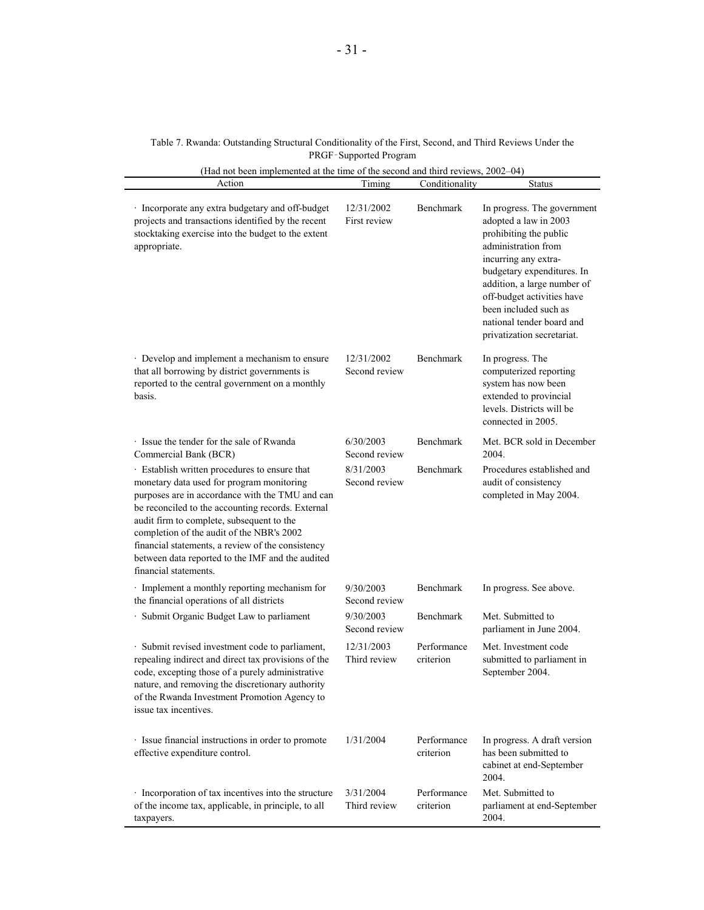| Table 7. Rwanda: Outstanding Structural Conditionality of the First, Second, and Third Reviews Under the |  |
|----------------------------------------------------------------------------------------------------------|--|
| <b>PRGF-Supported Program</b>                                                                            |  |

| (Had not been implemented at the time of the second and third reviews, 2002–04)                                                                                                                                                                                                                                                                                                                                                |                             |                          |                                                                                                                                                                                                                                                                                                              |
|--------------------------------------------------------------------------------------------------------------------------------------------------------------------------------------------------------------------------------------------------------------------------------------------------------------------------------------------------------------------------------------------------------------------------------|-----------------------------|--------------------------|--------------------------------------------------------------------------------------------------------------------------------------------------------------------------------------------------------------------------------------------------------------------------------------------------------------|
| Action                                                                                                                                                                                                                                                                                                                                                                                                                         | Timing                      | Conditionality           | <b>Status</b>                                                                                                                                                                                                                                                                                                |
| · Incorporate any extra budgetary and off-budget<br>projects and transactions identified by the recent<br>stocktaking exercise into the budget to the extent<br>appropriate.                                                                                                                                                                                                                                                   | 12/31/2002<br>First review  | Benchmark                | In progress. The government<br>adopted a law in 2003<br>prohibiting the public<br>administration from<br>incurring any extra-<br>budgetary expenditures. In<br>addition, a large number of<br>off-budget activities have<br>been included such as<br>national tender board and<br>privatization secretariat. |
| · Develop and implement a mechanism to ensure<br>that all borrowing by district governments is<br>reported to the central government on a monthly<br>basis.                                                                                                                                                                                                                                                                    | 12/31/2002<br>Second review | Benchmark                | In progress. The<br>computerized reporting<br>system has now been<br>extended to provincial<br>levels. Districts will be<br>connected in 2005.                                                                                                                                                               |
| · Issue the tender for the sale of Rwanda<br>Commercial Bank (BCR)                                                                                                                                                                                                                                                                                                                                                             | 6/30/2003<br>Second review  | Benchmark                | Met. BCR sold in December<br>2004.                                                                                                                                                                                                                                                                           |
| · Establish written procedures to ensure that<br>monetary data used for program monitoring<br>purposes are in accordance with the TMU and can<br>be reconciled to the accounting records. External<br>audit firm to complete, subsequent to the<br>completion of the audit of the NBR's 2002<br>financial statements, a review of the consistency<br>between data reported to the IMF and the audited<br>financial statements. | 8/31/2003<br>Second review  | Benchmark                | Procedures established and<br>audit of consistency<br>completed in May 2004.                                                                                                                                                                                                                                 |
| · Implement a monthly reporting mechanism for<br>the financial operations of all districts                                                                                                                                                                                                                                                                                                                                     | 9/30/2003<br>Second review  | Benchmark                | In progress. See above.                                                                                                                                                                                                                                                                                      |
| · Submit Organic Budget Law to parliament                                                                                                                                                                                                                                                                                                                                                                                      | 9/30/2003<br>Second review  | Benchmark                | Met. Submitted to<br>parliament in June 2004.                                                                                                                                                                                                                                                                |
| · Submit revised investment code to parliament,<br>repealing indirect and direct tax provisions of the<br>code, excepting those of a purely administrative<br>nature, and removing the discretionary authority<br>of the Rwanda Investment Promotion Agency to<br>issue tax incentives.                                                                                                                                        | 12/31/2003<br>Third review  | Performance<br>criterion | Met. Investment code<br>submitted to parliament in<br>September 2004.                                                                                                                                                                                                                                        |
| · Issue financial instructions in order to promote<br>effective expenditure control.                                                                                                                                                                                                                                                                                                                                           | 1/31/2004                   | Performance<br>criterion | In progress. A draft version<br>has been submitted to<br>cabinet at end-September<br>2004.                                                                                                                                                                                                                   |
| · Incorporation of tax incentives into the structure<br>of the income tax, applicable, in principle, to all<br>taxpayers.                                                                                                                                                                                                                                                                                                      | 3/31/2004<br>Third review   | Performance<br>criterion | Met. Submitted to<br>parliament at end-September<br>2004.                                                                                                                                                                                                                                                    |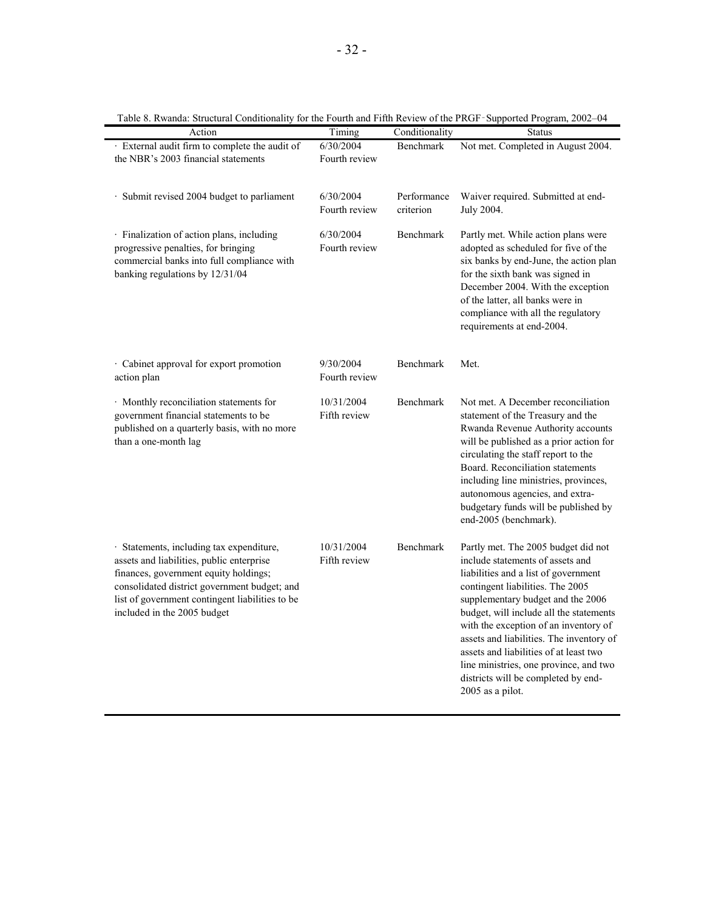|                                                                                                                                                                                                                                                                  |                            | Table 8. Rwanda: Structural Conditionality for the Fourth and Fifth Review of the PRGF-Supported Program, 2002-04 |                                                                                                                                                                                                                                                                                                                                                                                                                                                                         |  |  |  |
|------------------------------------------------------------------------------------------------------------------------------------------------------------------------------------------------------------------------------------------------------------------|----------------------------|-------------------------------------------------------------------------------------------------------------------|-------------------------------------------------------------------------------------------------------------------------------------------------------------------------------------------------------------------------------------------------------------------------------------------------------------------------------------------------------------------------------------------------------------------------------------------------------------------------|--|--|--|
| Action                                                                                                                                                                                                                                                           | Timing                     | Conditionality                                                                                                    | <b>Status</b>                                                                                                                                                                                                                                                                                                                                                                                                                                                           |  |  |  |
| · External audit firm to complete the audit of<br>the NBR's 2003 financial statements                                                                                                                                                                            | 6/30/2004<br>Fourth review | Benchmark                                                                                                         | Not met. Completed in August 2004.                                                                                                                                                                                                                                                                                                                                                                                                                                      |  |  |  |
| · Submit revised 2004 budget to parliament                                                                                                                                                                                                                       | 6/30/2004<br>Fourth review | Performance<br>criterion                                                                                          | Waiver required. Submitted at end-<br>July 2004.                                                                                                                                                                                                                                                                                                                                                                                                                        |  |  |  |
| · Finalization of action plans, including<br>progressive penalties, for bringing<br>commercial banks into full compliance with<br>banking regulations by 12/31/04                                                                                                | 6/30/2004<br>Fourth review | Benchmark                                                                                                         | Partly met. While action plans were<br>adopted as scheduled for five of the<br>six banks by end-June, the action plan<br>for the sixth bank was signed in<br>December 2004. With the exception<br>of the latter, all banks were in<br>compliance with all the regulatory<br>requirements at end-2004.                                                                                                                                                                   |  |  |  |
| · Cabinet approval for export promotion<br>action plan                                                                                                                                                                                                           | 9/30/2004<br>Fourth review | Benchmark                                                                                                         | Met.                                                                                                                                                                                                                                                                                                                                                                                                                                                                    |  |  |  |
| · Monthly reconciliation statements for<br>government financial statements to be<br>published on a quarterly basis, with no more<br>than a one-month lag                                                                                                         | 10/31/2004<br>Fifth review | Benchmark                                                                                                         | Not met. A December reconciliation<br>statement of the Treasury and the<br>Rwanda Revenue Authority accounts<br>will be published as a prior action for<br>circulating the staff report to the<br>Board. Reconciliation statements<br>including line ministries, provinces,<br>autonomous agencies, and extra-<br>budgetary funds will be published by<br>end-2005 (benchmark).                                                                                         |  |  |  |
| · Statements, including tax expenditure,<br>assets and liabilities, public enterprise<br>finances, government equity holdings;<br>consolidated district government budget; and<br>list of government contingent liabilities to be<br>included in the 2005 budget | 10/31/2004<br>Fifth review | Benchmark                                                                                                         | Partly met. The 2005 budget did not<br>include statements of assets and<br>liabilities and a list of government<br>contingent liabilities. The 2005<br>supplementary budget and the 2006<br>budget, will include all the statements<br>with the exception of an inventory of<br>assets and liabilities. The inventory of<br>assets and liabilities of at least two<br>line ministries, one province, and two<br>districts will be completed by end-<br>2005 as a pilot. |  |  |  |

Table 8. Rwanda: Structural Conditionality for the Fourth and Fifth Review of the PRGF‑Supported Program, 2002–04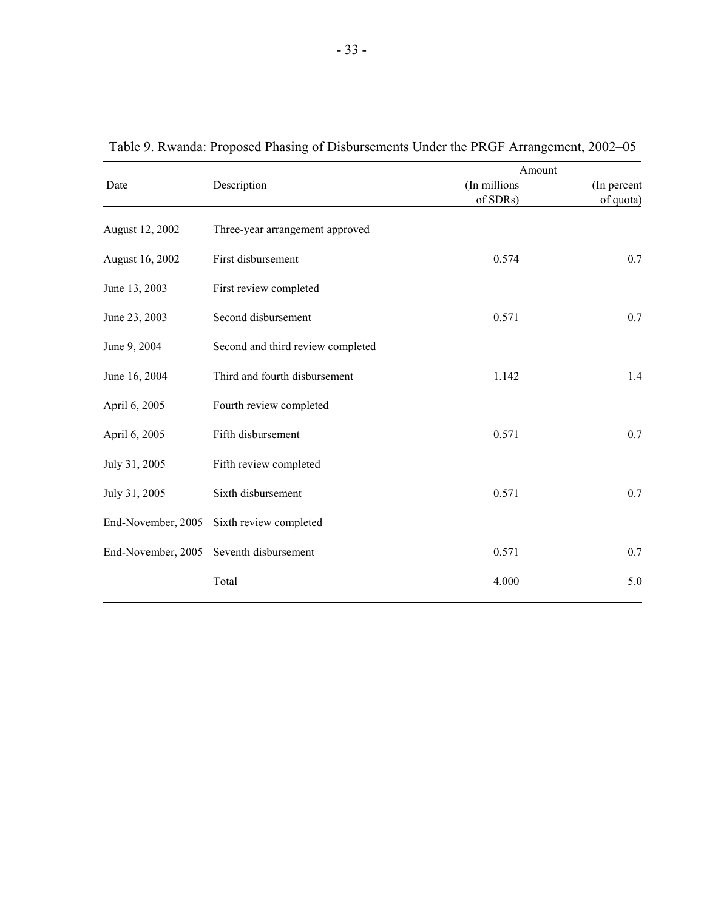|                    |                                   | Amount       |             |  |  |
|--------------------|-----------------------------------|--------------|-------------|--|--|
| Date               | Description                       | (In millions | (In percent |  |  |
|                    |                                   | of SDRs)     | of quota)   |  |  |
| August 12, 2002    | Three-year arrangement approved   |              |             |  |  |
| August 16, 2002    | First disbursement                | 0.574        | 0.7         |  |  |
| June 13, 2003      | First review completed            |              |             |  |  |
| June 23, 2003      | Second disbursement               | 0.571        | 0.7         |  |  |
| June 9, 2004       | Second and third review completed |              |             |  |  |
| June 16, 2004      | Third and fourth disbursement     | 1.142        | 1.4         |  |  |
| April 6, 2005      | Fourth review completed           |              |             |  |  |
| April 6, 2005      | Fifth disbursement                | 0.571        | 0.7         |  |  |
| July 31, 2005      | Fifth review completed            |              |             |  |  |
| July 31, 2005      | Sixth disbursement                | 0.571        | 0.7         |  |  |
| End-November, 2005 | Sixth review completed            |              |             |  |  |
| End-November, 2005 | Seventh disbursement              | 0.571        | 0.7         |  |  |

Total 4.000 5.0

Table 9. Rwanda: Proposed Phasing of Disbursements Under the PRGF Arrangement, 2002–05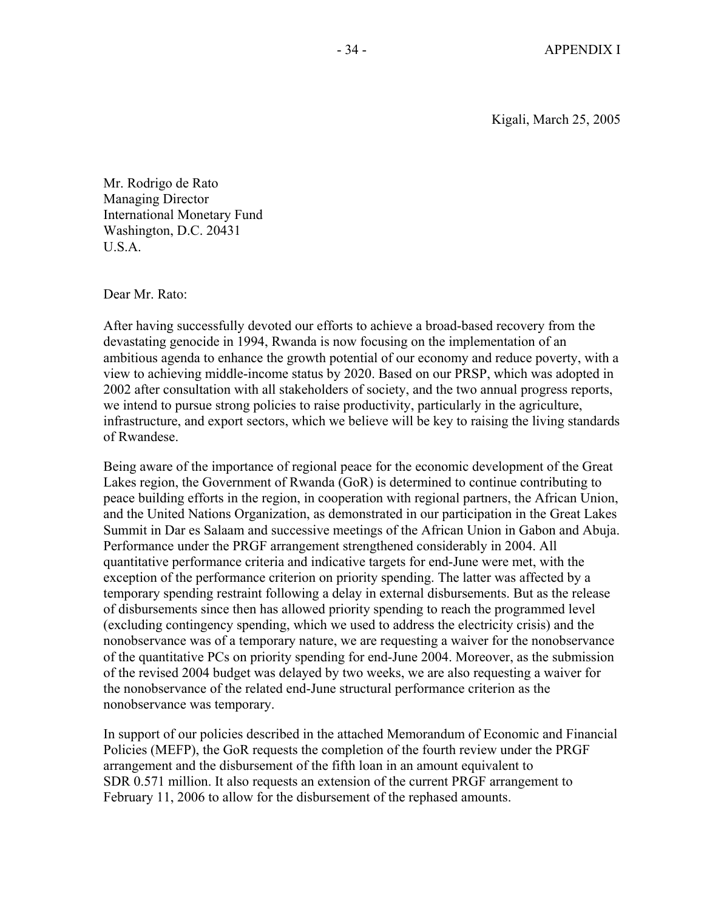Kigali, March 25, 2005

Mr. Rodrigo de Rato Managing Director International Monetary Fund Washington, D.C. 20431 U.S.A.

Dear Mr. Rato:

After having successfully devoted our efforts to achieve a broad-based recovery from the devastating genocide in 1994, Rwanda is now focusing on the implementation of an ambitious agenda to enhance the growth potential of our economy and reduce poverty, with a view to achieving middle-income status by 2020. Based on our PRSP, which was adopted in 2002 after consultation with all stakeholders of society, and the two annual progress reports, we intend to pursue strong policies to raise productivity, particularly in the agriculture, infrastructure, and export sectors, which we believe will be key to raising the living standards of Rwandese.

Being aware of the importance of regional peace for the economic development of the Great Lakes region, the Government of Rwanda (GoR) is determined to continue contributing to peace building efforts in the region, in cooperation with regional partners, the African Union, and the United Nations Organization, as demonstrated in our participation in the Great Lakes Summit in Dar es Salaam and successive meetings of the African Union in Gabon and Abuja. Performance under the PRGF arrangement strengthened considerably in 2004. All quantitative performance criteria and indicative targets for end-June were met, with the exception of the performance criterion on priority spending. The latter was affected by a temporary spending restraint following a delay in external disbursements. But as the release of disbursements since then has allowed priority spending to reach the programmed level (excluding contingency spending, which we used to address the electricity crisis) and the nonobservance was of a temporary nature, we are requesting a waiver for the nonobservance of the quantitative PCs on priority spending for end-June 2004. Moreover, as the submission of the revised 2004 budget was delayed by two weeks, we are also requesting a waiver for the nonobservance of the related end-June structural performance criterion as the nonobservance was temporary.

In support of our policies described in the attached Memorandum of Economic and Financial Policies (MEFP), the GoR requests the completion of the fourth review under the PRGF arrangement and the disbursement of the fifth loan in an amount equivalent to SDR 0.571 million. It also requests an extension of the current PRGF arrangement to February 11, 2006 to allow for the disbursement of the rephased amounts.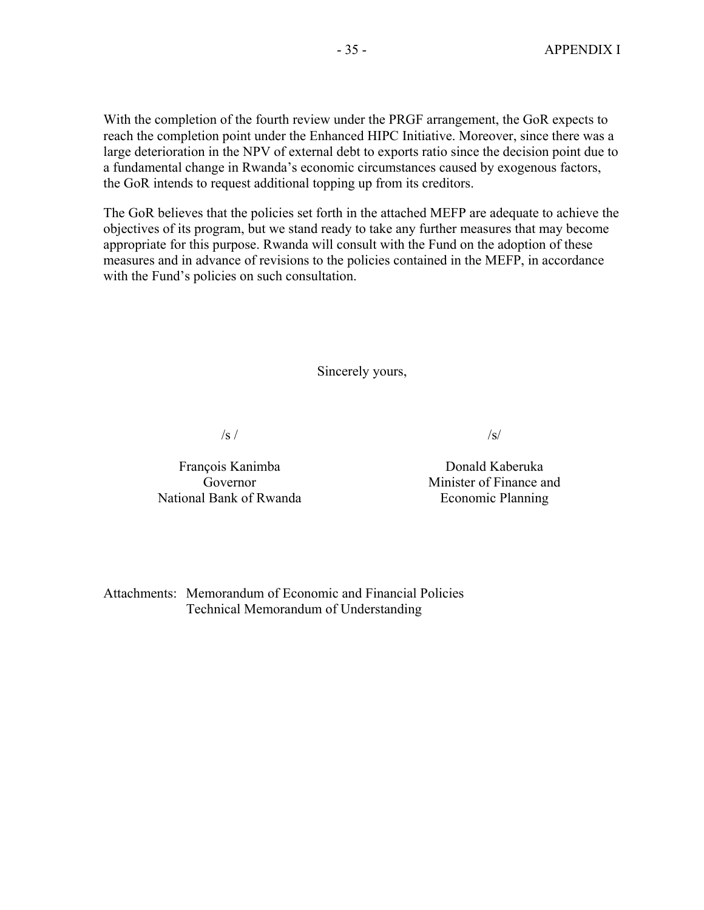With the completion of the fourth review under the PRGF arrangement, the GoR expects to reach the completion point under the Enhanced HIPC Initiative. Moreover, since there was a large deterioration in the NPV of external debt to exports ratio since the decision point due to a fundamental change in Rwanda's economic circumstances caused by exogenous factors, the GoR intends to request additional topping up from its creditors.

The GoR believes that the policies set forth in the attached MEFP are adequate to achieve the objectives of its program, but we stand ready to take any further measures that may become appropriate for this purpose. Rwanda will consult with the Fund on the adoption of these measures and in advance of revisions to the policies contained in the MEFP, in accordance with the Fund's policies on such consultation.

Sincerely yours,

 $/s /$ 

François Kanimba Governor National Bank of Rwanda

Donald Kaberuka Minister of Finance and Economic Planning

 $\sqrt{s}$ 

Attachments: Memorandum of Economic and Financial Policies Technical Memorandum of Understanding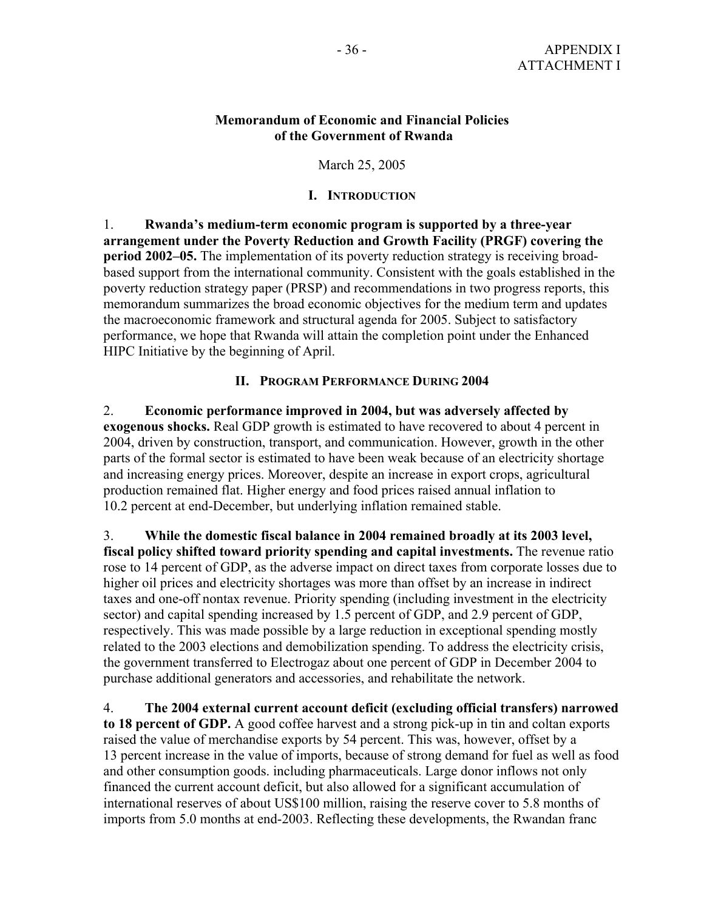#### **Memorandum of Economic and Financial Policies of the Government of Rwanda**

March 25, 2005

#### **I. INTRODUCTION**

1. **Rwanda's medium-term economic program is supported by a three-year arrangement under the Poverty Reduction and Growth Facility (PRGF) covering the period 2002–05.** The implementation of its poverty reduction strategy is receiving broadbased support from the international community. Consistent with the goals established in the poverty reduction strategy paper (PRSP) and recommendations in two progress reports, this memorandum summarizes the broad economic objectives for the medium term and updates the macroeconomic framework and structural agenda for 2005. Subject to satisfactory performance, we hope that Rwanda will attain the completion point under the Enhanced HIPC Initiative by the beginning of April.

#### **II. PROGRAM PERFORMANCE DURING 2004**

2. **Economic performance improved in 2004, but was adversely affected by exogenous shocks.** Real GDP growth is estimated to have recovered to about 4 percent in 2004, driven by construction, transport, and communication. However, growth in the other parts of the formal sector is estimated to have been weak because of an electricity shortage and increasing energy prices. Moreover, despite an increase in export crops, agricultural production remained flat. Higher energy and food prices raised annual inflation to 10.2 percent at end-December, but underlying inflation remained stable.

3. **While the domestic fiscal balance in 2004 remained broadly at its 2003 level, fiscal policy shifted toward priority spending and capital investments.** The revenue ratio rose to 14 percent of GDP, as the adverse impact on direct taxes from corporate losses due to higher oil prices and electricity shortages was more than offset by an increase in indirect taxes and one-off nontax revenue. Priority spending (including investment in the electricity sector) and capital spending increased by 1.5 percent of GDP, and 2.9 percent of GDP, respectively. This was made possible by a large reduction in exceptional spending mostly related to the 2003 elections and demobilization spending. To address the electricity crisis, the government transferred to Electrogaz about one percent of GDP in December 2004 to purchase additional generators and accessories, and rehabilitate the network.

4. **The 2004 external current account deficit (excluding official transfers) narrowed to 18 percent of GDP.** A good coffee harvest and a strong pick-up in tin and coltan exports raised the value of merchandise exports by 54 percent. This was, however, offset by a 13 percent increase in the value of imports, because of strong demand for fuel as well as food and other consumption goods. including pharmaceuticals. Large donor inflows not only financed the current account deficit, but also allowed for a significant accumulation of international reserves of about US\$100 million, raising the reserve cover to 5.8 months of imports from 5.0 months at end-2003. Reflecting these developments, the Rwandan franc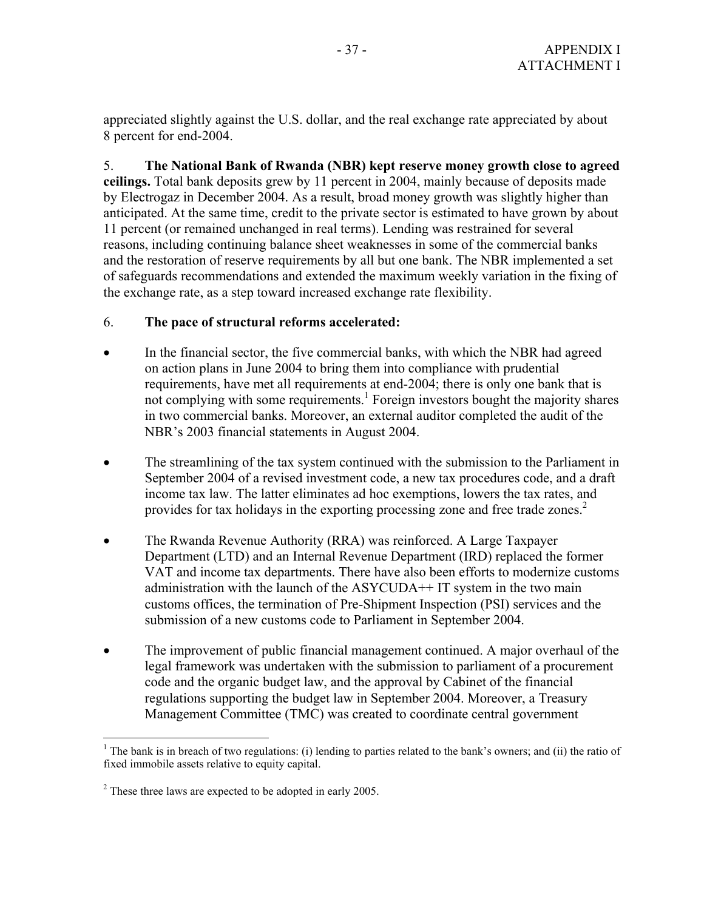appreciated slightly against the U.S. dollar, and the real exchange rate appreciated by about 8 percent for end-2004.

5. **The National Bank of Rwanda (NBR) kept reserve money growth close to agreed ceilings.** Total bank deposits grew by 11 percent in 2004, mainly because of deposits made by Electrogaz in December 2004. As a result, broad money growth was slightly higher than anticipated. At the same time, credit to the private sector is estimated to have grown by about 11 percent (or remained unchanged in real terms). Lending was restrained for several reasons, including continuing balance sheet weaknesses in some of the commercial banks and the restoration of reserve requirements by all but one bank. The NBR implemented a set of safeguards recommendations and extended the maximum weekly variation in the fixing of the exchange rate, as a step toward increased exchange rate flexibility.

### 6. **The pace of structural reforms accelerated:**

- In the financial sector, the five commercial banks, with which the NBR had agreed on action plans in June 2004 to bring them into compliance with prudential requirements, have met all requirements at end-2004; there is only one bank that is not complying with some requirements.<sup>1</sup> Foreign investors bought the majority shares in two commercial banks. Moreover, an external auditor completed the audit of the NBR's 2003 financial statements in August 2004.
- The streamlining of the tax system continued with the submission to the Parliament in September 2004 of a revised investment code, a new tax procedures code, and a draft income tax law. The latter eliminates ad hoc exemptions, lowers the tax rates, and provides for tax holidays in the exporting processing zone and free trade zones.<sup>2</sup>
- The Rwanda Revenue Authority (RRA) was reinforced. A Large Taxpayer Department (LTD) and an Internal Revenue Department (IRD) replaced the former VAT and income tax departments. There have also been efforts to modernize customs administration with the launch of the ASYCUDA++ IT system in the two main customs offices, the termination of Pre-Shipment Inspection (PSI) services and the submission of a new customs code to Parliament in September 2004.
- The improvement of public financial management continued. A major overhaul of the legal framework was undertaken with the submission to parliament of a procurement code and the organic budget law, and the approval by Cabinet of the financial regulations supporting the budget law in September 2004. Moreover, a Treasury Management Committee (TMC) was created to coordinate central government

<u>.</u>

<sup>&</sup>lt;sup>1</sup> The bank is in breach of two regulations: (i) lending to parties related to the bank's owners; and (ii) the ratio of fixed immobile assets relative to equity capital.

 $2^2$  These three laws are expected to be adopted in early 2005.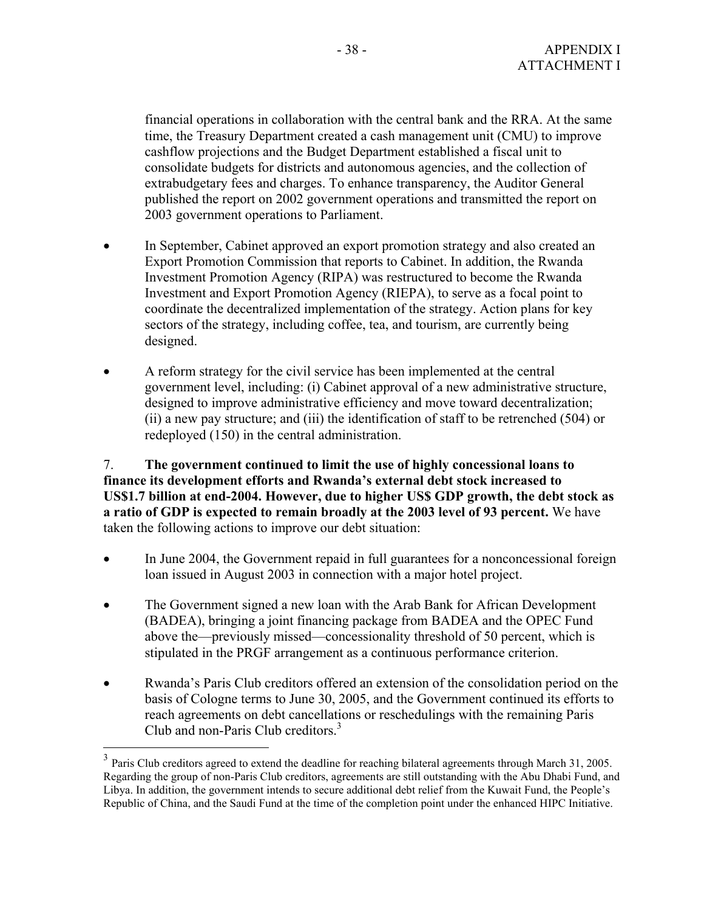financial operations in collaboration with the central bank and the RRA. At the same time, the Treasury Department created a cash management unit (CMU) to improve cashflow projections and the Budget Department established a fiscal unit to consolidate budgets for districts and autonomous agencies, and the collection of extrabudgetary fees and charges. To enhance transparency, the Auditor General published the report on 2002 government operations and transmitted the report on 2003 government operations to Parliament.

- In September, Cabinet approved an export promotion strategy and also created an Export Promotion Commission that reports to Cabinet. In addition, the Rwanda Investment Promotion Agency (RIPA) was restructured to become the Rwanda Investment and Export Promotion Agency (RIEPA), to serve as a focal point to coordinate the decentralized implementation of the strategy. Action plans for key sectors of the strategy, including coffee, tea, and tourism, are currently being designed.
- A reform strategy for the civil service has been implemented at the central government level, including: (i) Cabinet approval of a new administrative structure, designed to improve administrative efficiency and move toward decentralization; (ii) a new pay structure; and (iii) the identification of staff to be retrenched (504) or redeployed (150) in the central administration.

7. **The government continued to limit the use of highly concessional loans to finance its development efforts and Rwanda's external debt stock increased to US\$1.7 billion at end-2004. However, due to higher US\$ GDP growth, the debt stock as a ratio of GDP is expected to remain broadly at the 2003 level of 93 percent.** We have taken the following actions to improve our debt situation:

- In June 2004, the Government repaid in full guarantees for a nonconcessional foreign loan issued in August 2003 in connection with a major hotel project.
- The Government signed a new loan with the Arab Bank for African Development (BADEA), bringing a joint financing package from BADEA and the OPEC Fund above the—previously missed—concessionality threshold of 50 percent, which is stipulated in the PRGF arrangement as a continuous performance criterion.
- Rwanda's Paris Club creditors offered an extension of the consolidation period on the basis of Cologne terms to June 30, 2005, and the Government continued its efforts to reach agreements on debt cancellations or reschedulings with the remaining Paris Club and non-Paris Club creditors.<sup>3</sup>

 $\overline{a}$ 

<sup>&</sup>lt;sup>3</sup> Paris Club creditors agreed to extend the deadline for reaching bilateral agreements through March 31, 2005. Regarding the group of non-Paris Club creditors, agreements are still outstanding with the Abu Dhabi Fund, and Libya. In addition, the government intends to secure additional debt relief from the Kuwait Fund, the People's Republic of China, and the Saudi Fund at the time of the completion point under the enhanced HIPC Initiative.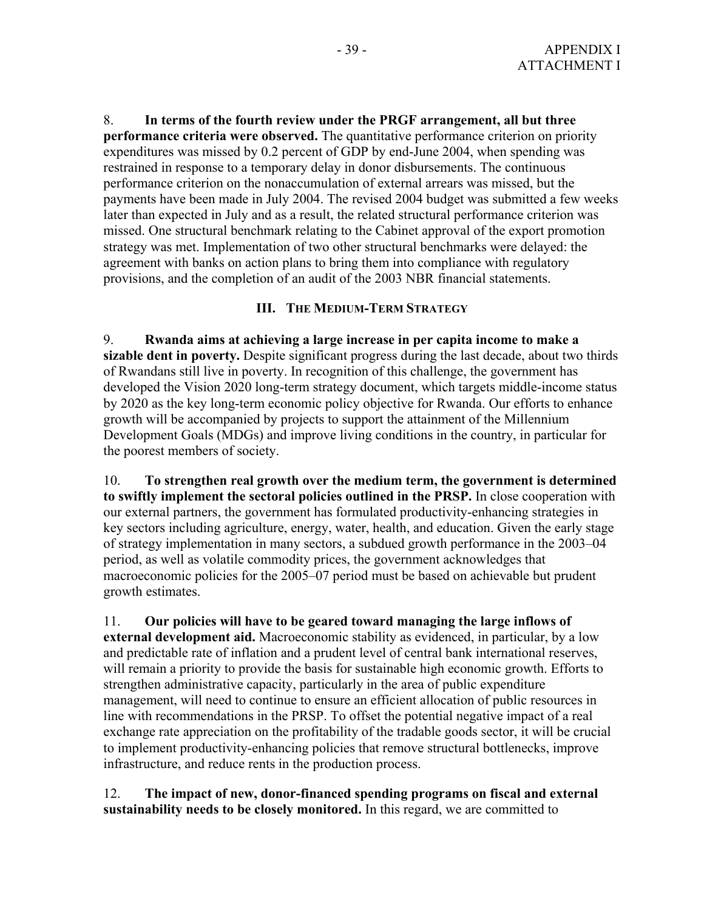8. **In terms of the fourth review under the PRGF arrangement, all but three performance criteria were observed.** The quantitative performance criterion on priority expenditures was missed by 0.2 percent of GDP by end-June 2004, when spending was restrained in response to a temporary delay in donor disbursements. The continuous performance criterion on the nonaccumulation of external arrears was missed, but the payments have been made in July 2004. The revised 2004 budget was submitted a few weeks later than expected in July and as a result, the related structural performance criterion was missed. One structural benchmark relating to the Cabinet approval of the export promotion strategy was met. Implementation of two other structural benchmarks were delayed: the agreement with banks on action plans to bring them into compliance with regulatory provisions, and the completion of an audit of the 2003 NBR financial statements.

#### **III. THE MEDIUM-TERM STRATEGY**

9. **Rwanda aims at achieving a large increase in per capita income to make a sizable dent in poverty.** Despite significant progress during the last decade, about two thirds of Rwandans still live in poverty. In recognition of this challenge, the government has developed the Vision 2020 long-term strategy document, which targets middle-income status by 2020 as the key long-term economic policy objective for Rwanda. Our efforts to enhance growth will be accompanied by projects to support the attainment of the Millennium Development Goals (MDGs) and improve living conditions in the country, in particular for the poorest members of society.

10. **To strengthen real growth over the medium term, the government is determined to swiftly implement the sectoral policies outlined in the PRSP.** In close cooperation with our external partners, the government has formulated productivity-enhancing strategies in key sectors including agriculture, energy, water, health, and education. Given the early stage of strategy implementation in many sectors, a subdued growth performance in the 2003–04 period, as well as volatile commodity prices, the government acknowledges that macroeconomic policies for the 2005–07 period must be based on achievable but prudent growth estimates.

11. **Our policies will have to be geared toward managing the large inflows of external development aid.** Macroeconomic stability as evidenced, in particular, by a low and predictable rate of inflation and a prudent level of central bank international reserves, will remain a priority to provide the basis for sustainable high economic growth. Efforts to strengthen administrative capacity, particularly in the area of public expenditure management, will need to continue to ensure an efficient allocation of public resources in line with recommendations in the PRSP. To offset the potential negative impact of a real exchange rate appreciation on the profitability of the tradable goods sector, it will be crucial to implement productivity-enhancing policies that remove structural bottlenecks, improve infrastructure, and reduce rents in the production process.

#### 12. **The impact of new, donor-financed spending programs on fiscal and external sustainability needs to be closely monitored.** In this regard, we are committed to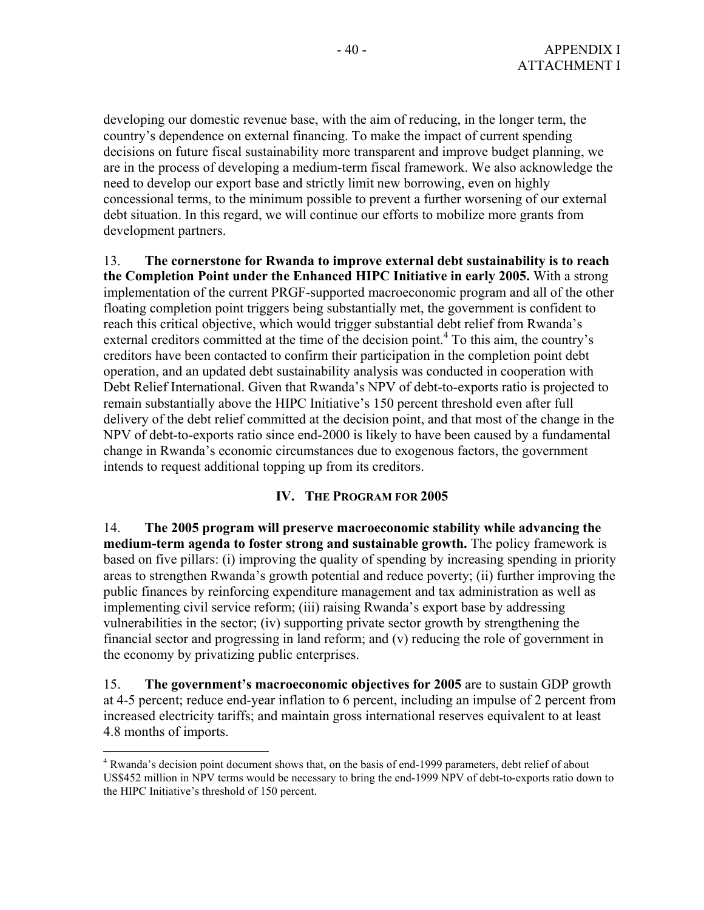developing our domestic revenue base, with the aim of reducing, in the longer term, the country's dependence on external financing. To make the impact of current spending decisions on future fiscal sustainability more transparent and improve budget planning, we are in the process of developing a medium-term fiscal framework. We also acknowledge the need to develop our export base and strictly limit new borrowing, even on highly concessional terms, to the minimum possible to prevent a further worsening of our external debt situation. In this regard, we will continue our efforts to mobilize more grants from development partners.

13. **The cornerstone for Rwanda to improve external debt sustainability is to reach the Completion Point under the Enhanced HIPC Initiative in early 2005.** With a strong implementation of the current PRGF-supported macroeconomic program and all of the other floating completion point triggers being substantially met, the government is confident to reach this critical objective, which would trigger substantial debt relief from Rwanda's external creditors committed at the time of the decision point.<sup>4</sup> To this aim, the country's creditors have been contacted to confirm their participation in the completion point debt operation, and an updated debt sustainability analysis was conducted in cooperation with Debt Relief International. Given that Rwanda's NPV of debt-to-exports ratio is projected to remain substantially above the HIPC Initiative's 150 percent threshold even after full delivery of the debt relief committed at the decision point, and that most of the change in the NPV of debt-to-exports ratio since end-2000 is likely to have been caused by a fundamental change in Rwanda's economic circumstances due to exogenous factors, the government intends to request additional topping up from its creditors.

### **IV. THE PROGRAM FOR 2005**

14. **The 2005 program will preserve macroeconomic stability while advancing the medium-term agenda to foster strong and sustainable growth.** The policy framework is based on five pillars: (i) improving the quality of spending by increasing spending in priority areas to strengthen Rwanda's growth potential and reduce poverty; (ii) further improving the public finances by reinforcing expenditure management and tax administration as well as implementing civil service reform; (iii) raising Rwanda's export base by addressing vulnerabilities in the sector; (iv) supporting private sector growth by strengthening the financial sector and progressing in land reform; and (v) reducing the role of government in the economy by privatizing public enterprises.

15. **The government's macroeconomic objectives for 2005** are to sustain GDP growth at 4-5 percent; reduce end-year inflation to 6 percent, including an impulse of 2 percent from increased electricity tariffs; and maintain gross international reserves equivalent to at least 4.8 months of imports.

 $\overline{a}$ 

<sup>&</sup>lt;sup>4</sup> Rwanda's decision point document shows that, on the basis of end-1999 parameters, debt relief of about US\$452 million in NPV terms would be necessary to bring the end-1999 NPV of debt-to-exports ratio down to the HIPC Initiative's threshold of 150 percent.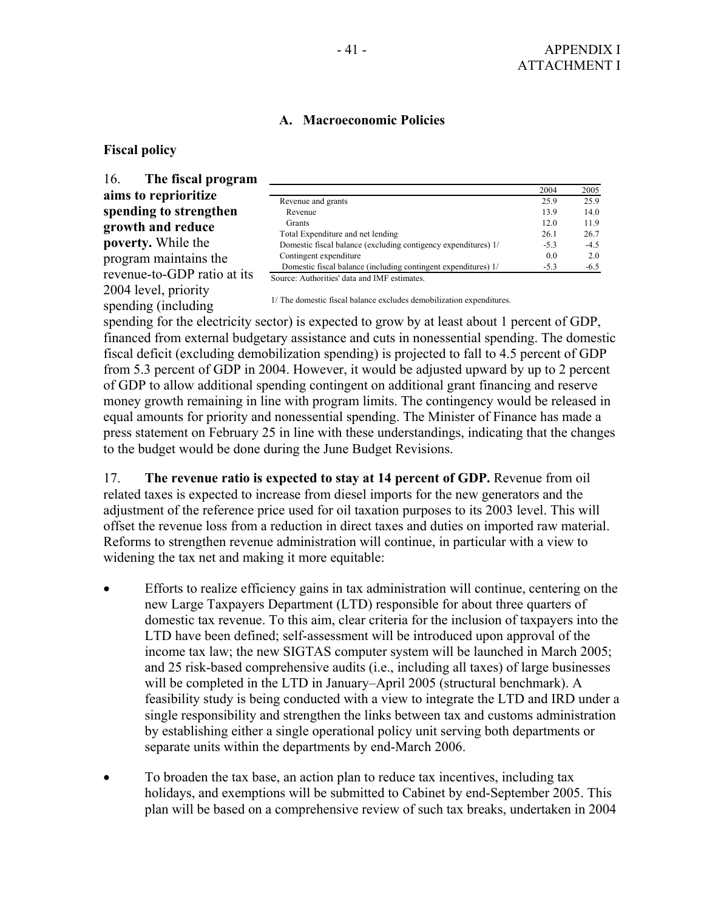#### **A. Macroeconomic Policies**

#### **Fiscal policy**

16. **The fiscal program aims to reprioritize spending to strengthen growth and reduce poverty.** While the program maintains the revenue-to-GDP ratio at its 2004 level, priority spending (including

|                                                                | 2004   | 2005   |
|----------------------------------------------------------------|--------|--------|
| Revenue and grants                                             | 25.9   | 25.9   |
| Revenue                                                        | 13.9   | 14.0   |
| <b>Grants</b>                                                  | 12.0   | 11.9   |
| Total Expenditure and net lending                              | 26.1   | 26.7   |
| Domestic fiscal balance (excluding contigency expenditures) 1/ | $-5.3$ | $-4.5$ |
| Contingent expenditure                                         | 0.0    | 2.0    |
| Domestic fiscal balance (including contingent expenditures) 1/ | $-5.3$ | $-6.5$ |
| Source: Authorities' data and IMF estimates.                   |        |        |

1/ The domestic fiscal balance excludes demobilization expenditures.

spending for the electricity sector) is expected to grow by at least about 1 percent of GDP, financed from external budgetary assistance and cuts in nonessential spending. The domestic fiscal deficit (excluding demobilization spending) is projected to fall to 4.5 percent of GDP from 5.3 percent of GDP in 2004. However, it would be adjusted upward by up to 2 percent of GDP to allow additional spending contingent on additional grant financing and reserve money growth remaining in line with program limits. The contingency would be released in equal amounts for priority and nonessential spending. The Minister of Finance has made a press statement on February 25 in line with these understandings, indicating that the changes to the budget would be done during the June Budget Revisions.

17. **The revenue ratio is expected to stay at 14 percent of GDP.** Revenue from oil related taxes is expected to increase from diesel imports for the new generators and the adjustment of the reference price used for oil taxation purposes to its 2003 level. This will offset the revenue loss from a reduction in direct taxes and duties on imported raw material. Reforms to strengthen revenue administration will continue, in particular with a view to widening the tax net and making it more equitable:

- Efforts to realize efficiency gains in tax administration will continue, centering on the new Large Taxpayers Department (LTD) responsible for about three quarters of domestic tax revenue. To this aim, clear criteria for the inclusion of taxpayers into the LTD have been defined; self-assessment will be introduced upon approval of the income tax law; the new SIGTAS computer system will be launched in March 2005; and 25 risk-based comprehensive audits (i.e., including all taxes) of large businesses will be completed in the LTD in January–April 2005 (structural benchmark). A feasibility study is being conducted with a view to integrate the LTD and IRD under a single responsibility and strengthen the links between tax and customs administration by establishing either a single operational policy unit serving both departments or separate units within the departments by end-March 2006.
- To broaden the tax base, an action plan to reduce tax incentives, including tax holidays, and exemptions will be submitted to Cabinet by end-September 2005. This plan will be based on a comprehensive review of such tax breaks, undertaken in 2004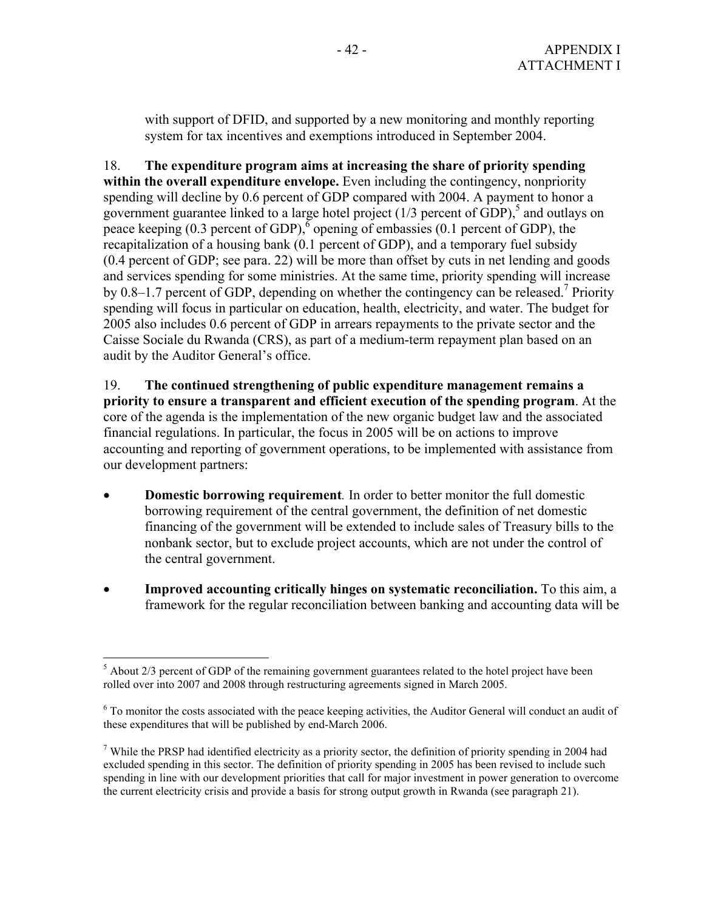with support of DFID, and supported by a new monitoring and monthly reporting system for tax incentives and exemptions introduced in September 2004.

18. **The expenditure program aims at increasing the share of priority spending**  within the overall expenditure envelope. Even including the contingency, nonpriority spending will decline by 0.6 percent of GDP compared with 2004. A payment to honor a government guarantee linked to a large hotel project  $(1/3$  percent of GDP),<sup>5</sup> and outlays on peace keeping  $(0.3$  percent of GDP),  $\delta$  opening of embassies  $(0.1$  percent of GDP), the recapitalization of a housing bank (0.1 percent of GDP), and a temporary fuel subsidy (0.4 percent of GDP; see para. 22) will be more than offset by cuts in net lending and goods and services spending for some ministries. At the same time, priority spending will increase by 0.8–1.7 percent of GDP, depending on whether the contingency can be released.<sup>7</sup> Priority spending will focus in particular on education, health, electricity, and water. The budget for 2005 also includes 0.6 percent of GDP in arrears repayments to the private sector and the Caisse Sociale du Rwanda (CRS), as part of a medium-term repayment plan based on an audit by the Auditor General's office.

19. **The continued strengthening of public expenditure management remains a priority to ensure a transparent and efficient execution of the spending program**. At the core of the agenda is the implementation of the new organic budget law and the associated financial regulations. In particular, the focus in 2005 will be on actions to improve accounting and reporting of government operations, to be implemented with assistance from our development partners:

- **Domestic borrowing requirement***.* In order to better monitor the full domestic borrowing requirement of the central government, the definition of net domestic financing of the government will be extended to include sales of Treasury bills to the nonbank sector, but to exclude project accounts, which are not under the control of the central government.
- **Improved accounting critically hinges on systematic reconciliation.** To this aim, a framework for the regular reconciliation between banking and accounting data will be

<sup>1</sup>  $<sup>5</sup>$  About 2/3 percent of GDP of the remaining government guarantees related to the hotel project have been</sup> rolled over into 2007 and 2008 through restructuring agreements signed in March 2005.

 $6$  To monitor the costs associated with the peace keeping activities, the Auditor General will conduct an audit of these expenditures that will be published by end-March 2006.

<sup>&</sup>lt;sup>7</sup> While the PRSP had identified electricity as a priority sector, the definition of priority spending in 2004 had excluded spending in this sector. The definition of priority spending in 2005 has been revised to include such spending in line with our development priorities that call for major investment in power generation to overcome the current electricity crisis and provide a basis for strong output growth in Rwanda (see paragraph 21).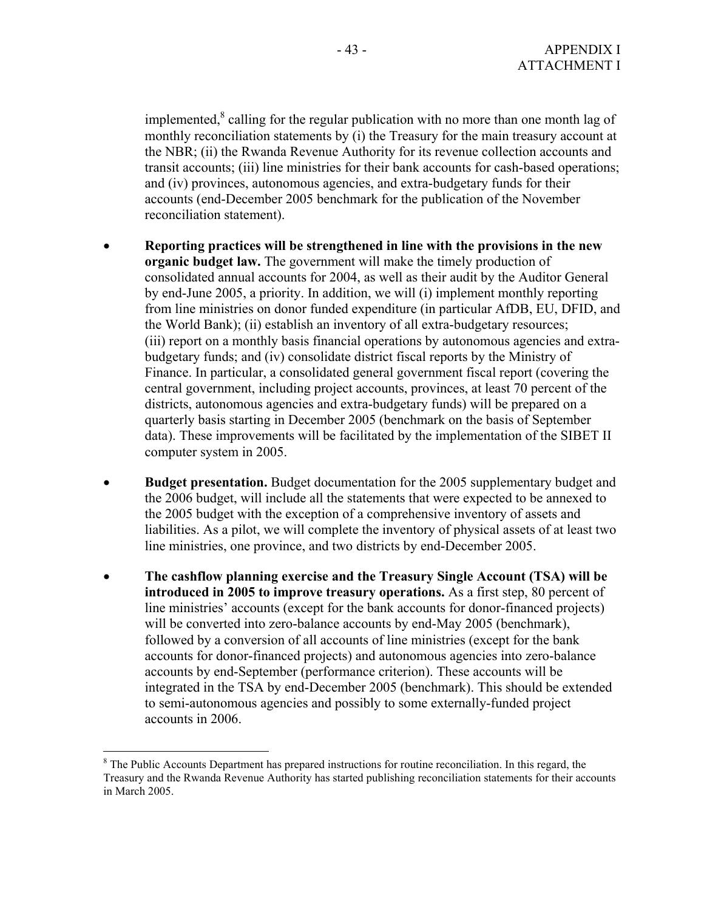implemented, $^8$  calling for the regular publication with no more than one month lag of monthly reconciliation statements by (i) the Treasury for the main treasury account at the NBR; (ii) the Rwanda Revenue Authority for its revenue collection accounts and transit accounts; (iii) line ministries for their bank accounts for cash-based operations; and (iv) provinces, autonomous agencies, and extra-budgetary funds for their accounts (end-December 2005 benchmark for the publication of the November reconciliation statement).

- **Reporting practices will be strengthened in line with the provisions in the new organic budget law.** The government will make the timely production of consolidated annual accounts for 2004, as well as their audit by the Auditor General by end-June 2005, a priority. In addition, we will (i) implement monthly reporting from line ministries on donor funded expenditure (in particular AfDB, EU, DFID, and the World Bank); (ii) establish an inventory of all extra-budgetary resources; (iii) report on a monthly basis financial operations by autonomous agencies and extrabudgetary funds; and (iv) consolidate district fiscal reports by the Ministry of Finance. In particular, a consolidated general government fiscal report (covering the central government, including project accounts, provinces, at least 70 percent of the districts, autonomous agencies and extra-budgetary funds) will be prepared on a quarterly basis starting in December 2005 (benchmark on the basis of September data). These improvements will be facilitated by the implementation of the SIBET II computer system in 2005.
- **Budget presentation.** Budget documentation for the 2005 supplementary budget and the 2006 budget, will include all the statements that were expected to be annexed to the 2005 budget with the exception of a comprehensive inventory of assets and liabilities. As a pilot, we will complete the inventory of physical assets of at least two line ministries, one province, and two districts by end-December 2005.
- **The cashflow planning exercise and the Treasury Single Account (TSA) will be introduced in 2005 to improve treasury operations.** As a first step, 80 percent of line ministries' accounts (except for the bank accounts for donor-financed projects) will be converted into zero-balance accounts by end-May 2005 (benchmark), followed by a conversion of all accounts of line ministries (except for the bank accounts for donor-financed projects) and autonomous agencies into zero-balance accounts by end-September (performance criterion). These accounts will be integrated in the TSA by end-December 2005 (benchmark). This should be extended to semi-autonomous agencies and possibly to some externally-funded project accounts in 2006.

<u>.</u>

<sup>&</sup>lt;sup>8</sup> The Public Accounts Department has prepared instructions for routine reconciliation. In this regard, the Treasury and the Rwanda Revenue Authority has started publishing reconciliation statements for their accounts in March 2005.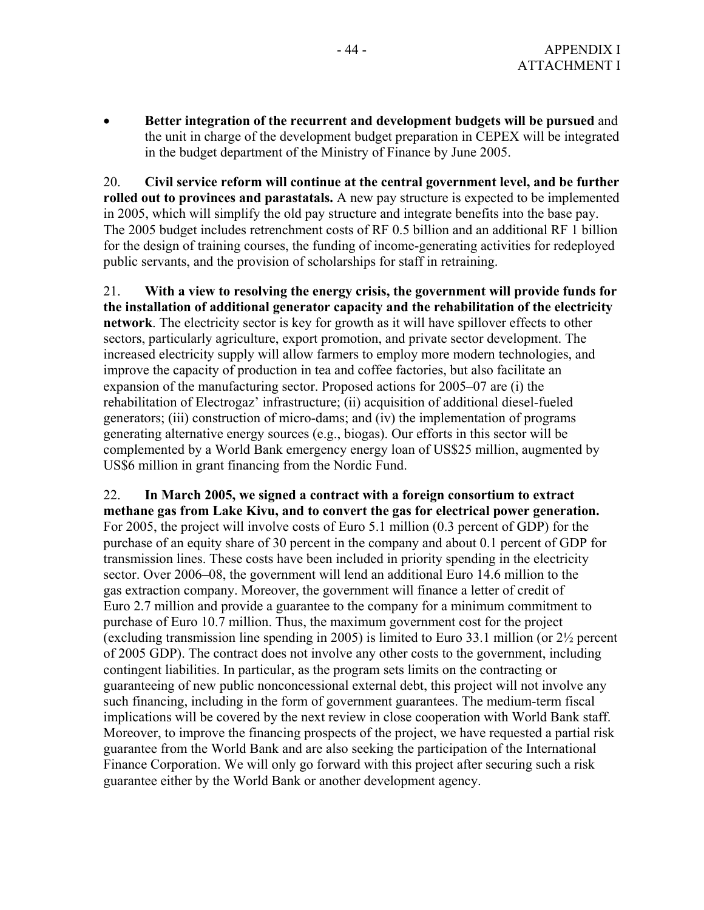• **Better integration of the recurrent and development budgets will be pursued** and the unit in charge of the development budget preparation in CEPEX will be integrated in the budget department of the Ministry of Finance by June 2005.

20. **Civil service reform will continue at the central government level, and be further rolled out to provinces and parastatals.** A new pay structure is expected to be implemented in 2005, which will simplify the old pay structure and integrate benefits into the base pay. The 2005 budget includes retrenchment costs of RF 0.5 billion and an additional RF 1 billion for the design of training courses, the funding of income-generating activities for redeployed public servants, and the provision of scholarships for staff in retraining.

21. **With a view to resolving the energy crisis, the government will provide funds for the installation of additional generator capacity and the rehabilitation of the electricity network**. The electricity sector is key for growth as it will have spillover effects to other sectors, particularly agriculture, export promotion, and private sector development. The increased electricity supply will allow farmers to employ more modern technologies, and improve the capacity of production in tea and coffee factories, but also facilitate an expansion of the manufacturing sector. Proposed actions for 2005–07 are (i) the rehabilitation of Electrogaz' infrastructure; (ii) acquisition of additional diesel-fueled generators; (iii) construction of micro-dams; and (iv) the implementation of programs generating alternative energy sources (e.g., biogas). Our efforts in this sector will be complemented by a World Bank emergency energy loan of US\$25 million, augmented by US\$6 million in grant financing from the Nordic Fund.

22. **In March 2005, we signed a contract with a foreign consortium to extract methane gas from Lake Kivu, and to convert the gas for electrical power generation.** For 2005, the project will involve costs of Euro 5.1 million (0.3 percent of GDP) for the purchase of an equity share of 30 percent in the company and about 0.1 percent of GDP for transmission lines. These costs have been included in priority spending in the electricity sector. Over 2006–08, the government will lend an additional Euro 14.6 million to the gas extraction company. Moreover, the government will finance a letter of credit of Euro 2.7 million and provide a guarantee to the company for a minimum commitment to purchase of Euro 10.7 million. Thus, the maximum government cost for the project (excluding transmission line spending in 2005) is limited to Euro 33.1 million (or 2½ percent of 2005 GDP). The contract does not involve any other costs to the government, including contingent liabilities. In particular, as the program sets limits on the contracting or guaranteeing of new public nonconcessional external debt, this project will not involve any such financing, including in the form of government guarantees. The medium-term fiscal implications will be covered by the next review in close cooperation with World Bank staff. Moreover, to improve the financing prospects of the project, we have requested a partial risk guarantee from the World Bank and are also seeking the participation of the International Finance Corporation. We will only go forward with this project after securing such a risk guarantee either by the World Bank or another development agency.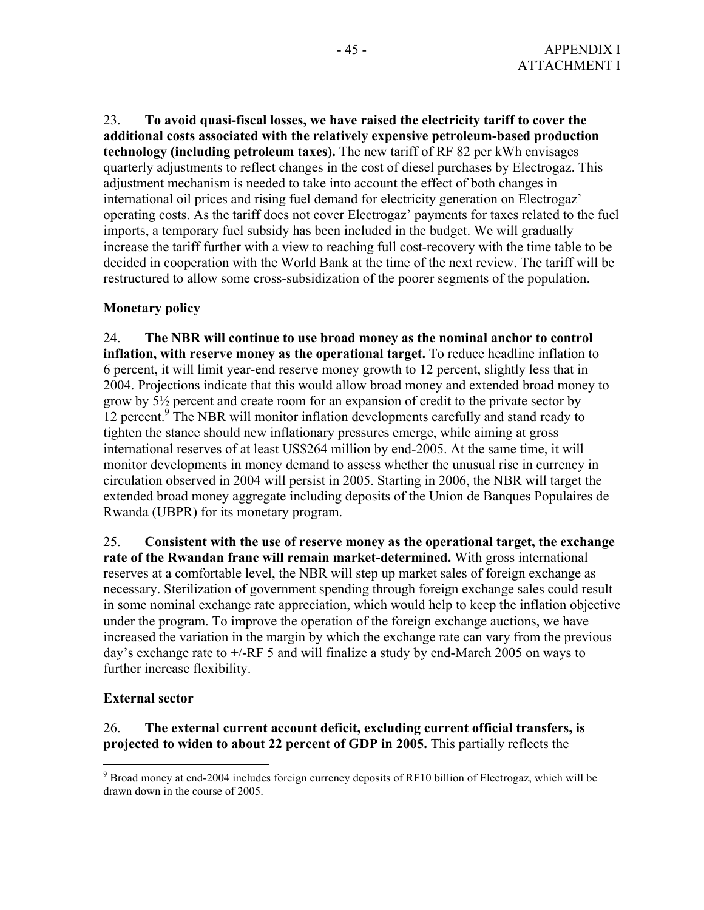23. **To avoid quasi-fiscal losses, we have raised the electricity tariff to cover the additional costs associated with the relatively expensive petroleum-based production technology (including petroleum taxes).** The new tariff of RF 82 per kWh envisages quarterly adjustments to reflect changes in the cost of diesel purchases by Electrogaz. This adjustment mechanism is needed to take into account the effect of both changes in international oil prices and rising fuel demand for electricity generation on Electrogaz' operating costs. As the tariff does not cover Electrogaz' payments for taxes related to the fuel imports, a temporary fuel subsidy has been included in the budget. We will gradually increase the tariff further with a view to reaching full cost-recovery with the time table to be decided in cooperation with the World Bank at the time of the next review. The tariff will be restructured to allow some cross-subsidization of the poorer segments of the population.

### **Monetary policy**

24. **The NBR will continue to use broad money as the nominal anchor to control inflation, with reserve money as the operational target.** To reduce headline inflation to 6 percent, it will limit year-end reserve money growth to 12 percent, slightly less that in 2004. Projections indicate that this would allow broad money and extended broad money to grow by 5½ percent and create room for an expansion of credit to the private sector by 12 percent.<sup>9</sup> The NBR will monitor inflation developments carefully and stand ready to tighten the stance should new inflationary pressures emerge, while aiming at gross international reserves of at least US\$264 million by end-2005. At the same time, it will monitor developments in money demand to assess whether the unusual rise in currency in circulation observed in 2004 will persist in 2005. Starting in 2006, the NBR will target the extended broad money aggregate including deposits of the Union de Banques Populaires de Rwanda (UBPR) for its monetary program.

25. **Consistent with the use of reserve money as the operational target, the exchange rate of the Rwandan franc will remain market-determined.** With gross international reserves at a comfortable level, the NBR will step up market sales of foreign exchange as necessary. Sterilization of government spending through foreign exchange sales could result in some nominal exchange rate appreciation, which would help to keep the inflation objective under the program. To improve the operation of the foreign exchange auctions, we have increased the variation in the margin by which the exchange rate can vary from the previous day's exchange rate to +/-RF 5 and will finalize a study by end-March 2005 on ways to further increase flexibility.

### **External sector**

### 26. **The external current account deficit, excluding current official transfers, is projected to widen to about 22 percent of GDP in 2005.** This partially reflects the

<sup>&</sup>lt;sup>9</sup> Broad money at end-2004 includes foreign currency deposits of RF10 billion of Electrogaz, which will be drawn down in the course of 2005.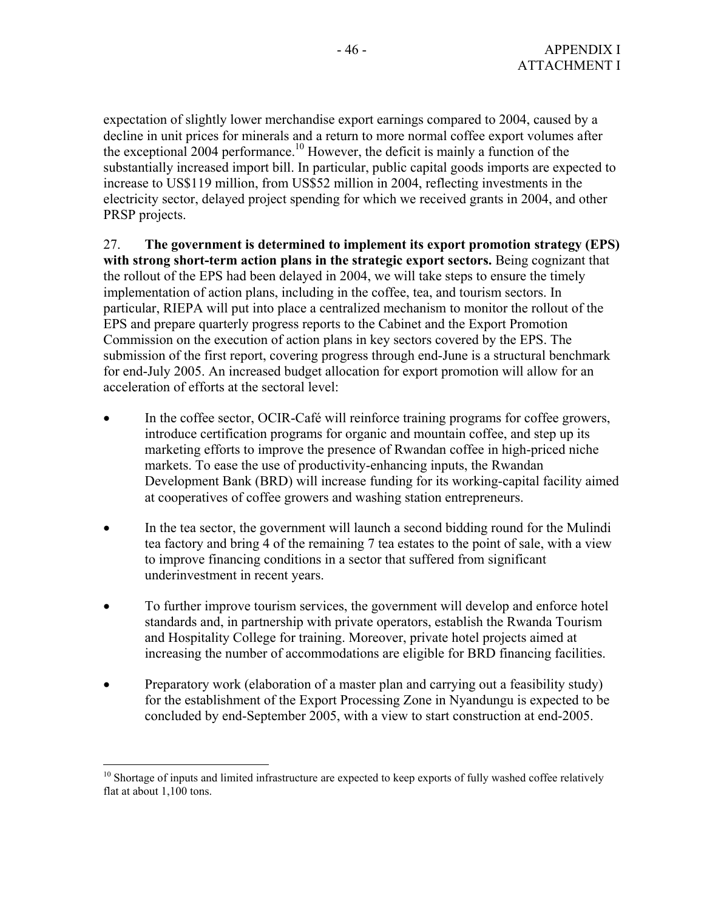expectation of slightly lower merchandise export earnings compared to 2004, caused by a decline in unit prices for minerals and a return to more normal coffee export volumes after the exceptional 2004 performance.<sup>10</sup> However, the deficit is mainly a function of the substantially increased import bill. In particular, public capital goods imports are expected to increase to US\$119 million, from US\$52 million in 2004, reflecting investments in the electricity sector, delayed project spending for which we received grants in 2004, and other PRSP projects.

### 27. **The government is determined to implement its export promotion strategy (EPS) with strong short-term action plans in the strategic export sectors.** Being cognizant that the rollout of the EPS had been delayed in 2004, we will take steps to ensure the timely implementation of action plans, including in the coffee, tea, and tourism sectors. In particular, RIEPA will put into place a centralized mechanism to monitor the rollout of the EPS and prepare quarterly progress reports to the Cabinet and the Export Promotion Commission on the execution of action plans in key sectors covered by the EPS. The submission of the first report, covering progress through end-June is a structural benchmark for end-July 2005. An increased budget allocation for export promotion will allow for an acceleration of efforts at the sectoral level:

- In the coffee sector, OCIR-Café will reinforce training programs for coffee growers, introduce certification programs for organic and mountain coffee, and step up its marketing efforts to improve the presence of Rwandan coffee in high-priced niche markets. To ease the use of productivity-enhancing inputs, the Rwandan Development Bank (BRD) will increase funding for its working-capital facility aimed at cooperatives of coffee growers and washing station entrepreneurs.
- In the tea sector, the government will launch a second bidding round for the Mulindi tea factory and bring 4 of the remaining 7 tea estates to the point of sale, with a view to improve financing conditions in a sector that suffered from significant underinvestment in recent years.
- To further improve tourism services, the government will develop and enforce hotel standards and, in partnership with private operators, establish the Rwanda Tourism and Hospitality College for training. Moreover, private hotel projects aimed at increasing the number of accommodations are eligible for BRD financing facilities.
- Preparatory work (elaboration of a master plan and carrying out a feasibility study) for the establishment of the Export Processing Zone in Nyandungu is expected to be concluded by end-September 2005, with a view to start construction at end-2005.

<sup>1</sup>  $10$  Shortage of inputs and limited infrastructure are expected to keep exports of fully washed coffee relatively flat at about 1,100 tons.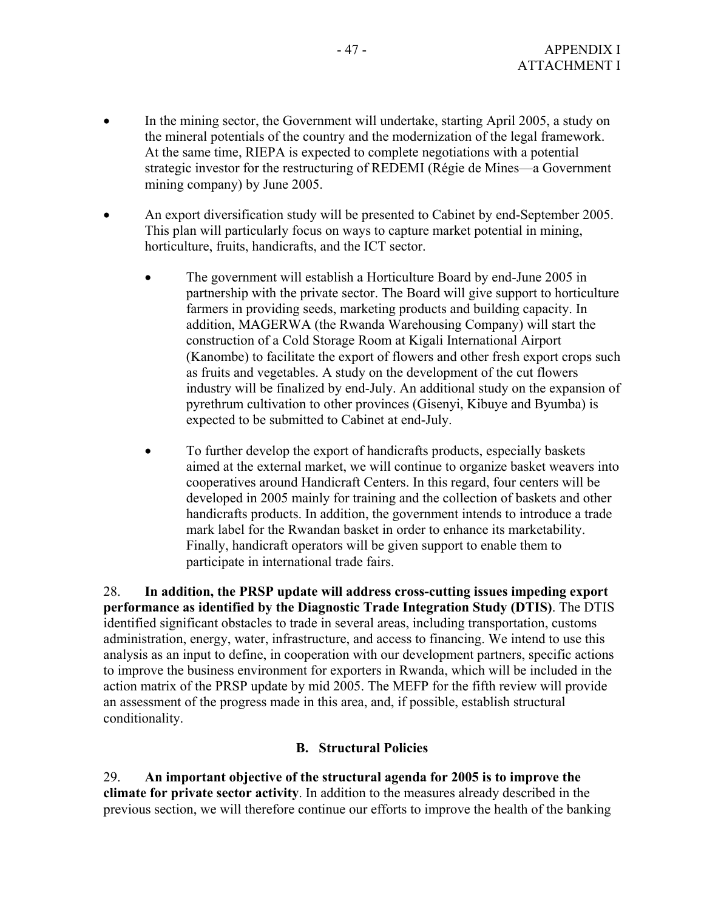- In the mining sector, the Government will undertake, starting April 2005, a study on the mineral potentials of the country and the modernization of the legal framework. At the same time, RIEPA is expected to complete negotiations with a potential strategic investor for the restructuring of REDEMI (Régie de Mines—a Government mining company) by June 2005.
- An export diversification study will be presented to Cabinet by end-September 2005. This plan will particularly focus on ways to capture market potential in mining, horticulture, fruits, handicrafts, and the ICT sector.
	- The government will establish a Horticulture Board by end-June 2005 in partnership with the private sector. The Board will give support to horticulture farmers in providing seeds, marketing products and building capacity. In addition, MAGERWA (the Rwanda Warehousing Company) will start the construction of a Cold Storage Room at Kigali International Airport (Kanombe) to facilitate the export of flowers and other fresh export crops such as fruits and vegetables. A study on the development of the cut flowers industry will be finalized by end-July. An additional study on the expansion of pyrethrum cultivation to other provinces (Gisenyi, Kibuye and Byumba) is expected to be submitted to Cabinet at end-July.
	- To further develop the export of handicrafts products, especially baskets aimed at the external market, we will continue to organize basket weavers into cooperatives around Handicraft Centers. In this regard, four centers will be developed in 2005 mainly for training and the collection of baskets and other handicrafts products. In addition, the government intends to introduce a trade mark label for the Rwandan basket in order to enhance its marketability. Finally, handicraft operators will be given support to enable them to participate in international trade fairs.

28. **In addition, the PRSP update will address cross-cutting issues impeding export performance as identified by the Diagnostic Trade Integration Study (DTIS)**. The DTIS identified significant obstacles to trade in several areas, including transportation, customs administration, energy, water, infrastructure, and access to financing. We intend to use this analysis as an input to define, in cooperation with our development partners, specific actions to improve the business environment for exporters in Rwanda, which will be included in the action matrix of the PRSP update by mid 2005. The MEFP for the fifth review will provide an assessment of the progress made in this area, and, if possible, establish structural conditionality.

### **B. Structural Policies**

29. **An important objective of the structural agenda for 2005 is to improve the climate for private sector activity**. In addition to the measures already described in the previous section, we will therefore continue our efforts to improve the health of the banking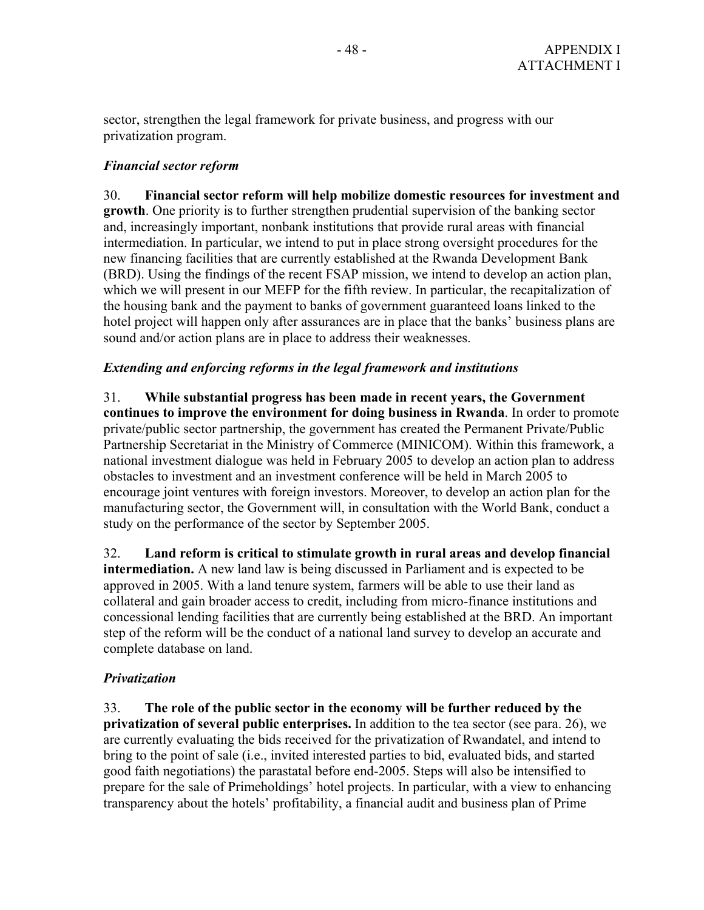sector, strengthen the legal framework for private business, and progress with our privatization program.

### *Financial sector reform*

30. **Financial sector reform will help mobilize domestic resources for investment and growth**. One priority is to further strengthen prudential supervision of the banking sector and, increasingly important, nonbank institutions that provide rural areas with financial intermediation. In particular, we intend to put in place strong oversight procedures for the new financing facilities that are currently established at the Rwanda Development Bank (BRD). Using the findings of the recent FSAP mission, we intend to develop an action plan, which we will present in our MEFP for the fifth review. In particular, the recapitalization of the housing bank and the payment to banks of government guaranteed loans linked to the hotel project will happen only after assurances are in place that the banks' business plans are sound and/or action plans are in place to address their weaknesses.

### *Extending and enforcing reforms in the legal framework and institutions*

31. **While substantial progress has been made in recent years, the Government continues to improve the environment for doing business in Rwanda**. In order to promote private/public sector partnership, the government has created the Permanent Private/Public Partnership Secretariat in the Ministry of Commerce (MINICOM). Within this framework, a national investment dialogue was held in February 2005 to develop an action plan to address obstacles to investment and an investment conference will be held in March 2005 to encourage joint ventures with foreign investors. Moreover, to develop an action plan for the manufacturing sector, the Government will, in consultation with the World Bank, conduct a study on the performance of the sector by September 2005.

32. **Land reform is critical to stimulate growth in rural areas and develop financial intermediation.** A new land law is being discussed in Parliament and is expected to be approved in 2005. With a land tenure system, farmers will be able to use their land as collateral and gain broader access to credit, including from micro-finance institutions and concessional lending facilities that are currently being established at the BRD. An important step of the reform will be the conduct of a national land survey to develop an accurate and complete database on land.

### *Privatization*

33. **The role of the public sector in the economy will be further reduced by the privatization of several public enterprises.** In addition to the tea sector (see para. 26), we are currently evaluating the bids received for the privatization of Rwandatel, and intend to bring to the point of sale (i.e., invited interested parties to bid, evaluated bids, and started good faith negotiations) the parastatal before end-2005. Steps will also be intensified to prepare for the sale of Primeholdings' hotel projects. In particular, with a view to enhancing transparency about the hotels' profitability, a financial audit and business plan of Prime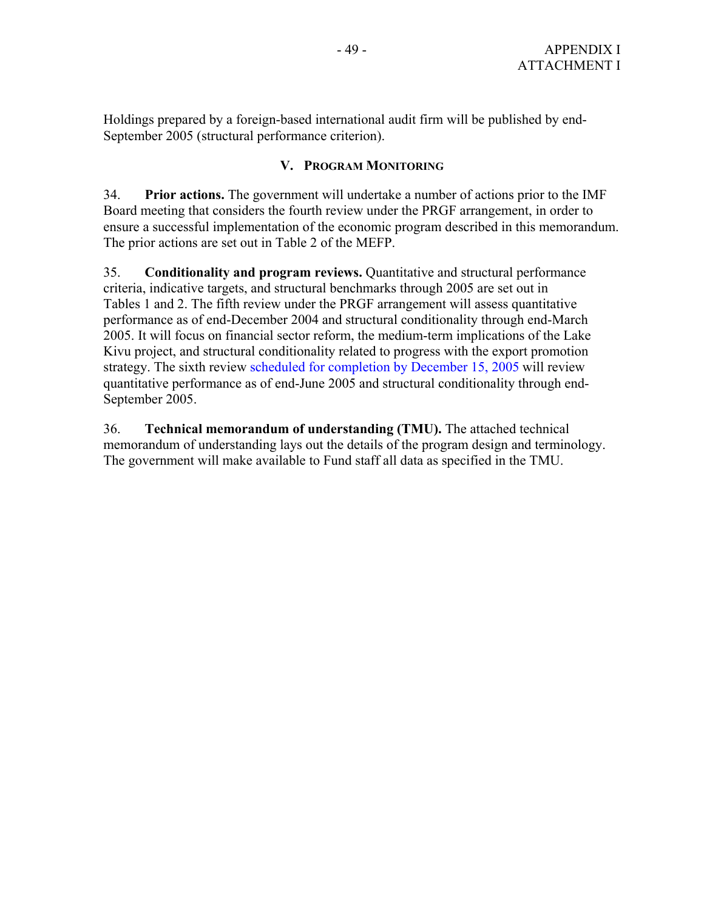Holdings prepared by a foreign-based international audit firm will be published by end-September 2005 (structural performance criterion).

### **V. PROGRAM MONITORING**

34. **Prior actions.** The government will undertake a number of actions prior to the IMF Board meeting that considers the fourth review under the PRGF arrangement, in order to ensure a successful implementation of the economic program described in this memorandum. The prior actions are set out in Table 2 of the MEFP.

35. **Conditionality and program reviews.** Quantitative and structural performance criteria, indicative targets, and structural benchmarks through 2005 are set out in Tables 1 and 2. The fifth review under the PRGF arrangement will assess quantitative performance as of end-December 2004 and structural conditionality through end-March 2005. It will focus on financial sector reform, the medium-term implications of the Lake Kivu project, and structural conditionality related to progress with the export promotion strategy. The sixth review scheduled for completion by December 15, 2005 will review quantitative performance as of end-June 2005 and structural conditionality through end-September 2005.

36. **Technical memorandum of understanding (TMU).** The attached technical memorandum of understanding lays out the details of the program design and terminology. The government will make available to Fund staff all data as specified in the TMU.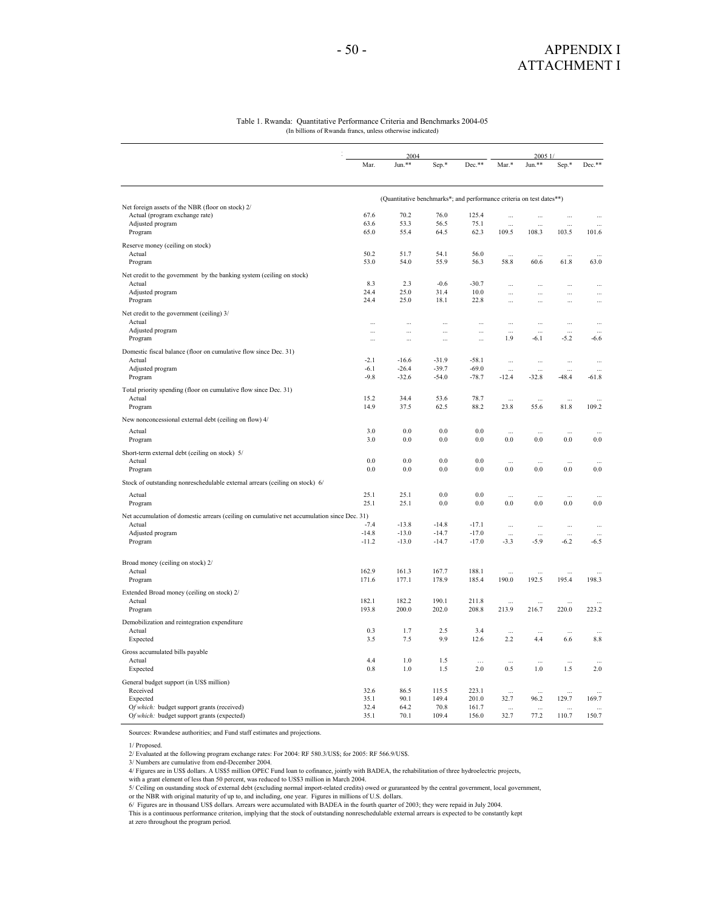#### Table 1. Rwanda: Quantitative Performance Criteria and Benchmarks 2004-05 (In billions of Rwanda francs, unless otherwise indicated)

|                                                                                             |              | 2004                                                                 |               | 2005 1           |                    |                  |                    |                    |
|---------------------------------------------------------------------------------------------|--------------|----------------------------------------------------------------------|---------------|------------------|--------------------|------------------|--------------------|--------------------|
|                                                                                             | Mar.         | Jun.**                                                               | Sep.*         | Dec.**           | Mar.*              | Jun.**           | Sep.*              | Dec.**             |
|                                                                                             |              | (Quantitative benchmarks*; and performance criteria on test dates**) |               |                  |                    |                  |                    |                    |
| Net foreign assets of the NBR (floor on stock) 2/                                           | 67.6         | 70.2                                                                 | 76.0          |                  |                    |                  |                    |                    |
| Actual (program exchange rate)<br>Adjusted program                                          | 63.6         | 53.3                                                                 | 56.5          | 125.4<br>75.1    |                    | $\cdots$         | $\cdots$           | $\cdots$           |
| Program                                                                                     | 65.0         | 55.4                                                                 | 64.5          | 62.3             | $\ddotsc$<br>109.5 | $\sim$<br>108.3  | $\ddotsc$<br>103.5 | 101.6              |
|                                                                                             |              |                                                                      |               |                  |                    |                  |                    |                    |
| Reserve money (ceiling on stock)                                                            |              |                                                                      |               |                  |                    |                  |                    |                    |
| Actual                                                                                      | 50.2         | 51.7                                                                 | 54.1          | 56.0             |                    | $\ddotsc$        | $\cdots$           |                    |
| Program                                                                                     | 53.0         | 54.0                                                                 | 55.9          | 56.3             | 58.8               | 60.6             | 61.8               | 63.0               |
| Net credit to the government by the banking system (ceiling on stock)                       |              |                                                                      |               |                  |                    |                  |                    |                    |
| Actual                                                                                      | 8.3          | 2.3                                                                  | $-0.6$        | $-30.7$          | ă,                 |                  | ă.                 | $\ddotsc$          |
| Adjusted program                                                                            | 24.4         | 25.0                                                                 | 31.4          | 10.0             |                    | $\ddotsc$        | $\cdots$           | $\cdots$           |
| Program                                                                                     | 24.4         | 25.0                                                                 | 18.1          | 22.8             |                    |                  | $\cdots$           |                    |
| Net credit to the government (ceiling) 3/                                                   |              |                                                                      |               |                  |                    |                  |                    |                    |
| Actual                                                                                      |              | Ω,                                                                   | $\ddotsc$     |                  |                    |                  | $\ldots$           | Ц,                 |
| Adjusted program                                                                            | $\cdots$     | $\cdots$                                                             | $\ddotsc$     | $\cdots$         |                    |                  |                    |                    |
| Program                                                                                     | $\cdots$     | $\cdots$                                                             | $\cdots$      |                  | 1.9                | $-6.1$           | $-5.2$             | $-6.6$             |
| Domestic fiscal balance (floor on cumulative flow since Dec. 31)                            |              |                                                                      |               |                  |                    |                  |                    |                    |
| Actual                                                                                      | $-2.1$       | $-16.6$                                                              | $-31.9$       | $-58.1$          |                    | $\ddotsc$        | $\cdots$           |                    |
| Adjusted program                                                                            | $-6.1$       | $-26.4$                                                              | $-39.7$       | $-69.0$          |                    |                  |                    |                    |
| Program                                                                                     | $-9.8$       | $-32.6$                                                              | $-54.0$       | $-78.7$          | $-12.4$            | $-32.8$          | -48.4              | $-61.8$            |
| Total priority spending (floor on cumulative flow since Dec. 31)                            |              |                                                                      |               |                  |                    |                  |                    |                    |
| Actual                                                                                      | 15.2         | 34.4                                                                 | 53.6          | 78.7             | $\ddotsc$          | $\ddotsc$        | $\cdots$           |                    |
| Program                                                                                     | 14.9         | 37.5                                                                 | 62.5          | 88.2             | 23.8               | 55.6             | 81.8               | 109.2              |
|                                                                                             |              |                                                                      |               |                  |                    |                  |                    |                    |
| New nonconcessional external debt (ceiling on flow) 4/                                      |              |                                                                      |               |                  |                    |                  |                    |                    |
| Actual                                                                                      | 3.0          | 0.0                                                                  | 0.0           | 0.0              |                    |                  |                    |                    |
| Program                                                                                     | 3.0          | 0.0                                                                  | $0.0\,$       | 0.0              | 0.0                | $0.0\,$          | $0.0\,$            | $0.0\,$            |
| Short-term external debt (ceiling on stock) 5/                                              |              |                                                                      |               |                  |                    |                  |                    |                    |
| Actual                                                                                      | 0.0          | 0.0                                                                  | 0.0           | 0.0              | $\ddotsc$          |                  |                    |                    |
| Program                                                                                     | 0.0          | 0.0                                                                  | 0.0           | 0.0              | 0.0                | 0.0              | 0.0                | 0.0                |
| Stock of outstanding nonreschedulable external arrears (ceiling on stock) 6/                |              |                                                                      |               |                  |                    |                  |                    |                    |
|                                                                                             | 25.1         | 25.1                                                                 | 0.0           | 0.0              |                    |                  |                    |                    |
| Actual                                                                                      | 25.1         | 25.1                                                                 | 0.0           | 0.0              | 0.0                | 0.0              | 0.0                | 0.0                |
| Program                                                                                     |              |                                                                      |               |                  |                    |                  |                    |                    |
| Net accumulation of domestic arrears (ceiling on cumulative net accumulation since Dec. 31) |              |                                                                      |               |                  |                    |                  |                    |                    |
| Actual                                                                                      | $-7.4$       | $-13.8$                                                              | $-14.8$       | $-17.1$          | ă.                 | $\ddotsc$        | $\cdots$           | $\ddotsc$          |
| Adjusted program                                                                            | $-14.8$      | $-13.0$                                                              | $-14.7$       | $-17.0$          |                    |                  |                    |                    |
| Program                                                                                     | $-11.2$      | $-13.0$                                                              | $-14.7$       | $-17.0$          | $-3.3$             | $-5.9$           | $-6.2$             | $-6.5$             |
|                                                                                             |              |                                                                      |               |                  |                    |                  |                    |                    |
| Broad money (ceiling on stock) 2/                                                           |              |                                                                      |               |                  |                    |                  |                    |                    |
| Actual                                                                                      | 162.9        | 161.3                                                                | 167.7         | 188.1            |                    |                  |                    |                    |
| Program                                                                                     | 171.6        | 177.1                                                                | 178.9         | 185.4            | 190.0              | 192.5            | 195.4              | 198.3              |
| Extended Broad money (ceiling on stock) 2/                                                  |              |                                                                      |               |                  |                    |                  |                    |                    |
| Actual                                                                                      | 182.1        | 182.2                                                                | 190.1         | 211.8            |                    |                  |                    |                    |
| Program                                                                                     | 193.8        | 200.0                                                                | 202.0         | 208.8            | 213.9              | 216.7            | 220.0              | 223.2              |
| Demobilization and reintegration expenditure                                                |              |                                                                      |               |                  |                    |                  |                    |                    |
| Actual                                                                                      | 0.3          | 1.7                                                                  | 2.5           | 3.4              | $\ddotsc$          |                  |                    |                    |
| Expected                                                                                    | 3.5          | 7.5                                                                  | 9.9           | 12.6             | 2.2                | 4.4              | 6.6                | 8.8                |
| Gross accumulated bills payable                                                             |              |                                                                      |               |                  |                    |                  |                    |                    |
| Actual                                                                                      | 4.4          | 1.0                                                                  | 1.5           |                  |                    |                  |                    |                    |
| Expected                                                                                    | 0.8          | 1.0                                                                  | 1.5           | $\ddotsc$<br>2.0 | $\cdots$<br>0.5    | $\ddotsc$<br>1.0 | $\cdots$<br>1.5    | 2.0                |
|                                                                                             |              |                                                                      |               |                  |                    |                  |                    |                    |
| General budget support (in US\$ million)                                                    |              |                                                                      |               |                  |                    |                  |                    |                    |
| Received                                                                                    | 32.6         | 86.5                                                                 | 115.5         | 223.1            | $\ddotsc$          | $\sim$           | $\sim$             |                    |
| Expected                                                                                    | 35.1<br>32.4 | 90.1                                                                 | 149.4<br>70.8 | 201.0<br>161.7   | 32.7               | 96.2             | 129.7              | 169.7              |
| Of which: budget support grants (received)                                                  | 35.1         | 64.2<br>70.1                                                         | 109.4         | 156.0            | $\ddotsc$<br>32.7  | $\cdots$<br>77.2 | $\cdots$<br>110.7  | $\ddotsc$<br>150.7 |
| Of which: budget support grants (expected)                                                  |              |                                                                      |               |                  |                    |                  |                    |                    |

Sources: Rwandese authorities; and Fund staff estimates and projections.

1/ Proposed.

2/ Evaluated at the following program exchange rates: For 2004: RF 580.3/US\$; for 2005: RF 566.9/US\$.

- 3/ Numbers are cumulative from end-December 2004. 4/ Figures are in US\$ dollars. A US\$5 million OPEC Fund loan to cofinance, jointly with BADEA, the rehabilitation of three hydroelectric projects,
- with a grant element of less than 50 percent, was reduced to US\$3 million in March 2004.

5/ Ceiling on oustanding stock of external debt (excluding normal import-related credits) owed or guraranteed by the central government, local government,<br>or the NBR with original maturity of up to, and including, one year

This is a continuous performance criterion, implying that the stock of outstanding nonreschedulable external arrears is expected to be constantly kept

at zero throughout the program period.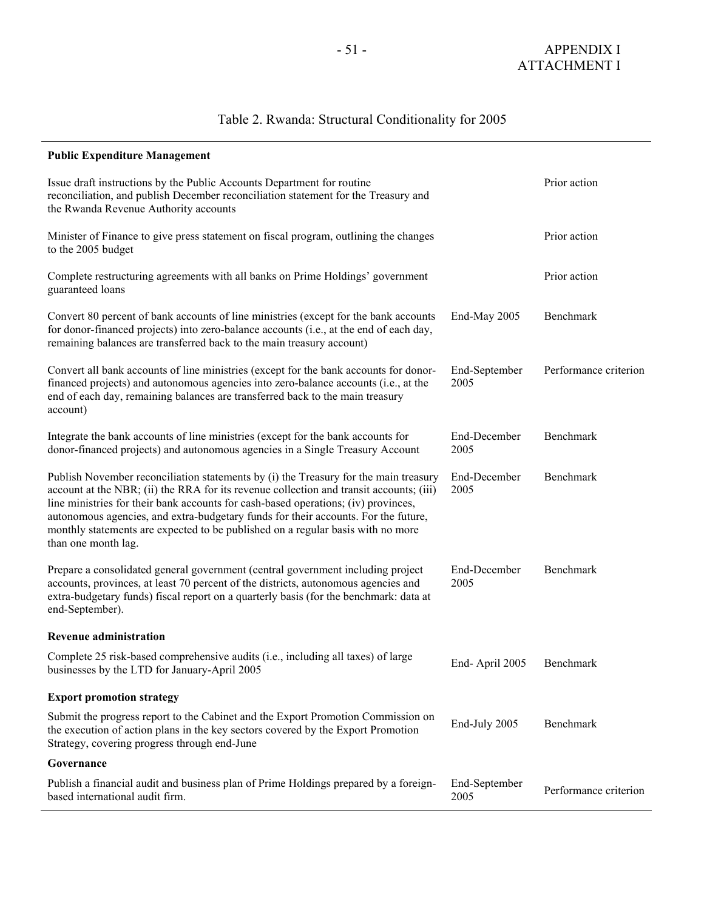# Table 2. Rwanda: Structural Conditionality for 2005

|  |  | <b>Public Expenditure Management</b> |
|--|--|--------------------------------------|
|--|--|--------------------------------------|

| Issue draft instructions by the Public Accounts Department for routine<br>reconciliation, and publish December reconciliation statement for the Treasury and<br>the Rwanda Revenue Authority accounts                                                                                                                                                                                                                                                                 |                       | Prior action          |
|-----------------------------------------------------------------------------------------------------------------------------------------------------------------------------------------------------------------------------------------------------------------------------------------------------------------------------------------------------------------------------------------------------------------------------------------------------------------------|-----------------------|-----------------------|
| Minister of Finance to give press statement on fiscal program, outlining the changes<br>to the 2005 budget                                                                                                                                                                                                                                                                                                                                                            |                       | Prior action          |
| Complete restructuring agreements with all banks on Prime Holdings' government<br>guaranteed loans                                                                                                                                                                                                                                                                                                                                                                    |                       | Prior action          |
| Convert 80 percent of bank accounts of line ministries (except for the bank accounts<br>for donor-financed projects) into zero-balance accounts (i.e., at the end of each day,<br>remaining balances are transferred back to the main treasury account)                                                                                                                                                                                                               | End-May 2005          | Benchmark             |
| Convert all bank accounts of line ministries (except for the bank accounts for donor-<br>financed projects) and autonomous agencies into zero-balance accounts (i.e., at the<br>end of each day, remaining balances are transferred back to the main treasury<br>account)                                                                                                                                                                                             | End-September<br>2005 | Performance criterion |
| Integrate the bank accounts of line ministries (except for the bank accounts for<br>donor-financed projects) and autonomous agencies in a Single Treasury Account                                                                                                                                                                                                                                                                                                     | End-December<br>2005  | Benchmark             |
| Publish November reconciliation statements by (i) the Treasury for the main treasury<br>account at the NBR; (ii) the RRA for its revenue collection and transit accounts; (iii)<br>line ministries for their bank accounts for cash-based operations; (iv) provinces,<br>autonomous agencies, and extra-budgetary funds for their accounts. For the future,<br>monthly statements are expected to be published on a regular basis with no more<br>than one month lag. | End-December<br>2005  | Benchmark             |
| Prepare a consolidated general government (central government including project<br>accounts, provinces, at least 70 percent of the districts, autonomous agencies and<br>extra-budgetary funds) fiscal report on a quarterly basis (for the benchmark: data at<br>end-September).                                                                                                                                                                                     | End-December<br>2005  | Benchmark             |
| <b>Revenue administration</b>                                                                                                                                                                                                                                                                                                                                                                                                                                         |                       |                       |
| Complete 25 risk-based comprehensive audits (i.e., including all taxes) of large<br>businesses by the LTD for January-April 2005                                                                                                                                                                                                                                                                                                                                      | End-April 2005        | Benchmark             |
| <b>Export promotion strategy</b>                                                                                                                                                                                                                                                                                                                                                                                                                                      |                       |                       |
| Submit the progress report to the Cabinet and the Export Promotion Commission on<br>the execution of action plans in the key sectors covered by the Export Promotion<br>Strategy, covering progress through end-June                                                                                                                                                                                                                                                  | End-July 2005         | Benchmark             |
| Governance                                                                                                                                                                                                                                                                                                                                                                                                                                                            |                       |                       |
| Publish a financial audit and business plan of Prime Holdings prepared by a foreign-<br>based international audit firm.                                                                                                                                                                                                                                                                                                                                               | End-September<br>2005 | Performance criterion |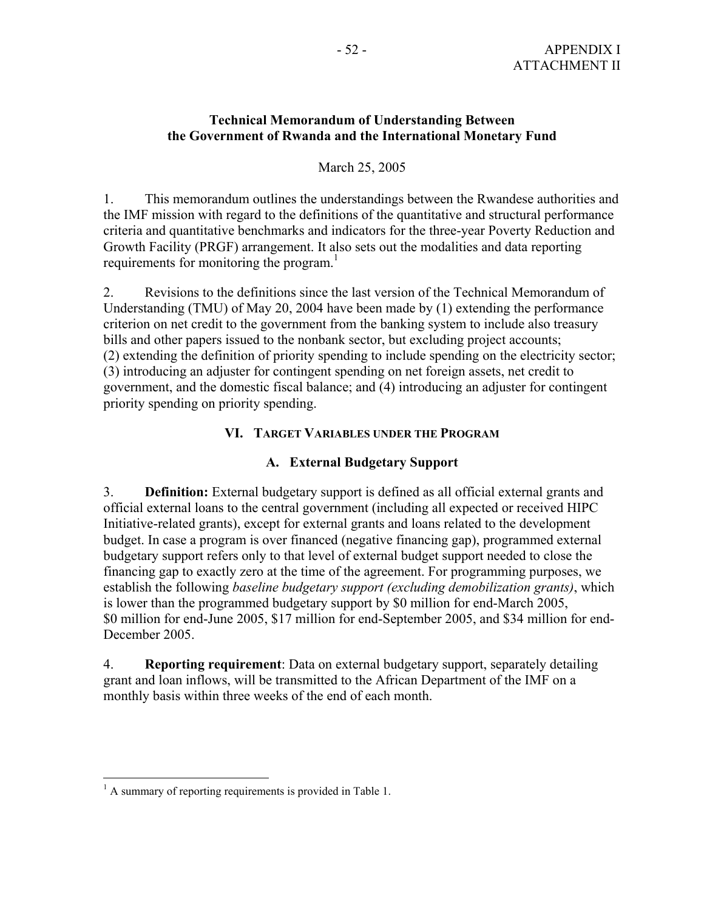### **Technical Memorandum of Understanding Between the Government of Rwanda and the International Monetary Fund**

### March 25, 2005

1. This memorandum outlines the understandings between the Rwandese authorities and the IMF mission with regard to the definitions of the quantitative and structural performance criteria and quantitative benchmarks and indicators for the three-year Poverty Reduction and Growth Facility (PRGF) arrangement. It also sets out the modalities and data reporting requirements for monitoring the program.<sup>1</sup>

2. Revisions to the definitions since the last version of the Technical Memorandum of Understanding (TMU) of May 20, 2004 have been made by (1) extending the performance criterion on net credit to the government from the banking system to include also treasury bills and other papers issued to the nonbank sector, but excluding project accounts; (2) extending the definition of priority spending to include spending on the electricity sector; (3) introducing an adjuster for contingent spending on net foreign assets, net credit to government, and the domestic fiscal balance; and (4) introducing an adjuster for contingent priority spending on priority spending.

### **VI. TARGET VARIABLES UNDER THE PROGRAM**

### **A. External Budgetary Support**

3. **Definition:** External budgetary support is defined as all official external grants and official external loans to the central government (including all expected or received HIPC Initiative-related grants), except for external grants and loans related to the development budget. In case a program is over financed (negative financing gap), programmed external budgetary support refers only to that level of external budget support needed to close the financing gap to exactly zero at the time of the agreement. For programming purposes, we establish the following *baseline budgetary support (excluding demobilization grants)*, which is lower than the programmed budgetary support by \$0 million for end-March 2005, \$0 million for end-June 2005, \$17 million for end-September 2005, and \$34 million for end-December 2005.

4. **Reporting requirement**: Data on external budgetary support, separately detailing grant and loan inflows, will be transmitted to the African Department of the IMF on a monthly basis within three weeks of the end of each month.

<sup>&</sup>lt;sup>1</sup> A summary of reporting requirements is provided in Table 1.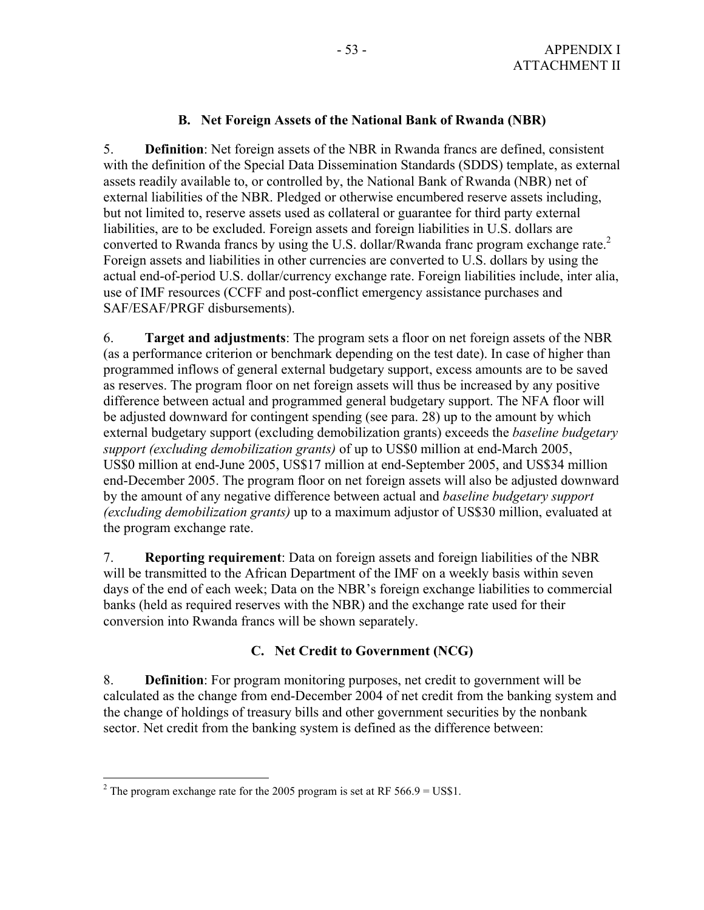### **B. Net Foreign Assets of the National Bank of Rwanda (NBR)**

5. **Definition**: Net foreign assets of the NBR in Rwanda francs are defined, consistent with the definition of the Special Data Dissemination Standards (SDDS) template, as external assets readily available to, or controlled by, the National Bank of Rwanda (NBR) net of external liabilities of the NBR. Pledged or otherwise encumbered reserve assets including, but not limited to, reserve assets used as collateral or guarantee for third party external liabilities, are to be excluded. Foreign assets and foreign liabilities in U.S. dollars are converted to Rwanda francs by using the U.S. dollar/Rwanda franc program exchange rate.<sup>2</sup> Foreign assets and liabilities in other currencies are converted to U.S. dollars by using the actual end-of-period U.S. dollar/currency exchange rate. Foreign liabilities include, inter alia, use of IMF resources (CCFF and post-conflict emergency assistance purchases and SAF/ESAF/PRGF disbursements).

6. **Target and adjustments**: The program sets a floor on net foreign assets of the NBR (as a performance criterion or benchmark depending on the test date). In case of higher than programmed inflows of general external budgetary support, excess amounts are to be saved as reserves. The program floor on net foreign assets will thus be increased by any positive difference between actual and programmed general budgetary support. The NFA floor will be adjusted downward for contingent spending (see para. 28) up to the amount by which external budgetary support (excluding demobilization grants) exceeds the *baseline budgetary support (excluding demobilization grants)* of up to US\$0 million at end-March 2005, US\$0 million at end-June 2005, US\$17 million at end-September 2005, and US\$34 million end-December 2005. The program floor on net foreign assets will also be adjusted downward by the amount of any negative difference between actual and *baseline budgetary support (excluding demobilization grants)* up to a maximum adjustor of US\$30 million, evaluated at the program exchange rate.

7. **Reporting requirement**: Data on foreign assets and foreign liabilities of the NBR will be transmitted to the African Department of the IMF on a weekly basis within seven days of the end of each week; Data on the NBR's foreign exchange liabilities to commercial banks (held as required reserves with the NBR) and the exchange rate used for their conversion into Rwanda francs will be shown separately.

### **C. Net Credit to Government (NCG)**

8. **Definition**: For program monitoring purposes, net credit to government will be calculated as the change from end-December 2004 of net credit from the banking system and the change of holdings of treasury bills and other government securities by the nonbank sector. Net credit from the banking system is defined as the difference between:

<sup>&</sup>lt;sup>2</sup> The program exchange rate for the 2005 program is set at RF 566.9 = US\$1.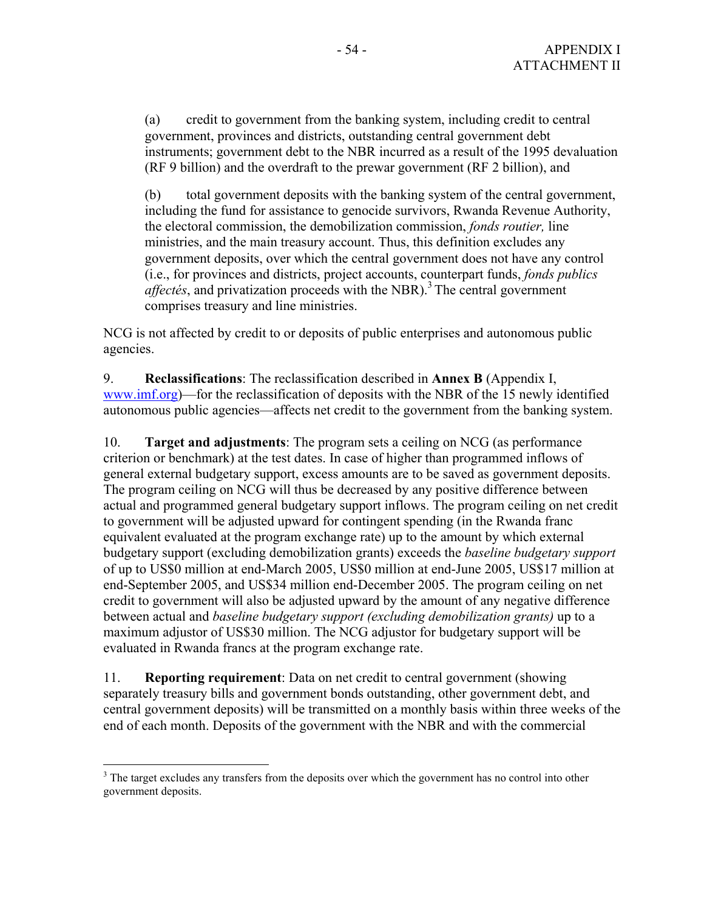(a) credit to government from the banking system, including credit to central government, provinces and districts, outstanding central government debt instruments; government debt to the NBR incurred as a result of the 1995 devaluation (RF 9 billion) and the overdraft to the prewar government (RF 2 billion), and

 (b) total government deposits with the banking system of the central government, including the fund for assistance to genocide survivors, Rwanda Revenue Authority, the electoral commission, the demobilization commission, *fonds routier,* line ministries, and the main treasury account. Thus, this definition excludes any government deposits, over which the central government does not have any control (i.e., for provinces and districts, project accounts, counterpart funds, *fonds publics affectés*, and privatization proceeds with the NBR).<sup>3</sup> The central government comprises treasury and line ministries.

NCG is not affected by credit to or deposits of public enterprises and autonomous public agencies.

9. **Reclassifications**: The reclassification described in **Annex B** (Appendix I, www.imf.org)—for the reclassification of deposits with the NBR of the 15 newly identified autonomous public agencies—affects net credit to the government from the banking system.

10. **Target and adjustments**: The program sets a ceiling on NCG (as performance criterion or benchmark) at the test dates. In case of higher than programmed inflows of general external budgetary support, excess amounts are to be saved as government deposits. The program ceiling on NCG will thus be decreased by any positive difference between actual and programmed general budgetary support inflows. The program ceiling on net credit to government will be adjusted upward for contingent spending (in the Rwanda franc equivalent evaluated at the program exchange rate) up to the amount by which external budgetary support (excluding demobilization grants) exceeds the *baseline budgetary support* of up to US\$0 million at end-March 2005, US\$0 million at end-June 2005, US\$17 million at end-September 2005, and US\$34 million end-December 2005. The program ceiling on net credit to government will also be adjusted upward by the amount of any negative difference between actual and *baseline budgetary support (excluding demobilization grants)* up to a maximum adjustor of US\$30 million. The NCG adjustor for budgetary support will be evaluated in Rwanda francs at the program exchange rate.

11. **Reporting requirement**: Data on net credit to central government (showing separately treasury bills and government bonds outstanding, other government debt, and central government deposits) will be transmitted on a monthly basis within three weeks of the end of each month. Deposits of the government with the NBR and with the commercial

 $\overline{a}$ 

 $3$  The target excludes any transfers from the deposits over which the government has no control into other government deposits.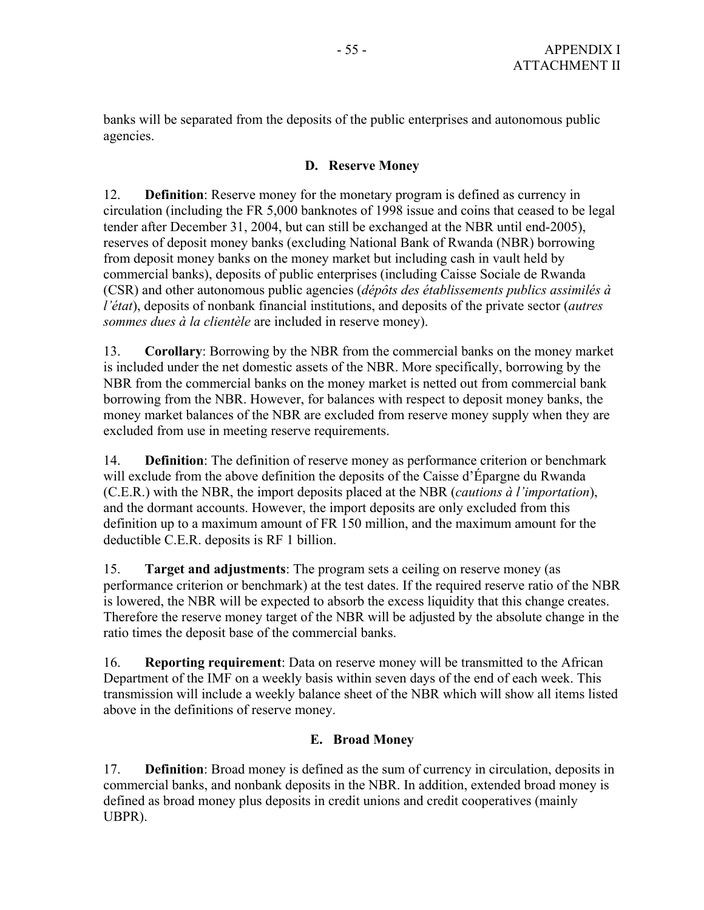banks will be separated from the deposits of the public enterprises and autonomous public agencies.

### **D. Reserve Money**

12. **Definition**: Reserve money for the monetary program is defined as currency in circulation (including the FR 5,000 banknotes of 1998 issue and coins that ceased to be legal tender after December 31, 2004, but can still be exchanged at the NBR until end-2005), reserves of deposit money banks (excluding National Bank of Rwanda (NBR) borrowing from deposit money banks on the money market but including cash in vault held by commercial banks), deposits of public enterprises (including Caisse Sociale de Rwanda (CSR) and other autonomous public agencies (*dépôts des établissements publics assimilés à l'état*), deposits of nonbank financial institutions, and deposits of the private sector (*autres sommes dues à la clientèle* are included in reserve money).

13. **Corollary**: Borrowing by the NBR from the commercial banks on the money market is included under the net domestic assets of the NBR. More specifically, borrowing by the NBR from the commercial banks on the money market is netted out from commercial bank borrowing from the NBR. However, for balances with respect to deposit money banks, the money market balances of the NBR are excluded from reserve money supply when they are excluded from use in meeting reserve requirements.

14. **Definition**: The definition of reserve money as performance criterion or benchmark will exclude from the above definition the deposits of the Caisse d'Épargne du Rwanda (C.E.R.) with the NBR, the import deposits placed at the NBR (*cautions à l'importation*), and the dormant accounts. However, the import deposits are only excluded from this definition up to a maximum amount of FR 150 million, and the maximum amount for the deductible C.E.R. deposits is RF 1 billion.

15. **Target and adjustments**: The program sets a ceiling on reserve money (as performance criterion or benchmark) at the test dates. If the required reserve ratio of the NBR is lowered, the NBR will be expected to absorb the excess liquidity that this change creates. Therefore the reserve money target of the NBR will be adjusted by the absolute change in the ratio times the deposit base of the commercial banks.

16. **Reporting requirement**: Data on reserve money will be transmitted to the African Department of the IMF on a weekly basis within seven days of the end of each week. This transmission will include a weekly balance sheet of the NBR which will show all items listed above in the definitions of reserve money.

### **E. Broad Money**

17. **Definition**: Broad money is defined as the sum of currency in circulation, deposits in commercial banks, and nonbank deposits in the NBR. In addition, extended broad money is defined as broad money plus deposits in credit unions and credit cooperatives (mainly UBPR).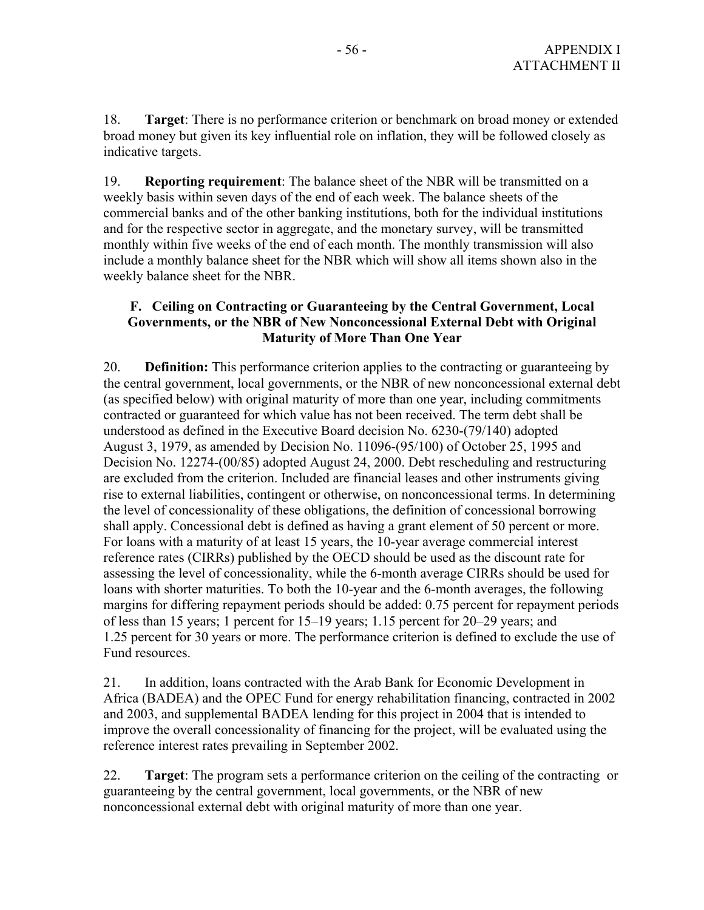18. **Target**: There is no performance criterion or benchmark on broad money or extended broad money but given its key influential role on inflation, they will be followed closely as indicative targets.

19. **Reporting requirement**: The balance sheet of the NBR will be transmitted on a weekly basis within seven days of the end of each week. The balance sheets of the commercial banks and of the other banking institutions, both for the individual institutions and for the respective sector in aggregate, and the monetary survey, will be transmitted monthly within five weeks of the end of each month. The monthly transmission will also include a monthly balance sheet for the NBR which will show all items shown also in the weekly balance sheet for the NBR.

### **F. Ceiling on Contracting or Guaranteeing by the Central Government, Local Governments, or the NBR of New Nonconcessional External Debt with Original Maturity of More Than One Year**

20. **Definition:** This performance criterion applies to the contracting or guaranteeing by the central government, local governments, or the NBR of new nonconcessional external debt (as specified below) with original maturity of more than one year, including commitments contracted or guaranteed for which value has not been received. The term debt shall be understood as defined in the Executive Board decision No. 6230-(79/140) adopted August 3, 1979, as amended by Decision No. 11096-(95/100) of October 25, 1995 and Decision No. 12274-(00/85) adopted August 24, 2000. Debt rescheduling and restructuring are excluded from the criterion. Included are financial leases and other instruments giving rise to external liabilities, contingent or otherwise, on nonconcessional terms. In determining the level of concessionality of these obligations, the definition of concessional borrowing shall apply. Concessional debt is defined as having a grant element of 50 percent or more. For loans with a maturity of at least 15 years, the 10-year average commercial interest reference rates (CIRRs) published by the OECD should be used as the discount rate for assessing the level of concessionality, while the 6-month average CIRRs should be used for loans with shorter maturities. To both the 10-year and the 6-month averages, the following margins for differing repayment periods should be added: 0.75 percent for repayment periods of less than 15 years; 1 percent for 15–19 years; 1.15 percent for 20–29 years; and 1.25 percent for 30 years or more. The performance criterion is defined to exclude the use of Fund resources.

21. In addition, loans contracted with the Arab Bank for Economic Development in Africa (BADEA) and the OPEC Fund for energy rehabilitation financing, contracted in 2002 and 2003, and supplemental BADEA lending for this project in 2004 that is intended to improve the overall concessionality of financing for the project, will be evaluated using the reference interest rates prevailing in September 2002.

22. **Target**: The program sets a performance criterion on the ceiling of the contracting or guaranteeing by the central government, local governments, or the NBR of new nonconcessional external debt with original maturity of more than one year.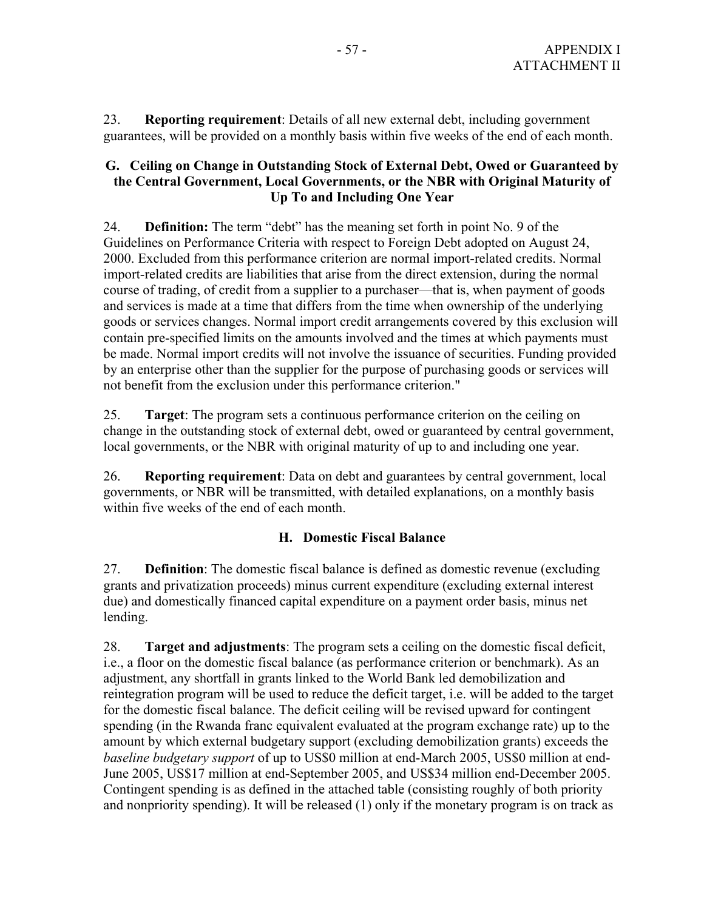23. **Reporting requirement**: Details of all new external debt, including government guarantees, will be provided on a monthly basis within five weeks of the end of each month.

### **G. Ceiling on Change in Outstanding Stock of External Debt, Owed or Guaranteed by the Central Government, Local Governments, or the NBR with Original Maturity of Up To and Including One Year**

24. **Definition:** The term "debt" has the meaning set forth in point No. 9 of the Guidelines on Performance Criteria with respect to Foreign Debt adopted on August 24, 2000. Excluded from this performance criterion are normal import-related credits. Normal import-related credits are liabilities that arise from the direct extension, during the normal course of trading, of credit from a supplier to a purchaser—that is, when payment of goods and services is made at a time that differs from the time when ownership of the underlying goods or services changes. Normal import credit arrangements covered by this exclusion will contain pre-specified limits on the amounts involved and the times at which payments must be made. Normal import credits will not involve the issuance of securities. Funding provided by an enterprise other than the supplier for the purpose of purchasing goods or services will not benefit from the exclusion under this performance criterion."

25. **Target**: The program sets a continuous performance criterion on the ceiling on change in the outstanding stock of external debt, owed or guaranteed by central government, local governments, or the NBR with original maturity of up to and including one year.

26. **Reporting requirement**: Data on debt and guarantees by central government, local governments, or NBR will be transmitted, with detailed explanations, on a monthly basis within five weeks of the end of each month.

### **H. Domestic Fiscal Balance**

27. **Definition**: The domestic fiscal balance is defined as domestic revenue (excluding grants and privatization proceeds) minus current expenditure (excluding external interest due) and domestically financed capital expenditure on a payment order basis, minus net lending.

28. **Target and adjustments**: The program sets a ceiling on the domestic fiscal deficit, i.e., a floor on the domestic fiscal balance (as performance criterion or benchmark). As an adjustment, any shortfall in grants linked to the World Bank led demobilization and reintegration program will be used to reduce the deficit target, i.e. will be added to the target for the domestic fiscal balance. The deficit ceiling will be revised upward for contingent spending (in the Rwanda franc equivalent evaluated at the program exchange rate) up to the amount by which external budgetary support (excluding demobilization grants) exceeds the *baseline budgetary support* of up to US\$0 million at end-March 2005, US\$0 million at end-June 2005, US\$17 million at end-September 2005, and US\$34 million end-December 2005. Contingent spending is as defined in the attached table (consisting roughly of both priority and nonpriority spending). It will be released (1) only if the monetary program is on track as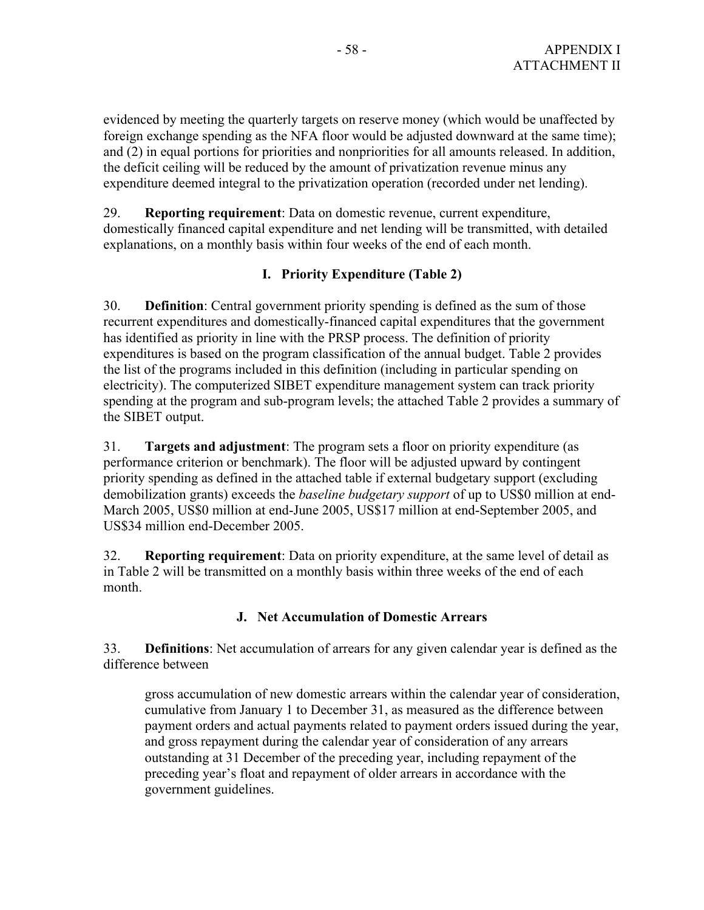evidenced by meeting the quarterly targets on reserve money (which would be unaffected by foreign exchange spending as the NFA floor would be adjusted downward at the same time); and (2) in equal portions for priorities and nonpriorities for all amounts released. In addition, the deficit ceiling will be reduced by the amount of privatization revenue minus any expenditure deemed integral to the privatization operation (recorded under net lending).

29. **Reporting requirement**: Data on domestic revenue, current expenditure, domestically financed capital expenditure and net lending will be transmitted, with detailed explanations, on a monthly basis within four weeks of the end of each month.

### **I. Priority Expenditure (Table 2)**

30. **Definition**: Central government priority spending is defined as the sum of those recurrent expenditures and domestically-financed capital expenditures that the government has identified as priority in line with the PRSP process. The definition of priority expenditures is based on the program classification of the annual budget. Table 2 provides the list of the programs included in this definition (including in particular spending on electricity). The computerized SIBET expenditure management system can track priority spending at the program and sub-program levels; the attached Table 2 provides a summary of the SIBET output.

31. **Targets and adjustment**: The program sets a floor on priority expenditure (as performance criterion or benchmark). The floor will be adjusted upward by contingent priority spending as defined in the attached table if external budgetary support (excluding demobilization grants) exceeds the *baseline budgetary support* of up to US\$0 million at end-March 2005, US\$0 million at end-June 2005, US\$17 million at end-September 2005, and US\$34 million end-December 2005.

32. **Reporting requirement**: Data on priority expenditure, at the same level of detail as in Table 2 will be transmitted on a monthly basis within three weeks of the end of each month.

### **J. Net Accumulation of Domestic Arrears**

33. **Definitions**: Net accumulation of arrears for any given calendar year is defined as the difference between

gross accumulation of new domestic arrears within the calendar year of consideration, cumulative from January 1 to December 31, as measured as the difference between payment orders and actual payments related to payment orders issued during the year, and gross repayment during the calendar year of consideration of any arrears outstanding at 31 December of the preceding year, including repayment of the preceding year's float and repayment of older arrears in accordance with the government guidelines.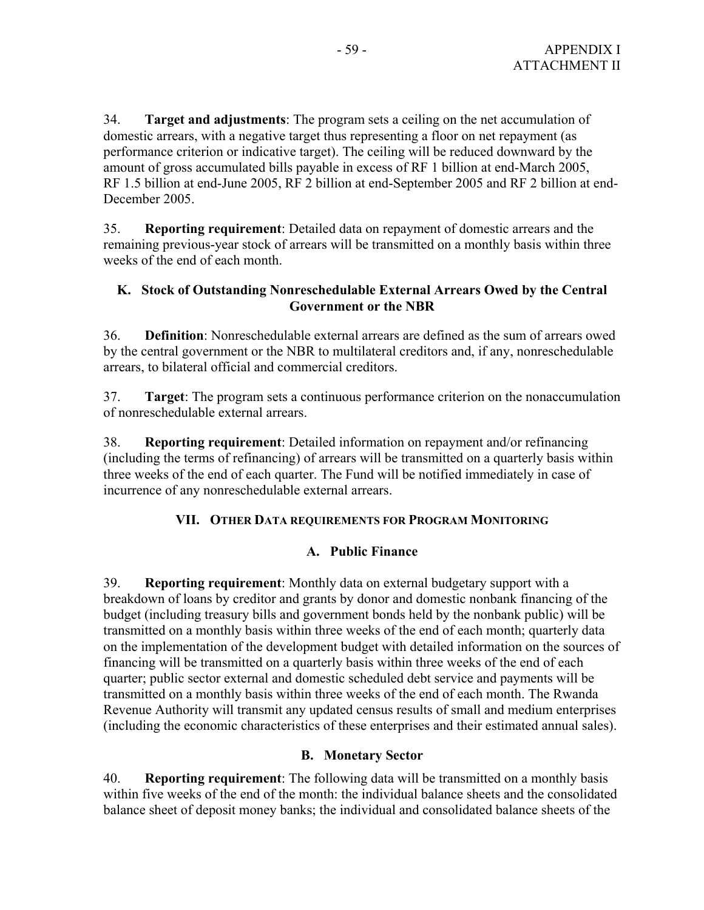34. **Target and adjustments**: The program sets a ceiling on the net accumulation of domestic arrears, with a negative target thus representing a floor on net repayment (as performance criterion or indicative target). The ceiling will be reduced downward by the amount of gross accumulated bills payable in excess of RF 1 billion at end-March 2005, RF 1.5 billion at end-June 2005, RF 2 billion at end-September 2005 and RF 2 billion at end-December 2005.

35. **Reporting requirement**: Detailed data on repayment of domestic arrears and the remaining previous-year stock of arrears will be transmitted on a monthly basis within three weeks of the end of each month.

### **K. Stock of Outstanding Nonreschedulable External Arrears Owed by the Central Government or the NBR**

36. **Definition**: Nonreschedulable external arrears are defined as the sum of arrears owed by the central government or the NBR to multilateral creditors and, if any, nonreschedulable arrears, to bilateral official and commercial creditors.

37. **Target**: The program sets a continuous performance criterion on the nonaccumulation of nonreschedulable external arrears.

38. **Reporting requirement**: Detailed information on repayment and/or refinancing (including the terms of refinancing) of arrears will be transmitted on a quarterly basis within three weeks of the end of each quarter. The Fund will be notified immediately in case of incurrence of any nonreschedulable external arrears.

### **VII. OTHER DATA REQUIREMENTS FOR PROGRAM MONITORING**

### **A. Public Finance**

39. **Reporting requirement**: Monthly data on external budgetary support with a breakdown of loans by creditor and grants by donor and domestic nonbank financing of the budget (including treasury bills and government bonds held by the nonbank public) will be transmitted on a monthly basis within three weeks of the end of each month; quarterly data on the implementation of the development budget with detailed information on the sources of financing will be transmitted on a quarterly basis within three weeks of the end of each quarter; public sector external and domestic scheduled debt service and payments will be transmitted on a monthly basis within three weeks of the end of each month. The Rwanda Revenue Authority will transmit any updated census results of small and medium enterprises (including the economic characteristics of these enterprises and their estimated annual sales).

### **B. Monetary Sector**

40. **Reporting requirement**: The following data will be transmitted on a monthly basis within five weeks of the end of the month: the individual balance sheets and the consolidated balance sheet of deposit money banks; the individual and consolidated balance sheets of the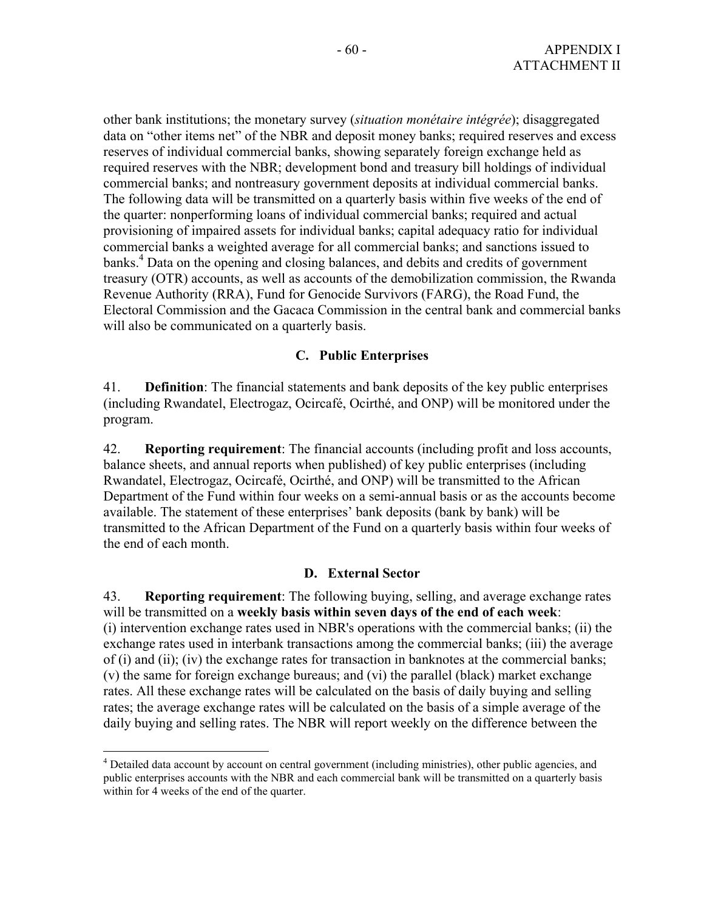other bank institutions; the monetary survey (*situation monétaire intégrée*); disaggregated data on "other items net" of the NBR and deposit money banks; required reserves and excess reserves of individual commercial banks, showing separately foreign exchange held as required reserves with the NBR; development bond and treasury bill holdings of individual commercial banks; and nontreasury government deposits at individual commercial banks. The following data will be transmitted on a quarterly basis within five weeks of the end of the quarter: nonperforming loans of individual commercial banks; required and actual provisioning of impaired assets for individual banks; capital adequacy ratio for individual commercial banks a weighted average for all commercial banks; and sanctions issued to banks.<sup>4</sup> Data on the opening and closing balances, and debits and credits of government treasury (OTR) accounts, as well as accounts of the demobilization commission, the Rwanda Revenue Authority (RRA), Fund for Genocide Survivors (FARG), the Road Fund, the Electoral Commission and the Gacaca Commission in the central bank and commercial banks will also be communicated on a quarterly basis.

#### **C. Public Enterprises**

41. **Definition**: The financial statements and bank deposits of the key public enterprises (including Rwandatel, Electrogaz, Ocircafé, Ocirthé, and ONP) will be monitored under the program.

42. **Reporting requirement**: The financial accounts (including profit and loss accounts, balance sheets, and annual reports when published) of key public enterprises (including Rwandatel, Electrogaz, Ocircafé, Ocirthé, and ONP) will be transmitted to the African Department of the Fund within four weeks on a semi-annual basis or as the accounts become available. The statement of these enterprises' bank deposits (bank by bank) will be transmitted to the African Department of the Fund on a quarterly basis within four weeks of the end of each month.

#### **D. External Sector**

43. **Reporting requirement**: The following buying, selling, and average exchange rates will be transmitted on a **weekly basis within seven days of the end of each week**: (i) intervention exchange rates used in NBR's operations with the commercial banks; (ii) the exchange rates used in interbank transactions among the commercial banks; (iii) the average of (i) and (ii); (iv) the exchange rates for transaction in banknotes at the commercial banks; (v) the same for foreign exchange bureaus; and (vi) the parallel (black) market exchange rates. All these exchange rates will be calculated on the basis of daily buying and selling rates; the average exchange rates will be calculated on the basis of a simple average of the daily buying and selling rates. The NBR will report weekly on the difference between the

 $\overline{a}$ 

<sup>&</sup>lt;sup>4</sup> Detailed data account by account on central government (including ministries), other public agencies, and public enterprises accounts with the NBR and each commercial bank will be transmitted on a quarterly basis within for 4 weeks of the end of the quarter.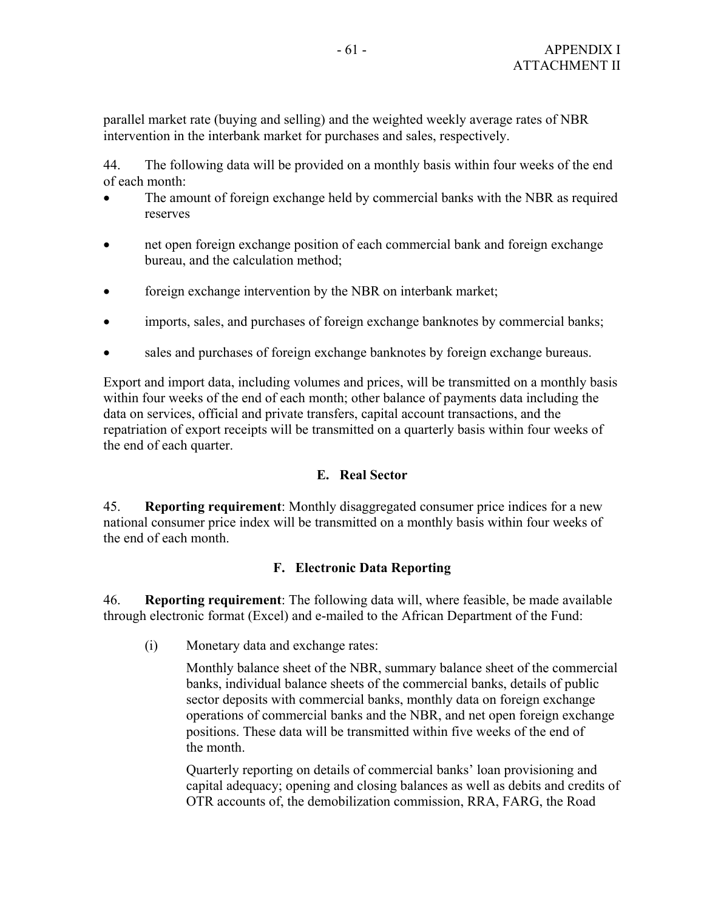parallel market rate (buying and selling) and the weighted weekly average rates of NBR intervention in the interbank market for purchases and sales, respectively.

44. The following data will be provided on a monthly basis within four weeks of the end of each month:

- The amount of foreign exchange held by commercial banks with the NBR as required reserves
- net open foreign exchange position of each commercial bank and foreign exchange bureau, and the calculation method;
- foreign exchange intervention by the NBR on interbank market;
- imports, sales, and purchases of foreign exchange banknotes by commercial banks;
- sales and purchases of foreign exchange banknotes by foreign exchange bureaus.

Export and import data, including volumes and prices, will be transmitted on a monthly basis within four weeks of the end of each month; other balance of payments data including the data on services, official and private transfers, capital account transactions, and the repatriation of export receipts will be transmitted on a quarterly basis within four weeks of the end of each quarter.

#### **E. Real Sector**

45. **Reporting requirement**: Monthly disaggregated consumer price indices for a new national consumer price index will be transmitted on a monthly basis within four weeks of the end of each month.

### **F. Electronic Data Reporting**

46. **Reporting requirement**: The following data will, where feasible, be made available through electronic format (Excel) and e-mailed to the African Department of the Fund:

(i) Monetary data and exchange rates:

Monthly balance sheet of the NBR, summary balance sheet of the commercial banks, individual balance sheets of the commercial banks, details of public sector deposits with commercial banks, monthly data on foreign exchange operations of commercial banks and the NBR, and net open foreign exchange positions. These data will be transmitted within five weeks of the end of the month.

Quarterly reporting on details of commercial banks' loan provisioning and capital adequacy; opening and closing balances as well as debits and credits of OTR accounts of, the demobilization commission, RRA, FARG, the Road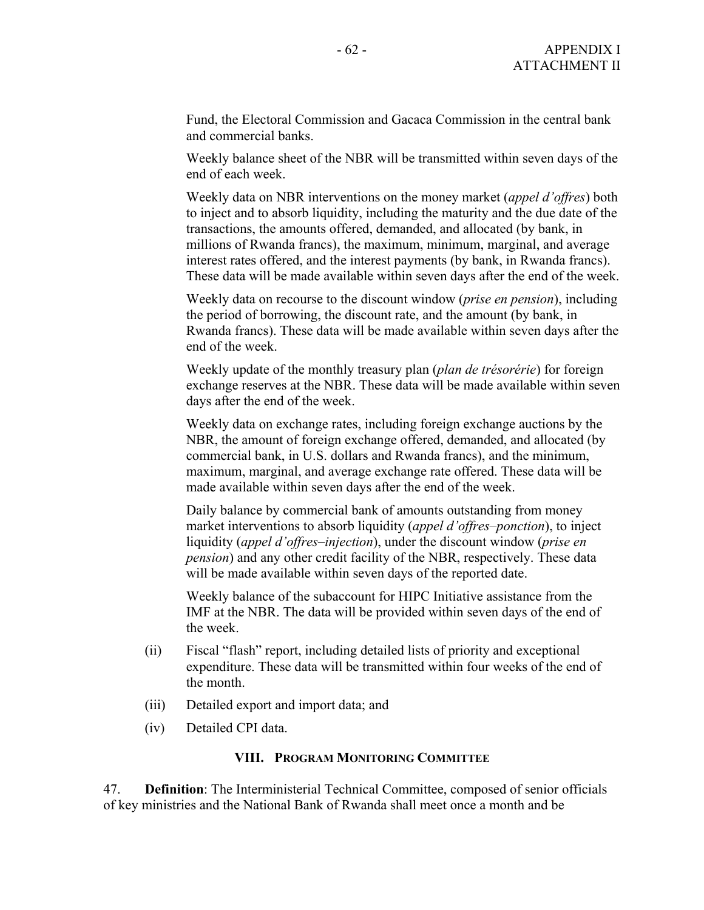Fund, the Electoral Commission and Gacaca Commission in the central bank and commercial banks.

Weekly balance sheet of the NBR will be transmitted within seven days of the end of each week.

Weekly data on NBR interventions on the money market (*appel d'offres*) both to inject and to absorb liquidity, including the maturity and the due date of the transactions, the amounts offered, demanded, and allocated (by bank, in millions of Rwanda francs), the maximum, minimum, marginal, and average interest rates offered, and the interest payments (by bank, in Rwanda francs). These data will be made available within seven days after the end of the week.

Weekly data on recourse to the discount window (*prise en pension*), including the period of borrowing, the discount rate, and the amount (by bank, in Rwanda francs). These data will be made available within seven days after the end of the week.

Weekly update of the monthly treasury plan (*plan de trésorérie*) for foreign exchange reserves at the NBR. These data will be made available within seven days after the end of the week.

Weekly data on exchange rates, including foreign exchange auctions by the NBR, the amount of foreign exchange offered, demanded, and allocated (by commercial bank, in U.S. dollars and Rwanda francs), and the minimum, maximum, marginal, and average exchange rate offered. These data will be made available within seven days after the end of the week.

Daily balance by commercial bank of amounts outstanding from money market interventions to absorb liquidity (*appel d'offres–ponction*), to inject liquidity (*appel d'offres–injection*), under the discount window (*prise en pension*) and any other credit facility of the NBR, respectively. These data will be made available within seven days of the reported date.

Weekly balance of the subaccount for HIPC Initiative assistance from the IMF at the NBR. The data will be provided within seven days of the end of the week.

- (ii) Fiscal "flash" report, including detailed lists of priority and exceptional expenditure. These data will be transmitted within four weeks of the end of the month.
- (iii) Detailed export and import data; and
- (iv) Detailed CPI data.

#### **VIII. PROGRAM MONITORING COMMITTEE**

47. **Definition**: The Interministerial Technical Committee, composed of senior officials of key ministries and the National Bank of Rwanda shall meet once a month and be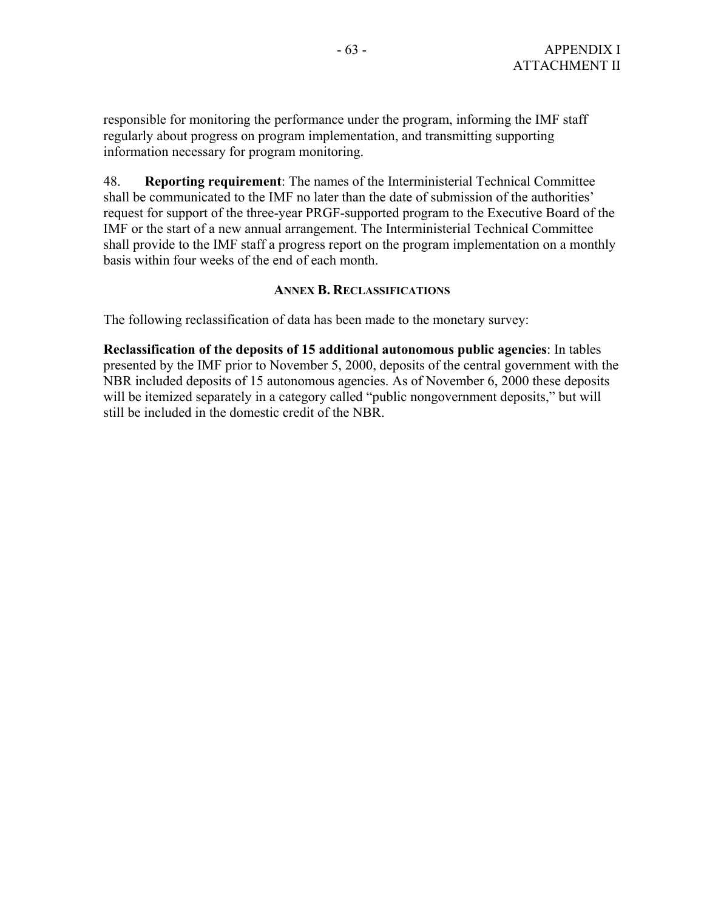responsible for monitoring the performance under the program, informing the IMF staff regularly about progress on program implementation, and transmitting supporting information necessary for program monitoring.

48. **Reporting requirement**: The names of the Interministerial Technical Committee shall be communicated to the IMF no later than the date of submission of the authorities' request for support of the three-year PRGF-supported program to the Executive Board of the IMF or the start of a new annual arrangement. The Interministerial Technical Committee shall provide to the IMF staff a progress report on the program implementation on a monthly basis within four weeks of the end of each month.

#### **ANNEX B. RECLASSIFICATIONS**

The following reclassification of data has been made to the monetary survey:

**Reclassification of the deposits of 15 additional autonomous public agencies**: In tables presented by the IMF prior to November 5, 2000, deposits of the central government with the NBR included deposits of 15 autonomous agencies. As of November 6, 2000 these deposits will be itemized separately in a category called "public nongovernment deposits," but will still be included in the domestic credit of the NBR.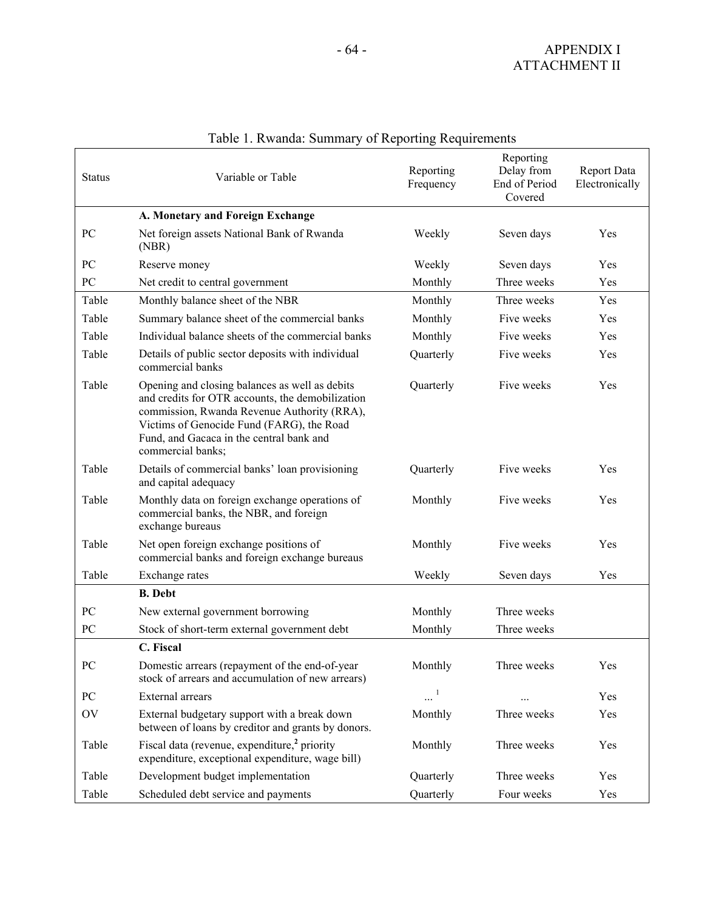| <b>Status</b>    | Variable or Table                                                                                                                                                                                                                                                            |                       | Reporting<br>Delay from<br>End of Period<br>Covered | Report Data<br>Electronically |
|------------------|------------------------------------------------------------------------------------------------------------------------------------------------------------------------------------------------------------------------------------------------------------------------------|-----------------------|-----------------------------------------------------|-------------------------------|
|                  | A. Monetary and Foreign Exchange                                                                                                                                                                                                                                             |                       |                                                     |                               |
| PC               | Net foreign assets National Bank of Rwanda<br>(NBR)                                                                                                                                                                                                                          | Weekly                | Seven days                                          | Yes                           |
| PC               | Reserve money                                                                                                                                                                                                                                                                | Weekly                | Seven days                                          | Yes                           |
| PC               | Net credit to central government                                                                                                                                                                                                                                             | Monthly               | Three weeks                                         | Yes                           |
| Table            | Monthly balance sheet of the NBR                                                                                                                                                                                                                                             | Monthly               | Three weeks                                         | Yes                           |
| Table            | Summary balance sheet of the commercial banks                                                                                                                                                                                                                                | Monthly               | Five weeks                                          | Yes                           |
| Table            | Individual balance sheets of the commercial banks                                                                                                                                                                                                                            | Monthly               | Five weeks                                          | Yes                           |
| Table            | Details of public sector deposits with individual<br>commercial banks                                                                                                                                                                                                        | Quarterly             | Five weeks                                          | Yes                           |
| Table            | Opening and closing balances as well as debits<br>Quarterly<br>and credits for OTR accounts, the demobilization<br>commission, Rwanda Revenue Authority (RRA),<br>Victims of Genocide Fund (FARG), the Road<br>Fund, and Gacaca in the central bank and<br>commercial banks; |                       | Five weeks                                          | Yes                           |
| Table            | Details of commercial banks' loan provisioning<br>and capital adequacy                                                                                                                                                                                                       | Quarterly             | Five weeks                                          | Yes                           |
| Table            | Monthly data on foreign exchange operations of<br>commercial banks, the NBR, and foreign<br>exchange bureaus                                                                                                                                                                 | Monthly               | Five weeks                                          | Yes                           |
| Table            | Net open foreign exchange positions of<br>commercial banks and foreign exchange bureaus                                                                                                                                                                                      | Monthly               | Five weeks                                          | Yes                           |
| Table            | Exchange rates                                                                                                                                                                                                                                                               | Weekly                | Seven days                                          | Yes                           |
|                  | <b>B.</b> Debt                                                                                                                                                                                                                                                               |                       |                                                     |                               |
| PC               | New external government borrowing                                                                                                                                                                                                                                            | Monthly               | Three weeks                                         |                               |
| ${\rm P}{\bf C}$ | Stock of short-term external government debt                                                                                                                                                                                                                                 | Monthly               | Three weeks                                         |                               |
|                  | C. Fiscal                                                                                                                                                                                                                                                                    |                       |                                                     |                               |
| PC               | Domestic arrears (repayment of the end-of-year<br>stock of arrears and accumulation of new arrears)                                                                                                                                                                          | Monthly               | Three weeks                                         | Y es                          |
| PC               | External arrears                                                                                                                                                                                                                                                             | $\cdots$ <sup>1</sup> |                                                     | Yes                           |
| OV               | External budgetary support with a break down<br>between of loans by creditor and grants by donors.                                                                                                                                                                           | Monthly               | Three weeks                                         | Yes                           |
| Table            | Fiscal data (revenue, expenditure, <sup>2</sup> priority<br>expenditure, exceptional expenditure, wage bill)                                                                                                                                                                 | Monthly               | Three weeks                                         | Yes                           |
| Table            | Development budget implementation                                                                                                                                                                                                                                            | Quarterly             | Three weeks                                         | Yes                           |
| Table            | Scheduled debt service and payments                                                                                                                                                                                                                                          | Quarterly             | Four weeks                                          | Yes                           |

# Table 1. Rwanda: Summary of Reporting Requirements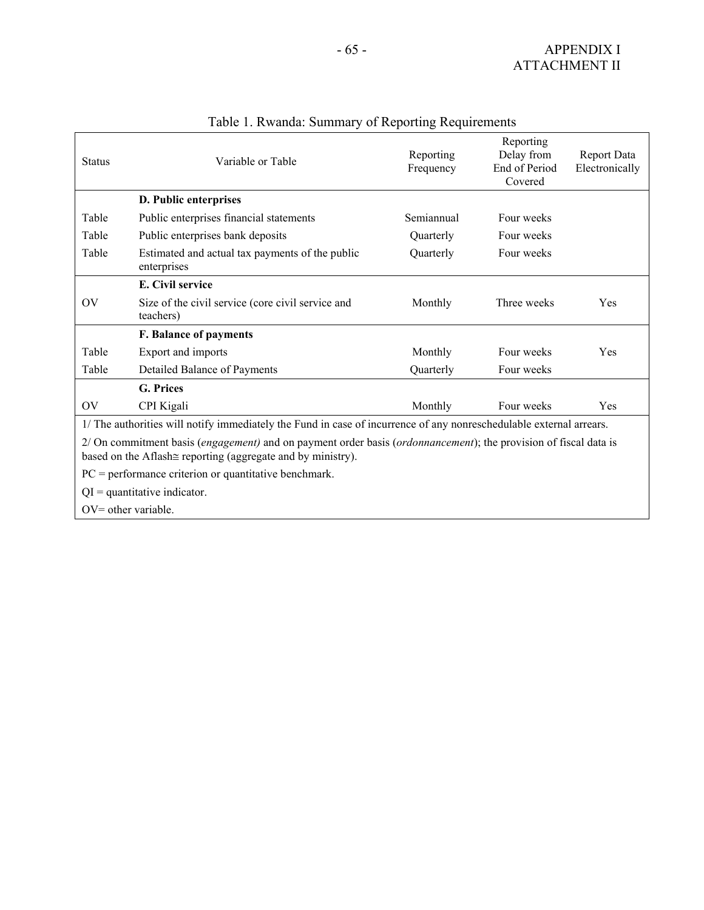| <b>Status</b>                 | Variable or Table                                                                                                                                                                      | Reporting<br>Frequency | Reporting<br>Delay from<br>End of Period<br>Covered | <b>Report Data</b><br>Electronically |
|-------------------------------|----------------------------------------------------------------------------------------------------------------------------------------------------------------------------------------|------------------------|-----------------------------------------------------|--------------------------------------|
|                               | D. Public enterprises                                                                                                                                                                  |                        |                                                     |                                      |
| Table                         | Public enterprises financial statements                                                                                                                                                | Semiannual             | Four weeks                                          |                                      |
| Table                         | Public enterprises bank deposits                                                                                                                                                       | Quarterly              | Four weeks                                          |                                      |
| Table                         | Estimated and actual tax payments of the public<br>enterprises                                                                                                                         | Quarterly              | Four weeks                                          |                                      |
|                               | E. Civil service                                                                                                                                                                       |                        |                                                     |                                      |
| $\overline{\text{O}}\text{V}$ | Size of the civil service (core civil service and<br>teachers)                                                                                                                         | Monthly                | Three weeks                                         | Yes                                  |
|                               | F. Balance of payments                                                                                                                                                                 |                        |                                                     |                                      |
| Table                         | Export and imports                                                                                                                                                                     | Monthly                | Four weeks                                          | Yes                                  |
| Table                         | Detailed Balance of Payments                                                                                                                                                           | Quarterly              | Four weeks                                          |                                      |
|                               | <b>G. Prices</b>                                                                                                                                                                       |                        |                                                     |                                      |
| OV                            | CPI Kigali                                                                                                                                                                             | Monthly                | Four weeks                                          | Yes                                  |
|                               | 1/ The authorities will notify immediately the Fund in case of incurrence of any nonreschedulable external arrears.                                                                    |                        |                                                     |                                      |
|                               | 2/ On commitment basis (engagement) and on payment order basis (ordonnancement); the provision of fiscal data is<br>based on the Aflash $\cong$ reporting (aggregate and by ministry). |                        |                                                     |                                      |
|                               | $PC = performance$ criterion or quantitative benchmark.                                                                                                                                |                        |                                                     |                                      |
|                               | $QI =$ quantitative indicator.                                                                                                                                                         |                        |                                                     |                                      |
|                               | $OV=$ other variable.                                                                                                                                                                  |                        |                                                     |                                      |

## Table 1. Rwanda: Summary of Reporting Requirements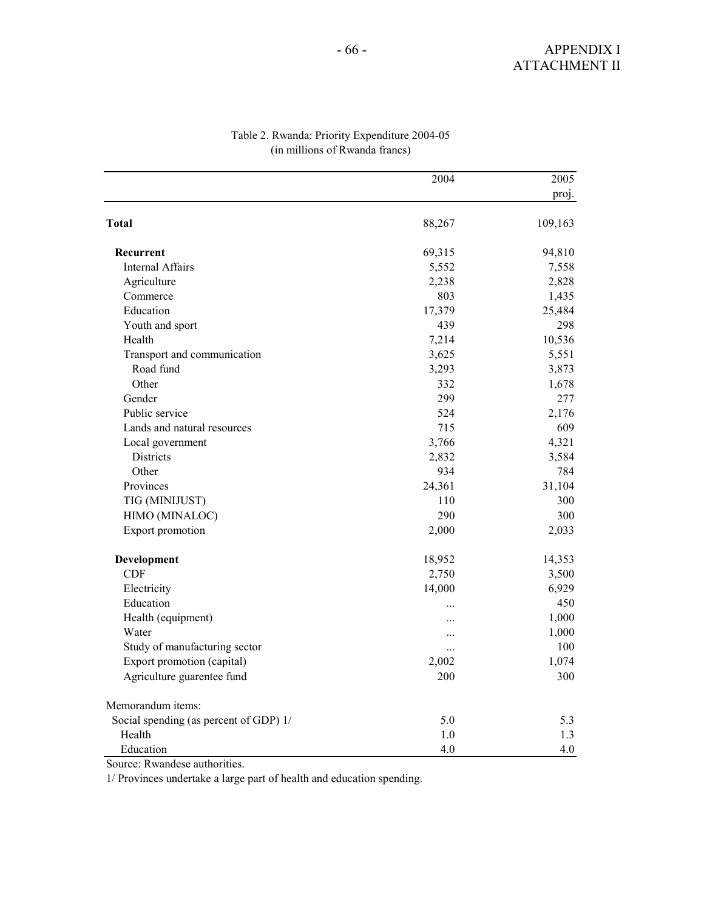|                                        | 2004      | 2005    |
|----------------------------------------|-----------|---------|
|                                        |           | proj.   |
| <b>Total</b>                           | 88,267    | 109,163 |
| Recurrent                              | 69,315    | 94,810  |
| <b>Internal Affairs</b>                | 5,552     | 7,558   |
| Agriculture                            | 2,238     | 2,828   |
| Commerce                               | 803       | 1,435   |
| Education                              | 17,379    | 25,484  |
| Youth and sport                        | 439       | 298     |
| Health                                 | 7,214     | 10,536  |
| Transport and communication            | 3,625     | 5,551   |
| Road fund                              | 3,293     | 3,873   |
| Other                                  | 332       | 1,678   |
| Gender                                 | 299       | 277     |
| Public service                         | 524       | 2,176   |
| Lands and natural resources            | 715       | 609     |
| Local government                       | 3,766     | 4,321   |
| Districts                              | 2,832     | 3,584   |
| Other                                  | 934       | 784     |
| Provinces                              | 24,361    | 31,104  |
| TIG (MINIJUST)                         | 110       | 300     |
| HIMO (MINALOC)                         | 290       | 300     |
| Export promotion                       | 2,000     | 2,033   |
| Development                            | 18,952    | 14,353  |
| <b>CDF</b>                             | 2,750     | 3,500   |
| Electricity                            | 14,000    | 6,929   |
| Education                              | $\ddotsc$ | 450     |
| Health (equipment)                     | .         | 1,000   |
| Water                                  | $\ddotsc$ | 1,000   |
| Study of manufacturing sector          | $\ddotsc$ | 100     |
| Export promotion (capital)             | 2,002     | 1,074   |
| Agriculture guarentee fund             | 200       | 300     |
| Memorandum items:                      |           |         |
| Social spending (as percent of GDP) 1/ | 5.0       | 5.3     |
| Health                                 | 1.0       | 1.3     |
| Education                              | 4.0       | 4.0     |

#### Table 2. Rwanda: Priority Expenditure 2004-05 (in millions of Rwanda francs)

Source: Rwandese authorities.

1/ Provinces undertake a large part of health and education spending.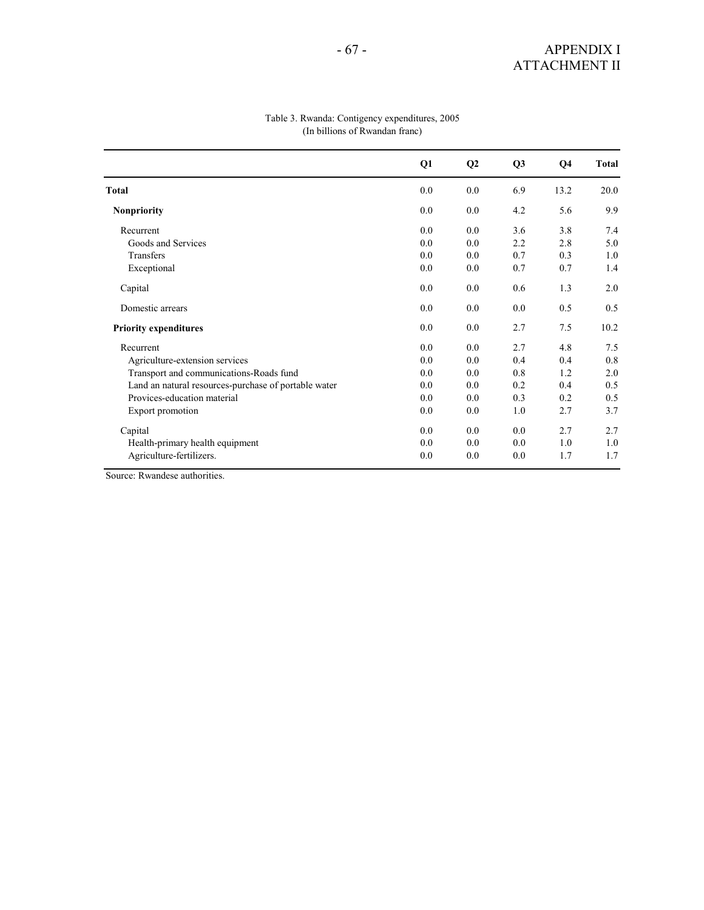|                                                      | Q1  | Q <sub>2</sub> | Q <sub>3</sub> | Q4   | Total |
|------------------------------------------------------|-----|----------------|----------------|------|-------|
| <b>Total</b>                                         | 0.0 | 0.0            | 6.9            | 13.2 | 20.0  |
| <b>Nonpriority</b>                                   | 0.0 | 0.0            | 4.2            | 5.6  | 9.9   |
| Recurrent                                            | 0.0 | 0.0            | 3.6            | 3.8  | 7.4   |
| Goods and Services                                   | 0.0 | 0.0            | 2.2            | 2.8  | 5.0   |
| Transfers                                            | 0.0 | 0.0            | 0.7            | 0.3  | 1.0   |
| Exceptional                                          | 0.0 | 0.0            | 0.7            | 0.7  | 1.4   |
| Capital                                              | 0.0 | 0.0            | 0.6            | 1.3  | 2.0   |
| Domestic arrears                                     | 0.0 | 0.0            | 0.0            | 0.5  | 0.5   |
| <b>Priority expenditures</b>                         | 0.0 | 0.0            | 2.7            | 7.5  | 10.2  |
| Recurrent                                            | 0.0 | 0.0            | 2.7            | 4.8  | 7.5   |
| Agriculture-extension services                       | 0.0 | 0.0            | 0.4            | 0.4  | 0.8   |
| Transport and communications-Roads fund              | 0.0 | 0.0            | 0.8            | 1.2  | 2.0   |
| Land an natural resources-purchase of portable water | 0.0 | 0.0            | 0.2            | 0.4  | 0.5   |
| Provices-education material                          | 0.0 | 0.0            | 0.3            | 0.2  | 0.5   |
| Export promotion                                     | 0.0 | 0.0            | 1.0            | 2.7  | 3.7   |
| Capital                                              | 0.0 | 0.0            | 0.0            | 2.7  | 2.7   |
| Health-primary health equipment                      | 0.0 | 0.0            | 0.0            | 1.0  | 1.0   |
| Agriculture-fertilizers.                             | 0.0 | 0.0            | 0.0            | 1.7  | 1.7   |

#### Table 3. Rwanda: Contigency expenditures, 2005 (In billions of Rwandan franc)

Source: Rwandese authorities.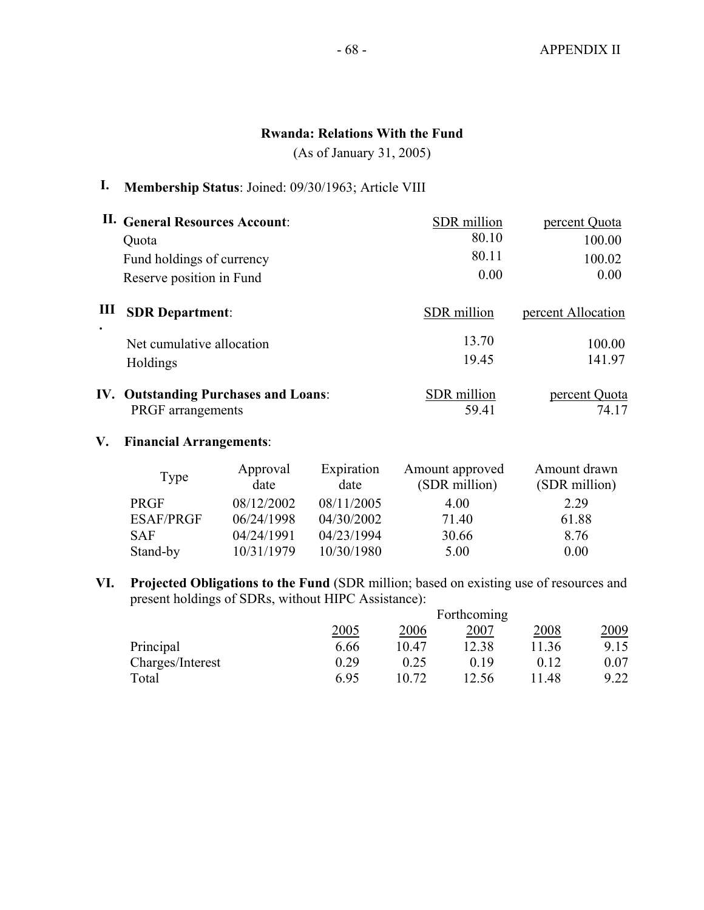### **Rwanda: Relations With the Fund**

(As of January 31, 2005)

# **I. Membership Status**: Joined: 09/30/1963; Article VIII

|           | II. General Resources Account:              | SDR million        | percent Quota      |
|-----------|---------------------------------------------|--------------------|--------------------|
|           | Quota                                       | 80.10              | 100.00             |
|           | Fund holdings of currency                   | 80.11              | 100.02             |
|           | Reserve position in Fund                    | 0.00               | 0.00               |
| Ш         | <b>SDR Department:</b>                      | SDR million        | percent Allocation |
| $\bullet$ | Net cumulative allocation                   | 13.70              | 100.00             |
|           | Holdings                                    | 19.45              | 141.97             |
|           | <b>IV. Outstanding Purchases and Loans:</b> | <b>SDR</b> million | percent Quota      |
|           | <b>PRGF</b> arrangements                    | 59.41              | 74.17              |

#### **V. Financial Arrangements**:

| Type             | Approval<br>date | Expiration<br>date | Amount approved<br>(SDR million) | Amount drawn<br>(SDR million) |
|------------------|------------------|--------------------|----------------------------------|-------------------------------|
| <b>PRGF</b>      | 08/12/2002       | 08/11/2005         | 4.00                             | 2 2 9                         |
| <b>ESAF/PRGF</b> | 06/24/1998       | 04/30/2002         | 71.40                            | 61.88                         |
| <b>SAF</b>       | 04/24/1991       | 04/23/1994         | 30.66                            | 8.76                          |
| Stand-by         | 10/31/1979       | 10/30/1980         | 5.00                             | 0.00                          |

**VI. Projected Obligations to the Fund** (SDR million; based on existing use of resources and present holdings of SDRs, without HIPC Assistance):

|                  | Forthcoming |       |       |       |      |  |  |
|------------------|-------------|-------|-------|-------|------|--|--|
|                  | 2005        | 2006  | 2007  | 2008  | 2009 |  |  |
| Principal        | 6.66        | 10.47 | 12.38 | 11.36 | 9.15 |  |  |
| Charges/Interest | 0.29        | 0.25  | በ 19  | 0.12  | 0.07 |  |  |
| Total            | 6.95        | 10.72 | 12.56 | .48   | 9.22 |  |  |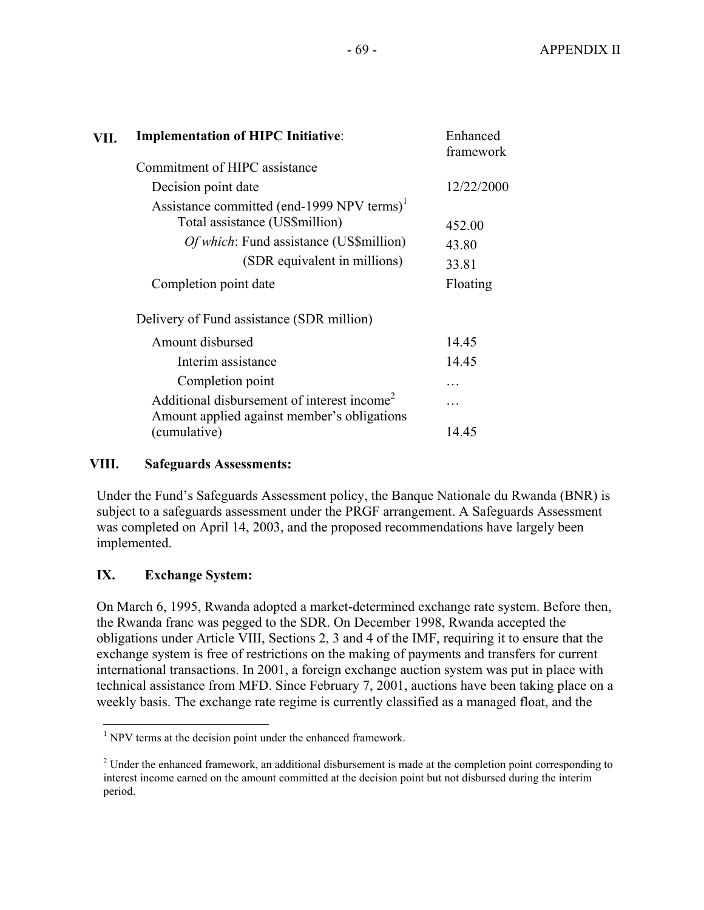| VII. | <b>Implementation of HIPC Initiative:</b>                                                                                           | Enhanced<br>framework |
|------|-------------------------------------------------------------------------------------------------------------------------------------|-----------------------|
|      | Commitment of HIPC assistance                                                                                                       |                       |
|      | Decision point date                                                                                                                 | 12/22/2000            |
|      | Assistance committed (end-1999 NPV terms) <sup>1</sup><br>Total assistance (US\$million)<br>Of which: Fund assistance (US\$million) | 452.00                |
|      | (SDR equivalent in millions)                                                                                                        | 43.80                 |
|      | Completion point date                                                                                                               | 33.81<br>Floating     |
|      | Delivery of Fund assistance (SDR million)                                                                                           |                       |
|      | Amount disbursed                                                                                                                    | 14.45                 |
|      | Interim assistance                                                                                                                  | 14.45                 |
|      | Completion point                                                                                                                    |                       |
|      | Additional disbursement of interest income <sup>2</sup><br>Amount applied against member's obligations                              |                       |
|      | (cumulative)                                                                                                                        | 14.45                 |

#### **VIII. Safeguards Assessments:**

Under the Fund's Safeguards Assessment policy, the Banque Nationale du Rwanda (BNR) is subject to a safeguards assessment under the PRGF arrangement. A Safeguards Assessment was completed on April 14, 2003, and the proposed recommendations have largely been implemented.

### **IX. Exchange System:**

On March 6, 1995, Rwanda adopted a market-determined exchange rate system. Before then, the Rwanda franc was pegged to the SDR. On December 1998, Rwanda accepted the obligations under Article VIII, Sections 2, 3 and 4 of the IMF, requiring it to ensure that the exchange system is free of restrictions on the making of payments and transfers for current international transactions. In 2001, a foreign exchange auction system was put in place with technical assistance from MFD. Since February 7, 2001, auctions have been taking place on a weekly basis. The exchange rate regime is currently classified as a managed float, and the

<sup>&</sup>lt;sup>1</sup> NPV terms at the decision point under the enhanced framework.

 $2^2$  Under the enhanced framework, an additional disbursement is made at the completion point corresponding to interest income earned on the amount committed at the decision point but not disbursed during the interim period.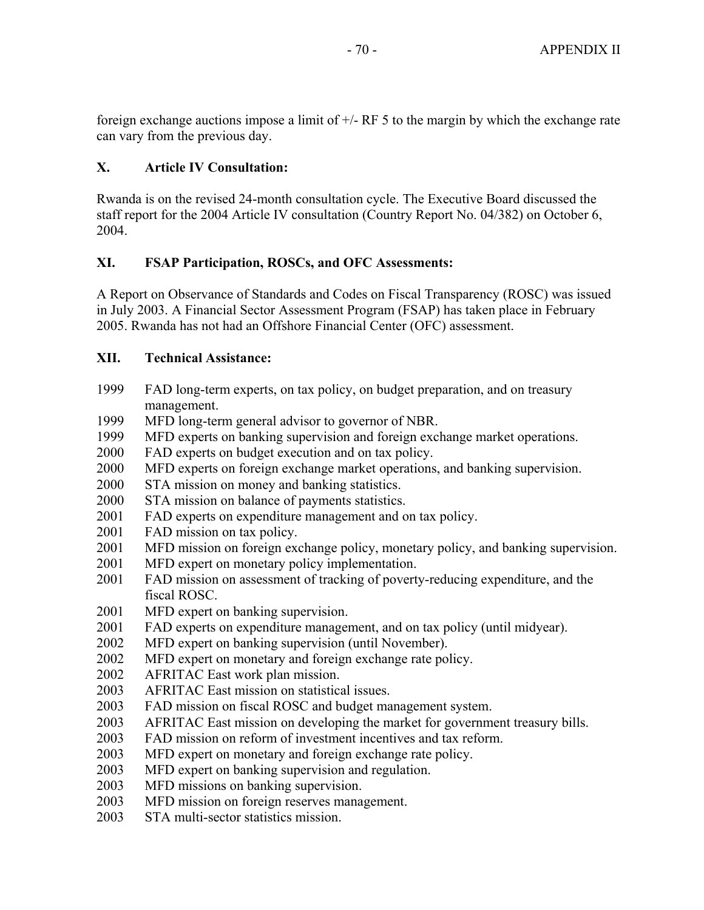foreign exchange auctions impose a limit of  $+/-$  RF 5 to the margin by which the exchange rate can vary from the previous day.

## **X. Article IV Consultation:**

Rwanda is on the revised 24-month consultation cycle. The Executive Board discussed the staff report for the 2004 Article IV consultation (Country Report No. 04/382) on October 6, 2004.

### **XI. FSAP Participation, ROSCs, and OFC Assessments:**

A Report on Observance of Standards and Codes on Fiscal Transparency (ROSC) was issued in July 2003. A Financial Sector Assessment Program (FSAP) has taken place in February 2005. Rwanda has not had an Offshore Financial Center (OFC) assessment.

### **XII. Technical Assistance:**

- 1999 FAD long-term experts, on tax policy, on budget preparation, and on treasury management.
- 1999 MFD long-term general advisor to governor of NBR.<br>1999 MFD experts on banking supervision and foreign excl
- MFD experts on banking supervision and foreign exchange market operations.
- 2000 FAD experts on budget execution and on tax policy.
- 2000 MFD experts on foreign exchange market operations, and banking supervision.
- 2000 STA mission on money and banking statistics.
- 2000 STA mission on balance of payments statistics.
- 2001 FAD experts on expenditure management and on tax policy.
- 2001 FAD mission on tax policy.
- 2001 MFD mission on foreign exchange policy, monetary policy, and banking supervision.
- 2001 MFD expert on monetary policy implementation.
- 2001 FAD mission on assessment of tracking of poverty-reducing expenditure, and the fiscal ROSC.
- 2001 MFD expert on banking supervision.
- 2001 FAD experts on expenditure management, and on tax policy (until midyear).
- 2002 MFD expert on banking supervision (until November).
- 2002 MFD expert on monetary and foreign exchange rate policy.
- 2002 AFRITAC East work plan mission.
- 2003 AFRITAC East mission on statistical issues.
- 2003 FAD mission on fiscal ROSC and budget management system.
- 2003 AFRITAC East mission on developing the market for government treasury bills.
- 2003 FAD mission on reform of investment incentives and tax reform.
- 2003 MFD expert on monetary and foreign exchange rate policy.
- 2003 MFD expert on banking supervision and regulation.
- 2003 MFD missions on banking supervision.
- 2003 MFD mission on foreign reserves management.
- 2003 STA multi-sector statistics mission.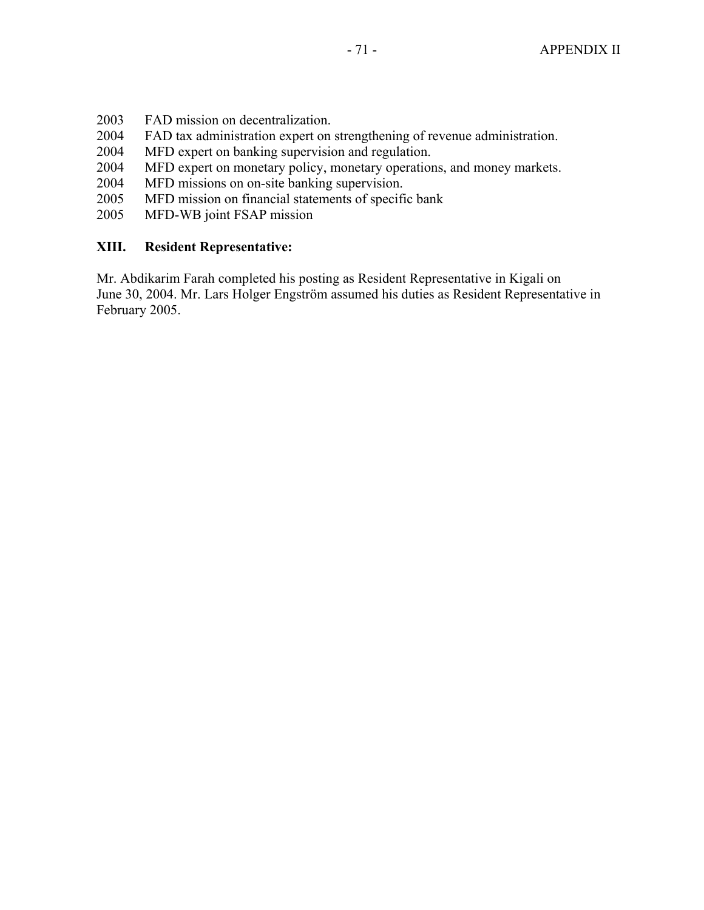- 2003 FAD mission on decentralization.
- 2004 FAD tax administration expert on strengthening of revenue administration.
- 2004 MFD expert on banking supervision and regulation.
- 2004 MFD expert on monetary policy, monetary operations, and money markets.
- 2004 MFD missions on on-site banking supervision.
- 2005 MFD mission on financial statements of specific bank
- 2005 MFD-WB joint FSAP mission

### **XIII. Resident Representative:**

Mr. Abdikarim Farah completed his posting as Resident Representative in Kigali on June 30, 2004. Mr. Lars Holger Engström assumed his duties as Resident Representative in February 2005.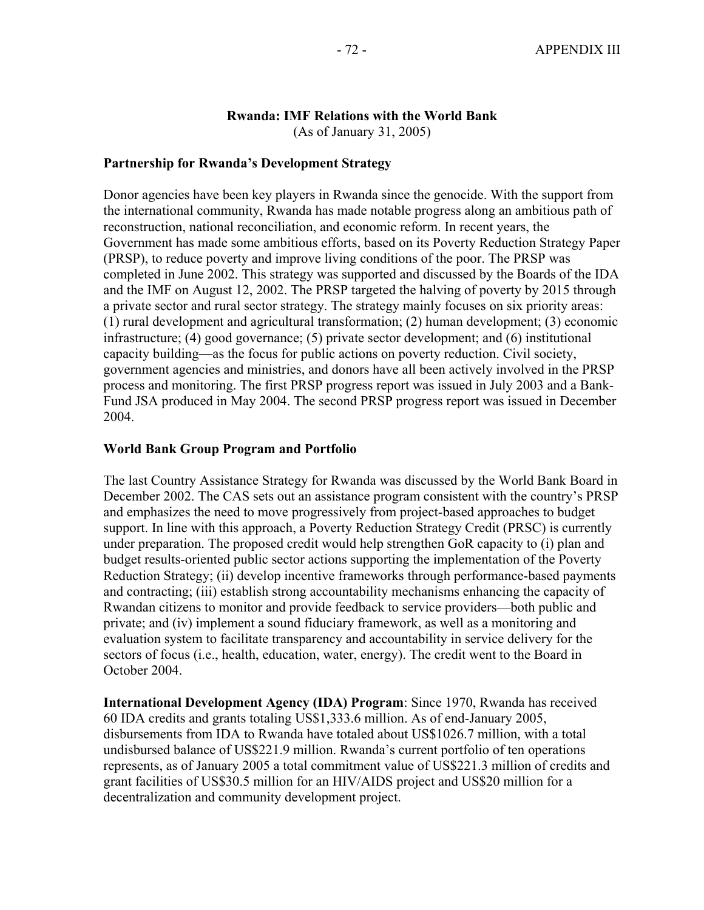# **Rwanda: IMF Relations with the World Bank**

(As of January 31, 2005)

# **Partnership for Rwanda's Development Strategy**

Donor agencies have been key players in Rwanda since the genocide. With the support from the international community, Rwanda has made notable progress along an ambitious path of reconstruction, national reconciliation, and economic reform. In recent years, the Government has made some ambitious efforts, based on its Poverty Reduction Strategy Paper (PRSP), to reduce poverty and improve living conditions of the poor. The PRSP was completed in June 2002. This strategy was supported and discussed by the Boards of the IDA and the IMF on August 12, 2002. The PRSP targeted the halving of poverty by 2015 through a private sector and rural sector strategy. The strategy mainly focuses on six priority areas: (1) rural development and agricultural transformation; (2) human development; (3) economic infrastructure; (4) good governance; (5) private sector development; and (6) institutional capacity building—as the focus for public actions on poverty reduction. Civil society, government agencies and ministries, and donors have all been actively involved in the PRSP process and monitoring. The first PRSP progress report was issued in July 2003 and a Bank-Fund JSA produced in May 2004. The second PRSP progress report was issued in December 2004.

# **World Bank Group Program and Portfolio**

The last Country Assistance Strategy for Rwanda was discussed by the World Bank Board in December 2002. The CAS sets out an assistance program consistent with the country's PRSP and emphasizes the need to move progressively from project-based approaches to budget support. In line with this approach, a Poverty Reduction Strategy Credit (PRSC) is currently under preparation. The proposed credit would help strengthen GoR capacity to (i) plan and budget results-oriented public sector actions supporting the implementation of the Poverty Reduction Strategy; (ii) develop incentive frameworks through performance-based payments and contracting; (iii) establish strong accountability mechanisms enhancing the capacity of Rwandan citizens to monitor and provide feedback to service providers—both public and private; and (iv) implement a sound fiduciary framework, as well as a monitoring and evaluation system to facilitate transparency and accountability in service delivery for the sectors of focus (i.e., health, education, water, energy). The credit went to the Board in October 2004.

**International Development Agency (IDA) Program**: Since 1970, Rwanda has received 60 IDA credits and grants totaling US\$1,333.6 million. As of end-January 2005, disbursements from IDA to Rwanda have totaled about US\$1026.7 million, with a total undisbursed balance of US\$221.9 million. Rwanda's current portfolio of ten operations represents, as of January 2005 a total commitment value of US\$221.3 million of credits and grant facilities of US\$30.5 million for an HIV/AIDS project and US\$20 million for a decentralization and community development project.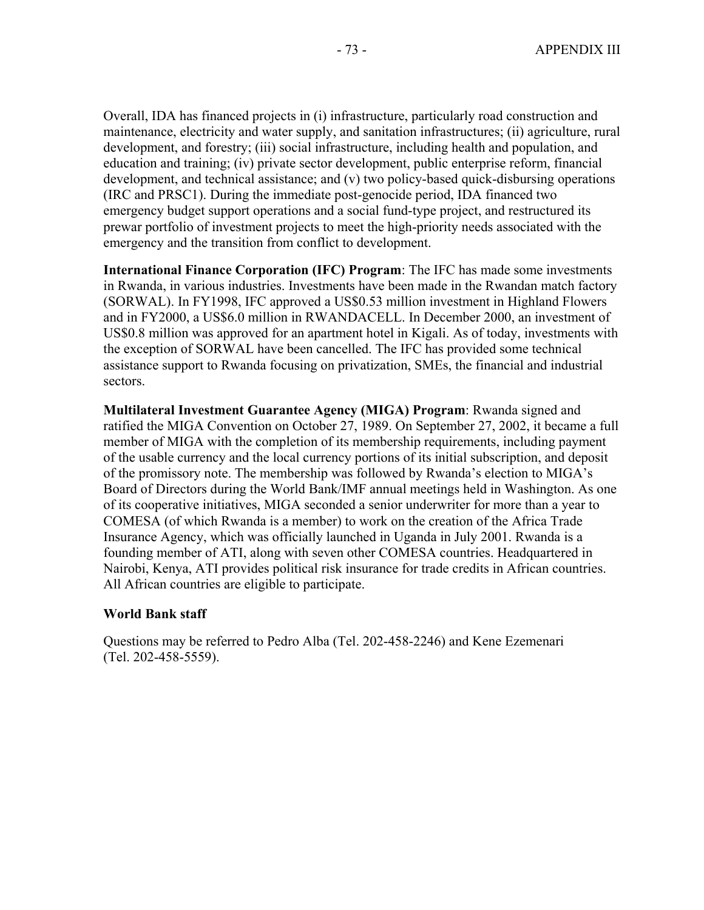Overall, IDA has financed projects in (i) infrastructure, particularly road construction and maintenance, electricity and water supply, and sanitation infrastructures; (ii) agriculture, rural development, and forestry; (iii) social infrastructure, including health and population, and education and training; (iv) private sector development, public enterprise reform, financial development, and technical assistance; and (v) two policy-based quick-disbursing operations (IRC and PRSC1). During the immediate post-genocide period, IDA financed two emergency budget support operations and a social fund-type project, and restructured its prewar portfolio of investment projects to meet the high-priority needs associated with the emergency and the transition from conflict to development.

**International Finance Corporation (IFC) Program**: The IFC has made some investments in Rwanda, in various industries. Investments have been made in the Rwandan match factory (SORWAL). In FY1998, IFC approved a US\$0.53 million investment in Highland Flowers and in FY2000, a US\$6.0 million in RWANDACELL. In December 2000, an investment of US\$0.8 million was approved for an apartment hotel in Kigali. As of today, investments with the exception of SORWAL have been cancelled. The IFC has provided some technical assistance support to Rwanda focusing on privatization, SMEs, the financial and industrial sectors.

**Multilateral Investment Guarantee Agency (MIGA) Program**: Rwanda signed and ratified the MIGA Convention on October 27, 1989. On September 27, 2002, it became a full member of MIGA with the completion of its membership requirements, including payment of the usable currency and the local currency portions of its initial subscription, and deposit of the promissory note. The membership was followed by Rwanda's election to MIGA's Board of Directors during the World Bank/IMF annual meetings held in Washington. As one of its cooperative initiatives, MIGA seconded a senior underwriter for more than a year to COMESA (of which Rwanda is a member) to work on the creation of the Africa Trade Insurance Agency, which was officially launched in Uganda in July 2001. Rwanda is a founding member of ATI, along with seven other COMESA countries. Headquartered in Nairobi, Kenya, ATI provides political risk insurance for trade credits in African countries. All African countries are eligible to participate.

### **World Bank staff**

Questions may be referred to Pedro Alba (Tel. 202-458-2246) and Kene Ezemenari (Tel. 202-458-5559).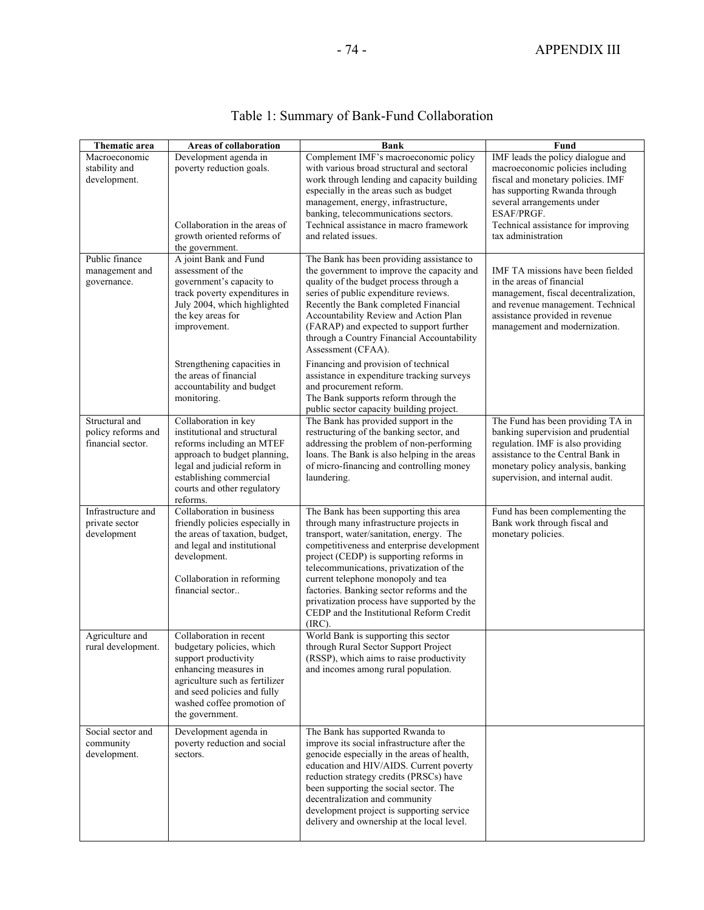| Thematic area                                             | Areas of collaboration                                                                                                                                                                                                                | <b>Bank</b>                                                                                                                                                                                                                                                                                                                                                                                                                                                        | Fund                                                                                                                                                                                                                                                |
|-----------------------------------------------------------|---------------------------------------------------------------------------------------------------------------------------------------------------------------------------------------------------------------------------------------|--------------------------------------------------------------------------------------------------------------------------------------------------------------------------------------------------------------------------------------------------------------------------------------------------------------------------------------------------------------------------------------------------------------------------------------------------------------------|-----------------------------------------------------------------------------------------------------------------------------------------------------------------------------------------------------------------------------------------------------|
| Macroeconomic<br>stability and<br>development.            | Development agenda in<br>poverty reduction goals.<br>Collaboration in the areas of<br>growth oriented reforms of<br>the government.                                                                                                   | Complement IMF's macroeconomic policy<br>with various broad structural and sectoral<br>work through lending and capacity building<br>especially in the areas such as budget<br>management, energy, infrastructure,<br>banking, telecommunications sectors.<br>Technical assistance in macro framework<br>and related issues.                                                                                                                                       | IMF leads the policy dialogue and<br>macroeconomic policies including<br>fiscal and monetary policies. IMF<br>has supporting Rwanda through<br>several arrangements under<br>ESAF/PRGF.<br>Technical assistance for improving<br>tax administration |
| Public finance<br>management and<br>governance.           | A joint Bank and Fund<br>assessment of the<br>government's capacity to<br>track poverty expenditures in<br>July 2004, which highlighted<br>the key areas for<br>improvement.<br>Strengthening capacities in<br>the areas of financial | The Bank has been providing assistance to<br>the government to improve the capacity and<br>quality of the budget process through a<br>series of public expenditure reviews.<br>Recently the Bank completed Financial<br>Accountability Review and Action Plan<br>(FARAP) and expected to support further<br>through a Country Financial Accountability<br>Assessment (CFAA).<br>Financing and provision of technical<br>assistance in expenditure tracking surveys | IMF TA missions have been fielded<br>in the areas of financial<br>management, fiscal decentralization,<br>and revenue management. Technical<br>assistance provided in revenue<br>management and modernization.                                      |
|                                                           | accountability and budget<br>monitoring.                                                                                                                                                                                              | and procurement reform.<br>The Bank supports reform through the<br>public sector capacity building project.                                                                                                                                                                                                                                                                                                                                                        |                                                                                                                                                                                                                                                     |
| Structural and<br>policy reforms and<br>financial sector. | Collaboration in key<br>institutional and structural<br>reforms including an MTEF<br>approach to budget planning,<br>legal and judicial reform in<br>establishing commercial<br>courts and other regulatory<br>reforms.               | The Bank has provided support in the<br>restructuring of the banking sector, and<br>addressing the problem of non-performing<br>loans. The Bank is also helping in the areas<br>of micro-financing and controlling money<br>laundering.                                                                                                                                                                                                                            | The Fund has been providing TA in<br>banking supervision and prudential<br>regulation. IMF is also providing<br>assistance to the Central Bank in<br>monetary policy analysis, banking<br>supervision, and internal audit.                          |
| Infrastructure and<br>private sector<br>development       | Collaboration in business<br>friendly policies especially in<br>the areas of taxation, budget,<br>and legal and institutional<br>development.<br>Collaboration in reforming<br>financial sector                                       | The Bank has been supporting this area<br>through many infrastructure projects in<br>transport, water/sanitation, energy. The<br>competitiveness and enterprise development<br>project (CEDP) is supporting reforms in<br>telecommunications, privatization of the<br>current telephone monopoly and tea<br>factories. Banking sector reforms and the<br>privatization process have supported by the<br>CEDP and the Institutional Reform Credit<br>$(IRC)$ .      | Fund has been complementing the<br>Bank work through fiscal and<br>monetary policies.                                                                                                                                                               |
| Agriculture and<br>rural development.                     | Collaboration in recent<br>budgetary policies, which<br>support productivity<br>enhancing measures in<br>agriculture such as fertilizer<br>and seed policies and fully<br>washed coffee promotion of<br>the government.               | World Bank is supporting this sector<br>through Rural Sector Support Project<br>(RSSP), which aims to raise productivity<br>and incomes among rural population.                                                                                                                                                                                                                                                                                                    |                                                                                                                                                                                                                                                     |
| Social sector and<br>community<br>development.            | Development agenda in<br>poverty reduction and social<br>sectors.                                                                                                                                                                     | The Bank has supported Rwanda to<br>improve its social infrastructure after the<br>genocide especially in the areas of health,<br>education and HIV/AIDS. Current poverty<br>reduction strategy credits (PRSCs) have<br>been supporting the social sector. The<br>decentralization and community<br>development project is supporting service                                                                                                                      |                                                                                                                                                                                                                                                     |

delivery and ownership at the local level.

# Table 1: Summary of Bank-Fund Collaboration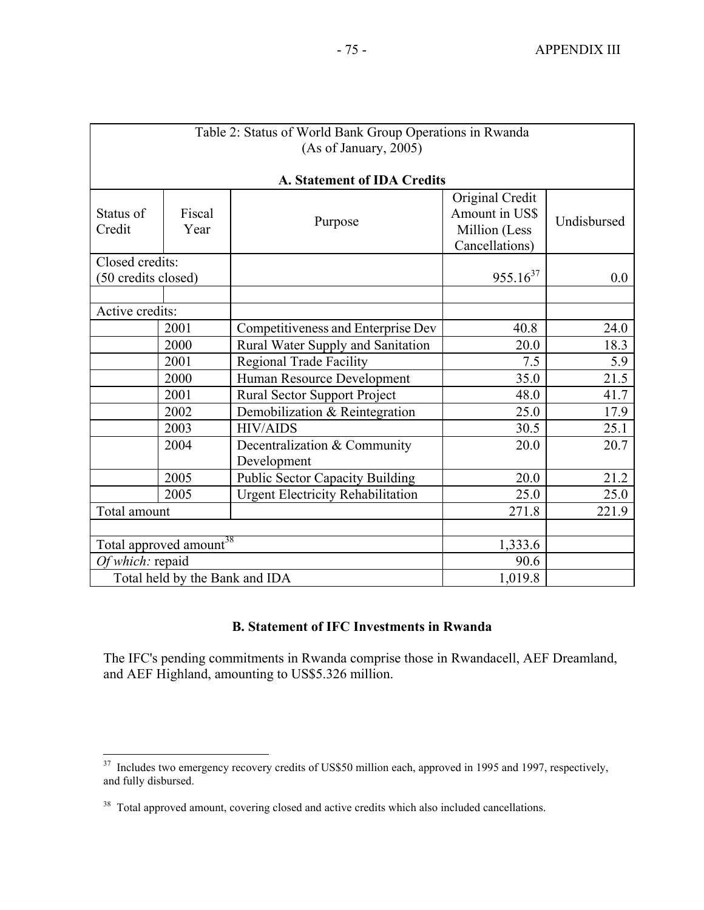| Table 2: Status of World Bank Group Operations in Rwanda |                |                                          |                                                                      |             |  |
|----------------------------------------------------------|----------------|------------------------------------------|----------------------------------------------------------------------|-------------|--|
| (As of January, 2005)                                    |                |                                          |                                                                      |             |  |
|                                                          |                |                                          |                                                                      |             |  |
|                                                          |                | A. Statement of IDA Credits              |                                                                      |             |  |
| Status of<br>Credit                                      | Fiscal<br>Year | Purpose                                  | Original Credit<br>Amount in US\$<br>Million (Less<br>Cancellations) | Undisbursed |  |
| Closed credits:                                          |                |                                          |                                                                      |             |  |
| (50 credits closed)                                      |                |                                          | $955.16^{37}$                                                        | 0.0         |  |
|                                                          |                |                                          |                                                                      |             |  |
| Active credits:                                          |                |                                          |                                                                      |             |  |
|                                                          | 2001           | Competitiveness and Enterprise Dev       | 40.8                                                                 | 24.0        |  |
|                                                          | 2000           | Rural Water Supply and Sanitation        | 20.0                                                                 | 18.3        |  |
|                                                          | 2001           | <b>Regional Trade Facility</b>           | 7.5                                                                  | 5.9         |  |
|                                                          | 2000           | Human Resource Development               | 35.0                                                                 | 21.5        |  |
|                                                          | 2001           | <b>Rural Sector Support Project</b>      | 48.0                                                                 | 41.7        |  |
|                                                          | 2002           | Demobilization & Reintegration           | 25.0                                                                 | 17.9        |  |
|                                                          | 2003           | <b>HIV/AIDS</b>                          | 30.5                                                                 | 25.1        |  |
|                                                          | 2004           | Decentralization & Community             | 20.0                                                                 | 20.7        |  |
|                                                          |                | Development                              |                                                                      |             |  |
|                                                          | 2005           | <b>Public Sector Capacity Building</b>   | 20.0                                                                 | 21.2        |  |
|                                                          | 2005           | <b>Urgent Electricity Rehabilitation</b> | 25.0                                                                 | 25.0        |  |
| Total amount                                             |                | 271.8                                    | 221.9                                                                |             |  |
|                                                          |                |                                          |                                                                      |             |  |
| Total approved amount <sup>38</sup>                      |                |                                          | 1,333.6                                                              |             |  |
| Of which: repaid                                         |                |                                          | 90.6                                                                 |             |  |
| Total held by the Bank and IDA                           |                |                                          | 1,019.8                                                              |             |  |

# **B. Statement of IFC Investments in Rwanda**

The IFC's pending commitments in Rwanda comprise those in Rwandacell, AEF Dreamland, and AEF Highland, amounting to US\$5.326 million.

 $\overline{a}$ 

 $37$  Includes two emergency recovery credits of US\$50 million each, approved in 1995 and 1997, respectively, and fully disbursed.

<sup>&</sup>lt;sup>38</sup> Total approved amount, covering closed and active credits which also included cancellations.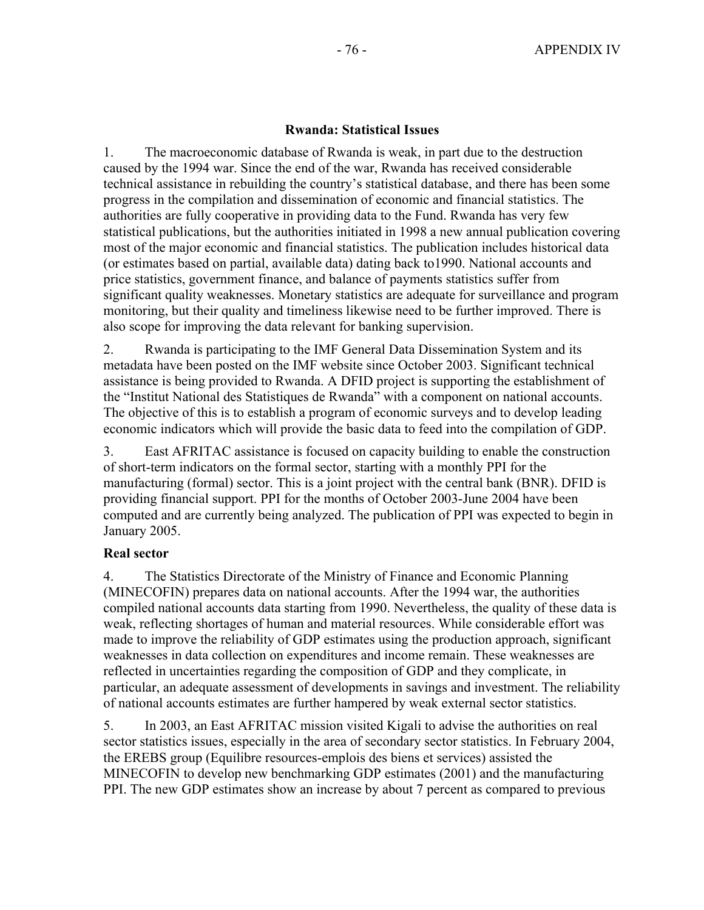### **Rwanda: Statistical Issues**

1. The macroeconomic database of Rwanda is weak, in part due to the destruction caused by the 1994 war. Since the end of the war, Rwanda has received considerable technical assistance in rebuilding the country's statistical database, and there has been some progress in the compilation and dissemination of economic and financial statistics. The authorities are fully cooperative in providing data to the Fund. Rwanda has very few statistical publications, but the authorities initiated in 1998 a new annual publication covering most of the major economic and financial statistics. The publication includes historical data (or estimates based on partial, available data) dating back to1990. National accounts and price statistics, government finance, and balance of payments statistics suffer from significant quality weaknesses. Monetary statistics are adequate for surveillance and program monitoring, but their quality and timeliness likewise need to be further improved. There is also scope for improving the data relevant for banking supervision.

2. Rwanda is participating to the IMF General Data Dissemination System and its metadata have been posted on the IMF website since October 2003. Significant technical assistance is being provided to Rwanda. A DFID project is supporting the establishment of the "Institut National des Statistiques de Rwanda" with a component on national accounts. The objective of this is to establish a program of economic surveys and to develop leading economic indicators which will provide the basic data to feed into the compilation of GDP.

3. East AFRITAC assistance is focused on capacity building to enable the construction of short-term indicators on the formal sector, starting with a monthly PPI for the manufacturing (formal) sector. This is a joint project with the central bank (BNR). DFID is providing financial support. PPI for the months of October 2003-June 2004 have been computed and are currently being analyzed. The publication of PPI was expected to begin in January 2005.

#### **Real sector**

4. The Statistics Directorate of the Ministry of Finance and Economic Planning (MINECOFIN) prepares data on national accounts. After the 1994 war, the authorities compiled national accounts data starting from 1990. Nevertheless, the quality of these data is weak, reflecting shortages of human and material resources. While considerable effort was made to improve the reliability of GDP estimates using the production approach, significant weaknesses in data collection on expenditures and income remain. These weaknesses are reflected in uncertainties regarding the composition of GDP and they complicate, in particular, an adequate assessment of developments in savings and investment. The reliability of national accounts estimates are further hampered by weak external sector statistics.

5. In 2003, an East AFRITAC mission visited Kigali to advise the authorities on real sector statistics issues, especially in the area of secondary sector statistics. In February 2004, the EREBS group (Equilibre resources-emplois des biens et services) assisted the MINECOFIN to develop new benchmarking GDP estimates (2001) and the manufacturing PPI. The new GDP estimates show an increase by about 7 percent as compared to previous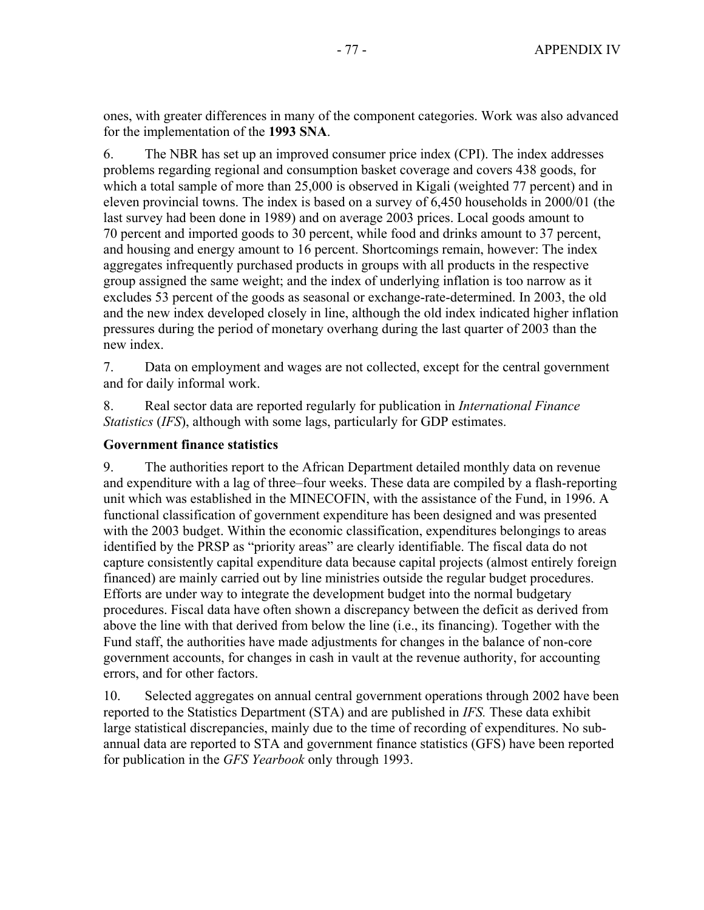ones, with greater differences in many of the component categories. Work was also advanced for the implementation of the **1993 SNA**.

6. The NBR has set up an improved consumer price index (CPI). The index addresses problems regarding regional and consumption basket coverage and covers 438 goods, for which a total sample of more than 25,000 is observed in Kigali (weighted 77 percent) and in eleven provincial towns. The index is based on a survey of 6,450 households in 2000/01 (the last survey had been done in 1989) and on average 2003 prices. Local goods amount to 70 percent and imported goods to 30 percent, while food and drinks amount to 37 percent, and housing and energy amount to 16 percent. Shortcomings remain, however: The index aggregates infrequently purchased products in groups with all products in the respective group assigned the same weight; and the index of underlying inflation is too narrow as it excludes 53 percent of the goods as seasonal or exchange-rate-determined. In 2003, the old and the new index developed closely in line, although the old index indicated higher inflation pressures during the period of monetary overhang during the last quarter of 2003 than the new index.

7. Data on employment and wages are not collected, except for the central government and for daily informal work.

8. Real sector data are reported regularly for publication in *International Finance Statistics* (*IFS*), although with some lags, particularly for GDP estimates.

### **Government finance statistics**

9. The authorities report to the African Department detailed monthly data on revenue and expenditure with a lag of three–four weeks. These data are compiled by a flash-reporting unit which was established in the MINECOFIN, with the assistance of the Fund, in 1996. A functional classification of government expenditure has been designed and was presented with the 2003 budget. Within the economic classification, expenditures belongings to areas identified by the PRSP as "priority areas" are clearly identifiable. The fiscal data do not capture consistently capital expenditure data because capital projects (almost entirely foreign financed) are mainly carried out by line ministries outside the regular budget procedures. Efforts are under way to integrate the development budget into the normal budgetary procedures. Fiscal data have often shown a discrepancy between the deficit as derived from above the line with that derived from below the line (i.e., its financing). Together with the Fund staff, the authorities have made adjustments for changes in the balance of non-core government accounts, for changes in cash in vault at the revenue authority, for accounting errors, and for other factors.

10. Selected aggregates on annual central government operations through 2002 have been reported to the Statistics Department (STA) and are published in *IFS.* These data exhibit large statistical discrepancies, mainly due to the time of recording of expenditures. No subannual data are reported to STA and government finance statistics (GFS) have been reported for publication in the *GFS Yearbook* only through 1993.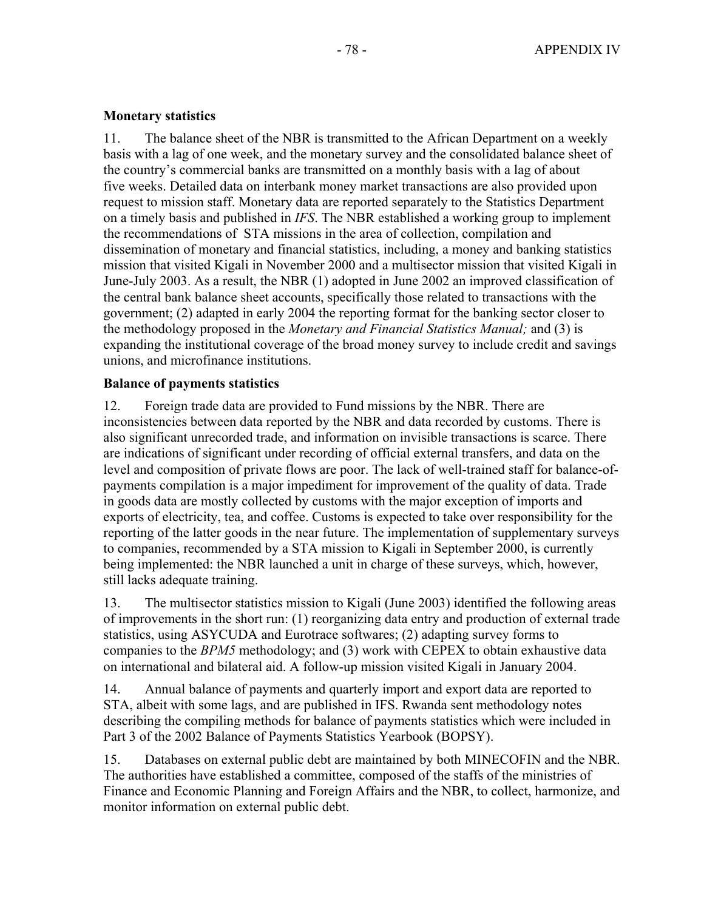# **Monetary statistics**

11. The balance sheet of the NBR is transmitted to the African Department on a weekly basis with a lag of one week, and the monetary survey and the consolidated balance sheet of the country's commercial banks are transmitted on a monthly basis with a lag of about five weeks. Detailed data on interbank money market transactions are also provided upon request to mission staff. Monetary data are reported separately to the Statistics Department on a timely basis and published in *IFS*. The NBR established a working group to implement the recommendations of STA missions in the area of collection, compilation and dissemination of monetary and financial statistics, including, a money and banking statistics mission that visited Kigali in November 2000 and a multisector mission that visited Kigali in June-July 2003. As a result, the NBR (1) adopted in June 2002 an improved classification of the central bank balance sheet accounts, specifically those related to transactions with the government; (2) adapted in early 2004 the reporting format for the banking sector closer to the methodology proposed in the *Monetary and Financial Statistics Manual;* and (3) is expanding the institutional coverage of the broad money survey to include credit and savings unions, and microfinance institutions.

# **Balance of payments statistics**

12. Foreign trade data are provided to Fund missions by the NBR. There are inconsistencies between data reported by the NBR and data recorded by customs. There is also significant unrecorded trade, and information on invisible transactions is scarce. There are indications of significant under recording of official external transfers, and data on the level and composition of private flows are poor. The lack of well-trained staff for balance-ofpayments compilation is a major impediment for improvement of the quality of data. Trade in goods data are mostly collected by customs with the major exception of imports and exports of electricity, tea, and coffee. Customs is expected to take over responsibility for the reporting of the latter goods in the near future. The implementation of supplementary surveys to companies, recommended by a STA mission to Kigali in September 2000, is currently being implemented: the NBR launched a unit in charge of these surveys, which, however, still lacks adequate training.

13. The multisector statistics mission to Kigali (June 2003) identified the following areas of improvements in the short run: (1) reorganizing data entry and production of external trade statistics, using ASYCUDA and Eurotrace softwares; (2) adapting survey forms to companies to the *BPM5* methodology; and (3) work with CEPEX to obtain exhaustive data on international and bilateral aid. A follow-up mission visited Kigali in January 2004.

14. Annual balance of payments and quarterly import and export data are reported to STA, albeit with some lags, and are published in IFS. Rwanda sent methodology notes describing the compiling methods for balance of payments statistics which were included in Part 3 of the 2002 Balance of Payments Statistics Yearbook (BOPSY).

15. Databases on external public debt are maintained by both MINECOFIN and the NBR. The authorities have established a committee, composed of the staffs of the ministries of Finance and Economic Planning and Foreign Affairs and the NBR, to collect, harmonize, and monitor information on external public debt.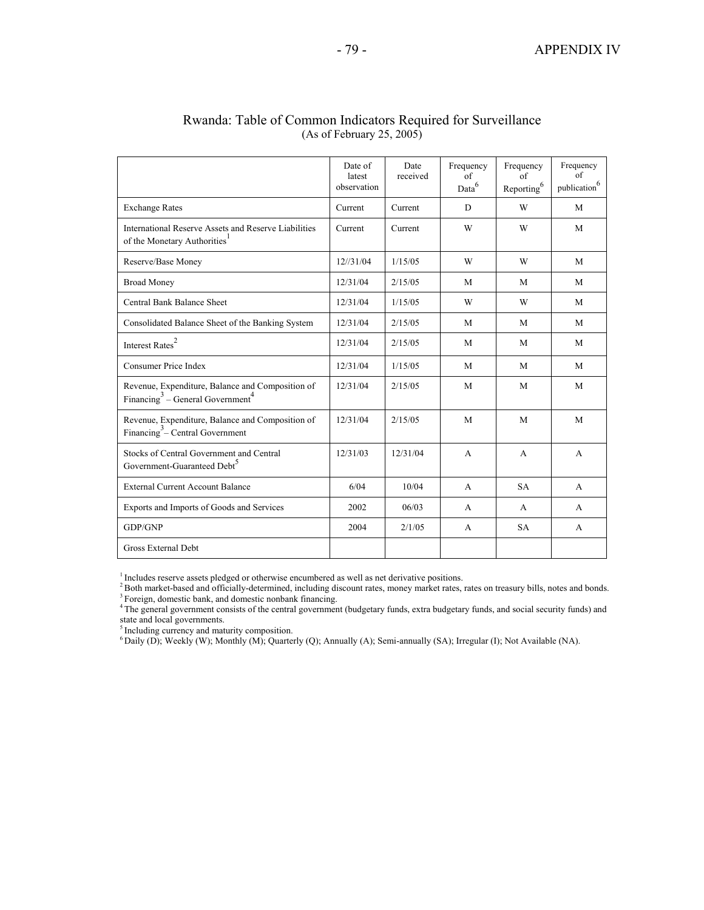|                                                                                                              | Date of<br>latest<br>observation | Date<br>received | Frequency<br>of<br>Data <sup>6</sup> | Frequency<br>of<br>$\mbox{Reporting}^6$ | Frequency<br>of<br>publication $^{6}$ |
|--------------------------------------------------------------------------------------------------------------|----------------------------------|------------------|--------------------------------------|-----------------------------------------|---------------------------------------|
| <b>Exchange Rates</b>                                                                                        | Current                          | Current          | D                                    | W                                       | M                                     |
| International Reserve Assets and Reserve Liabilities<br>of the Monetary Authorities <sup>1</sup>             | Current                          | Current          | W                                    | W                                       | M                                     |
| Reserve/Base Money                                                                                           | 12/31/04                         | 1/15/05          | W                                    | W                                       | M                                     |
| <b>Broad Money</b>                                                                                           | 12/31/04                         | 2/15/05          | M                                    | M                                       | M                                     |
| Central Bank Balance Sheet                                                                                   | 12/31/04                         | 1/15/05          | W                                    | W                                       | M                                     |
| Consolidated Balance Sheet of the Banking System                                                             | 12/31/04                         | 2/15/05          | M                                    | M                                       | M                                     |
| Interest $\mbox{Rates}^2$                                                                                    | 12/31/04                         | 2/15/05          | M                                    | M                                       | M                                     |
| <b>Consumer Price Index</b>                                                                                  | 12/31/04                         | 1/15/05          | M                                    | M                                       | M                                     |
| Revenue, Expenditure, Balance and Composition of<br>Financing <sup>3</sup> – General Government <sup>4</sup> | 12/31/04                         | 2/15/05          | M                                    | M                                       | M                                     |
| Revenue, Expenditure, Balance and Composition of<br>Financing <sup>3</sup> – Central Government              | 12/31/04                         | 2/15/05          | M                                    | M                                       | M                                     |
| Stocks of Central Government and Central<br>Government-Guaranteed Debt <sup>5</sup>                          | 12/31/03                         | 12/31/04         | $\mathsf{A}$                         | A                                       | $\mathsf{A}$                          |
| <b>External Current Account Balance</b>                                                                      | 6/04                             | 10/04            | $\mathbf{A}$                         | <b>SA</b>                               | A                                     |
| Exports and Imports of Goods and Services                                                                    | 2002                             | 06/03            | A                                    | A                                       | A                                     |
| GDP/GNP                                                                                                      | 2004                             | 2/1/05           | A                                    | <b>SA</b>                               | A                                     |
| Gross External Debt                                                                                          |                                  |                  |                                      |                                         |                                       |

### Rwanda: Table of Common Indicators Required for Surveillance (As of February 25, 2005)

 $\frac{1}{2}$  Includes reserve assets pledged or otherwise encumbered as well as net derivative positions.<br>  $\frac{2}{2}$  Both market-based and officially-determined, including discount rates, money market rates, rates on treasur

state and local governments.

<sup>5</sup> Including currency and maturity composition.

6 Daily (D); Weekly (W); Monthly (M); Quarterly (Q); Annually (A); Semi-annually (SA); Irregular (I); Not Available (NA).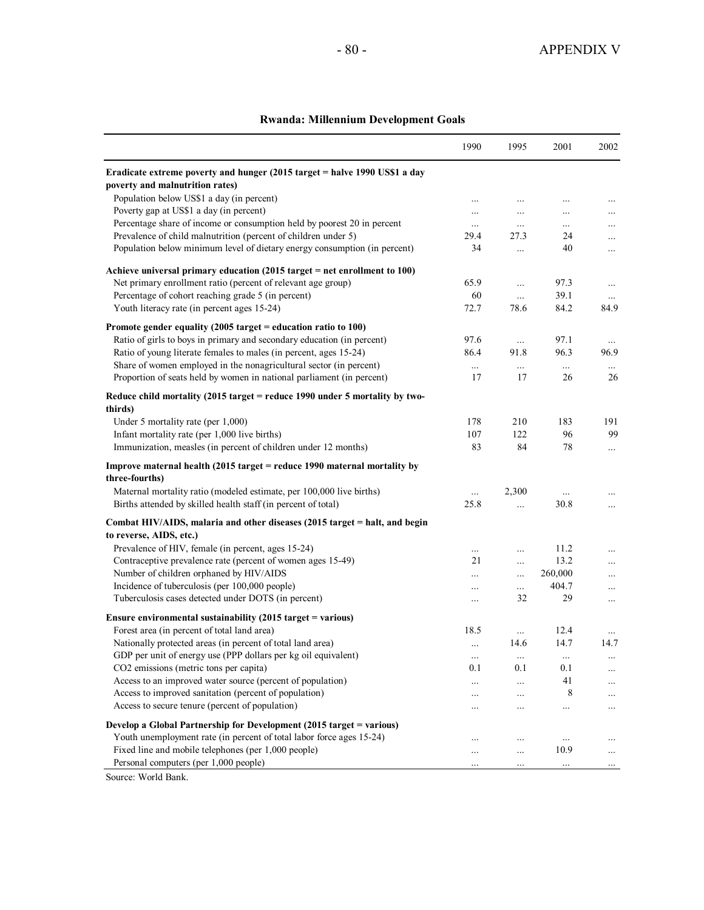### **Rwanda: Millennium Development Goals**

|                                                                                                               | 1990     | 1995           | 2001        | 2002     |
|---------------------------------------------------------------------------------------------------------------|----------|----------------|-------------|----------|
| Eradicate extreme poverty and hunger (2015 target = halve 1990 US\$1 a day<br>poverty and malnutrition rates) |          |                |             |          |
| Population below US\$1 a day (in percent)                                                                     | .        |                | .           |          |
| Poverty gap at US\$1 a day (in percent)                                                                       |          | .              | .           | $\cdots$ |
| Percentage share of income or consumption held by poorest 20 in percent                                       | $\cdots$ | .              | $\ldots$    | $\cdots$ |
| Prevalence of child malnutrition (percent of children under 5)                                                | 29.4     | 27.3           | 24          | $\ldots$ |
| Population below minimum level of dietary energy consumption (in percent)                                     | 34       | $\ldots$       | 40          | $\ldots$ |
| Achieve universal primary education $(2015 \text{ target} = \text{net enrollment to } 100)$                   |          |                |             |          |
| Net primary enrollment ratio (percent of relevant age group)                                                  | 65.9     | $\ddots$       | 97.3        | $\ldots$ |
| Percentage of cohort reaching grade 5 (in percent)                                                            | 60       | $\ldots$       | 39.1        | $\cdots$ |
| Youth literacy rate (in percent ages 15-24)                                                                   | 72.7     | 78.6           | 84.2        | 84.9     |
| Promote gender equality (2005 target = education ratio to $100$ )                                             |          |                |             |          |
| Ratio of girls to boys in primary and secondary education (in percent)                                        | 97.6     | $\ddots$       | 97.1        | $\ldots$ |
| Ratio of young literate females to males (in percent, ages 15-24)                                             | 86.4     | 91.8           | 96.3        | 96.9     |
| Share of women employed in the nonagricultural sector (in percent)                                            | $\cdots$ | $\cdots$       | $\cdots$    | $\cdots$ |
| Proportion of seats held by women in national parliament (in percent)                                         | 17       | 17             | 26          | 26       |
| Reduce child mortality (2015 target = reduce 1990 under 5 mortality by two-<br>thirds)                        |          |                |             |          |
| Under 5 mortality rate (per 1,000)                                                                            | 178      | 210            | 183         | 191      |
| Infant mortality rate (per 1,000 live births)                                                                 | 107      | 122            | 96          | 99       |
| Immunization, measles (in percent of children under 12 months)                                                | 83       | 84             | 78          | $\cdots$ |
| Improve maternal health (2015 target = reduce 1990 maternal mortality by<br>three-fourths)                    |          |                |             |          |
| Maternal mortality ratio (modeled estimate, per 100,000 live births)                                          | $\cdots$ | 2,300          | $\ddotsc$   | $\cdots$ |
| Births attended by skilled health staff (in percent of total)                                                 | 25.8     | $\cdots$       | 30.8        | $\cdots$ |
| Combat HIV/AIDS, malaria and other diseases (2015 target = halt, and begin                                    |          |                |             |          |
| to reverse, AIDS, etc.)                                                                                       |          |                |             |          |
| Prevalence of HIV, female (in percent, ages 15-24)                                                            | $\ldots$ | .              | 11.2        | $\cdots$ |
| Contraceptive prevalence rate (percent of women ages 15-49)                                                   | 21       | .              | 13.2        | $\ldots$ |
| Number of children orphaned by HIV/AIDS                                                                       | .        |                | 260,000     | $\cdots$ |
| Incidence of tuberculosis (per 100,000 people)<br>Tuberculosis cases detected under DOTS (in percent)         | $\cdots$ | $\cdots$<br>32 | 404.7<br>29 | $\cdots$ |
|                                                                                                               | $\cdots$ |                |             | $\ldots$ |
| Ensure environmental sustainability (2015 target = various)                                                   |          |                |             |          |
| Forest area (in percent of total land area)                                                                   | 18.5     | $\ldots$       | 12.4        |          |
| Nationally protected areas (in percent of total land area)                                                    | $\cdots$ | 14.6           | 14.7        | 14.7     |
| GDP per unit of energy use (PPP dollars per kg oil equivalent)                                                | $\ldots$ | $\cdots$       |             | $\cdots$ |
| CO2 emissions (metric tons per capita)                                                                        | 0.1      | 0.1            | 0.1         | $\ldots$ |
| Access to an improved water source (percent of population)                                                    | .        | .              | 41          | .        |
| Access to improved sanitation (percent of population)                                                         |          | .              | 8           | .        |
| Access to secure tenure (percent of population)                                                               |          | .              |             | .        |
| Develop a Global Partnership for Development (2015 target = various)                                          |          |                |             |          |
| Youth unemployment rate (in percent of total labor force ages 15-24)                                          |          | .              | $\cdots$    |          |
| Fixed line and mobile telephones (per 1,000 people)                                                           |          |                | 10.9        |          |
| Personal computers (per 1,000 people)                                                                         |          |                | $\cdots$    |          |

Source: World Bank.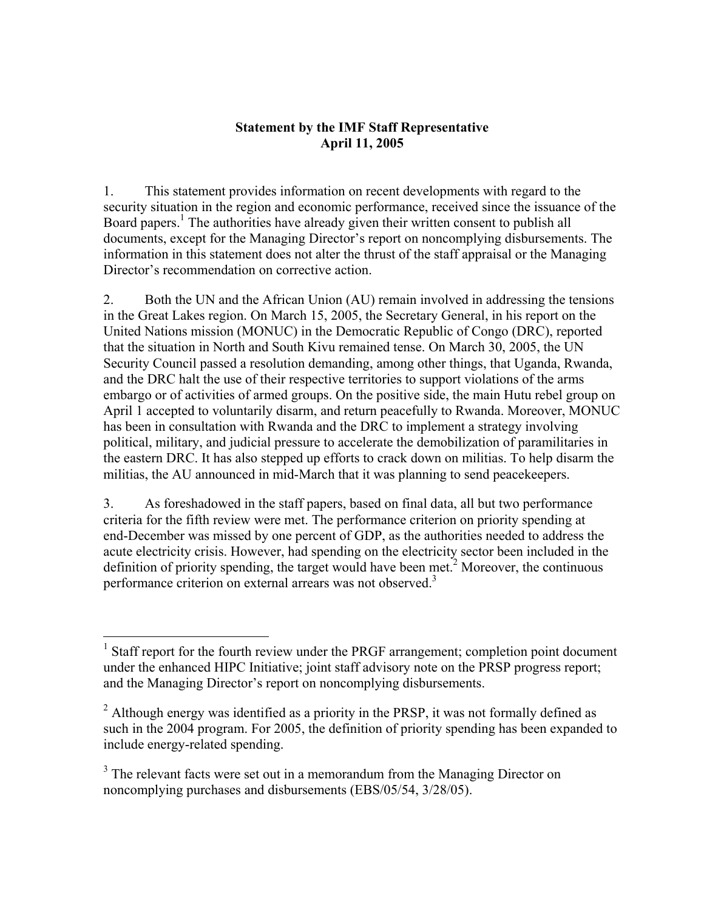# **Statement by the IMF Staff Representative April 11, 2005**

1. This statement provides information on recent developments with regard to the security situation in the region and economic performance, received since the issuance of the Board papers.<sup>1</sup> The authorities have already given their written consent to publish all documents, except for the Managing Director's report on noncomplying disbursements. The information in this statement does not alter the thrust of the staff appraisal or the Managing Director's recommendation on corrective action.

2. Both the UN and the African Union (AU) remain involved in addressing the tensions in the Great Lakes region. On March 15, 2005, the Secretary General, in his report on the United Nations mission (MONUC) in the Democratic Republic of Congo (DRC), reported that the situation in North and South Kivu remained tense. On March 30, 2005, the UN Security Council passed a resolution demanding, among other things, that Uganda, Rwanda, and the DRC halt the use of their respective territories to support violations of the arms embargo or of activities of armed groups. On the positive side, the main Hutu rebel group on April 1 accepted to voluntarily disarm, and return peacefully to Rwanda. Moreover, MONUC has been in consultation with Rwanda and the DRC to implement a strategy involving political, military, and judicial pressure to accelerate the demobilization of paramilitaries in the eastern DRC. It has also stepped up efforts to crack down on militias. To help disarm the militias, the AU announced in mid-March that it was planning to send peacekeepers.

3. As foreshadowed in the staff papers, based on final data, all but two performance criteria for the fifth review were met. The performance criterion on priority spending at end-December was missed by one percent of GDP, as the authorities needed to address the acute electricity crisis. However, had spending on the electricity sector been included in the definition of priority spending, the target would have been met.<sup>2</sup> Moreover, the continuous performance criterion on external arrears was not observed.<sup>3</sup>

1

<sup>&</sup>lt;sup>1</sup> Staff report for the fourth review under the PRGF arrangement; completion point document under the enhanced HIPC Initiative; joint staff advisory note on the PRSP progress report; and the Managing Director's report on noncomplying disbursements.

 $2$  Although energy was identified as a priority in the PRSP, it was not formally defined as such in the 2004 program. For 2005, the definition of priority spending has been expanded to include energy-related spending.

 $3$  The relevant facts were set out in a memorandum from the Managing Director on noncomplying purchases and disbursements (EBS/05/54, 3/28/05).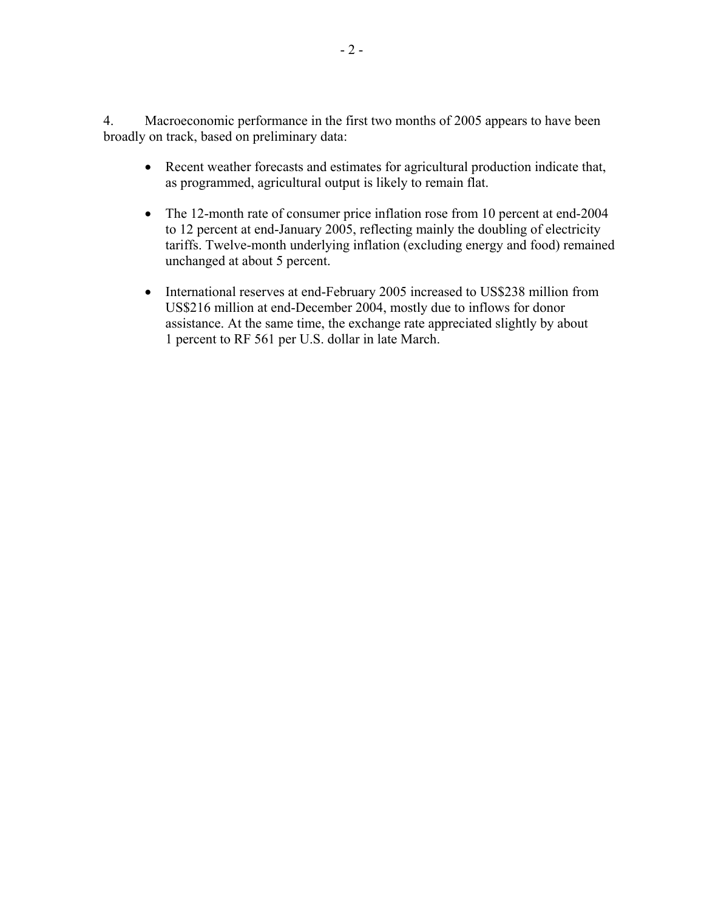4. Macroeconomic performance in the first two months of 2005 appears to have been broadly on track, based on preliminary data:

- Recent weather forecasts and estimates for agricultural production indicate that, as programmed, agricultural output is likely to remain flat.
- The 12-month rate of consumer price inflation rose from 10 percent at end-2004 to 12 percent at end-January 2005, reflecting mainly the doubling of electricity tariffs. Twelve-month underlying inflation (excluding energy and food) remained unchanged at about 5 percent.
- International reserves at end-February 2005 increased to US\$238 million from US\$216 million at end-December 2004, mostly due to inflows for donor assistance. At the same time, the exchange rate appreciated slightly by about 1 percent to RF 561 per U.S. dollar in late March.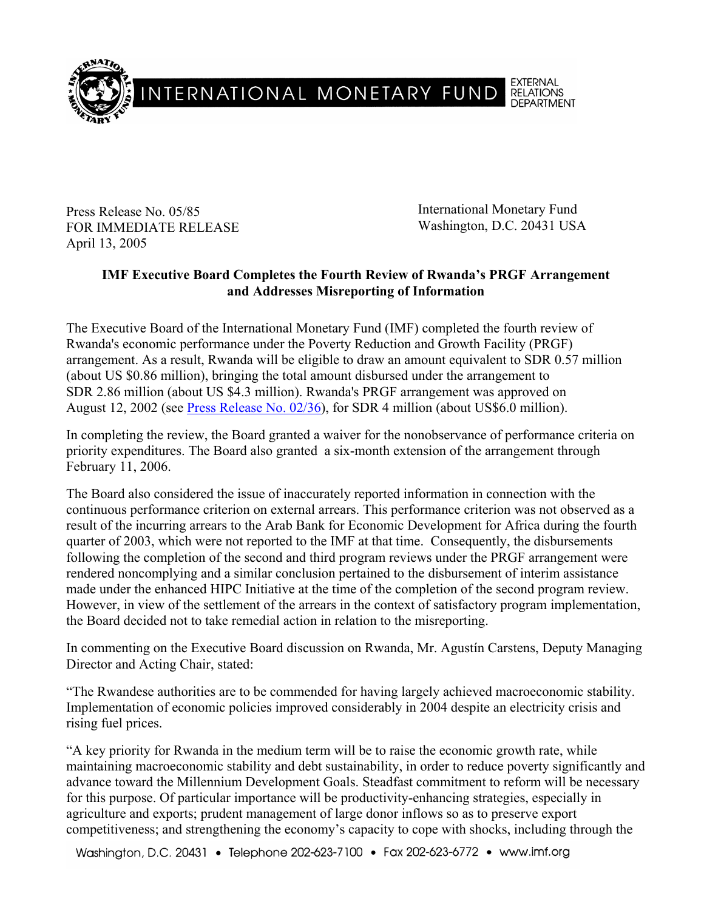

Press Release No. 05/85 FOR IMMEDIATE RELEASE April 13, 2005

International Monetary Fund Washington, D.C. 20431 USA

# **IMF Executive Board Completes the Fourth Review of Rwanda's PRGF Arrangement and Addresses Misreporting of Information**

The Executive Board of the International Monetary Fund (IMF) completed the fourth review of Rwanda's economic performance under the Poverty Reduction and Growth Facility (PRGF) arrangement. As a result, Rwanda will be eligible to draw an amount equivalent to SDR 0.57 million (about US \$0.86 million), bringing the total amount disbursed under the arrangement to SDR 2.86 million (about US \$4.3 million). Rwanda's PRGF arrangement was approved on August 12, 2002 (see Press Release No. 02/36), for SDR 4 million (about US\$6.0 million).

In completing the review, the Board granted a waiver for the nonobservance of performance criteria on priority expenditures. The Board also granted a six-month extension of the arrangement through February 11, 2006.

The Board also considered the issue of inaccurately reported information in connection with the continuous performance criterion on external arrears. This performance criterion was not observed as a result of the incurring arrears to the Arab Bank for Economic Development for Africa during the fourth quarter of 2003, which were not reported to the IMF at that time. Consequently, the disbursements following the completion of the second and third program reviews under the PRGF arrangement were rendered noncomplying and a similar conclusion pertained to the disbursement of interim assistance made under the enhanced HIPC Initiative at the time of the completion of the second program review. However, in view of the settlement of the arrears in the context of satisfactory program implementation, the Board decided not to take remedial action in relation to the misreporting.

In commenting on the Executive Board discussion on Rwanda, Mr. Agustín Carstens, Deputy Managing Director and Acting Chair, stated:

"The Rwandese authorities are to be commended for having largely achieved macroeconomic stability. Implementation of economic policies improved considerably in 2004 despite an electricity crisis and rising fuel prices.

"A key priority for Rwanda in the medium term will be to raise the economic growth rate, while maintaining macroeconomic stability and debt sustainability, in order to reduce poverty significantly and advance toward the Millennium Development Goals. Steadfast commitment to reform will be necessary for this purpose. Of particular importance will be productivity-enhancing strategies, especially in agriculture and exports; prudent management of large donor inflows so as to preserve export competitiveness; and strengthening the economy's capacity to cope with shocks, including through the

Washington, D.C. 20431 • Telephone 202-623-7100 • Fax 202-623-6772 • www.imf.org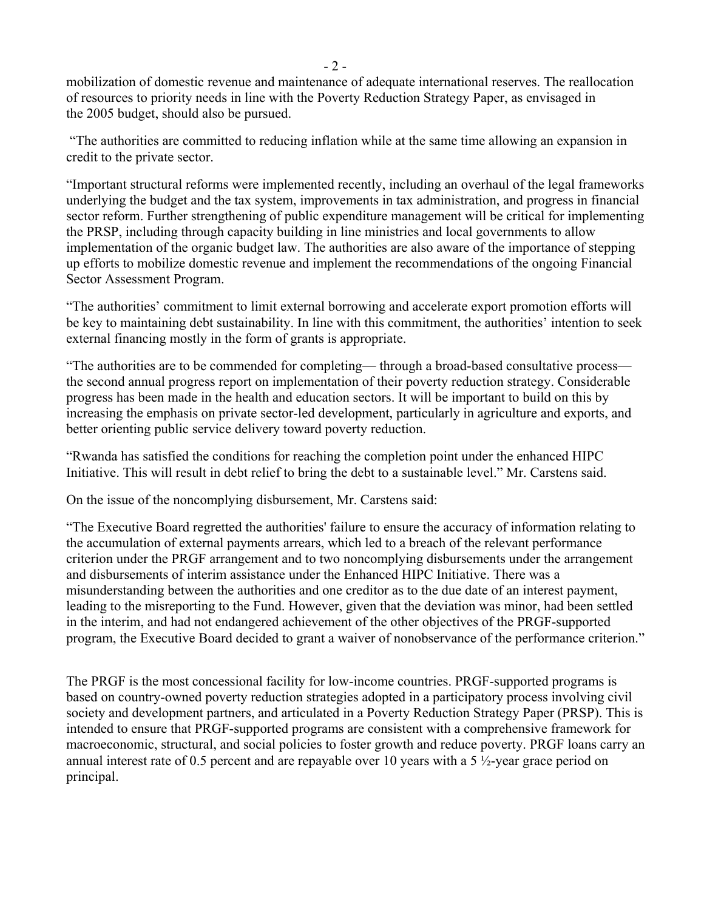mobilization of domestic revenue and maintenance of adequate international reserves. The reallocation of resources to priority needs in line with the Poverty Reduction Strategy Paper, as envisaged in the 2005 budget, should also be pursued.

 "The authorities are committed to reducing inflation while at the same time allowing an expansion in credit to the private sector.

"Important structural reforms were implemented recently, including an overhaul of the legal frameworks underlying the budget and the tax system, improvements in tax administration, and progress in financial sector reform. Further strengthening of public expenditure management will be critical for implementing the PRSP, including through capacity building in line ministries and local governments to allow implementation of the organic budget law. The authorities are also aware of the importance of stepping up efforts to mobilize domestic revenue and implement the recommendations of the ongoing Financial Sector Assessment Program.

"The authorities' commitment to limit external borrowing and accelerate export promotion efforts will be key to maintaining debt sustainability. In line with this commitment, the authorities' intention to seek external financing mostly in the form of grants is appropriate.

"The authorities are to be commended for completing— through a broad-based consultative process the second annual progress report on implementation of their poverty reduction strategy. Considerable progress has been made in the health and education sectors. It will be important to build on this by increasing the emphasis on private sector-led development, particularly in agriculture and exports, and better orienting public service delivery toward poverty reduction.

"Rwanda has satisfied the conditions for reaching the completion point under the enhanced HIPC Initiative. This will result in debt relief to bring the debt to a sustainable level." Mr. Carstens said.

On the issue of the noncomplying disbursement, Mr. Carstens said:

"The Executive Board regretted the authorities' failure to ensure the accuracy of information relating to the accumulation of external payments arrears, which led to a breach of the relevant performance criterion under the PRGF arrangement and to two noncomplying disbursements under the arrangement and disbursements of interim assistance under the Enhanced HIPC Initiative. There was a misunderstanding between the authorities and one creditor as to the due date of an interest payment, leading to the misreporting to the Fund. However, given that the deviation was minor, had been settled in the interim, and had not endangered achievement of the other objectives of the PRGF-supported program, the Executive Board decided to grant a waiver of nonobservance of the performance criterion."

The PRGF is the most concessional facility for low-income countries. PRGF-supported programs is based on country-owned poverty reduction strategies adopted in a participatory process involving civil society and development partners, and articulated in a Poverty Reduction Strategy Paper (PRSP). This is intended to ensure that PRGF-supported programs are consistent with a comprehensive framework for macroeconomic, structural, and social policies to foster growth and reduce poverty. PRGF loans carry an annual interest rate of 0.5 percent and are repayable over 10 years with a 5 ½-year grace period on principal.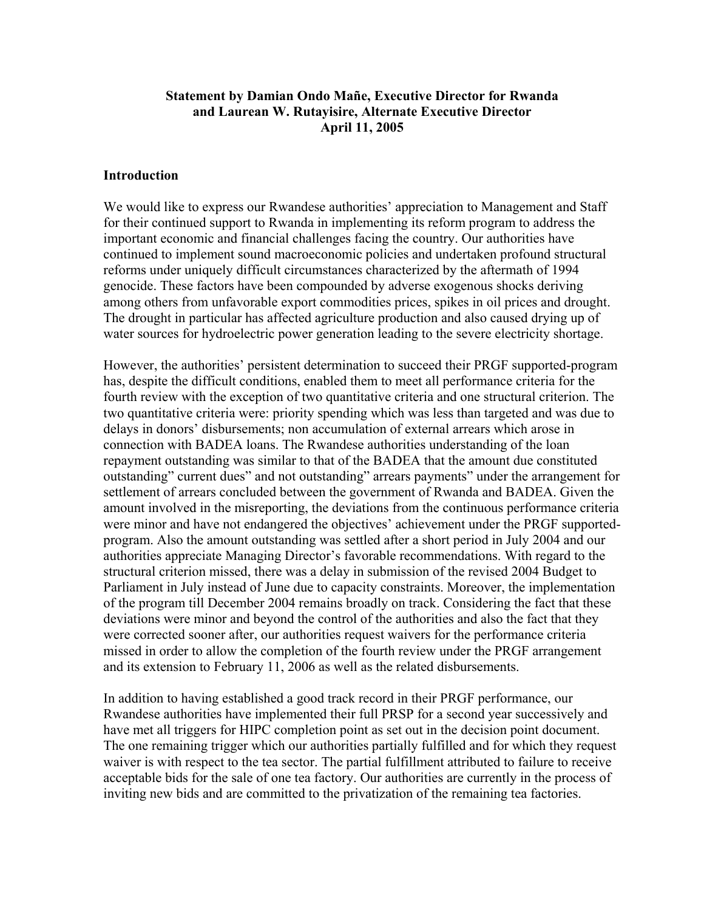# **Statement by Damian Ondo Mañe, Executive Director for Rwanda and Laurean W. Rutayisire, Alternate Executive Director April 11, 2005**

#### **Introduction**

We would like to express our Rwandese authorities' appreciation to Management and Staff for their continued support to Rwanda in implementing its reform program to address the important economic and financial challenges facing the country. Our authorities have continued to implement sound macroeconomic policies and undertaken profound structural reforms under uniquely difficult circumstances characterized by the aftermath of 1994 genocide. These factors have been compounded by adverse exogenous shocks deriving among others from unfavorable export commodities prices, spikes in oil prices and drought. The drought in particular has affected agriculture production and also caused drying up of water sources for hydroelectric power generation leading to the severe electricity shortage.

However, the authorities' persistent determination to succeed their PRGF supported-program has, despite the difficult conditions, enabled them to meet all performance criteria for the fourth review with the exception of two quantitative criteria and one structural criterion. The two quantitative criteria were: priority spending which was less than targeted and was due to delays in donors' disbursements; non accumulation of external arrears which arose in connection with BADEA loans. The Rwandese authorities understanding of the loan repayment outstanding was similar to that of the BADEA that the amount due constituted outstanding" current dues" and not outstanding" arrears payments" under the arrangement for settlement of arrears concluded between the government of Rwanda and BADEA. Given the amount involved in the misreporting, the deviations from the continuous performance criteria were minor and have not endangered the objectives' achievement under the PRGF supportedprogram. Also the amount outstanding was settled after a short period in July 2004 and our authorities appreciate Managing Director's favorable recommendations. With regard to the structural criterion missed, there was a delay in submission of the revised 2004 Budget to Parliament in July instead of June due to capacity constraints. Moreover, the implementation of the program till December 2004 remains broadly on track. Considering the fact that these deviations were minor and beyond the control of the authorities and also the fact that they were corrected sooner after, our authorities request waivers for the performance criteria missed in order to allow the completion of the fourth review under the PRGF arrangement and its extension to February 11, 2006 as well as the related disbursements.

In addition to having established a good track record in their PRGF performance, our Rwandese authorities have implemented their full PRSP for a second year successively and have met all triggers for HIPC completion point as set out in the decision point document. The one remaining trigger which our authorities partially fulfilled and for which they request waiver is with respect to the tea sector. The partial fulfillment attributed to failure to receive acceptable bids for the sale of one tea factory. Our authorities are currently in the process of inviting new bids and are committed to the privatization of the remaining tea factories.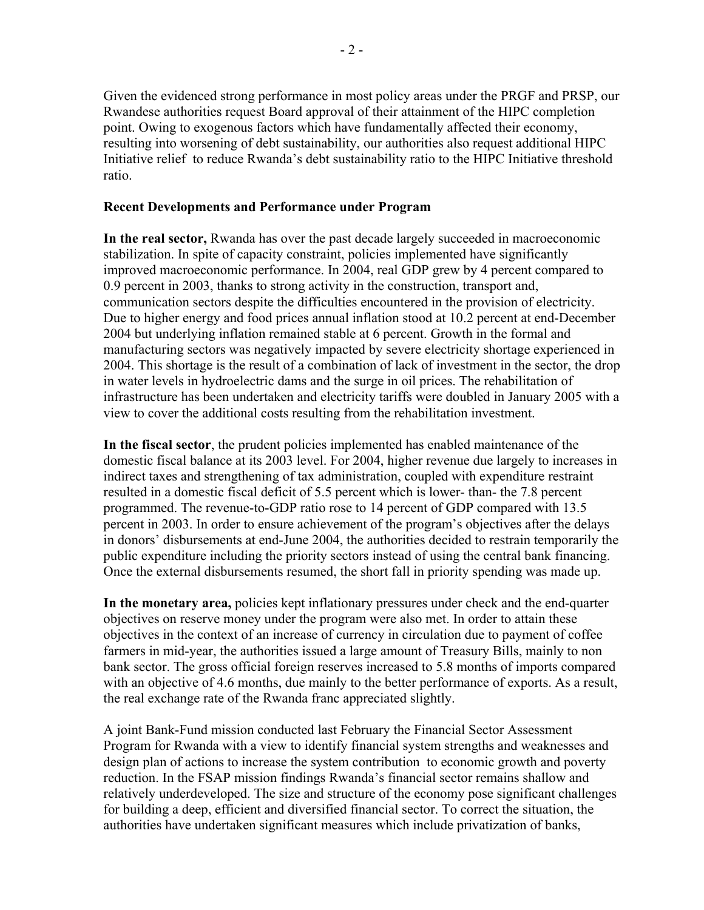Given the evidenced strong performance in most policy areas under the PRGF and PRSP, our Rwandese authorities request Board approval of their attainment of the HIPC completion point. Owing to exogenous factors which have fundamentally affected their economy, resulting into worsening of debt sustainability, our authorities also request additional HIPC Initiative relief to reduce Rwanda's debt sustainability ratio to the HIPC Initiative threshold ratio.

### **Recent Developments and Performance under Program**

**In the real sector,** Rwanda has over the past decade largely succeeded in macroeconomic stabilization. In spite of capacity constraint, policies implemented have significantly improved macroeconomic performance. In 2004, real GDP grew by 4 percent compared to 0.9 percent in 2003, thanks to strong activity in the construction, transport and, communication sectors despite the difficulties encountered in the provision of electricity. Due to higher energy and food prices annual inflation stood at 10.2 percent at end-December 2004 but underlying inflation remained stable at 6 percent. Growth in the formal and manufacturing sectors was negatively impacted by severe electricity shortage experienced in 2004. This shortage is the result of a combination of lack of investment in the sector, the drop in water levels in hydroelectric dams and the surge in oil prices. The rehabilitation of infrastructure has been undertaken and electricity tariffs were doubled in January 2005 with a view to cover the additional costs resulting from the rehabilitation investment.

**In the fiscal sector**, the prudent policies implemented has enabled maintenance of the domestic fiscal balance at its 2003 level. For 2004, higher revenue due largely to increases in indirect taxes and strengthening of tax administration, coupled with expenditure restraint resulted in a domestic fiscal deficit of 5.5 percent which is lower- than- the 7.8 percent programmed. The revenue-to-GDP ratio rose to 14 percent of GDP compared with 13.5 percent in 2003. In order to ensure achievement of the program's objectives after the delays in donors' disbursements at end-June 2004, the authorities decided to restrain temporarily the public expenditure including the priority sectors instead of using the central bank financing. Once the external disbursements resumed, the short fall in priority spending was made up.

**In the monetary area,** policies kept inflationary pressures under check and the end-quarter objectives on reserve money under the program were also met. In order to attain these objectives in the context of an increase of currency in circulation due to payment of coffee farmers in mid-year, the authorities issued a large amount of Treasury Bills, mainly to non bank sector. The gross official foreign reserves increased to 5.8 months of imports compared with an objective of 4.6 months, due mainly to the better performance of exports. As a result, the real exchange rate of the Rwanda franc appreciated slightly.

A joint Bank-Fund mission conducted last February the Financial Sector Assessment Program for Rwanda with a view to identify financial system strengths and weaknesses and design plan of actions to increase the system contribution to economic growth and poverty reduction. In the FSAP mission findings Rwanda's financial sector remains shallow and relatively underdeveloped. The size and structure of the economy pose significant challenges for building a deep, efficient and diversified financial sector. To correct the situation, the authorities have undertaken significant measures which include privatization of banks,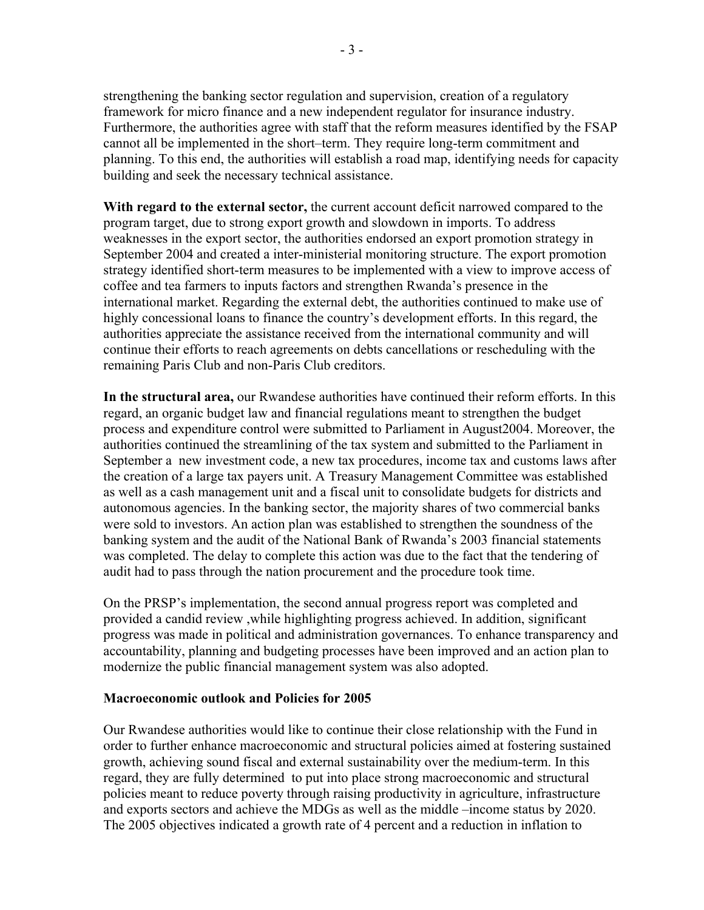strengthening the banking sector regulation and supervision, creation of a regulatory framework for micro finance and a new independent regulator for insurance industry. Furthermore, the authorities agree with staff that the reform measures identified by the FSAP cannot all be implemented in the short–term. They require long-term commitment and planning. To this end, the authorities will establish a road map, identifying needs for capacity building and seek the necessary technical assistance.

**With regard to the external sector,** the current account deficit narrowed compared to the program target, due to strong export growth and slowdown in imports. To address weaknesses in the export sector, the authorities endorsed an export promotion strategy in September 2004 and created a inter-ministerial monitoring structure. The export promotion strategy identified short-term measures to be implemented with a view to improve access of coffee and tea farmers to inputs factors and strengthen Rwanda's presence in the international market. Regarding the external debt, the authorities continued to make use of highly concessional loans to finance the country's development efforts. In this regard, the authorities appreciate the assistance received from the international community and will continue their efforts to reach agreements on debts cancellations or rescheduling with the remaining Paris Club and non-Paris Club creditors.

**In the structural area,** our Rwandese authorities have continued their reform efforts. In this regard, an organic budget law and financial regulations meant to strengthen the budget process and expenditure control were submitted to Parliament in August2004. Moreover, the authorities continued the streamlining of the tax system and submitted to the Parliament in September a new investment code, a new tax procedures, income tax and customs laws after the creation of a large tax payers unit. A Treasury Management Committee was established as well as a cash management unit and a fiscal unit to consolidate budgets for districts and autonomous agencies. In the banking sector, the majority shares of two commercial banks were sold to investors. An action plan was established to strengthen the soundness of the banking system and the audit of the National Bank of Rwanda's 2003 financial statements was completed. The delay to complete this action was due to the fact that the tendering of audit had to pass through the nation procurement and the procedure took time.

On the PRSP's implementation, the second annual progress report was completed and provided a candid review ,while highlighting progress achieved. In addition, significant progress was made in political and administration governances. To enhance transparency and accountability, planning and budgeting processes have been improved and an action plan to modernize the public financial management system was also adopted.

#### **Macroeconomic outlook and Policies for 2005**

Our Rwandese authorities would like to continue their close relationship with the Fund in order to further enhance macroeconomic and structural policies aimed at fostering sustained growth, achieving sound fiscal and external sustainability over the medium-term. In this regard, they are fully determined to put into place strong macroeconomic and structural policies meant to reduce poverty through raising productivity in agriculture, infrastructure and exports sectors and achieve the MDGs as well as the middle –income status by 2020. The 2005 objectives indicated a growth rate of 4 percent and a reduction in inflation to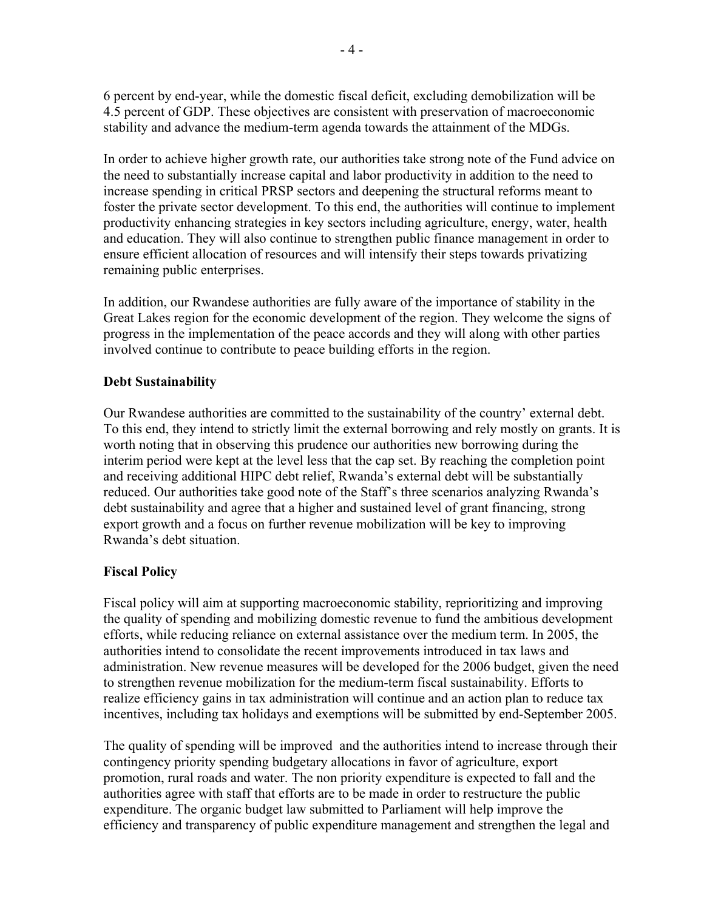6 percent by end-year, while the domestic fiscal deficit, excluding demobilization will be 4.5 percent of GDP. These objectives are consistent with preservation of macroeconomic stability and advance the medium-term agenda towards the attainment of the MDGs.

In order to achieve higher growth rate, our authorities take strong note of the Fund advice on the need to substantially increase capital and labor productivity in addition to the need to increase spending in critical PRSP sectors and deepening the structural reforms meant to foster the private sector development. To this end, the authorities will continue to implement productivity enhancing strategies in key sectors including agriculture, energy, water, health and education. They will also continue to strengthen public finance management in order to ensure efficient allocation of resources and will intensify their steps towards privatizing remaining public enterprises.

In addition, our Rwandese authorities are fully aware of the importance of stability in the Great Lakes region for the economic development of the region. They welcome the signs of progress in the implementation of the peace accords and they will along with other parties involved continue to contribute to peace building efforts in the region.

### **Debt Sustainability**

Our Rwandese authorities are committed to the sustainability of the country' external debt. To this end, they intend to strictly limit the external borrowing and rely mostly on grants. It is worth noting that in observing this prudence our authorities new borrowing during the interim period were kept at the level less that the cap set. By reaching the completion point and receiving additional HIPC debt relief, Rwanda's external debt will be substantially reduced. Our authorities take good note of the Staff's three scenarios analyzing Rwanda's debt sustainability and agree that a higher and sustained level of grant financing, strong export growth and a focus on further revenue mobilization will be key to improving Rwanda's debt situation.

# **Fiscal Policy**

Fiscal policy will aim at supporting macroeconomic stability, reprioritizing and improving the quality of spending and mobilizing domestic revenue to fund the ambitious development efforts, while reducing reliance on external assistance over the medium term. In 2005, the authorities intend to consolidate the recent improvements introduced in tax laws and administration. New revenue measures will be developed for the 2006 budget, given the need to strengthen revenue mobilization for the medium-term fiscal sustainability. Efforts to realize efficiency gains in tax administration will continue and an action plan to reduce tax incentives, including tax holidays and exemptions will be submitted by end-September 2005.

The quality of spending will be improved and the authorities intend to increase through their contingency priority spending budgetary allocations in favor of agriculture, export promotion, rural roads and water. The non priority expenditure is expected to fall and the authorities agree with staff that efforts are to be made in order to restructure the public expenditure. The organic budget law submitted to Parliament will help improve the efficiency and transparency of public expenditure management and strengthen the legal and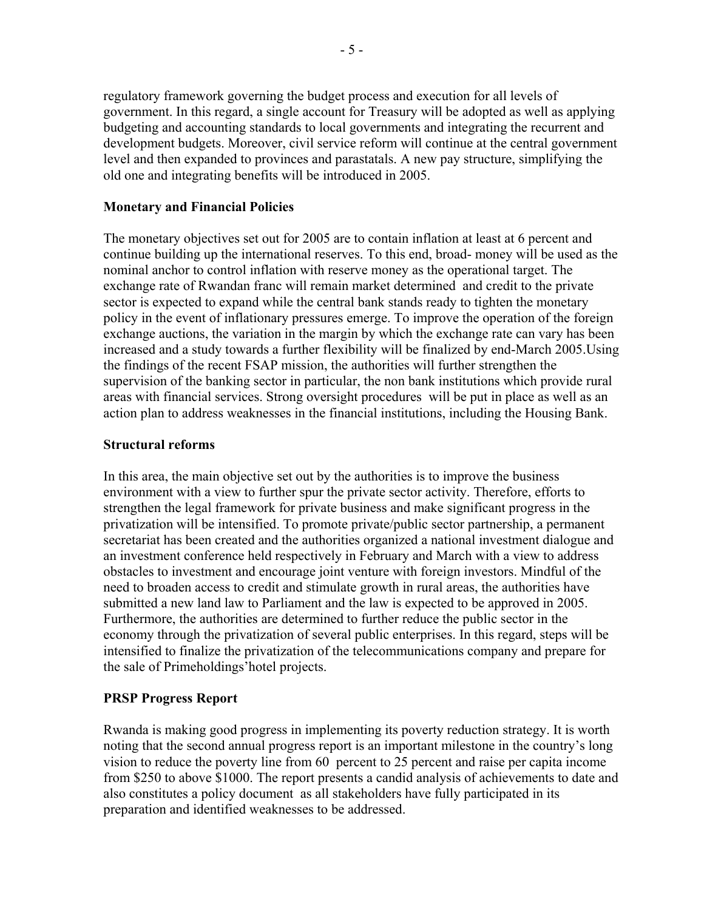regulatory framework governing the budget process and execution for all levels of government. In this regard, a single account for Treasury will be adopted as well as applying budgeting and accounting standards to local governments and integrating the recurrent and development budgets. Moreover, civil service reform will continue at the central government level and then expanded to provinces and parastatals. A new pay structure, simplifying the old one and integrating benefits will be introduced in 2005.

### **Monetary and Financial Policies**

The monetary objectives set out for 2005 are to contain inflation at least at 6 percent and continue building up the international reserves. To this end, broad- money will be used as the nominal anchor to control inflation with reserve money as the operational target. The exchange rate of Rwandan franc will remain market determined and credit to the private sector is expected to expand while the central bank stands ready to tighten the monetary policy in the event of inflationary pressures emerge. To improve the operation of the foreign exchange auctions, the variation in the margin by which the exchange rate can vary has been increased and a study towards a further flexibility will be finalized by end-March 2005.Using the findings of the recent FSAP mission, the authorities will further strengthen the supervision of the banking sector in particular, the non bank institutions which provide rural areas with financial services. Strong oversight procedures will be put in place as well as an action plan to address weaknesses in the financial institutions, including the Housing Bank.

### **Structural reforms**

In this area, the main objective set out by the authorities is to improve the business environment with a view to further spur the private sector activity. Therefore, efforts to strengthen the legal framework for private business and make significant progress in the privatization will be intensified. To promote private/public sector partnership, a permanent secretariat has been created and the authorities organized a national investment dialogue and an investment conference held respectively in February and March with a view to address obstacles to investment and encourage joint venture with foreign investors. Mindful of the need to broaden access to credit and stimulate growth in rural areas, the authorities have submitted a new land law to Parliament and the law is expected to be approved in 2005. Furthermore, the authorities are determined to further reduce the public sector in the economy through the privatization of several public enterprises. In this regard, steps will be intensified to finalize the privatization of the telecommunications company and prepare for the sale of Primeholdings'hotel projects.

### **PRSP Progress Report**

Rwanda is making good progress in implementing its poverty reduction strategy. It is worth noting that the second annual progress report is an important milestone in the country's long vision to reduce the poverty line from 60 percent to 25 percent and raise per capita income from \$250 to above \$1000. The report presents a candid analysis of achievements to date and also constitutes a policy document as all stakeholders have fully participated in its preparation and identified weaknesses to be addressed.